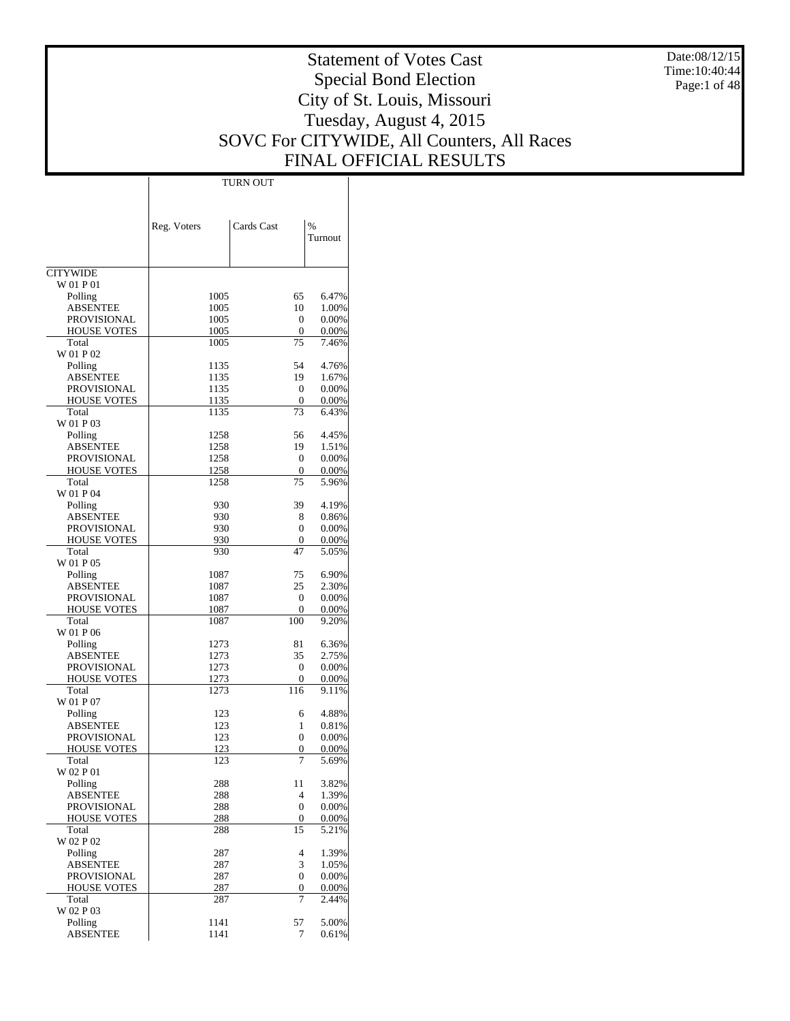Date:08/12/15 Time:10:40:44 Page:1 of 48

# Statement of Votes Cast Special Bond Election City of St. Louis, Missouri Tuesday, August 4, 2015 SOVC For CITYWIDE, All Counters, All Races FINAL OFFICIAL RESULTS

Τ

|                                       |              | TURN OUT           |                   |
|---------------------------------------|--------------|--------------------|-------------------|
|                                       |              |                    |                   |
|                                       |              |                    |                   |
|                                       | Reg. Voters  | Cards Cast         | %                 |
|                                       |              |                    | Turnout           |
|                                       |              |                    |                   |
| <b>CITYWIDE</b>                       |              |                    |                   |
| W 01 P 01                             |              |                    |                   |
| Polling                               | 1005         | 65                 | 6.47%             |
| <b>ABSENTEE</b>                       | 1005         | 10                 | 1.00%             |
| <b>PROVISIONAL</b>                    | 1005         | $\mathbf{0}$       | 0.00%             |
| <b>HOUSE VOTES</b>                    | 1005         | 0                  | 0.00%             |
| Total                                 | 1005         | 75                 | 7.46%             |
| W 01 P 02                             |              |                    |                   |
| Polling                               | 1135         | 54                 | 4.76%             |
| <b>ABSENTEE</b>                       | 1135         | 19                 | 1.67%             |
| PROVISIONAL                           | 1135         | $\mathbf{0}$       | 0.00%             |
| <b>HOUSE VOTES</b><br>Total           | 1135<br>1135 | 0<br>73            | 0.00%<br>6.43%    |
| W 01 P 03                             |              |                    |                   |
| Polling                               | 1258         | 56                 | 4.45%             |
| <b>ABSENTEE</b>                       | 1258         | 19                 | 1.51%             |
| PROVISIONAL                           | 1258         | $\mathbf{0}$       | 0.00%             |
| <b>HOUSE VOTES</b>                    | 1258         | 0                  | 0.00%             |
| Total                                 | 1258         | 75                 | 5.96%             |
| W 01 P 04                             |              |                    |                   |
| Polling                               | 930          | 39                 | 4.19%             |
| <b>ABSENTEE</b>                       | 930          | 8                  | 0.86%             |
| PROVISIONAL                           | 930          | 0                  | 0.00%             |
| <b>HOUSE VOTES</b>                    | 930          | $\mathbf{0}$       | 0.00%             |
| Total                                 | 930          | 47                 | 5.05%             |
| W 01 P 05                             |              |                    |                   |
| Polling                               | 1087         | 75                 | 6.90%<br>2.30%    |
| <b>ABSENTEE</b><br>PROVISIONAL        | 1087<br>1087 | 25<br>$\mathbf{0}$ | 0.00%             |
| <b>HOUSE VOTES</b>                    | 1087         | 0                  | 0.00%             |
| Total                                 | 1087         | 100                | 9.20%             |
| W 01 P 06                             |              |                    |                   |
| Polling                               | 1273         | 81                 | 6.36%             |
| <b>ABSENTEE</b>                       | 1273         | 35                 | 2.75%             |
| PROVISIONAL                           | 1273         | 0                  | 0.00%             |
| <b>HOUSE VOTES</b>                    | 1273         | 0                  | 0.00%             |
| Total                                 | 1273         | 116                | 9.11%             |
| W 01 P 07                             |              |                    |                   |
| Polling                               | 123          | 6                  | 4.88%             |
| <b>ABSENTEE</b><br><b>PROVISIONAL</b> | 123<br>123   | 1                  | 0.81%             |
| <b>HOUSE VOTES</b>                    | 123          | 0<br>0             | 0.00%<br>$0.00\%$ |
| Total                                 | 123          | 7                  | 5.69%             |
| W 02 P 01                             |              |                    |                   |
| Polling                               | 288          | 11                 | 3.82%             |
| <b>ABSENTEE</b>                       | 288          | 4                  | 1.39%             |
| PROVISIONAL                           | 288          | 0                  | 0.00%             |
| <b>HOUSE VOTES</b>                    | 288          | $\mathbf{0}$       | 0.00%             |
| Total                                 | 288          | 15                 | 5.21%             |
| W 02 P 02                             |              |                    |                   |
| Polling                               | 287          | 4                  | 1.39%             |
| <b>ABSENTEE</b>                       | 287          | 3                  | 1.05%             |
| PROVISIONAL                           | 287          | 0                  | 0.00%             |
| <b>HOUSE VOTES</b>                    | 287          | 0                  | 0.00%             |
| Total<br>W 02 P 03                    | 287          | 7                  | 2.44%             |
| Polling                               | 1141         | 57                 | 5.00%             |
| <b>ABSENTEE</b>                       | 1141         | 7                  | 0.61%             |
|                                       |              |                    |                   |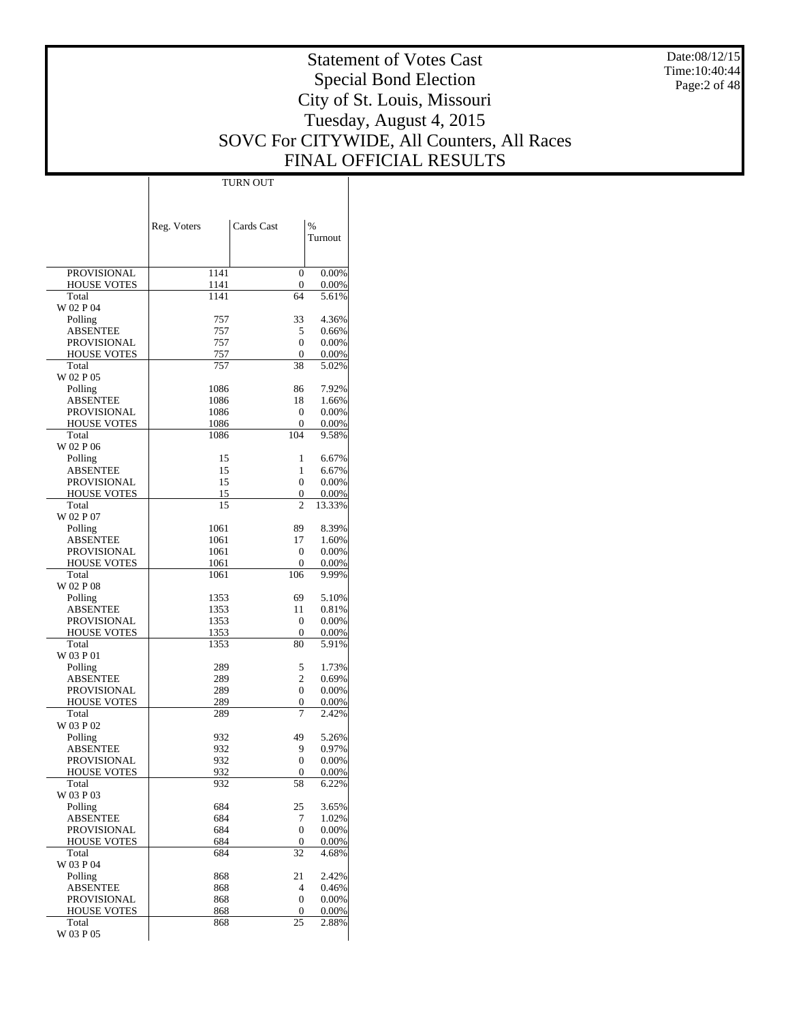Date:08/12/15 Time:10:40:44 Page:2 of 48

# Statement of Votes Cast Special Bond Election City of St. Louis, Missouri Tuesday, August 4, 2015 SOVC For CITYWIDE, All Counters, All Races FINAL OFFICIAL RESULTS

 $\top$ 

|                                       | Reg. Voters  | Cards Cast     | $\frac{0}{0}$  |
|---------------------------------------|--------------|----------------|----------------|
|                                       |              |                | Turnout        |
|                                       |              |                |                |
| PROVISIONAL                           | 1141         | $\theta$       | 0.00%          |
| <b>HOUSE VOTES</b>                    | 1141         | 0              | 0.00%          |
| Total<br>W 02 P 04                    | 1141         | 64             | 5.61%          |
| Polling                               | 757          | 33             | 4.36%          |
| <b>ABSENTEE</b>                       | 757          | 5              | 0.66%          |
| <b>PROVISIONAL</b>                    | 757<br>757   | $\Omega$<br>0  | 0.00%          |
| <b>HOUSE VOTES</b><br>Total           | 757          | 38             | 0.00%<br>5.02% |
| W 02 P 05                             |              |                |                |
| Polling                               | 1086         | 86             | 7.92%          |
| <b>ABSENTEE</b><br><b>PROVISIONAL</b> | 1086<br>1086 | 18<br>0        | 1.66%<br>0.00% |
| <b>HOUSE VOTES</b>                    | 1086         | 0              | $0.00\%$       |
| Total                                 | 1086         | 104            | 9.58%          |
| W 02 P 06                             |              |                |                |
| Polling<br><b>ABSENTEE</b>            | 15<br>15     | 1<br>1         | 6.67%<br>6.67% |
| <b>PROVISIONAL</b>                    | 15           | $\theta$       | 0.00%          |
| <b>HOUSE VOTES</b>                    | 15           | 0              | 0.00%          |
| Total                                 | 15           | $\overline{c}$ | 13.33%         |
| W 02 P 07<br>Polling                  | 1061         | 89             | 8.39%          |
| <b>ABSENTEE</b>                       | 1061         | 17             | 1.60%          |
| PROVISIONAL                           | 1061         | 0              | 0.00%          |
| <b>HOUSE VOTES</b>                    | 1061         | 0              | 0.00%          |
| Total<br>W 02 P 08                    | 1061         | 106            | 9.99%          |
| Polling                               | 1353         | 69             | 5.10%          |
| <b>ABSENTEE</b>                       | 1353         | 11             | 0.81%          |
| <b>PROVISIONAL</b>                    | 1353         | 0              | 0.00%          |
| <b>HOUSE VOTES</b><br>Total           | 1353<br>1353 | 0<br>80        | 0.00%<br>5.91% |
| W 03 P 01                             |              |                |                |
| Polling                               | 289          | 5              | 1.73%          |
| <b>ABSENTEE</b>                       | 289          | 2<br>$\Omega$  | 0.69%          |
| <b>PROVISIONAL</b><br>HOUSE VOTES     | 289<br>289   | 0              | 0.00%<br>0.00% |
| Total                                 | 289          | 7              | 2.42%          |
| W 03 P 02                             |              |                |                |
| Polling                               | 932          | 49             | 5.26%          |
| ABSENTEE<br><b>PROVISIONAL</b>        | 932<br>932   | 9<br>$\Omega$  | 0.97%<br>0.00% |
| HOUSE VOTES                           | 932          | 0              | $0.00\%$       |
| Total                                 | 932          | 58             | 6.22%          |
| W 03 P 03                             |              | 25             |                |
| Polling<br><b>ABSENTEE</b>            | 684<br>684   | 7              | 3.65%<br>1.02% |
| PROVISIONAL                           | 684          | $\mathbf{0}$   | 0.00%          |
| HOUSE VOTES                           | 684          | 0              | 0.00%          |
| Total                                 | 684          | 32             | 4.68%          |
| W 03 P 04<br>Polling                  | 868          | 21             | 2.42%          |
| <b>ABSENTEE</b>                       | 868          | 4              | 0.46%          |
| PROVISIONAL                           | 868          | 0              | 0.00%          |
| <b>HOUSE VOTES</b><br>Total           | 868          | 0<br>25        | 0.00%          |
| W 03 P 05                             | 868          |                | 2.88%          |

TURN OUT

 $\overline{1}$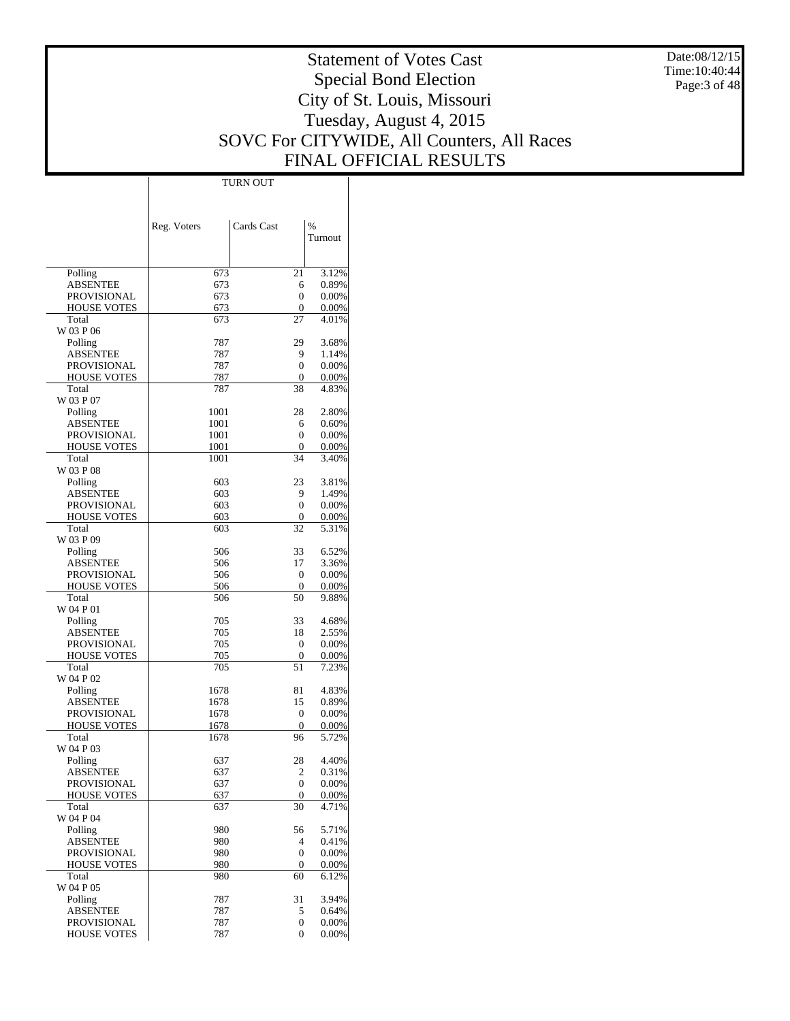Date:08/12/15 Time:10:40:44 Page:3 of 48

# Statement of Votes Cast Special Bond Election City of St. Louis, Missouri Tuesday, August 4, 2015 SOVC For CITYWIDE, All Counters, All Races FINAL OFFICIAL RESULTS

Τ

|                                       |             | TURN OUT     |                |
|---------------------------------------|-------------|--------------|----------------|
|                                       |             |              |                |
|                                       |             |              |                |
|                                       | Reg. Voters | Cards Cast   | $\%$           |
|                                       |             |              | Turnout        |
|                                       |             |              |                |
|                                       |             |              |                |
| Polling                               | 673         | 21           | 3.12%          |
| <b>ABSENTEE</b>                       | 673         | 6            | 0.89%          |
| <b>PROVISIONAL</b>                    | 673         | 0            | 0.00%          |
| <b>HOUSE VOTES</b><br>Total           | 673<br>673  | 0<br>27      | 0.00%<br>4.01% |
| W 03 P 06                             |             |              |                |
| Polling                               | 787         | 29           | 3.68%          |
| <b>ABSENTEE</b>                       | 787         | 9            | 1.14%          |
| <b>PROVISIONAL</b>                    | 787         | 0            | 0.00%          |
| <b>HOUSE VOTES</b>                    | 787         | 0            | 0.00%          |
| Total                                 | 787         | 38           | 4.83%          |
| W 03 P 07                             |             |              |                |
| Polling                               | 1001        | 28           | 2.80%          |
| <b>ABSENTEE</b>                       | 1001        | 6            | 0.60%          |
| <b>PROVISIONAL</b>                    | 1001        | 0            | 0.00%          |
| <b>HOUSE VOTES</b><br>Total           | 1001        | 0            | 0.00%          |
| W 03 P 08                             | 1001        | 34           | 3.40%          |
| Polling                               | 603         | 23           | 3.81%          |
| <b>ABSENTEE</b>                       | 603         | 9            | 1.49%          |
| <b>PROVISIONAL</b>                    | 603         | 0            | 0.00%          |
| <b>HOUSE VOTES</b>                    | 603         | 0            | 0.00%          |
| Total                                 | 603         | 32           | 5.31%          |
| W 03 P 09                             |             |              |                |
| Polling                               | 506         | 33           | 6.52%          |
| <b>ABSENTEE</b>                       | 506         | 17           | 3.36%          |
| <b>PROVISIONAL</b>                    | 506         | $\mathbf{0}$ | 0.00%          |
| <b>HOUSE VOTES</b>                    | 506         | $\mathbf{0}$ | 0.00%          |
| Total                                 | 506         | 50           | 9.88%          |
| W 04 P 01                             | 705         | 33           | 4.68%          |
| Polling<br><b>ABSENTEE</b>            | 705         | 18           | 2.55%          |
| <b>PROVISIONAL</b>                    | 705         | 0            | 0.00%          |
| <b>HOUSE VOTES</b>                    | 705         | 0            | 0.00%          |
| Total                                 | 705         | 51           | 7.23%          |
| W 04 P 02                             |             |              |                |
| Polling                               | 1678        | 81           | 4.83%          |
| <b>ABSENTEE</b>                       | 1678        | 15           | 0.89%          |
| <b>PROVISIONAL</b>                    | 1678        | 0            | 0.00%          |
| <b>HOUSE VOTES</b>                    | 1678        | 0            | 0.00%          |
| Total                                 | 1678        | 96           | 5.72%          |
| W 04 P 03                             |             |              |                |
| Polling<br><b>ABSENTEE</b>            | 637<br>637  | 28<br>2      | 4.40%<br>0.31% |
| <b>PROVISIONAL</b>                    | 637         | 0            | 0.00%          |
| <b>HOUSE VOTES</b>                    | 637         | 0            | 0.00%          |
| Total                                 | 637         | 30           | 4.71%          |
| W 04 P 04                             |             |              |                |
| Polling                               | 980         | 56           | 5.71%          |
| <b>ABSENTEE</b>                       | 980         | 4            | 0.41%          |
| <b>PROVISIONAL</b>                    | 980         | 0            | 0.00%          |
| <b>HOUSE VOTES</b>                    | 980         | 0            | 0.00%          |
| Total                                 | 980         | 60           | 6.12%          |
| W 04 P 05                             |             |              |                |
| Polling                               | 787         | 31           | 3.94%          |
| <b>ABSENTEE</b><br><b>PROVISIONAL</b> | 787<br>787  | 5<br>0       | 0.64%<br>0.00% |
| <b>HOUSE VOTES</b>                    | 787         | 0            | 0.00%          |
|                                       |             |              |                |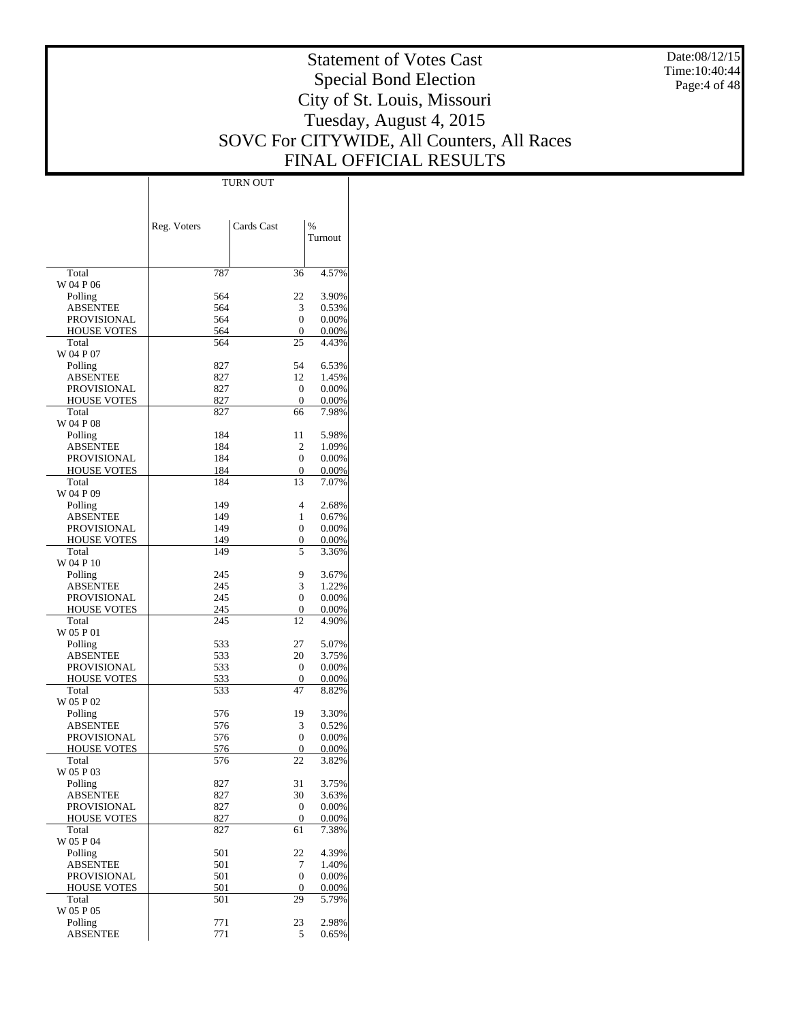Date:08/12/15 Time:10:40:44 Page:4 of 48

# Statement of Votes Cast Special Bond Election City of St. Louis, Missouri Tuesday, August 4, 2015 SOVC For CITYWIDE, All Counters, All Races FINAL OFFICIAL RESULTS

Τ

|                                | Reg. Voters | Cards Cast             | $\%$           |
|--------------------------------|-------------|------------------------|----------------|
|                                |             |                        | Turnout        |
|                                |             |                        |                |
| Total<br>W 04 P 06             | 787         | 36                     | 4.57%          |
| Polling                        | 564         | 22                     | 3.90%          |
| ABSENTEE                       | 564         | 3                      | 0.53%          |
| PROVISIONAL                    | 564         | 0                      | 0.00%          |
| <b>HOUSE VOTES</b>             | 564         | 0                      | 0.00%          |
| Total<br>W 04 P 07             | 564         | 25                     | 4.43%          |
| Polling                        | 827         | 54                     | 6.53%          |
| <b>ABSENTEE</b>                | 827         | 12                     | 1.45%          |
| PROVISIONAL                    | 827         | 0                      | 0.00%          |
| <b>HOUSE VOTES</b>             | 827         | 0                      | 0.00%          |
| Total<br>W 04 P 08             | 827         | 66                     | 7.98%          |
| Polling                        | 184         | 11                     | 5.98%          |
| <b>ABSENTEE</b>                | 184         | 2                      | 1.09%          |
| <b>PROVISIONAL</b>             | 184         | 0                      | 0.00%          |
| <b>HOUSE VOTES</b>             | 184         | 0                      | 0.00%          |
| Total<br>W 04 P 09             | 184         | 13                     | 7.07%          |
| Polling                        | 149         | 4                      | 2.68%          |
| <b>ABSENTEE</b>                | 149         | 1                      | 0.67%          |
| PROVISIONAL                    | 149         | 0                      | 0.00%          |
| <b>HOUSE VOTES</b>             | 149         | 0                      | 0.00%          |
| Total<br>W 04 P 10             | 149         | 5                      | 3.36%          |
| Polling                        | 245         | 9                      | 3.67%          |
| ABSENTEE                       | 245         | 3                      | 1.22%          |
| PROVISIONAL                    | 245         | 0                      | 0.00%          |
| <b>HOUSE VOTES</b>             | 245         | 0                      | 0.00%          |
| Total                          | 245         | 12                     | 4.90%          |
| W 05 P 01<br>Polling           | 533         | 27                     | 5.07%          |
| <b>ABSENTEE</b>                | 533         | 20                     | 3.75%          |
| PROVISIONAL                    | 533         | 0                      | 0.00%          |
| <b>HOUSE VOTES</b>             | 533         | 0                      | 0.00%          |
| Total                          | 533         | 47                     | 8.82%          |
| W 05 P 02                      |             |                        |                |
| Polling<br><b>ABSENTEE</b>     | 576<br>576  | 19<br>3                | 3.30%<br>0.52% |
| PROVISIONAL                    | 576         | 0                      | 0.00%          |
| <b>HOUSE VOTES</b>             | 576         | 0                      | 0.00%          |
| Total                          | 576         | 22                     | 3.82%          |
| W 05 P 03                      |             |                        |                |
| Polling<br><b>ABSENTEE</b>     | 827         | 31                     | 3.75%          |
| PROVISIONAL                    | 827<br>827  | 30<br>$\boldsymbol{0}$ | 3.63%<br>0.00% |
| <b>HOUSE VOTES</b>             | 827         | 0                      | 0.00%          |
| Total                          | 827         | 61                     | 7.38%          |
| W 05 P 04                      |             |                        |                |
| Polling                        | 501         | 22                     | 4.39%          |
| <b>ABSENTEE</b><br>PROVISIONAL | 501<br>501  | 7<br>0                 | 1.40%<br>0.00% |
| <b>HOUSE VOTES</b>             | 501         | 0                      | 0.00%          |
| Total                          | 501         | 29                     | 5.79%          |
| W 05 P 05                      |             |                        |                |
| Polling                        | 771         | 23                     | 2.98%          |
| <b>ABSENTEE</b>                | 771         | 5                      | 0.65%          |

TURN OUT

 $\overline{1}$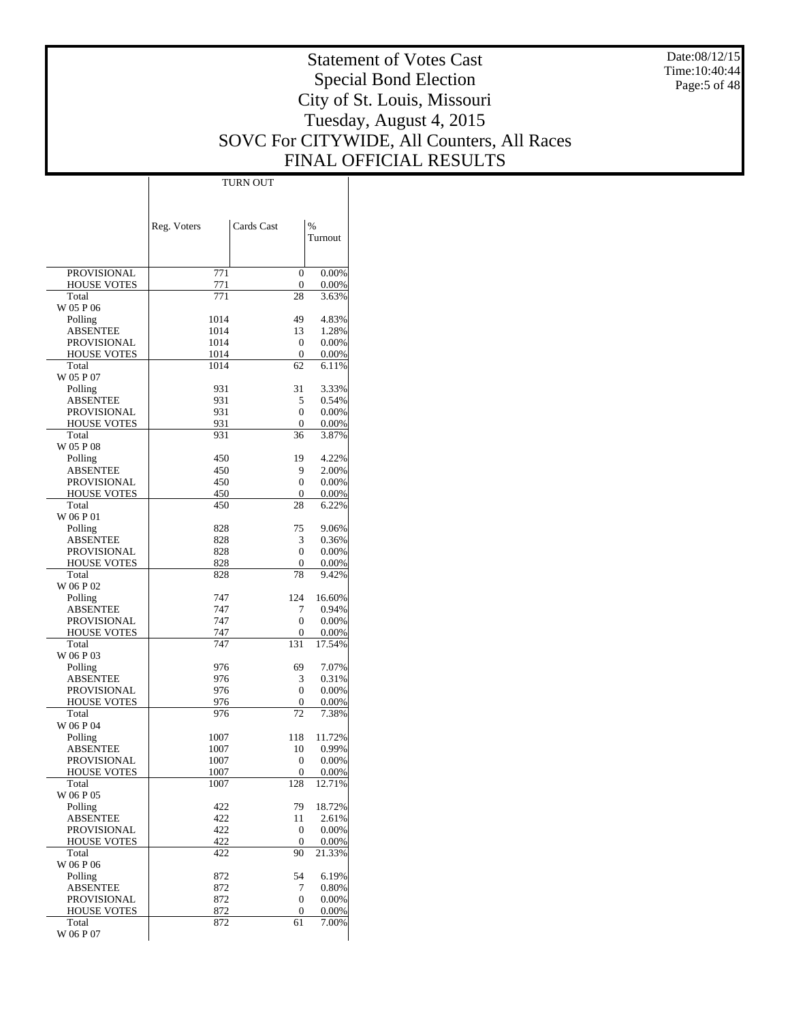Date:08/12/15 Time:10:40:44 Page:5 of 48

# Statement of Votes Cast Special Bond Election City of St. Louis, Missouri Tuesday, August 4, 2015 SOVC For CITYWIDE, All Counters, All Races FINAL OFFICIAL RESULTS

 $\top$ 

|                                          | Reg. Voters  | Cards Cast             | %               |
|------------------------------------------|--------------|------------------------|-----------------|
|                                          |              |                        | Turnout         |
|                                          |              |                        |                 |
| <b>PROVISIONAL</b>                       | 771          | $\theta$               | 0.00%           |
| <b>HOUSE VOTES</b>                       | 771          | 0                      | 0.00%           |
| Total                                    | 771          | 28                     | 3.63%           |
| W 05 P 06                                | 1014         | 49                     | 4.83%           |
| Polling<br><b>ABSENTEE</b>               | 1014         | 13                     | 1.28%           |
| PROVISIONAL                              | 1014         | 0                      | 0.00%           |
| <b>HOUSE VOTES</b>                       | 1014         | $\mathbf{0}$           | 0.00%           |
| Total                                    | 1014         | 62                     | 6.11%           |
| W 05 P 07                                |              |                        |                 |
| Polling<br><b>ABSENTEE</b>               | 931<br>931   | 31<br>5                | 3.33%<br>0.54%  |
| <b>PROVISIONAL</b>                       | 931          | $\theta$               | 0.00%           |
| <b>HOUSE VOTES</b>                       | 931          | 0                      | 0.00%           |
| Total                                    | 931          | 36                     | 3.87%           |
| W 05 P 08                                |              |                        |                 |
| Polling                                  | 450          | 19                     | 4.22%           |
| <b>ABSENTEE</b>                          | 450          | 9                      | 2.00%           |
| <b>PROVISIONAL</b><br><b>HOUSE VOTES</b> | 450<br>450   | $\Omega$<br>0          | 0.00%<br>0.00%  |
| Total                                    | 450          | 28                     | 6.22%           |
| W 06 P 01                                |              |                        |                 |
| Polling                                  | 828          | 75                     | 9.06%           |
| <b>ABSENTEE</b>                          | 828          | 3                      | 0.36%           |
| <b>PROVISIONAL</b>                       | 828          | $\theta$               | 0.00%           |
| <b>HOUSE VOTES</b><br>Total              | 828<br>828   | 0<br>78                | 0.00%<br>9.42%  |
| W 06 P 02                                |              |                        |                 |
| Polling                                  | 747          | 124                    | 16.60%          |
| <b>ABSENTEE</b>                          | 747          | 7                      | 0.94%           |
| <b>PROVISIONAL</b>                       | 747          | $\theta$               | 0.00%           |
| <b>HOUSE VOTES</b>                       | 747          | 0                      | 0.00%           |
| Total<br>W 06 P 03                       | 747          | 131                    | 17.54%          |
| Polling                                  | 976          | 69                     | 7.07%           |
| <b>ABSENTEE</b>                          | 976          | 3                      | 0.31%           |
| <b>PROVISIONAL</b>                       | 976          | $\theta$               | 0.00%           |
| <b>HOUSE VOTES</b>                       | 976          | 0                      | 0.00%           |
| Total                                    | 976          | 72                     | 7.38%           |
| W 06 P 04                                |              |                        |                 |
| Polling<br><b>ABSENTEE</b>               | 1007<br>1007 | 118<br>10              | 11.72%<br>0.99% |
| <b>PROVISIONAL</b>                       | 1007         | 0                      | 0.00%           |
| <b>HOUSE VOTES</b>                       | 1007         | 0                      | $0.00\%$        |
| Total                                    | 1007         | 128                    | 12.71%          |
| W 06 P 05                                |              |                        |                 |
| Polling                                  | 422          | 79                     | 18.72%          |
| <b>ABSENTEE</b><br>PROVISIONAL           | 422<br>422   | 11<br>$\boldsymbol{0}$ | 2.61%<br>0.00%  |
| <b>HOUSE VOTES</b>                       | 422          | $\mathbf{0}$           | 0.00%           |
| Total                                    | 422          | 90                     | 21.33%          |
| W 06 P 06                                |              |                        |                 |
| Polling                                  | 872          | 54                     | 6.19%           |
| <b>ABSENTEE</b>                          | 872          | 7                      | 0.80%           |
| PROVISIONAL<br><b>HOUSE VOTES</b>        | 872<br>872   | 0<br>0                 | 0.00%<br>0.00%  |
| Total                                    | 872          | 61                     | 7.00%           |
| W 06 P 07                                |              |                        |                 |

TURN OUT

 $\overline{1}$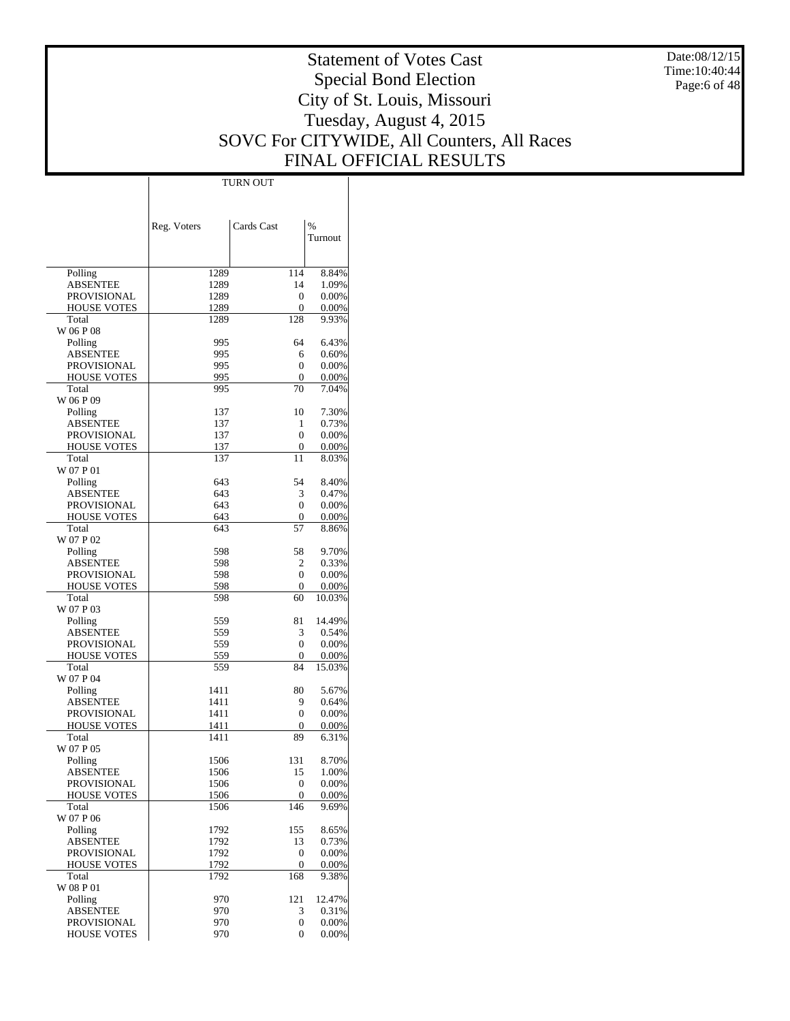Date:08/12/15 Time:10:40:44 Page:6 of 48

# Statement of Votes Cast Special Bond Election City of St. Louis, Missouri Tuesday, August 4, 2015 SOVC For CITYWIDE, All Counters, All Races FINAL OFFICIAL RESULTS

Τ

|                                       |             | TURN OUT   |                 |
|---------------------------------------|-------------|------------|-----------------|
|                                       |             |            |                 |
|                                       |             |            |                 |
|                                       |             |            |                 |
|                                       | Reg. Voters | Cards Cast | $\%$<br>Turnout |
|                                       |             |            |                 |
|                                       |             |            |                 |
| Polling                               | 1289        | 114        | 8.84%           |
| <b>ABSENTEE</b>                       | 1289        | 14         | 1.09%           |
| <b>PROVISIONAL</b>                    | 1289        | 0          | 0.00%           |
| <b>HOUSE VOTES</b>                    | 1289        | 0          | 0.00%           |
| Total<br>W 06 P 08                    | 1289        | 128        | 9.93%           |
| Polling                               | 995         | 64         | 6.43%           |
| <b>ABSENTEE</b>                       | 995         | 6          | 0.60%           |
| <b>PROVISIONAL</b>                    | 995         | 0          | 0.00%           |
| <b>HOUSE VOTES</b>                    | 995         | 0          | 0.00%           |
| Total                                 | 995         | 70         | 7.04%           |
| W 06 P 09                             |             |            |                 |
| Polling                               | 137         | 10         | 7.30%           |
| <b>ABSENTEE</b>                       | 137         | 1          | 0.73%           |
| <b>PROVISIONAL</b>                    | 137         | 0          | 0.00%           |
| <b>HOUSE VOTES</b>                    | 137         | 0          | 0.00%           |
| Total                                 | 137         | 11         | 8.03%           |
| W 07 P 01                             |             |            |                 |
| Polling                               | 643<br>643  | 54         | 8.40%           |
| <b>ABSENTEE</b><br><b>PROVISIONAL</b> | 643         | 3<br>0     | 0.47%<br>0.00%  |
| <b>HOUSE VOTES</b>                    | 643         | 0          | 0.00%           |
| Total                                 | 643         | 57         | 8.86%           |
| W 07 P 02                             |             |            |                 |
| Polling                               | 598         | 58         | 9.70%           |
| <b>ABSENTEE</b>                       | 598         | 2          | 0.33%           |
| <b>PROVISIONAL</b>                    | 598         | 0          | 0.00%           |
| <b>HOUSE VOTES</b>                    | 598         | 0          | 0.00%           |
| Total                                 | 598         | 60         | 10.03%          |
| W 07 P 03                             |             |            |                 |
| Polling                               | 559         | 81         | 14.49%          |
| <b>ABSENTEE</b>                       | 559         | 3          | 0.54%           |
| <b>PROVISIONAL</b>                    | 559<br>559  | 0          | 0.00%           |
| <b>HOUSE VOTES</b><br>Total           | 559         | 0<br>84    | 0.00%<br>15.03% |
| W 07 P 04                             |             |            |                 |
| Polling                               | 1411        | 80         | 5.67%           |
| <b>ABSENTEE</b>                       | 1411        | 9          | 0.64%           |
| <b>PROVISIONAL</b>                    | 1411        | 0          | 0.00%           |
| <b>HOUSE VOTES</b>                    | 1411        | 0          | 0.00%           |
| Total                                 | 1411        | 89         | 6.31%           |
| W 07 P 05                             |             |            |                 |
| Polling                               | 1506        | 131        | 8.70%           |
| <b>ABSENTEE</b>                       | 1506        | 15         | 1.00%           |
| <b>PROVISIONAL</b>                    | 1506        | 0          | 0.00%           |
| <b>HOUSE VOTES</b>                    | 1506        | 0          | 0.00%           |
| Total                                 | 1506        | 146        | 9.69%           |
| W 07 P 06<br>Polling                  | 1792        |            | 8.65%           |
| <b>ABSENTEE</b>                       | 1792        | 155<br>13  | 0.73%           |
| <b>PROVISIONAL</b>                    | 1792        | 0          | 0.00%           |
| <b>HOUSE VOTES</b>                    | 1792        | 0          | 0.00%           |
| Total                                 | 1792        | 168        | 9.38%           |
| W 08 P 01                             |             |            |                 |
| Polling                               | 970         | 121        | 12.47%          |
| <b>ABSENTEE</b>                       | 970         | 3          | 0.31%           |
| <b>PROVISIONAL</b>                    | 970         | 0          | 0.00%           |
| <b>HOUSE VOTES</b>                    | 970         | 0          | 0.00%           |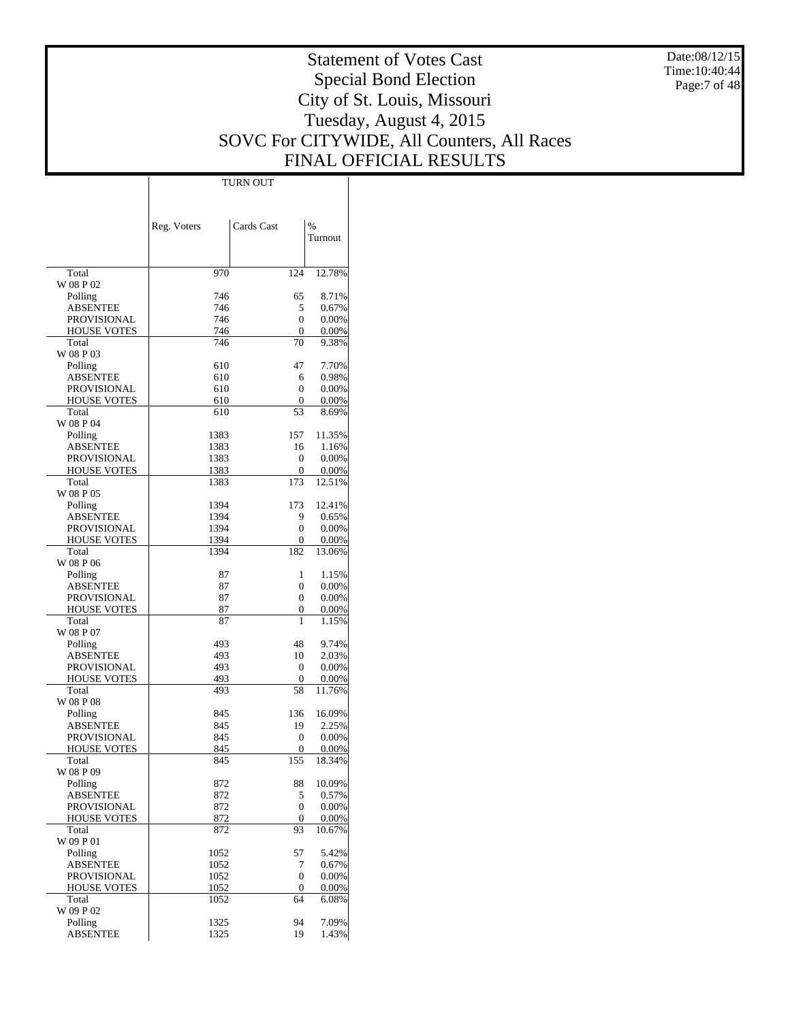Date:08/12/15 Time:10:40:44 Page:7 of 48

# Statement of Votes Cast Special Bond Election City of St. Louis, Missouri Tuesday, August 4, 2015 SOVC For CITYWIDE, All Counters, All Races FINAL OFFICIAL RESULTS

Τ

|                             |             | TURN OUT           |                |
|-----------------------------|-------------|--------------------|----------------|
|                             |             |                    |                |
|                             |             |                    |                |
|                             | Reg. Voters | Cards Cast         | %              |
|                             |             |                    | Turnout        |
|                             |             |                    |                |
|                             |             |                    |                |
| Total                       | 970         | 124                | 12.78%         |
| W 08 P 02                   |             |                    |                |
| Polling                     | 746         | 65                 | 8.71%          |
| <b>ABSENTEE</b>             | 746         | 5                  | 0.67%          |
| <b>PROVISIONAL</b>          | 746         | 0                  | 0.00%          |
| <b>HOUSE VOTES</b><br>Total | 746<br>746  | $\mathbf{0}$<br>70 | 0.00%<br>9.38% |
| W 08 P 03                   |             |                    |                |
| Polling                     | 610         | 47                 | 7.70%          |
| <b>ABSENTEE</b>             | 610         | 6                  | 0.98%          |
| <b>PROVISIONAL</b>          | 610         | 0                  | 0.00%          |
| <b>HOUSE VOTES</b>          | 610         | 0                  | 0.00%          |
| Total                       | 610         | 53                 | 8.69%          |
| W 08 P 04                   |             |                    |                |
| Polling                     | 1383        | 157                | 11.35%         |
| <b>ABSENTEE</b>             | 1383        | 16                 | 1.16%          |
| <b>PROVISIONAL</b>          | 1383        | $\mathbf{0}$       | 0.00%          |
| <b>HOUSE VOTES</b>          | 1383        | 0                  | 0.00%          |
| Total<br>W 08 P 05          | 1383        | 173                | 12.51%         |
| Polling                     | 1394        | 173                | 12.41%         |
| <b>ABSENTEE</b>             | 1394        | 9                  | 0.65%          |
| <b>PROVISIONAL</b>          | 1394        | 0                  | 0.00%          |
| <b>HOUSE VOTES</b>          | 1394        | 0                  | 0.00%          |
| Total                       | 1394        | 182                | 13.06%         |
| W 08 P 06                   |             |                    |                |
| Polling                     | 87          | 1                  | 1.15%          |
| <b>ABSENTEE</b>             | 87          | 0                  | 0.00%          |
| <b>PROVISIONAL</b>          | 87          | 0                  | 0.00%          |
| <b>HOUSE VOTES</b><br>Total | 87<br>87    | 0<br>1             | 0.00%<br>1.15% |
| W 08 P 07                   |             |                    |                |
| Polling                     | 493         | 48                 | 9.74%          |
| <b>ABSENTEE</b>             | 493         | 10                 | 2.03%          |
| PROVISIONAL                 | 493         | $\mathbf{0}$       | 0.00%          |
| <b>HOUSE VOTES</b>          | 493         | 0                  | 0.00%          |
| Total                       | 493         | 58                 | 11.76%         |
| W 08 P 08                   |             |                    |                |
| Polling                     | 845         | 136                | 16.09%         |
| <b>ABSENTEE</b>             | 845         | 19                 | 2.25%          |
| PROVISIONAL                 | 845         | 0                  | 0.00%          |
| <b>HOUSE VOTES</b>          | 845         | 0                  | 0.00%          |
| Total<br>W 08 P 09          | 845         | 155                | 18.34%         |
| Polling                     | 872         | 88                 | 10.09%         |
| <b>ABSENTEE</b>             | 872         | 5                  | 0.57%          |
| <b>PROVISIONAL</b>          | 872         | 0                  | 0.00%          |
| <b>HOUSE VOTES</b>          | 872         | 0                  | 0.00%          |
| Total                       | 872         | 93                 | 10.67%         |
| W 09 P 01                   |             |                    |                |
| Polling                     | 1052        | 57                 | 5.42%          |
| <b>ABSENTEE</b>             | 1052        | 7                  | 0.67%          |
| <b>PROVISIONAL</b>          | 1052        | $\mathbf{0}$       | 0.00%          |
| <b>HOUSE VOTES</b>          | 1052        | 0<br>64            | 0.00%          |
| Total<br>W 09 P 02          | 1052        |                    | 6.08%          |
| Polling                     | 1325        | 94                 | 7.09%          |
| <b>ABSENTEE</b>             | 1325        | 19                 | 1.43%          |
|                             |             |                    |                |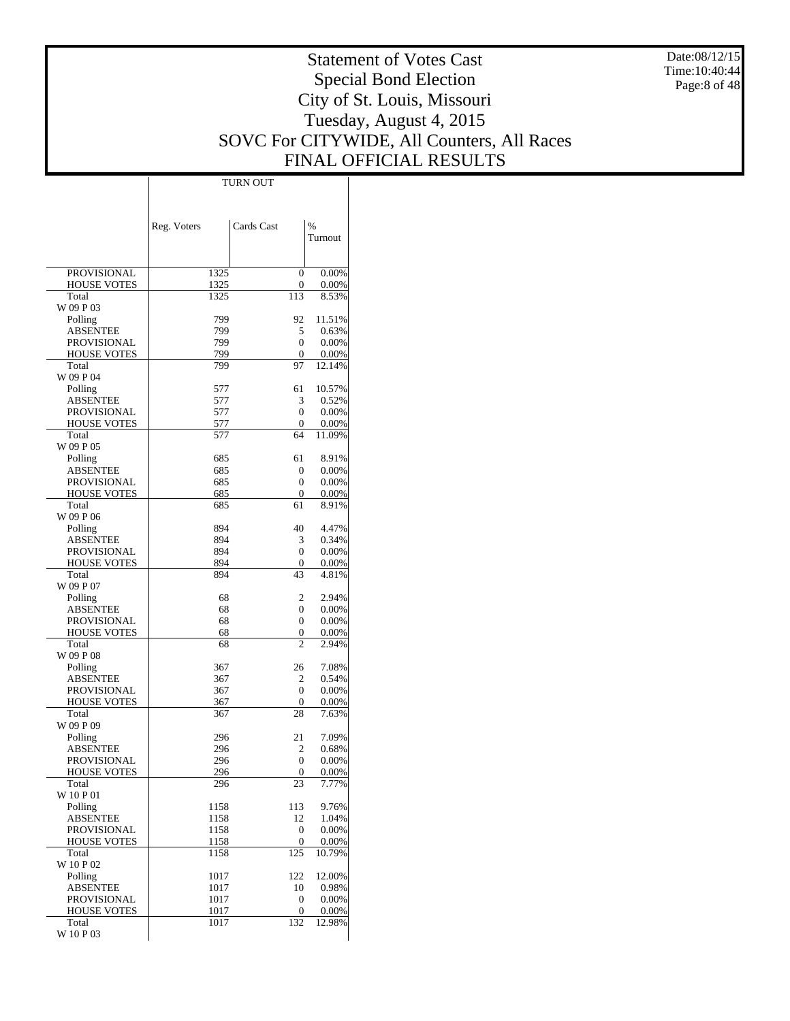Date:08/12/15 Time:10:40:44 Page:8 of 48

# Statement of Votes Cast Special Bond Election City of St. Louis, Missouri Tuesday, August 4, 2015 SOVC For CITYWIDE, All Counters, All Races FINAL OFFICIAL RESULTS

 $\top$ 

|                            | Reg. Voters  | Cards Cast     | %        |
|----------------------------|--------------|----------------|----------|
|                            |              |                | Turnout  |
|                            |              |                |          |
| <b>PROVISIONAL</b>         | 1325         | $\theta$       | 0.00%    |
| <b>HOUSE VOTES</b>         | 1325         | 0              | 0.00%    |
| Total                      | 1325         | 113            | 8.53%    |
| W 09 P 03<br>Polling       | 799          | 92             | 11.51%   |
| <b>ABSENTEE</b>            | 799          | 5              | 0.63%    |
| <b>PROVISIONAL</b>         | 799          | $\theta$       | 0.00%    |
| <b>HOUSE VOTES</b>         | 799          | 0              | 0.00%    |
| Total                      | 799          | 97             | 12.14%   |
| W 09 P 04<br>Polling       | 577          | 61             | 10.57%   |
| <b>ABSENTEE</b>            | 577          | 3              | 0.52%    |
| <b>PROVISIONAL</b>         | 577          | $\theta$       | 0.00%    |
| <b>HOUSE VOTES</b>         | 577          | 0              | 0.00%    |
| Total                      | 577          | 64             | 11.09%   |
| W 09 P 05<br>Polling       | 685          | 61             | 8.91%    |
| <b>ABSENTEE</b>            | 685          | 0              | 0.00%    |
| <b>PROVISIONAL</b>         | 685          | $\theta$       | 0.00%    |
| <b>HOUSE VOTES</b>         | 685          | 0              | 0.00%    |
| Total                      | 685          | 61             | 8.91%    |
| W 09 P 06<br>Polling       | 894          | 40             | 4.47%    |
| <b>ABSENTEE</b>            | 894          | 3              | 0.34%    |
| <b>PROVISIONAL</b>         | 894          | $\theta$       | 0.00%    |
| <b>HOUSE VOTES</b>         | 894          | 0              | 0.00%    |
| Total                      | 894          | 43             | 4.81%    |
| W 09 P 07<br>Polling       | 68           | $\overline{c}$ | 2.94%    |
| <b>ABSENTEE</b>            | 68           | 0              | 0.00%    |
| <b>PROVISIONAL</b>         | 68           | 0              | 0.00%    |
| <b>HOUSE VOTES</b>         | 68           | 0              | 0.00%    |
| Total                      | 68           | $\mathfrak{D}$ | 2.94%    |
| W 09 P 08<br>Polling       | 367          | 26             | 7.08%    |
| <b>ABSENTEE</b>            | 367          | 2              | 0.54%    |
| <b>PROVISIONAL</b>         | 367          | $\theta$       | 0.00%    |
| <b>HOUSE VOTES</b>         | 367          | 0              | 0.00%    |
| Total                      | 367          | 28             | 7.63%    |
| W 09 P 09<br>Polling       | 296          | 21             | 7.09%    |
| ABSENTEE                   | 296          | $\overline{c}$ | 0.68%    |
| <b>PROVISIONAL</b>         | 296          | $\theta$       | 0.00%    |
| HOUSE VOTES                | 296          | $\theta$       | $0.00\%$ |
| Total                      | 296          | 23             | 7.77%    |
| W 10 P 01<br>Polling       | 1158         | 113            | 9.76%    |
| <b>ABSENTEE</b>            | 1158         | 12             | 1.04%    |
| <b>PROVISIONAL</b>         | 1158         | 0              | $0.00\%$ |
| <b>HOUSE VOTES</b>         | 1158         | 0              | 0.00%    |
| Total                      | 1158         | 125            | 10.79%   |
| W 10 P 02                  |              | 122            | 12.00%   |
| Polling<br><b>ABSENTEE</b> | 1017<br>1017 | 10             | 0.98%    |
| <b>PROVISIONAL</b>         | 1017         | 0              | 0.00%    |
| <b>HOUSE VOTES</b>         | 1017         | 0              | 0.00%    |
| Total                      | 1017         | 132            | 12.98%   |
| W 10 P 03                  |              |                |          |

TURN OUT

 $\overline{1}$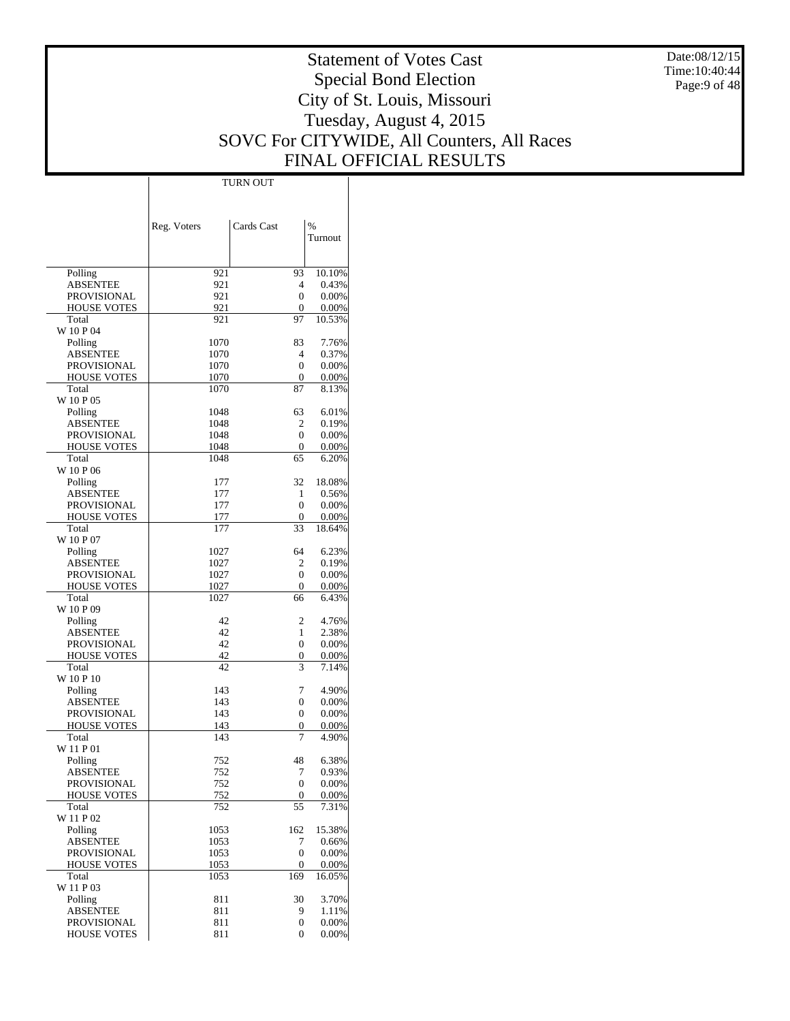Date:08/12/15 Time:10:40:44 Page:9 of 48

# Statement of Votes Cast Special Bond Election City of St. Louis, Missouri Tuesday, August 4, 2015 SOVC For CITYWIDE, All Counters, All Races FINAL OFFICIAL RESULTS

Τ

|                                |              | <b>TURN OUT</b> |                    |
|--------------------------------|--------------|-----------------|--------------------|
|                                |              |                 |                    |
|                                |              |                 |                    |
|                                | Reg. Voters  | Cards Cast      | $\frac{0}{0}$      |
|                                |              |                 | Turnout            |
|                                |              |                 |                    |
|                                |              |                 |                    |
| Polling                        | 921          | 93              | 10.10%             |
| <b>ABSENTEE</b>                | 921          | 4               | 0.43%              |
| PROVISIONAL                    | 921          | 0               | 0.00%              |
| <b>HOUSE VOTES</b>             | 921          | 0               | 0.00%              |
| Total                          | 921          | 97              | 10.53%             |
| W 10 P 04                      |              |                 |                    |
| Polling<br><b>ABSENTEE</b>     | 1070<br>1070 | 83<br>4         | 7.76%<br>0.37%     |
| PROVISIONAL                    | 1070         | 0               | 0.00%              |
| <b>HOUSE VOTES</b>             | 1070         | 0               | 0.00%              |
| Total                          | 1070         | 87              | 8.13%              |
| W 10 P 05                      |              |                 |                    |
| Polling                        | 1048         | 63              | 6.01%              |
| <b>ABSENTEE</b>                | 1048         | 2               | 0.19%              |
| <b>PROVISIONAL</b>             | 1048         | 0               | 0.00%              |
| <b>HOUSE VOTES</b>             | 1048         | 0               | 0.00%              |
| Total                          | 1048         | 65              | 6.20%              |
| W 10 P 06                      |              |                 |                    |
| Polling                        | 177          | 32              | 18.08%             |
| <b>ABSENTEE</b>                | 177          | 1               | 0.56%              |
| PROVISIONAL                    | 177          | 0               | 0.00%              |
| <b>HOUSE VOTES</b><br>Total    | 177<br>177   | 0<br>33         | $0.00\%$<br>18.64% |
| W 10 P 07                      |              |                 |                    |
| Polling                        | 1027         | 64              | 6.23%              |
| <b>ABSENTEE</b>                | 1027         | 2               | 0.19%              |
| PROVISIONAL                    | 1027         | 0               | 0.00%              |
| <b>HOUSE VOTES</b>             | 1027         | 0               | 0.00%              |
| Total                          | 1027         | 66              | 6.43%              |
| W 10 P 09                      |              |                 |                    |
| Polling                        | 42           | 2               | 4.76%              |
| <b>ABSENTEE</b>                | 42           | 1               | 2.38%              |
| PROVISIONAL                    | 42           | 0               | 0.00%              |
| <b>HOUSE VOTES</b>             | 42           | 0               | 0.00%              |
| Total<br>W 10 P 10             | 42           | 3               | 7.14%              |
| Polling                        | 143          | 7               | 4.90%              |
| <b>ABSENTEE</b>                | 143          | 0               | 0.00%              |
| PROVISIONAL                    | 143          | 0               | 0.00%              |
| <b>HOUSE VOTES</b>             | 143          | 0               | 0.00%              |
| Total                          | 143          | 7               | 4.90%              |
| W 11 P 01                      |              |                 |                    |
| Polling                        | 752          | 48              | 6.38%              |
| <b>ABSENTEE</b>                | 752          | 7               | 0.93%              |
| <b>PROVISIONAL</b>             | 752          | 0               | 0.00%              |
| <b>HOUSE VOTES</b>             | 752          | 0               | 0.00%              |
| Total                          | 752          | 55              | 7.31%              |
| W 11 P 02                      |              |                 |                    |
| Polling                        | 1053         | 162             | 15.38%             |
| <b>ABSENTEE</b><br>PROVISIONAL | 1053<br>1053 | 7<br>0          | 0.66%              |
| <b>HOUSE VOTES</b>             | 1053         | $\mathbf{0}$    | $0.00\%$<br>0.00%  |
| Total                          | 1053         | 169             | 16.05%             |
| W 11 P 03                      |              |                 |                    |
| Polling                        | 811          | 30              | 3.70%              |
| <b>ABSENTEE</b>                | 811          | 9               | 1.11%              |
| PROVISIONAL                    | 811          | 0               | 0.00%              |
| <b>HOUSE VOTES</b>             | 811          | 0               | 0.00%              |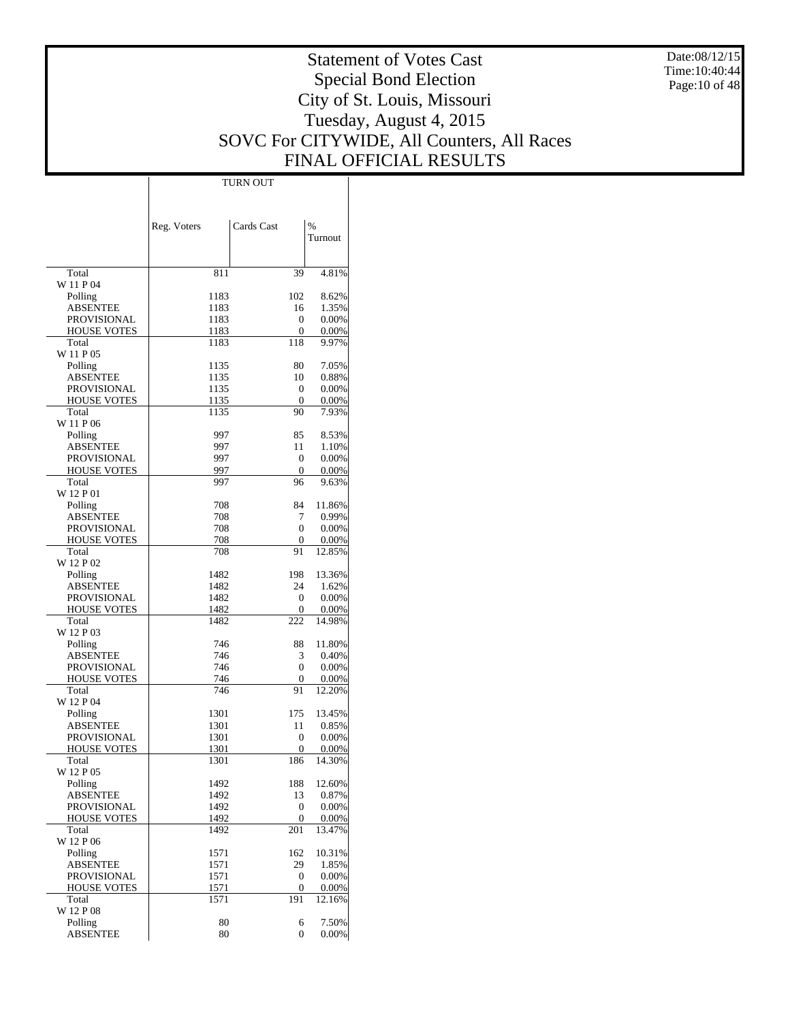Date:08/12/15 Time:10:40:44 Page:10 of 48

# Statement of Votes Cast Special Bond Election City of St. Louis, Missouri Tuesday, August 4, 2015 SOVC For CITYWIDE, All Counters, All Races FINAL OFFICIAL RESULTS

Τ

|                                   | Reg. Voters  | Cards Cast             | $\%$           |
|-----------------------------------|--------------|------------------------|----------------|
|                                   |              |                        | Turnout        |
|                                   |              |                        |                |
| Total                             | 811          | 39                     | 4.81%          |
| W 11 P 04<br>Polling              | 1183         | 102                    | 8.62%          |
| ABSENTEE                          | 1183         | 16                     | 1.35%          |
| <b>PROVISIONAL</b>                | 1183         | 0                      | 0.00%          |
| <b>HOUSE VOTES</b>                | 1183         | 0                      | 0.00%          |
| Total                             | 1183         | 118                    | 9.97%          |
| W 11 P 05                         |              |                        |                |
| Polling<br><b>ABSENTEE</b>        | 1135         | 80<br>10               | 7.05%          |
| PROVISIONAL                       | 1135<br>1135 | 0                      | 0.88%<br>0.00% |
| <b>HOUSE VOTES</b>                | 1135         | 0                      | 0.00%          |
| Total                             | 1135         | 90                     | 7.93%          |
| W 11 P 06                         |              |                        |                |
| Polling                           | 997          | 85                     | 8.53%          |
| ABSENTEE                          | 997          | 11                     | 1.10%          |
| <b>PROVISIONAL</b>                | 997          | $\mathbf{0}$           | 0.00%          |
| <b>HOUSE VOTES</b><br>Total       | 997<br>997   | 0<br>96                | 0.00%<br>9.63% |
| W 12 P 01                         |              |                        |                |
| Polling                           | 708          | 84                     | 11.86%         |
| <b>ABSENTEE</b>                   | 708          | 7                      | 0.99%          |
| PROVISIONAL                       | 708          | 0                      | 0.00%          |
| <b>HOUSE VOTES</b>                | 708          | 0                      | 0.00%          |
| Total<br>W 12 P 02                | 708          | 91                     | 12.85%         |
| Polling                           | 1482         | 198                    | 13.36%         |
| ABSENTEE                          | 1482         | 24                     | 1.62%          |
| PROVISIONAL                       | 1482         | 0                      | 0.00%          |
| <b>HOUSE VOTES</b>                | 1482         | 0                      | 0.00%          |
| Total                             | 1482         | 222                    | 14.98%         |
| W 12 P 03                         |              |                        |                |
| Polling                           | 746          | 88                     | 11.80%         |
| <b>ABSENTEE</b>                   | 746<br>746   | 3<br>0                 | 0.40%          |
| PROVISIONAL<br><b>HOUSE VOTES</b> | 746          | 0                      | 0.00%<br>0.00% |
| Total                             | 746          | 91                     | 12.20%         |
| W 12 P 04                         |              |                        |                |
| Polling                           | 1301         | 175                    | 13.45%         |
| <b>ABSENTEE</b>                   | 1301         | 11                     | 0.85%          |
| PROVISIONAL                       | 1301         | 0                      | 0.00%          |
| <b>HOUSE VOTES</b>                | 1301         | 0                      | 0.00%          |
| Total<br>W 12 P 05                | 1301         | 186                    | 14.30%         |
| Polling                           | 1492         | 188                    | 12.60%         |
| <b>ABSENTEE</b>                   | 1492         | 13                     | 0.87%          |
| PROVISIONAL                       | 1492         | $\mathbf{0}$           | 0.00%          |
| <b>HOUSE VOTES</b>                | 1492         | $\mathbf{0}$           | 0.00%          |
| Total                             | 1492         | 201                    | 13.47%         |
| W 12 P 06                         |              |                        |                |
| Polling                           | 1571         | 162                    | 10.31%         |
| <b>ABSENTEE</b><br>PROVISIONAL    | 1571<br>1571 | 29<br>$\boldsymbol{0}$ | 1.85%<br>0.00% |
| <b>HOUSE VOTES</b>                | 1571         | 0                      | 0.00%          |
| Total                             | 1571         | 191                    | 12.16%         |
| W 12 P 08                         |              |                        |                |
| Polling                           | 80           | 6                      | 7.50%          |
| <b>ABSENTEE</b>                   | 80           | 0                      | 0.00%          |

TURN OUT

 $\mathbf{I}$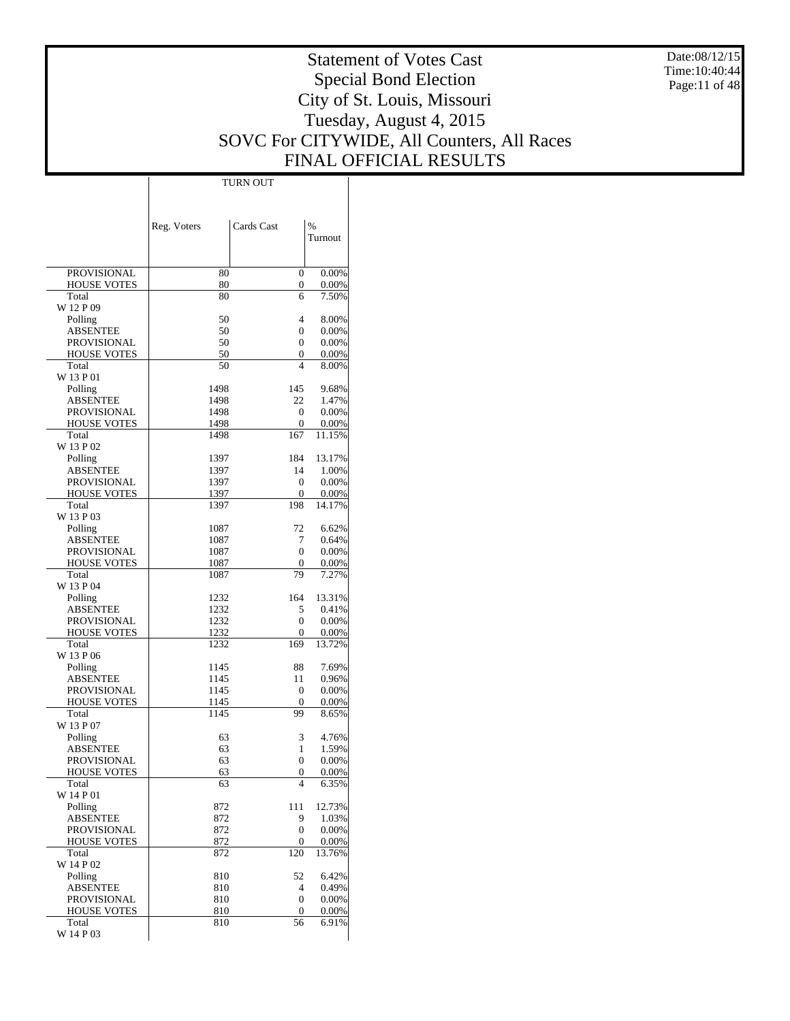Date:08/12/15 Time:10:40:44 Page:11 of 48

# Statement of Votes Cast Special Bond Election City of St. Louis, Missouri Tuesday, August 4, 2015 SOVC For CITYWIDE, All Counters, All Races FINAL OFFICIAL RESULTS

 $\overline{\phantom{a}}$ 

| Cards Cast<br>%<br>Reg. Voters<br>Turnout<br>80<br>$\overline{0}$<br><b>PROVISIONAL</b><br>0.00%<br>80<br>0<br><b>HOUSE VOTES</b><br>0.00%<br>80<br>7.50%<br>Total<br>6<br>W 12 P 09<br>50<br>4<br>Polling<br>8.00%<br>ABSENTEE<br>50<br>0<br>0.00%<br>PROVISIONAL<br>50<br>0<br>0.00%<br>50<br>0<br><b>HOUSE VOTES</b><br>0.00%<br>Total<br>50<br>$\overline{4}$<br>8.00%<br>W 13 P 01<br>9.68%<br>Polling<br>1498<br>145<br>ABSENTEE<br>22<br>1498<br>1.47%<br>PROVISIONAL<br>0<br>1498<br>$0.00\%$<br>1498<br>$\theta$<br><b>HOUSE VOTES</b><br>0.00%<br>Total<br>1498<br>167<br>11.15%<br>W 13 P 02<br>13.17%<br>Polling<br>1397<br>184<br>ABSENTEE<br>1397<br>14<br>1.00%<br><b>PROVISIONAL</b><br>1397<br>0<br>0.00%<br>1397<br>0<br><b>HOUSE VOTES</b><br>0.00%<br>Total<br>198<br>1397<br>14.17%<br>W 13 P 03<br>72<br>Polling<br>1087<br>6.62%<br>ABSENTEE<br>7<br>1087<br>0.64%<br>PROVISIONAL<br>0<br>1087<br>0.00%<br><b>HOUSE VOTES</b><br>1087<br>0<br>0.00%<br>79<br>7.27%<br>Total<br>1087<br>W 13 P 04<br>164<br>13.31%<br>Polling<br>1232<br>ABSENTEE<br>5<br>0.41%<br>1232<br>PROVISIONAL<br>1232<br>0<br>0.00%<br>1232<br>0<br>0.00%<br><b>HOUSE VOTES</b><br>Total<br>1232<br>169<br>13.72%<br>W 13 P 06<br>88<br>Polling<br>1145<br>7.69%<br>ABSENTEE<br>0.96%<br>1145<br>11<br>PROVISIONAL<br>1145<br>0<br>0.00%<br>$\Omega$<br><b>HOUSE VOTES</b><br>1145<br>0.00%<br>99<br>Total<br>1145<br>8.65%<br>W 13 P 07<br>3<br>4.76%<br>Polling<br>63<br>63<br>1<br>ABSENTEE<br>1.59%<br>PROVISIONAL<br>63<br>0<br>$0.00\%$<br><b>HOUSE VOTES</b><br>63<br>0.00%<br>0<br>$\overline{4}$<br>Total<br>6.35%<br>63<br>W 14 P 01<br>Polling<br>872<br>12.73%<br>111<br><b>ABSENTEE</b><br>872<br>9<br>1.03%<br>PROVISIONAL<br>872<br>0<br>0.00%<br><b>HOUSE VOTES</b><br>872<br>0<br>0.00%<br>872<br>120<br>Total<br>13.76%<br>W 14 P 02<br>Polling<br>810<br>52<br>6.42%<br>ABSENTEE<br>810<br>4<br>0.49%<br><b>PROVISIONAL</b><br>810<br>0<br>$0.00\%$<br><b>HOUSE VOTES</b><br>810<br>0<br>0.00%<br>56<br>Total<br>810<br>6.91%<br>W 14 P 03 |  |  |
|--------------------------------------------------------------------------------------------------------------------------------------------------------------------------------------------------------------------------------------------------------------------------------------------------------------------------------------------------------------------------------------------------------------------------------------------------------------------------------------------------------------------------------------------------------------------------------------------------------------------------------------------------------------------------------------------------------------------------------------------------------------------------------------------------------------------------------------------------------------------------------------------------------------------------------------------------------------------------------------------------------------------------------------------------------------------------------------------------------------------------------------------------------------------------------------------------------------------------------------------------------------------------------------------------------------------------------------------------------------------------------------------------------------------------------------------------------------------------------------------------------------------------------------------------------------------------------------------------------------------------------------------------------------------------------------------------------------------------------------------------------------------------------------------------------------------------------------------------------------------------------------------------------------------------------------------------------------------------------------------------------------------------------------------------------------|--|--|
|                                                                                                                                                                                                                                                                                                                                                                                                                                                                                                                                                                                                                                                                                                                                                                                                                                                                                                                                                                                                                                                                                                                                                                                                                                                                                                                                                                                                                                                                                                                                                                                                                                                                                                                                                                                                                                                                                                                                                                                                                                                              |  |  |
|                                                                                                                                                                                                                                                                                                                                                                                                                                                                                                                                                                                                                                                                                                                                                                                                                                                                                                                                                                                                                                                                                                                                                                                                                                                                                                                                                                                                                                                                                                                                                                                                                                                                                                                                                                                                                                                                                                                                                                                                                                                              |  |  |
|                                                                                                                                                                                                                                                                                                                                                                                                                                                                                                                                                                                                                                                                                                                                                                                                                                                                                                                                                                                                                                                                                                                                                                                                                                                                                                                                                                                                                                                                                                                                                                                                                                                                                                                                                                                                                                                                                                                                                                                                                                                              |  |  |
|                                                                                                                                                                                                                                                                                                                                                                                                                                                                                                                                                                                                                                                                                                                                                                                                                                                                                                                                                                                                                                                                                                                                                                                                                                                                                                                                                                                                                                                                                                                                                                                                                                                                                                                                                                                                                                                                                                                                                                                                                                                              |  |  |
|                                                                                                                                                                                                                                                                                                                                                                                                                                                                                                                                                                                                                                                                                                                                                                                                                                                                                                                                                                                                                                                                                                                                                                                                                                                                                                                                                                                                                                                                                                                                                                                                                                                                                                                                                                                                                                                                                                                                                                                                                                                              |  |  |
|                                                                                                                                                                                                                                                                                                                                                                                                                                                                                                                                                                                                                                                                                                                                                                                                                                                                                                                                                                                                                                                                                                                                                                                                                                                                                                                                                                                                                                                                                                                                                                                                                                                                                                                                                                                                                                                                                                                                                                                                                                                              |  |  |
|                                                                                                                                                                                                                                                                                                                                                                                                                                                                                                                                                                                                                                                                                                                                                                                                                                                                                                                                                                                                                                                                                                                                                                                                                                                                                                                                                                                                                                                                                                                                                                                                                                                                                                                                                                                                                                                                                                                                                                                                                                                              |  |  |
|                                                                                                                                                                                                                                                                                                                                                                                                                                                                                                                                                                                                                                                                                                                                                                                                                                                                                                                                                                                                                                                                                                                                                                                                                                                                                                                                                                                                                                                                                                                                                                                                                                                                                                                                                                                                                                                                                                                                                                                                                                                              |  |  |
|                                                                                                                                                                                                                                                                                                                                                                                                                                                                                                                                                                                                                                                                                                                                                                                                                                                                                                                                                                                                                                                                                                                                                                                                                                                                                                                                                                                                                                                                                                                                                                                                                                                                                                                                                                                                                                                                                                                                                                                                                                                              |  |  |
|                                                                                                                                                                                                                                                                                                                                                                                                                                                                                                                                                                                                                                                                                                                                                                                                                                                                                                                                                                                                                                                                                                                                                                                                                                                                                                                                                                                                                                                                                                                                                                                                                                                                                                                                                                                                                                                                                                                                                                                                                                                              |  |  |
|                                                                                                                                                                                                                                                                                                                                                                                                                                                                                                                                                                                                                                                                                                                                                                                                                                                                                                                                                                                                                                                                                                                                                                                                                                                                                                                                                                                                                                                                                                                                                                                                                                                                                                                                                                                                                                                                                                                                                                                                                                                              |  |  |
|                                                                                                                                                                                                                                                                                                                                                                                                                                                                                                                                                                                                                                                                                                                                                                                                                                                                                                                                                                                                                                                                                                                                                                                                                                                                                                                                                                                                                                                                                                                                                                                                                                                                                                                                                                                                                                                                                                                                                                                                                                                              |  |  |
|                                                                                                                                                                                                                                                                                                                                                                                                                                                                                                                                                                                                                                                                                                                                                                                                                                                                                                                                                                                                                                                                                                                                                                                                                                                                                                                                                                                                                                                                                                                                                                                                                                                                                                                                                                                                                                                                                                                                                                                                                                                              |  |  |
|                                                                                                                                                                                                                                                                                                                                                                                                                                                                                                                                                                                                                                                                                                                                                                                                                                                                                                                                                                                                                                                                                                                                                                                                                                                                                                                                                                                                                                                                                                                                                                                                                                                                                                                                                                                                                                                                                                                                                                                                                                                              |  |  |
|                                                                                                                                                                                                                                                                                                                                                                                                                                                                                                                                                                                                                                                                                                                                                                                                                                                                                                                                                                                                                                                                                                                                                                                                                                                                                                                                                                                                                                                                                                                                                                                                                                                                                                                                                                                                                                                                                                                                                                                                                                                              |  |  |
|                                                                                                                                                                                                                                                                                                                                                                                                                                                                                                                                                                                                                                                                                                                                                                                                                                                                                                                                                                                                                                                                                                                                                                                                                                                                                                                                                                                                                                                                                                                                                                                                                                                                                                                                                                                                                                                                                                                                                                                                                                                              |  |  |
|                                                                                                                                                                                                                                                                                                                                                                                                                                                                                                                                                                                                                                                                                                                                                                                                                                                                                                                                                                                                                                                                                                                                                                                                                                                                                                                                                                                                                                                                                                                                                                                                                                                                                                                                                                                                                                                                                                                                                                                                                                                              |  |  |
|                                                                                                                                                                                                                                                                                                                                                                                                                                                                                                                                                                                                                                                                                                                                                                                                                                                                                                                                                                                                                                                                                                                                                                                                                                                                                                                                                                                                                                                                                                                                                                                                                                                                                                                                                                                                                                                                                                                                                                                                                                                              |  |  |
|                                                                                                                                                                                                                                                                                                                                                                                                                                                                                                                                                                                                                                                                                                                                                                                                                                                                                                                                                                                                                                                                                                                                                                                                                                                                                                                                                                                                                                                                                                                                                                                                                                                                                                                                                                                                                                                                                                                                                                                                                                                              |  |  |
|                                                                                                                                                                                                                                                                                                                                                                                                                                                                                                                                                                                                                                                                                                                                                                                                                                                                                                                                                                                                                                                                                                                                                                                                                                                                                                                                                                                                                                                                                                                                                                                                                                                                                                                                                                                                                                                                                                                                                                                                                                                              |  |  |
|                                                                                                                                                                                                                                                                                                                                                                                                                                                                                                                                                                                                                                                                                                                                                                                                                                                                                                                                                                                                                                                                                                                                                                                                                                                                                                                                                                                                                                                                                                                                                                                                                                                                                                                                                                                                                                                                                                                                                                                                                                                              |  |  |
|                                                                                                                                                                                                                                                                                                                                                                                                                                                                                                                                                                                                                                                                                                                                                                                                                                                                                                                                                                                                                                                                                                                                                                                                                                                                                                                                                                                                                                                                                                                                                                                                                                                                                                                                                                                                                                                                                                                                                                                                                                                              |  |  |
|                                                                                                                                                                                                                                                                                                                                                                                                                                                                                                                                                                                                                                                                                                                                                                                                                                                                                                                                                                                                                                                                                                                                                                                                                                                                                                                                                                                                                                                                                                                                                                                                                                                                                                                                                                                                                                                                                                                                                                                                                                                              |  |  |
|                                                                                                                                                                                                                                                                                                                                                                                                                                                                                                                                                                                                                                                                                                                                                                                                                                                                                                                                                                                                                                                                                                                                                                                                                                                                                                                                                                                                                                                                                                                                                                                                                                                                                                                                                                                                                                                                                                                                                                                                                                                              |  |  |
|                                                                                                                                                                                                                                                                                                                                                                                                                                                                                                                                                                                                                                                                                                                                                                                                                                                                                                                                                                                                                                                                                                                                                                                                                                                                                                                                                                                                                                                                                                                                                                                                                                                                                                                                                                                                                                                                                                                                                                                                                                                              |  |  |
|                                                                                                                                                                                                                                                                                                                                                                                                                                                                                                                                                                                                                                                                                                                                                                                                                                                                                                                                                                                                                                                                                                                                                                                                                                                                                                                                                                                                                                                                                                                                                                                                                                                                                                                                                                                                                                                                                                                                                                                                                                                              |  |  |
|                                                                                                                                                                                                                                                                                                                                                                                                                                                                                                                                                                                                                                                                                                                                                                                                                                                                                                                                                                                                                                                                                                                                                                                                                                                                                                                                                                                                                                                                                                                                                                                                                                                                                                                                                                                                                                                                                                                                                                                                                                                              |  |  |
|                                                                                                                                                                                                                                                                                                                                                                                                                                                                                                                                                                                                                                                                                                                                                                                                                                                                                                                                                                                                                                                                                                                                                                                                                                                                                                                                                                                                                                                                                                                                                                                                                                                                                                                                                                                                                                                                                                                                                                                                                                                              |  |  |
|                                                                                                                                                                                                                                                                                                                                                                                                                                                                                                                                                                                                                                                                                                                                                                                                                                                                                                                                                                                                                                                                                                                                                                                                                                                                                                                                                                                                                                                                                                                                                                                                                                                                                                                                                                                                                                                                                                                                                                                                                                                              |  |  |
|                                                                                                                                                                                                                                                                                                                                                                                                                                                                                                                                                                                                                                                                                                                                                                                                                                                                                                                                                                                                                                                                                                                                                                                                                                                                                                                                                                                                                                                                                                                                                                                                                                                                                                                                                                                                                                                                                                                                                                                                                                                              |  |  |
|                                                                                                                                                                                                                                                                                                                                                                                                                                                                                                                                                                                                                                                                                                                                                                                                                                                                                                                                                                                                                                                                                                                                                                                                                                                                                                                                                                                                                                                                                                                                                                                                                                                                                                                                                                                                                                                                                                                                                                                                                                                              |  |  |
|                                                                                                                                                                                                                                                                                                                                                                                                                                                                                                                                                                                                                                                                                                                                                                                                                                                                                                                                                                                                                                                                                                                                                                                                                                                                                                                                                                                                                                                                                                                                                                                                                                                                                                                                                                                                                                                                                                                                                                                                                                                              |  |  |
|                                                                                                                                                                                                                                                                                                                                                                                                                                                                                                                                                                                                                                                                                                                                                                                                                                                                                                                                                                                                                                                                                                                                                                                                                                                                                                                                                                                                                                                                                                                                                                                                                                                                                                                                                                                                                                                                                                                                                                                                                                                              |  |  |
|                                                                                                                                                                                                                                                                                                                                                                                                                                                                                                                                                                                                                                                                                                                                                                                                                                                                                                                                                                                                                                                                                                                                                                                                                                                                                                                                                                                                                                                                                                                                                                                                                                                                                                                                                                                                                                                                                                                                                                                                                                                              |  |  |
|                                                                                                                                                                                                                                                                                                                                                                                                                                                                                                                                                                                                                                                                                                                                                                                                                                                                                                                                                                                                                                                                                                                                                                                                                                                                                                                                                                                                                                                                                                                                                                                                                                                                                                                                                                                                                                                                                                                                                                                                                                                              |  |  |
|                                                                                                                                                                                                                                                                                                                                                                                                                                                                                                                                                                                                                                                                                                                                                                                                                                                                                                                                                                                                                                                                                                                                                                                                                                                                                                                                                                                                                                                                                                                                                                                                                                                                                                                                                                                                                                                                                                                                                                                                                                                              |  |  |
|                                                                                                                                                                                                                                                                                                                                                                                                                                                                                                                                                                                                                                                                                                                                                                                                                                                                                                                                                                                                                                                                                                                                                                                                                                                                                                                                                                                                                                                                                                                                                                                                                                                                                                                                                                                                                                                                                                                                                                                                                                                              |  |  |
|                                                                                                                                                                                                                                                                                                                                                                                                                                                                                                                                                                                                                                                                                                                                                                                                                                                                                                                                                                                                                                                                                                                                                                                                                                                                                                                                                                                                                                                                                                                                                                                                                                                                                                                                                                                                                                                                                                                                                                                                                                                              |  |  |
|                                                                                                                                                                                                                                                                                                                                                                                                                                                                                                                                                                                                                                                                                                                                                                                                                                                                                                                                                                                                                                                                                                                                                                                                                                                                                                                                                                                                                                                                                                                                                                                                                                                                                                                                                                                                                                                                                                                                                                                                                                                              |  |  |
|                                                                                                                                                                                                                                                                                                                                                                                                                                                                                                                                                                                                                                                                                                                                                                                                                                                                                                                                                                                                                                                                                                                                                                                                                                                                                                                                                                                                                                                                                                                                                                                                                                                                                                                                                                                                                                                                                                                                                                                                                                                              |  |  |
|                                                                                                                                                                                                                                                                                                                                                                                                                                                                                                                                                                                                                                                                                                                                                                                                                                                                                                                                                                                                                                                                                                                                                                                                                                                                                                                                                                                                                                                                                                                                                                                                                                                                                                                                                                                                                                                                                                                                                                                                                                                              |  |  |
|                                                                                                                                                                                                                                                                                                                                                                                                                                                                                                                                                                                                                                                                                                                                                                                                                                                                                                                                                                                                                                                                                                                                                                                                                                                                                                                                                                                                                                                                                                                                                                                                                                                                                                                                                                                                                                                                                                                                                                                                                                                              |  |  |
|                                                                                                                                                                                                                                                                                                                                                                                                                                                                                                                                                                                                                                                                                                                                                                                                                                                                                                                                                                                                                                                                                                                                                                                                                                                                                                                                                                                                                                                                                                                                                                                                                                                                                                                                                                                                                                                                                                                                                                                                                                                              |  |  |
|                                                                                                                                                                                                                                                                                                                                                                                                                                                                                                                                                                                                                                                                                                                                                                                                                                                                                                                                                                                                                                                                                                                                                                                                                                                                                                                                                                                                                                                                                                                                                                                                                                                                                                                                                                                                                                                                                                                                                                                                                                                              |  |  |
|                                                                                                                                                                                                                                                                                                                                                                                                                                                                                                                                                                                                                                                                                                                                                                                                                                                                                                                                                                                                                                                                                                                                                                                                                                                                                                                                                                                                                                                                                                                                                                                                                                                                                                                                                                                                                                                                                                                                                                                                                                                              |  |  |
|                                                                                                                                                                                                                                                                                                                                                                                                                                                                                                                                                                                                                                                                                                                                                                                                                                                                                                                                                                                                                                                                                                                                                                                                                                                                                                                                                                                                                                                                                                                                                                                                                                                                                                                                                                                                                                                                                                                                                                                                                                                              |  |  |
|                                                                                                                                                                                                                                                                                                                                                                                                                                                                                                                                                                                                                                                                                                                                                                                                                                                                                                                                                                                                                                                                                                                                                                                                                                                                                                                                                                                                                                                                                                                                                                                                                                                                                                                                                                                                                                                                                                                                                                                                                                                              |  |  |
|                                                                                                                                                                                                                                                                                                                                                                                                                                                                                                                                                                                                                                                                                                                                                                                                                                                                                                                                                                                                                                                                                                                                                                                                                                                                                                                                                                                                                                                                                                                                                                                                                                                                                                                                                                                                                                                                                                                                                                                                                                                              |  |  |
|                                                                                                                                                                                                                                                                                                                                                                                                                                                                                                                                                                                                                                                                                                                                                                                                                                                                                                                                                                                                                                                                                                                                                                                                                                                                                                                                                                                                                                                                                                                                                                                                                                                                                                                                                                                                                                                                                                                                                                                                                                                              |  |  |
|                                                                                                                                                                                                                                                                                                                                                                                                                                                                                                                                                                                                                                                                                                                                                                                                                                                                                                                                                                                                                                                                                                                                                                                                                                                                                                                                                                                                                                                                                                                                                                                                                                                                                                                                                                                                                                                                                                                                                                                                                                                              |  |  |
|                                                                                                                                                                                                                                                                                                                                                                                                                                                                                                                                                                                                                                                                                                                                                                                                                                                                                                                                                                                                                                                                                                                                                                                                                                                                                                                                                                                                                                                                                                                                                                                                                                                                                                                                                                                                                                                                                                                                                                                                                                                              |  |  |

TURN OUT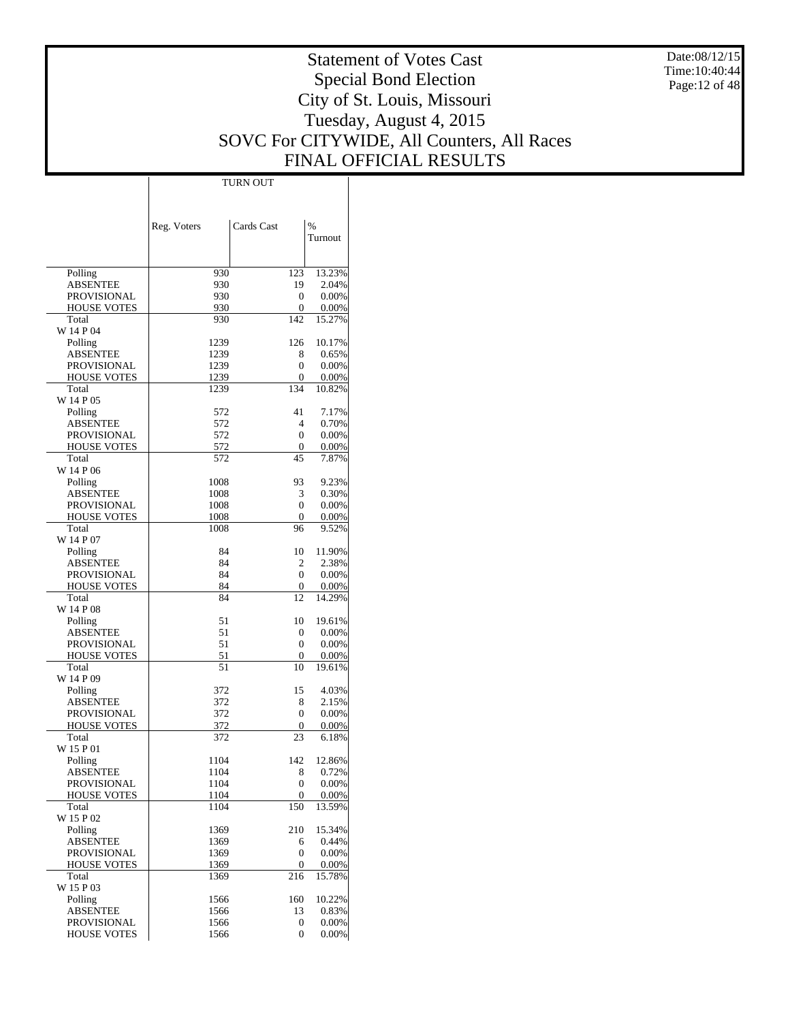Date:08/12/15 Time: 10:40:44 Page:12 of 48

# Statement of Votes Cast Special Bond Election City of St. Louis, Missouri Tuesday, August 4, 2015 SOVC For CITYWIDE, All Counters, All Races FINAL OFFICIAL RESULTS

Τ

|                                   |              | <b>TURN OUT</b> |                |
|-----------------------------------|--------------|-----------------|----------------|
|                                   |              |                 |                |
|                                   |              |                 |                |
|                                   | Reg. Voters  | Cards Cast      | $\frac{0}{6}$  |
|                                   |              |                 | Turnout        |
|                                   |              |                 |                |
|                                   |              |                 |                |
| Polling                           | 930          | 123             | 13.23%         |
| <b>ABSENTEE</b>                   | 930          | 19              | 2.04%          |
| PROVISIONAL                       | 930          | 0               | 0.00%          |
| <b>HOUSE VOTES</b>                | 930          | 0               | 0.00%          |
| Total                             | 930          | 142             | 15.27%         |
| W 14 P 04                         |              |                 |                |
| Polling                           | 1239         | 126             | 10.17%         |
| <b>ABSENTEE</b>                   | 1239         | 8<br>0          | 0.65%          |
| PROVISIONAL<br><b>HOUSE VOTES</b> | 1239<br>1239 | 0               | 0.00%<br>0.00% |
| Total                             | 1239         | 134             | 10.82%         |
| W 14 P 05                         |              |                 |                |
| Polling                           | 572          | 41              | 7.17%          |
| <b>ABSENTEE</b>                   | 572          | $\overline{4}$  | 0.70%          |
| PROVISIONAL                       | 572          | $\mathbf{0}$    | 0.00%          |
| <b>HOUSE VOTES</b>                | 572          | 0               | 0.00%          |
| Total                             | 572          | 45              | 7.87%          |
| W 14 P 06                         |              |                 |                |
| Polling                           | 1008         | 93              | 9.23%          |
| ABSENTEE                          | 1008         | 3               | 0.30%          |
| <b>PROVISIONAL</b>                | 1008         | $\mathbf{0}$    | 0.00%          |
| <b>HOUSE VOTES</b>                | 1008         | 0               | 0.00%          |
| Total                             | 1008         | 96              | 9.52%          |
| W 14 P 07                         |              |                 |                |
| Polling                           | 84           | 10              | 11.90%         |
| <b>ABSENTEE</b>                   | 84           | 2               | 2.38%          |
| PROVISIONAL<br><b>HOUSE VOTES</b> | 84<br>84     | 0<br>0          | 0.00%<br>0.00% |
| Total                             | 84           | 12              | 14.29%         |
| W 14 P 08                         |              |                 |                |
| Polling                           | 51           | 10              | 19.61%         |
| <b>ABSENTEE</b>                   | 51           | 0               | 0.00%          |
| <b>PROVISIONAL</b>                | 51           | $\mathbf{0}$    | 0.00%          |
| <b>HOUSE VOTES</b>                | 51           | 0               | 0.00%          |
| Total                             | 51           | 10              | 19.61%         |
| W 14 P 09                         |              |                 |                |
| Polling                           | 372          | 15              | 4.03%          |
| <b>ABSENTEE</b>                   | 372          | 8               | 2.15%          |
| PROVISIONAL                       | 372          | $\mathbf{0}$    | 0.00%          |
| <b>HOUSE VOTES</b>                | 372          | 0               | 0.00%          |
| Total                             | 372          | 23              | 6.18%          |
| W 15 P 01                         |              |                 | 12.86%         |
| Polling<br><b>ABSENTEE</b>        | 1104<br>1104 | 142<br>8        | 0.72%          |
| PROVISIONAL                       | 1104         | $\mathbf{0}$    | 0.00%          |
| HOUSE VOTES                       | 1104         | 0               | 0.00%          |
| Total                             | 1104         | 150             | 13.59%         |
| W 15 P 02                         |              |                 |                |
| Polling                           | 1369         | 210             | 15.34%         |
| <b>ABSENTEE</b>                   | 1369         | 6               | 0.44%          |
| PROVISIONAL                       | 1369         | $\mathbf{0}$    | 0.00%          |
| <b>HOUSE VOTES</b>                | 1369         | 0               | 0.00%          |
| Total                             | 1369         | 216             | 15.78%         |
| W 15 P 03                         |              |                 |                |
| Polling                           | 1566         | 160             | 10.22%         |
| <b>ABSENTEE</b>                   | 1566         | 13              | 0.83%          |
| PROVISIONAL                       | 1566         | 0               | 0.00%          |
| <b>HOUSE VOTES</b>                | 1566         | 0               | 0.00%          |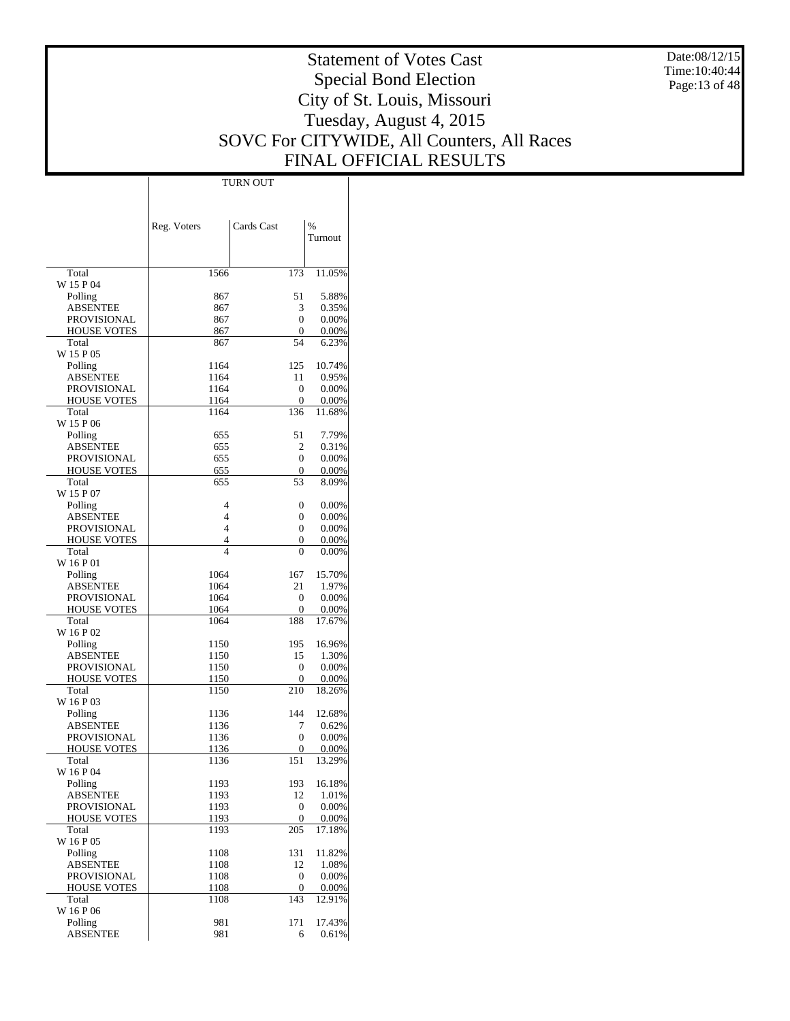Date:08/12/15 Time:10:40:44 Page:13 of 48

# Statement of Votes Cast Special Bond Election City of St. Louis, Missouri Tuesday, August 4, 2015 SOVC For CITYWIDE, All Counters, All Races FINAL OFFICIAL RESULTS

Τ

|                             |              | TURN OUT            |                |
|-----------------------------|--------------|---------------------|----------------|
|                             |              |                     |                |
|                             |              |                     |                |
|                             |              |                     |                |
|                             | Reg. Voters  | Cards Cast          | %              |
|                             |              |                     | Turnout        |
|                             |              |                     |                |
|                             |              |                     |                |
| Total                       | 1566         | 173                 | 11.05%         |
| W 15 P 04                   |              |                     |                |
| Polling                     | 867          | 51                  | 5.88%          |
| <b>ABSENTEE</b>             | 867          | 3                   | 0.35%          |
| <b>PROVISIONAL</b>          | 867          | 0                   | 0.00%          |
| <b>HOUSE VOTES</b>          | 867          | 0                   | 0.00%          |
| Total                       | 867          | 54                  | 6.23%          |
| W 15 P 05                   |              |                     |                |
| Polling                     | 1164         | 125                 | 10.74%         |
| <b>ABSENTEE</b>             | 1164         | 11                  | 0.95%          |
| <b>PROVISIONAL</b>          | 1164         | $\mathbf{0}$        | 0.00%          |
| <b>HOUSE VOTES</b><br>Total | 1164<br>1164 | $\mathbf{0}$<br>136 | 0.00%          |
| W 15 P 06                   |              |                     | 11.68%         |
|                             | 655          | 51                  | 7.79%          |
| Polling<br><b>ABSENTEE</b>  | 655          | 2                   | 0.31%          |
| <b>PROVISIONAL</b>          | 655          | 0                   | 0.00%          |
| <b>HOUSE VOTES</b>          | 655          | 0                   |                |
| Total                       | 655          | 53                  | 0.00%<br>8.09% |
| W 15 P 07                   |              |                     |                |
| Polling                     | 4            | 0                   | 0.00%          |
| <b>ABSENTEE</b>             | 4            | 0                   | 0.00%          |
| <b>PROVISIONAL</b>          | 4            | 0                   | 0.00%          |
| <b>HOUSE VOTES</b>          | 4            | 0                   | 0.00%          |
| Total                       | 4            | 0                   | 0.00%          |
| W 16 P 01                   |              |                     |                |
| Polling                     | 1064         | 167                 | 15.70%         |
| <b>ABSENTEE</b>             | 1064         | 21                  | 1.97%          |
| <b>PROVISIONAL</b>          | 1064         | $\mathbf{0}$        | 0.00%          |
| <b>HOUSE VOTES</b>          | 1064         | $\mathbf{0}$        | 0.00%          |
| Total                       | 1064         | 188                 | 17.67%         |
| W 16 P 02                   |              |                     |                |
| Polling                     | 1150         | 195                 | 16.96%         |
| <b>ABSENTEE</b>             | 1150         | 15                  | 1.30%          |
| <b>PROVISIONAL</b>          | 1150         | $\mathbf{0}$        | 0.00%          |
| <b>HOUSE VOTES</b>          | 1150         | 0                   | 0.00%          |
| Total                       | 1150         | 210                 | 18.26%         |
| W 16 P 03                   |              |                     |                |
| Polling                     | 1136         | 144                 | 12.68%         |
| <b>ABSENTEE</b>             | 1136         | 7                   | 0.62%          |
| PROVISIONAL                 | 1136         | 0                   | 0.00%          |
| <b>HOUSE VOTES</b>          | 1136         | 0                   | $0.00\%$       |
| Total                       | 1136         | 151                 | 13.29%         |
| W 16 P 04                   |              |                     |                |
| Polling                     | 1193         | 193                 | 16.18%         |
| <b>ABSENTEE</b>             | 1193         | 12                  | 1.01%          |
| <b>PROVISIONAL</b>          | 1193         | $\mathbf{0}$        | 0.00%          |
| <b>HOUSE VOTES</b>          | 1193         | $\mathbf{0}$        | 0.00%          |
| Total                       | 1193         | 205                 | 17.18%         |
| W 16 P 05                   |              |                     |                |
| Polling                     | 1108         | 131                 | 11.82%         |
| <b>ABSENTEE</b>             | 1108         | 12                  | 1.08%          |
| <b>PROVISIONAL</b>          | 1108         | $\mathbf{0}$        | 0.00%          |
| <b>HOUSE VOTES</b>          | 1108         | $\boldsymbol{0}$    | 0.00%          |
| Total                       | 1108         | 143                 | 12.91%         |
| W 16 P 06                   |              |                     |                |
| Polling                     | 981          | 171                 | 17.43%         |
| <b>ABSENTEE</b>             | 981          | 6                   | 0.61%          |
|                             |              |                     |                |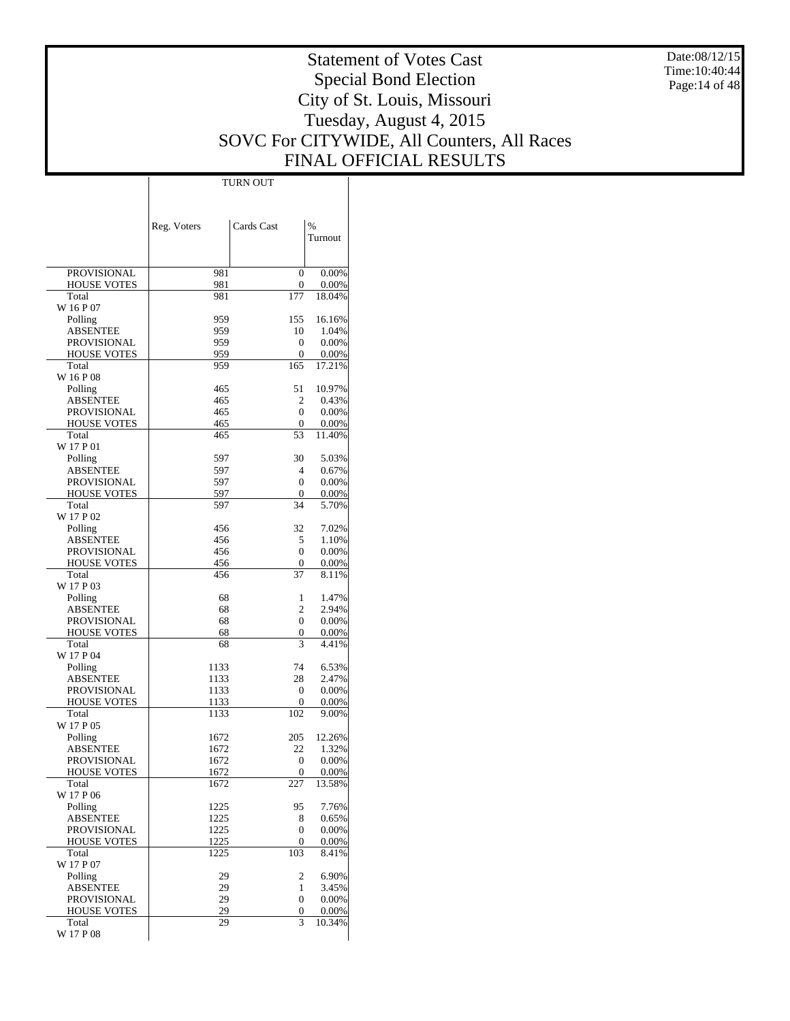Date:08/12/15  $Time:10:40:44$ Page:14 of 48

# Statement of Votes Cast Special Bond Election City of St. Louis, Missouri Tuesday, August 4, 2015 SOVC For CITYWIDE, All Counters, All Races FINAL OFFICIAL RESULTS

 $\top$ 

|                                          | Reg. Voters  | Cards Cast         | $\%$           |
|------------------------------------------|--------------|--------------------|----------------|
|                                          |              |                    | Turnout        |
|                                          |              |                    |                |
| <b>PROVISIONAL</b>                       | 981          | $\Omega$           | 0.00%          |
| <b>HOUSE VOTES</b>                       | 981          | $\mathbf{0}$       | 0.00%          |
| Total                                    | 981          | 177                | 18.04%         |
| W 16 P 07<br>Polling                     | 959          | 155                | 16.16%         |
| <b>ABSENTEE</b>                          | 959          | 10                 | 1.04%          |
| <b>PROVISIONAL</b>                       | 959          | $\mathbf{0}$       | 0.00%          |
| <b>HOUSE VOTES</b>                       | 959          | 0                  | 0.00%          |
| Total<br>W 16 P 08                       | 959          | 165                | 17.21%         |
| Polling                                  | 465          | 51                 | 10.97%         |
| <b>ABSENTEE</b>                          | 465          | $\overline{c}$     | 0.43%          |
| <b>PROVISIONAL</b>                       | 465          | $\Omega$           | 0.00%          |
| <b>HOUSE VOTES</b><br>Total              | 465<br>465   | 0<br>53            | 0.00%          |
| W 17 P 01                                |              |                    | 11.40%         |
| Polling                                  | 597          | 30                 | 5.03%          |
| <b>ABSENTEE</b>                          | 597          | 4                  | 0.67%          |
| <b>PROVISIONAL</b>                       | 597          | $\Omega$           | 0.00%          |
| <b>HOUSE VOTES</b><br>Total              | 597<br>597   | 0<br>34            | 0.00%<br>5.70% |
| W 17 P 02                                |              |                    |                |
| Polling                                  | 456          | 32                 | 7.02%          |
| <b>ABSENTEE</b>                          | 456          | 5                  | 1.10%          |
| PROVISIONAL                              | 456          | $\Omega$           | 0.00%          |
| <b>HOUSE VOTES</b><br>Total              | 456<br>456   | $\mathbf{0}$<br>37 | 0.00%<br>8.11% |
| W 17 P 03                                |              |                    |                |
| Polling                                  | 68           | 1                  | 1.47%          |
| <b>ABSENTEE</b>                          | 68           | $\overline{c}$     | 2.94%          |
| <b>PROVISIONAL</b><br><b>HOUSE VOTES</b> | 68<br>68     | $\Omega$<br>0      | 0.00%          |
| Total                                    | 68           | 3                  | 0.00%<br>4.41% |
| W 17 P 04                                |              |                    |                |
| Polling                                  | 1133         | 74                 | 6.53%          |
| <b>ABSENTEE</b>                          | 1133         | 28                 | 2.47%          |
| <b>PROVISIONAL</b><br><b>HOUSE VOTES</b> | 1133<br>1133 | $\mathbf{0}$<br>0  | 0.00%<br>0.00% |
| Total                                    | 1133         | 102                | 9.00%          |
| W 17 P 05                                |              |                    |                |
| Polling                                  | 1672         | 205                | 12.26%         |
| <b>ABSENTEE</b><br><b>PROVISIONAL</b>    | 1672<br>1672 | 22<br>$\mathbf{0}$ | 1.32%<br>0.00% |
| HOUSE VOTES                              | 1672         | $\theta$           | $0.00\%$       |
| Total                                    | 1672         | 227                | 13.58%         |
| W 17 P 06                                |              |                    |                |
| Polling                                  | 1225         | 95                 | 7.76%          |
| <b>ABSENTEE</b><br><b>PROVISIONAL</b>    | 1225<br>1225 | 8<br>$\mathbf{0}$  | 0.65%<br>0.00% |
| <b>HOUSE VOTES</b>                       | 1225         | $\boldsymbol{0}$   | 0.00%          |
| Total                                    | 1225         | 103                | 8.41%          |
| W 17 P 07                                |              |                    |                |
| Polling                                  | 29           | 2                  | 6.90%          |
| <b>ABSENTEE</b><br>PROVISIONAL           | 29<br>29     | 1<br>$\mathbf{0}$  | 3.45%<br>0.00% |
| <b>HOUSE VOTES</b>                       | 29           | 0                  | 0.00%          |
| Total                                    | 29           | 3                  | 10.34%         |
| W 17 P 08                                |              |                    |                |

TURN OUT

 $\overline{1}$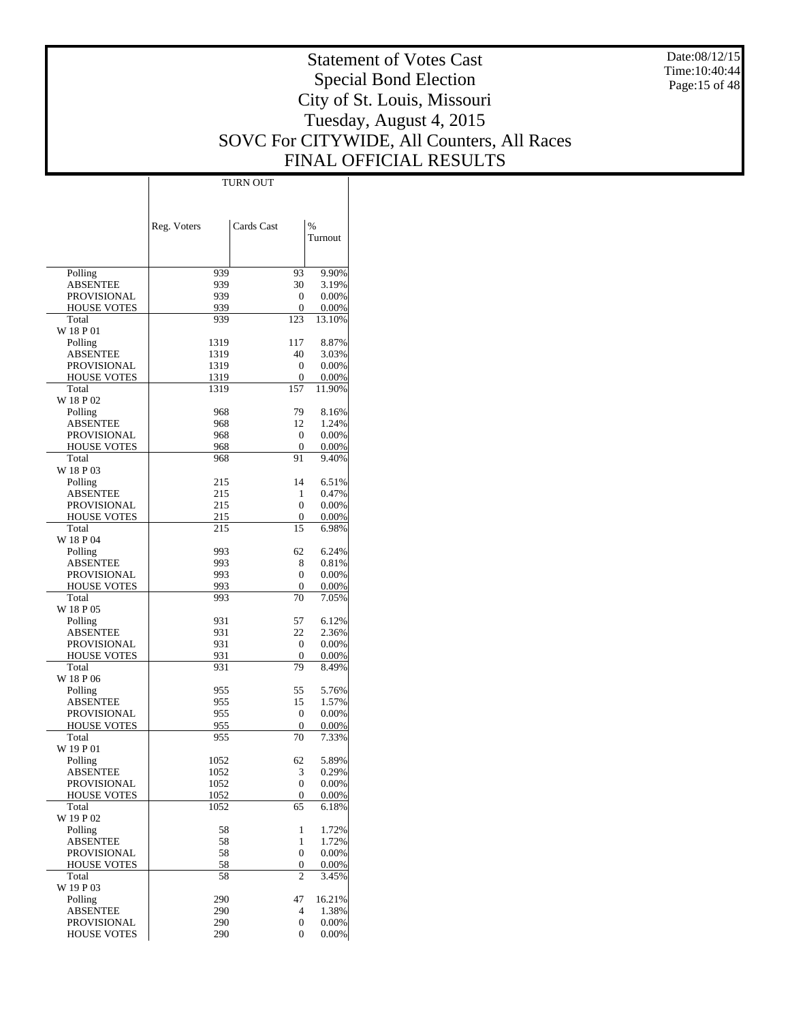Date:08/12/15 Time:10:40:44 Page:15 of 48

# Statement of Votes Cast Special Bond Election City of St. Louis, Missouri Tuesday, August 4, 2015 SOVC For CITYWIDE, All Counters, All Races FINAL OFFICIAL RESULTS

Τ

|                             | TURN OUT     |                    |                 |  |
|-----------------------------|--------------|--------------------|-----------------|--|
|                             |              |                    |                 |  |
|                             |              |                    |                 |  |
|                             |              |                    |                 |  |
|                             | Reg. Voters  | Cards Cast         | $\%$<br>Turnout |  |
|                             |              |                    |                 |  |
|                             |              |                    |                 |  |
| Polling                     | 939          | 93                 | 9.90%           |  |
| <b>ABSENTEE</b>             | 939          | 30                 | 3.19%           |  |
| PROVISIONAL                 | 939          | $\mathbf{0}$       | 0.00%           |  |
| <b>HOUSE VOTES</b>          | 939          | $\mathbf{0}$       | 0.00%           |  |
| Total                       | 939          | 123                | 13.10%          |  |
| W 18 P 01                   |              |                    |                 |  |
| Polling                     | 1319         | 117                | 8.87%           |  |
| <b>ABSENTEE</b>             | 1319         | 40                 | 3.03%           |  |
| PROVISIONAL                 | 1319         | $\mathbf{0}$       | 0.00%           |  |
| <b>HOUSE VOTES</b>          | 1319         | $\mathbf{0}$       | 0.00%           |  |
| Total                       | 1319         | 157                | 11.90%          |  |
| W 18 P 02                   | 968          | 79                 | 8.16%           |  |
| Polling<br><b>ABSENTEE</b>  | 968          | 12                 | 1.24%           |  |
| <b>PROVISIONAL</b>          | 968          | $\mathbf{0}$       | 0.00%           |  |
| <b>HOUSE VOTES</b>          | 968          | 0                  | 0.00%           |  |
| Total                       | 968          | 91                 | 9.40%           |  |
| W 18 P 03                   |              |                    |                 |  |
| Polling                     | 215          | 14                 | 6.51%           |  |
| <b>ABSENTEE</b>             | 215          | 1                  | 0.47%           |  |
| PROVISIONAL                 | 215          | $\mathbf{0}$       | 0.00%           |  |
| <b>HOUSE VOTES</b>          | 215          | 0                  | 0.00%           |  |
| Total                       | 215          | 15                 | 6.98%           |  |
| W 18 P 04                   |              |                    |                 |  |
| Polling                     | 993          | 62                 | 6.24%           |  |
| <b>ABSENTEE</b>             | 993          | 8                  | 0.81%           |  |
| PROVISIONAL                 | 993          | $\mathbf{0}$       | 0.00%           |  |
| <b>HOUSE VOTES</b><br>Total | 993          | $\mathbf{0}$<br>70 | 0.00%           |  |
| W 18 P 05                   | 993          |                    | 7.05%           |  |
| Polling                     | 931          | 57                 | 6.12%           |  |
| <b>ABSENTEE</b>             | 931          | 22                 | 2.36%           |  |
| PROVISIONAL                 | 931          | $\mathbf{0}$       | 0.00%           |  |
| <b>HOUSE VOTES</b>          | 931          | 0                  | 0.00%           |  |
| Total                       | 931          | 79                 | 8.49%           |  |
| W 18 P 06                   |              |                    |                 |  |
| Polling                     | 955          | 55                 | 5.76%           |  |
| <b>ABSENTEE</b>             | 955          | 15                 | 1.57%           |  |
| <b>PROVISIONAL</b>          | 955          | $\mathbf{0}$       | 0.00%           |  |
| <b>HOUSE VOTES</b>          | 955          | 0                  | 0.00%           |  |
| Total                       | 955          | 70                 | 7.33%           |  |
| W 19 P 01                   |              |                    |                 |  |
| Polling                     | 1052         | 62                 | 5.89%           |  |
| <b>ABSENTEE</b>             | 1052         | 3                  | 0.29%           |  |
| PROVISIONAL                 | 1052         | $\mathbf{0}$       | 0.00%           |  |
| <b>HOUSE VOTES</b><br>Total | 1052<br>1052 | 0<br>65            | 0.00%<br>6.18%  |  |
| W 19 P 02                   |              |                    |                 |  |
| Polling                     | 58           | 1                  | 1.72%           |  |
| <b>ABSENTEE</b>             | 58           | 1                  | 1.72%           |  |
| <b>PROVISIONAL</b>          | 58           | $\mathbf{0}$       | 0.00%           |  |
| <b>HOUSE VOTES</b>          | 58           | 0                  | 0.00%           |  |
| Total                       | 58           | 2                  | 3.45%           |  |
| W 19 P 03                   |              |                    |                 |  |
| Polling                     | 290          | 47                 | 16.21%          |  |
| <b>ABSENTEE</b>             | 290          | 4                  | 1.38%           |  |
| PROVISIONAL                 | 290          | 0                  | 0.00%           |  |
| <b>HOUSE VOTES</b>          | 290          | $\mathbf{0}$       | 0.00%           |  |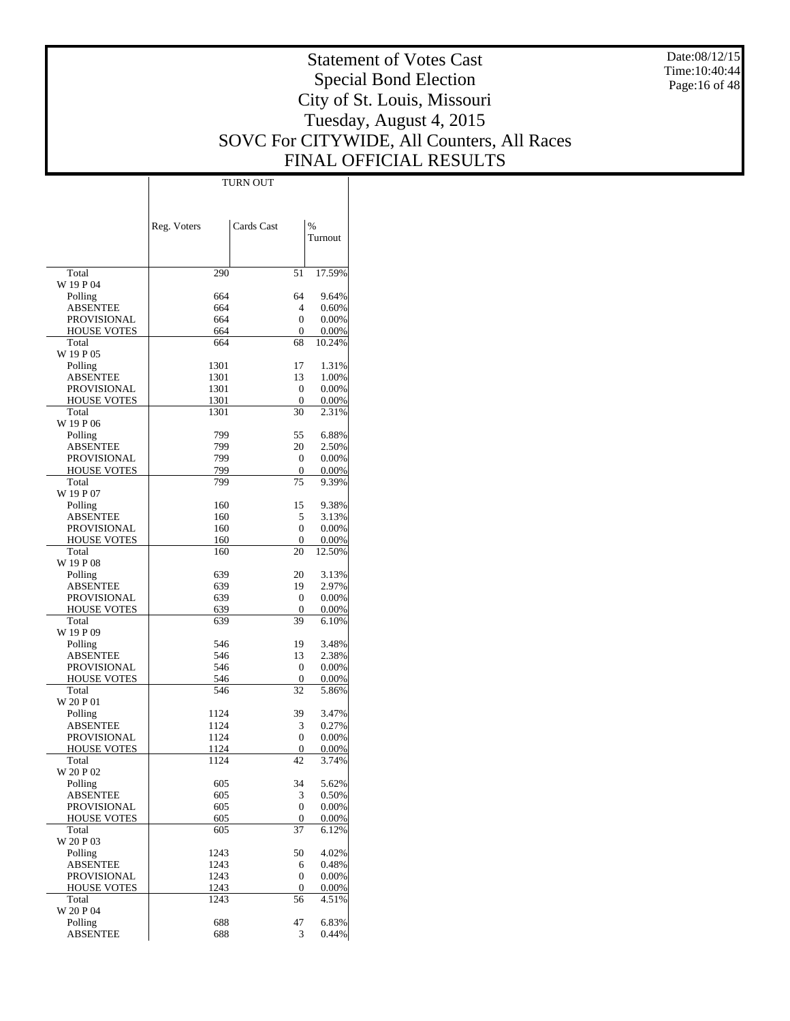Date:08/12/15  $Time:10:40:44$ Page:16 of 48

# Statement of Votes Cast Special Bond Election City of St. Louis, Missouri Tuesday, August 4, 2015 SOVC For CITYWIDE, All Counters, All Races FINAL OFFICIAL RESULTS

Τ

|                                          | Reg. Voters  | Cards Cast         | %               |
|------------------------------------------|--------------|--------------------|-----------------|
|                                          |              |                    | Turnout         |
|                                          |              |                    |                 |
| Total                                    | 290          | 51                 | 17.59%          |
| W 19 P 04<br>Polling                     | 664          | 64                 | 9.64%           |
| <b>ABSENTEE</b>                          | 664          | 4                  | 0.60%           |
| <b>PROVISIONAL</b>                       | 664          | 0                  | 0.00%           |
| <b>HOUSE VOTES</b>                       | 664          | $\mathbf{0}$       | 0.00%           |
| Total                                    | 664          | 68                 | 10.24%          |
| W 19 P 05                                |              |                    |                 |
| Polling<br><b>ABSENTEE</b>               | 1301<br>1301 | 17<br>13           | 1.31%<br>1.00%  |
| <b>PROVISIONAL</b>                       | 1301         | $\mathbf{0}$       | 0.00%           |
| <b>HOUSE VOTES</b>                       | 1301         | 0                  | 0.00%           |
| Total                                    | 1301         | 30                 | 2.31%           |
| W 19 P 06                                |              |                    |                 |
| Polling                                  | 799          | 55                 | 6.88%           |
| <b>ABSENTEE</b>                          | 799<br>799   | 20<br>$\mathbf{0}$ | 2.50%           |
| <b>PROVISIONAL</b><br><b>HOUSE VOTES</b> | 799          | 0                  | 0.00%<br>0.00%  |
| Total                                    | 799          | 75                 | 9.39%           |
| W 19 P 07                                |              |                    |                 |
| Polling                                  | 160          | 15                 | 9.38%           |
| <b>ABSENTEE</b>                          | 160          | 5                  | 3.13%           |
| <b>PROVISIONAL</b>                       | 160          | 0                  | 0.00%           |
| <b>HOUSE VOTES</b><br>Total              | 160<br>160   | $\mathbf{0}$<br>20 | 0.00%<br>12.50% |
| W 19 P 08                                |              |                    |                 |
| Polling                                  | 639          | 20                 | 3.13%           |
| <b>ABSENTEE</b>                          | 639          | 19                 | 2.97%           |
| <b>PROVISIONAL</b>                       | 639          | $\mathbf{0}$       | 0.00%           |
| <b>HOUSE VOTES</b>                       | 639          | 0                  | $0.00\%$        |
| Total<br>W 19 P 09                       | 639          | 39                 | 6.10%           |
| Polling                                  | 546          | 19                 | 3.48%           |
| <b>ABSENTEE</b>                          | 546          | 13                 | 2.38%           |
| PROVISIONAL                              | 546          | $\mathbf{0}$       | 0.00%           |
| <b>HOUSE VOTES</b>                       | 546          | 0                  | 0.00%           |
| Total                                    | 546          | 32                 | 5.86%           |
| W 20 P 01                                |              |                    |                 |
| Polling                                  | 1124<br>1124 | 39                 | 3.47%           |
| <b>ABSENTEE</b><br><b>PROVISIONAL</b>    | 1124         | 3<br>0             | 0.27%<br>0.00%  |
| <b>HOUSE VOTES</b>                       | 1124         | 0                  | 0.00%           |
| Total                                    | 1124         | 42                 | 3.74%           |
| W 20 P 02                                |              |                    |                 |
| Polling                                  | 605          | 34                 | 5.62%           |
| <b>ABSENTEE</b>                          | 605          | 3                  | 0.50%           |
| <b>PROVISIONAL</b>                       | 605          | 0                  | 0.00%           |
| <b>HOUSE VOTES</b><br>Total              | 605<br>605   | 0<br>37            | 0.00%<br>6.12%  |
| W 20 P 03                                |              |                    |                 |
| Polling                                  | 1243         | 50                 | 4.02%           |
| <b>ABSENTEE</b>                          | 1243         | 6                  | 0.48%           |
| <b>PROVISIONAL</b>                       | 1243         | $\mathbf{0}$       | 0.00%           |
| <b>HOUSE VOTES</b>                       | 1243         | $\boldsymbol{0}$   | 0.00%           |
| Total<br>W 20 P 04                       | 1243         | 56                 | 4.51%           |
| Polling                                  | 688          | 47                 | 6.83%           |
| <b>ABSENTEE</b>                          | 688          | 3                  | 0.44%           |
|                                          |              |                    |                 |

TURN OUT

 $\mathbf{I}$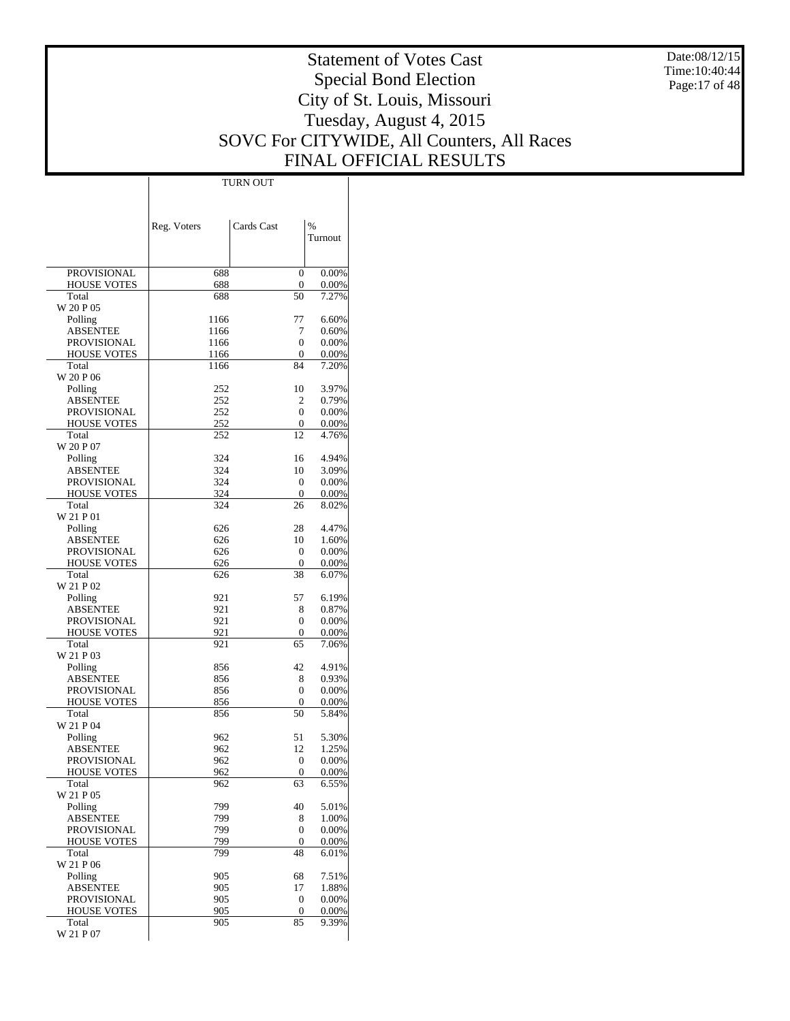Date:08/12/15  $Time:10:40:44$ Page:17 of 48

# Statement of Votes Cast Special Bond Election City of St. Louis, Missouri Tuesday, August 4, 2015 SOVC For CITYWIDE, All Counters, All Races FINAL OFFICIAL RESULTS

 $\top$ 

|                                | Reg. Voters | Cards Cast             | %              |
|--------------------------------|-------------|------------------------|----------------|
|                                |             |                        | Turnout        |
|                                |             |                        |                |
| <b>PROVISIONAL</b>             | 688         | 0                      | 0.00%          |
| <b>HOUSE VOTES</b>             | 688         | 0                      | 0.00%          |
| Total                          | 688         | 50                     | 7.27%          |
| W 20 P 05                      | 1166        | 77                     | 6.60%          |
| Polling<br><b>ABSENTEE</b>     | 1166        | 7                      | 0.60%          |
| <b>PROVISIONAL</b>             | 1166        | 0                      | 0.00%          |
| <b>HOUSE VOTES</b>             | 1166        | 0                      | 0.00%          |
| Total                          | 1166        | 84                     | 7.20%          |
| W 20 P 06                      |             |                        |                |
| Polling                        | 252         | 10                     | 3.97%          |
| ABSENTEE<br><b>PROVISIONAL</b> | 252<br>252  | 2<br>0                 | 0.79%<br>0.00% |
| <b>HOUSE VOTES</b>             | 252         | 0                      | 0.00%          |
| Total                          | 252         | 12                     | 4.76%          |
| W 20 P 07                      |             |                        |                |
| Polling                        | 324         | 16                     | 4.94%          |
| ABSENTEE                       | 324         | 10                     | 3.09%          |
| <b>PROVISIONAL</b>             | 324         | 0                      | 0.00%          |
| <b>HOUSE VOTES</b><br>Total    | 324<br>324  | 0<br>26                | 0.00%<br>8.02% |
| W 21 P 01                      |             |                        |                |
| Polling                        | 626         | 28                     | 4.47%          |
| ABSENTEE                       | 626         | 10                     | 1.60%          |
| <b>PROVISIONAL</b>             | 626         | 0                      | 0.00%          |
| <b>HOUSE VOTES</b>             | 626         | 0                      | 0.00%          |
| Total                          | 626         | 38                     | 6.07%          |
| W 21 P 02<br>Polling           | 921         | 57                     | 6.19%          |
| ABSENTEE                       | 921         | 8                      | 0.87%          |
| <b>PROVISIONAL</b>             | 921         | 0                      | 0.00%          |
| <b>HOUSE VOTES</b>             | 921         | 0                      | 0.00%          |
| Total                          | 921         | 65                     | 7.06%          |
| W 21 P 03                      |             |                        |                |
| Polling                        | 856         | 42                     | 4.91%          |
| ABSENTEE<br><b>PROVISIONAL</b> | 856<br>856  | 8<br>0                 | 0.93%<br>0.00% |
| <b>HOUSE VOTES</b>             | 856         | 0                      | 0.00%          |
| Total                          | 856         | 50                     | 5.84%          |
| W 21 P 04                      |             |                        |                |
| Polling                        | 962         | 51                     | 5.30%          |
| ABSENTEE                       | 962         | 12                     | 1.25%          |
| PROVISIONAL                    | 962         | 0                      | 0.00%          |
| HOUSE VOTES<br>Total           | 962<br>962  | $\boldsymbol{0}$<br>63 | 0.00%<br>6.55% |
| W 21 P 05                      |             |                        |                |
| Polling                        | 799         | 40                     | 5.01%          |
| <b>ABSENTEE</b>                | 799         | 8                      | 1.00%          |
| PROVISIONAL                    | 799         | 0                      | 0.00%          |
| <b>HOUSE VOTES</b>             | 799         | 0                      | 0.00%          |
| Total                          | 799         | 48                     | 6.01%          |
| W 21 P 06<br>Polling           | 905         | 68                     | 7.51%          |
| <b>ABSENTEE</b>                | 905         | 17                     | 1.88%          |
| PROVISIONAL                    | 905         | 0                      | 0.00%          |
| <b>HOUSE VOTES</b>             | 905         | 0                      | 0.00%          |
| Total                          | 905         | 85                     | 9.39%          |
| W 21 P 07                      |             |                        |                |

TURN OUT

 $\overline{1}$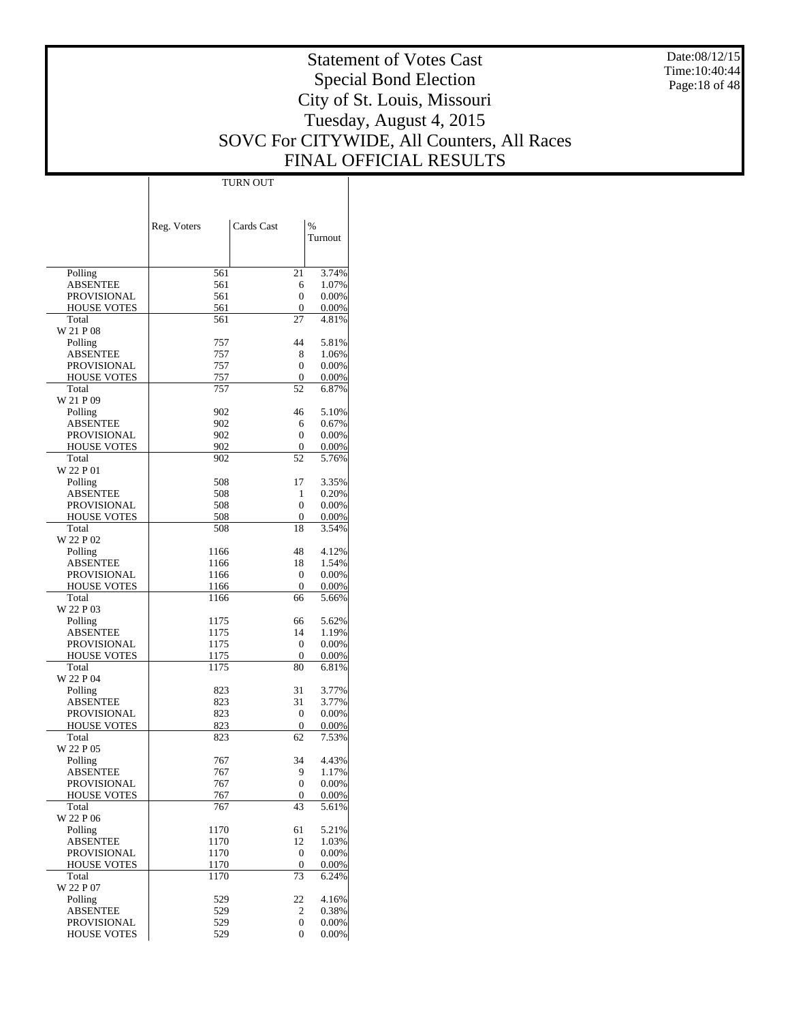Date:08/12/15  $Time:10:40:44$ Page:18 of 48

# Statement of Votes Cast Special Bond Election City of St. Louis, Missouri Tuesday, August 4, 2015 SOVC For CITYWIDE, All Counters, All Races FINAL OFFICIAL RESULTS

Τ

|                             | <b>TURN OUT</b> |            |                |
|-----------------------------|-----------------|------------|----------------|
|                             |                 |            |                |
|                             |                 |            |                |
|                             |                 | Cards Cast | $\frac{0}{6}$  |
|                             | Reg. Voters     |            | Turnout        |
|                             |                 |            |                |
|                             |                 |            |                |
| Polling                     | 561             | 21         | 3.74%          |
| <b>ABSENTEE</b>             | 561             | 6          | 1.07%          |
| <b>PROVISIONAL</b>          | 561             | 0          | 0.00%          |
| <b>HOUSE VOTES</b>          | 561             | 0          | 0.00%          |
| Total                       | 561             | 27         | 4.81%          |
| W 21 P 08                   |                 |            |                |
| Polling                     | 757             | 44         | 5.81%          |
| ABSENTEE                    | 757             | 8          | 1.06%          |
| <b>PROVISIONAL</b>          | 757             | 0          | 0.00%          |
| <b>HOUSE VOTES</b>          | 757             | 0          | 0.00%          |
| Total                       | 757             | 52         | 6.87%          |
| W 21 P 09                   |                 |            |                |
| Polling<br><b>ABSENTEE</b>  | 902<br>902      | 46         | 5.10%<br>0.67% |
| <b>PROVISIONAL</b>          | 902             | 6<br>0     | 0.00%          |
| <b>HOUSE VOTES</b>          | 902             | 0          | 0.00%          |
| Total                       | 902             | 52         | 5.76%          |
| W 22 P 01                   |                 |            |                |
| Polling                     | 508             | 17         | 3.35%          |
| ABSENTEE                    | 508             | 1          | 0.20%          |
| <b>PROVISIONAL</b>          | 508             | 0          | 0.00%          |
| <b>HOUSE VOTES</b>          | 508             | 0          | 0.00%          |
| Total                       | 508             | 18         | 3.54%          |
| W 22 P 02                   |                 |            |                |
| Polling                     | 1166            | 48         | 4.12%          |
| <b>ABSENTEE</b>             | 1166            | 18         | 1.54%          |
| <b>PROVISIONAL</b>          | 1166            | 0          | 0.00%          |
| <b>HOUSE VOTES</b>          | 1166            | 0          | 0.00%          |
| Total                       | 1166            | 66         | 5.66%          |
| W 22 P 03                   |                 |            |                |
| Polling                     | 1175            | 66         | 5.62%          |
| <b>ABSENTEE</b>             | 1175            | 14         | 1.19%          |
| <b>PROVISIONAL</b>          | 1175            | 0          | 0.00%          |
| <b>HOUSE VOTES</b><br>Total | 1175<br>1175    | 0<br>80    | 0.00%          |
| W 22 P 04                   |                 |            | 6.81%          |
| Polling                     | 823             | 31         | 3.77%          |
| <b>ABSENTEE</b>             | 823             | 31         | 3.77%          |
| PROVISIONAL                 | 823             | 0          | 0.00%          |
| <b>HOUSE VOTES</b>          | 823             | 0          | 0.00%          |
| Total                       | 823             | 62         | 7.53%          |
| W 22 P 05                   |                 |            |                |
| Polling                     | 767             | 34         | 4.43%          |
| <b>ABSENTEE</b>             | 767             | 9          | 1.17%          |
| <b>PROVISIONAL</b>          | 767             | 0          | 0.00%          |
| <b>HOUSE VOTES</b>          | 767             | 0          | 0.00%          |
| Total                       | 767             | 43         | 5.61%          |
| W 22 P 06                   |                 |            |                |
| Polling                     | 1170            | 61         | 5.21%          |
| <b>ABSENTEE</b>             | 1170            | 12         | 1.03%          |
| <b>PROVISIONAL</b>          | 1170            | 0          | 0.00%          |
| <b>HOUSE VOTES</b>          | 1170            | 0          | 0.00%          |
| Total                       | 1170            | 73         | 6.24%          |
| W 22 P 07                   |                 |            | 4.16%          |
| Polling<br><b>ABSENTEE</b>  | 529<br>529      | 22         | 0.38%          |
| PROVISIONAL                 | 529             | 2<br>0     | 0.00%          |
| <b>HOUSE VOTES</b>          | 529             | 0          | 0.00%          |
|                             |                 |            |                |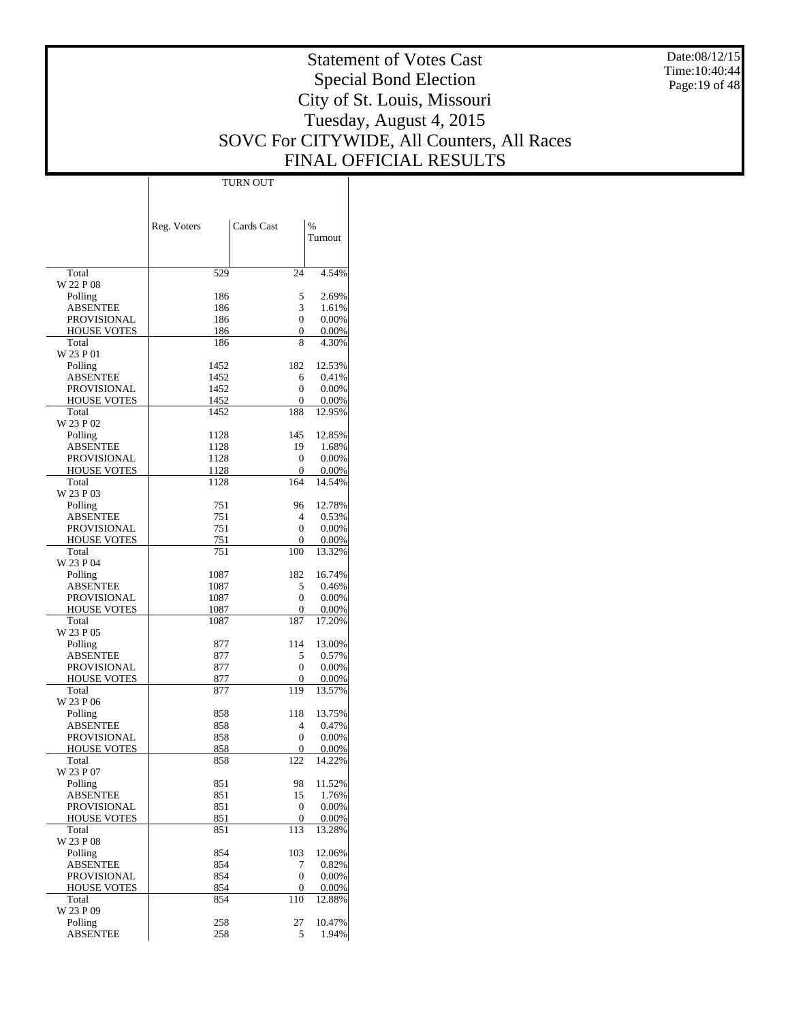Date:08/12/15 Time:10:40:44 Page:19 of 48

# Statement of Votes Cast Special Bond Election City of St. Louis, Missouri Tuesday, August 4, 2015 SOVC For CITYWIDE, All Counters, All Races FINAL OFFICIAL RESULTS

Τ

|                             | TURN OUT    |            |                 |
|-----------------------------|-------------|------------|-----------------|
|                             |             |            |                 |
|                             |             |            |                 |
|                             | Reg. Voters | Cards Cast | $\%$            |
|                             |             |            | Turnout         |
|                             |             |            |                 |
|                             |             |            |                 |
| Total                       | 529         | 24         | 4.54%           |
| W 22 P 08                   |             |            |                 |
| Polling                     | 186         | 5          | 2.69%           |
| <b>ABSENTEE</b>             | 186         | 3          | 1.61%           |
| <b>PROVISIONAL</b>          | 186         | 0          | 0.00%           |
| <b>HOUSE VOTES</b><br>Total | 186<br>186  | 0<br>8     | 0.00%<br>4.30%  |
| W 23 P 01                   |             |            |                 |
| Polling                     | 1452        | 182        | 12.53%          |
| <b>ABSENTEE</b>             | 1452        | 6          | 0.41%           |
| PROVISIONAL                 | 1452        | 0          | 0.00%           |
| <b>HOUSE VOTES</b>          | 1452        | 0          | 0.00%           |
| Total                       | 1452        | 188        | 12.95%          |
| W 23 P 02                   |             |            |                 |
| Polling                     | 1128        | 145        | 12.85%          |
| <b>ABSENTEE</b>             | 1128        | 19         | 1.68%           |
| <b>PROVISIONAL</b>          | 1128        | 0          | 0.00%           |
| <b>HOUSE VOTES</b>          | 1128        | 0<br>164   | 0.00%           |
| Total<br>W 23 P 03          | 1128        |            | 14.54%          |
| Polling                     | 751         | 96         | 12.78%          |
| <b>ABSENTEE</b>             | 751         | 4          | 0.53%           |
| <b>PROVISIONAL</b>          | 751         | 0          | 0.00%           |
| <b>HOUSE VOTES</b>          | 751         | 0          | 0.00%           |
| Total                       | 751         | 100        | 13.32%          |
| W 23 P 04                   |             |            |                 |
| Polling                     | 1087        | 182        | 16.74%          |
| <b>ABSENTEE</b>             | 1087        | 5          | 0.46%           |
| PROVISIONAL                 | 1087        | 0          | 0.00%           |
| <b>HOUSE VOTES</b>          | 1087        | 0          | 0.00%           |
| Total                       | 1087        | 187        | 17.20%          |
| W 23 P 05<br>Polling        | 877         | 114        | 13.00%          |
| <b>ABSENTEE</b>             | 877         | 5          | 0.57%           |
| PROVISIONAL                 | 877         | 0          | 0.00%           |
| <b>HOUSE VOTES</b>          | 877         | 0          | 0.00%           |
| Total                       | 877         | 119        | 13.57%          |
| W 23 P 06                   |             |            |                 |
| Polling                     | 858         | 118        | 13.75%          |
| <b>ABSENTEE</b>             | 858         | 4          | 0.47%           |
| <b>PROVISIONAL</b>          | 858         | 0          | 0.00%           |
| <b>HOUSE VOTES</b>          | 858         | 0          | $0.00\%$        |
| Total                       | 858         | 122        | 14.22%          |
| W 23 P 07                   |             |            | 11.52%          |
| Polling<br><b>ABSENTEE</b>  | 851<br>851  | 98<br>15   | 1.76%           |
| <b>PROVISIONAL</b>          | 851         | 0          | 0.00%           |
| <b>HOUSE VOTES</b>          | 851         | 0          | 0.00%           |
| Total                       | 851         | 113        | 13.28%          |
| W 23 P 08                   |             |            |                 |
| Polling                     | 854         | 103        | 12.06%          |
| <b>ABSENTEE</b>             | 854         | 7          | 0.82%           |
| <b>PROVISIONAL</b>          | 854         | 0          | 0.00%           |
| <b>HOUSE VOTES</b>          | 854         | 0          | 0.00%           |
| Total                       | 854         | 110        | 12.88%          |
| W 23 P 09                   |             |            |                 |
| Polling<br><b>ABSENTEE</b>  | 258<br>258  | 27<br>5    | 10.47%<br>1.94% |
|                             |             |            |                 |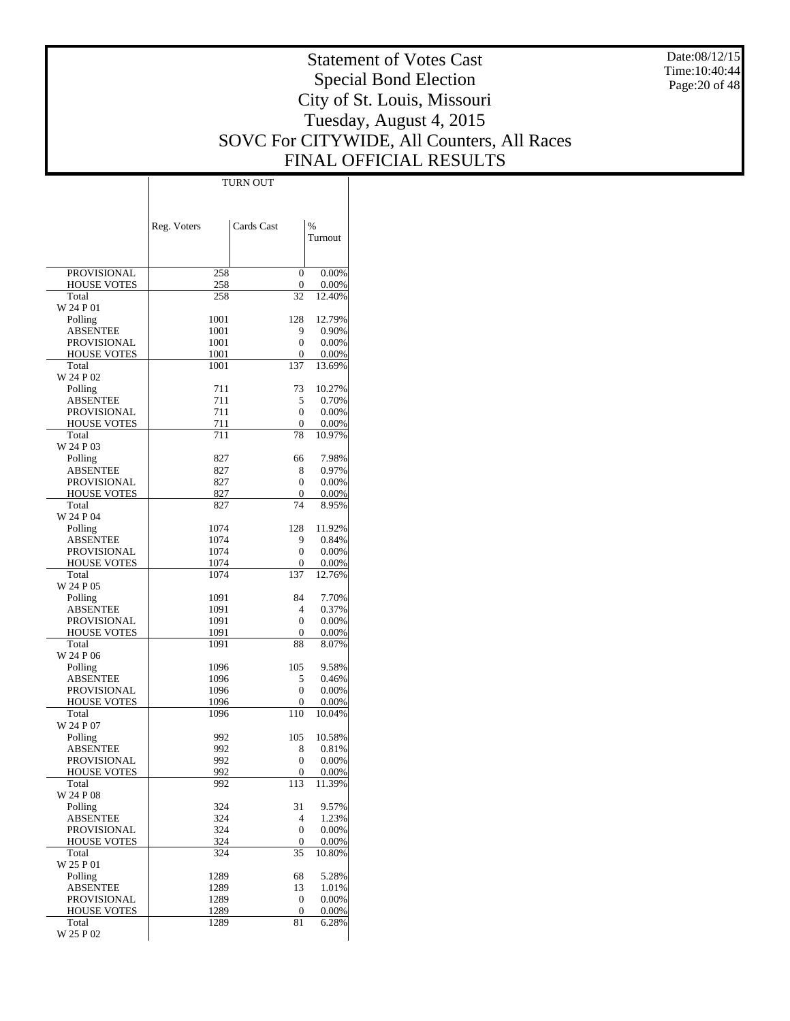Date:08/12/15 Time:10:40:44 Page:20 of 48

# Statement of Votes Cast Special Bond Election City of St. Louis, Missouri Tuesday, August 4, 2015 SOVC For CITYWIDE, All Counters, All Races FINAL OFFICIAL RESULTS

 $\top$ 

|                                   | Reg. Voters  | Cards Cast      | %                  |
|-----------------------------------|--------------|-----------------|--------------------|
|                                   |              |                 | Turnout            |
|                                   |              |                 |                    |
| <b>PROVISIONAL</b>                | 258          | 0               | 0.00%              |
| <b>HOUSE VOTES</b>                | 258          | 0               | 0.00%              |
| Total                             | 258          | 32              | 12.40%             |
| W 24 P 01<br>Polling              | 1001         | 128             | 12.79%             |
| ABSENTEE                          | 1001         | 9               | 0.90%              |
| <b>PROVISIONAL</b>                | 1001         | 0               | 0.00%              |
| <b>HOUSE VOTES</b>                | 1001         | 0               | $0.00\%$           |
| Total                             | 1001         | 137             | 13.69%             |
| W 24 P 02                         |              |                 |                    |
| Polling<br><b>ABSENTEE</b>        | 711<br>711   | 73<br>5         | 10.27%<br>0.70%    |
| <b>PROVISIONAL</b>                | 711          | 0               | 0.00%              |
| <b>HOUSE VOTES</b>                | 711          | 0               | $0.00\%$           |
| Total                             | 711          | 78              | 10.97%             |
| W 24 P 03                         |              |                 |                    |
| Polling                           | 827          | 66              | 7.98%              |
| ABSENTEE                          | 827          | 8               | 0.97%              |
| PROVISIONAL<br><b>HOUSE VOTES</b> | 827<br>827   | 0<br>0          | 0.00%<br>$0.00\%$  |
| Total                             | 827          | 74              | 8.95%              |
| W 24 P 04                         |              |                 |                    |
| Polling                           | 1074         | 128             | 11.92%             |
| <b>ABSENTEE</b>                   | 1074         | 9               | 0.84%              |
| <b>PROVISIONAL</b>                | 1074         | 0               | 0.00%              |
| <b>HOUSE VOTES</b><br>Total       | 1074<br>1074 | 0<br>137        | $0.00\%$<br>12.76% |
| W 24 P 05                         |              |                 |                    |
| Polling                           | 1091         | 84              | 7.70%              |
| ABSENTEE                          | 1091         | 4               | 0.37%              |
| PROVISIONAL                       | 1091         | 0               | 0.00%              |
| <b>HOUSE VOTES</b>                | 1091         | 0               | $0.00\%$           |
| Total<br>W 24 P 06                | 1091         | 88              | 8.07%              |
| Polling                           | 1096         | 105             | 9.58%              |
| ABSENTEE                          | 1096         | 5               | 0.46%              |
| <b>PROVISIONAL</b>                | 1096         | 0               | 0.00%              |
| <b>HOUSE VOTES</b>                | 1096         | 0               | $0.00\%$           |
| Total                             | 1096         | 110             | 10.04%             |
| W 24 P 07                         |              |                 |                    |
| Polling<br>ABSENTEE               | 992<br>992   | 105<br>8        | 10.58%<br>0.81%    |
| PROVISIONAL                       | 992          | $\overline{0}$  | 0.00%              |
| <b>HOUSE VOTES</b>                | 992          | 0               | 0.00%              |
| Total                             | 992          | 113             | 11.39%             |
| W 24 P 08                         |              |                 |                    |
| Polling                           | 324          | 31              | 9.57%              |
| <b>ABSENTEE</b><br>PROVISIONAL    | 324<br>324   | 4<br>0          | 1.23%<br>0.00%     |
| <b>HOUSE VOTES</b>                | 324          | 0               | 0.00%              |
| Total                             | 324          | $\overline{3}5$ | 10.80%             |
| W 25 P 01                         |              |                 |                    |
| Polling                           | 1289         | 68              | 5.28%              |
| <b>ABSENTEE</b>                   | 1289         | 13              | 1.01%              |
| <b>PROVISIONAL</b>                | 1289         | 0               | 0.00%              |
| <b>HOUSE VOTES</b><br>Total       | 1289<br>1289 | 0<br>81         | 0.00%<br>6.28%     |
| W 25 P 02                         |              |                 |                    |

TURN OUT

 $\overline{1}$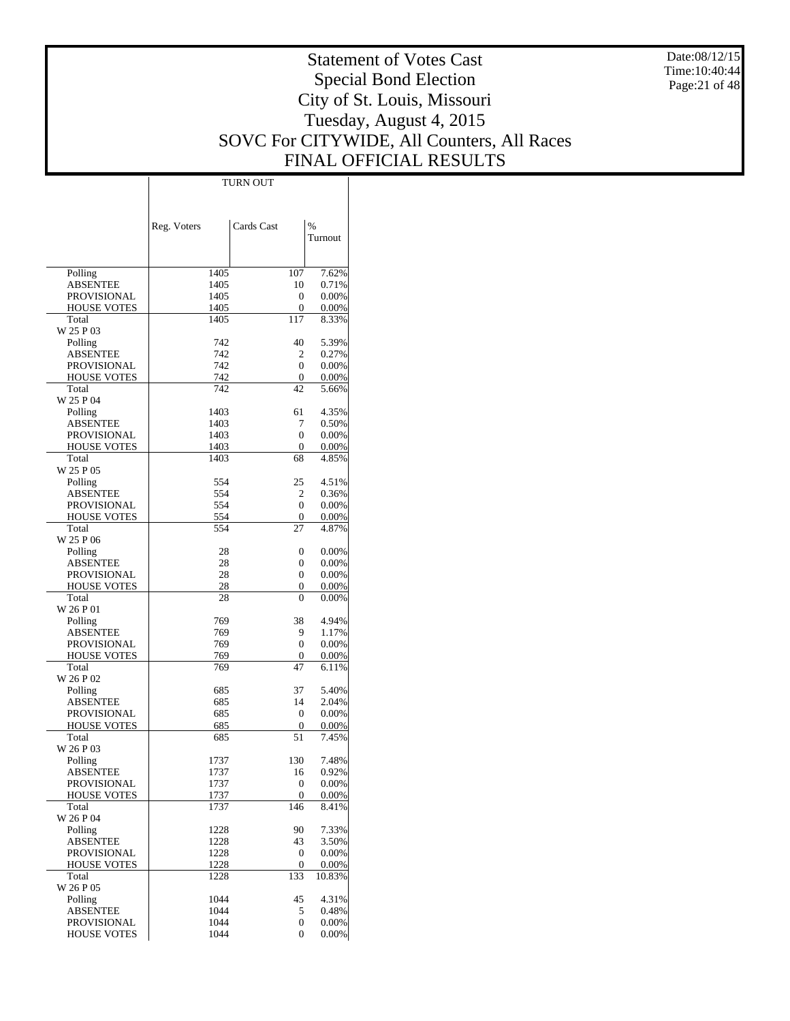Date:08/12/15 Time:10:40:44 Page:21 of 48

# Statement of Votes Cast Special Bond Election City of St. Louis, Missouri Tuesday, August 4, 2015 SOVC For CITYWIDE, All Counters, All Races FINAL OFFICIAL RESULTS

Τ

|                            |              | TURN OUT         |                 |
|----------------------------|--------------|------------------|-----------------|
|                            |              |                  |                 |
|                            |              |                  |                 |
|                            |              |                  |                 |
|                            | Reg. Voters  | Cards Cast       | $\%$<br>Turnout |
|                            |              |                  |                 |
|                            |              |                  |                 |
| Polling                    | 1405         | 107              | 7.62%           |
| <b>ABSENTEE</b>            | 1405         | 10               | 0.71%           |
| PROVISIONAL                | 1405         | $\mathbf{0}$     | 0.00%           |
| <b>HOUSE VOTES</b>         | 1405         | 0                | 0.00%           |
| Total                      | 1405         | 117              | 8.33%           |
| W 25 P 03                  |              |                  |                 |
| Polling                    | 742          | 40               | 5.39%           |
| <b>ABSENTEE</b>            | 742          | 2                | 0.27%           |
| PROVISIONAL                | 742          | $\Omega$         | 0.00%           |
| <b>HOUSE VOTES</b>         | 742          | 0                | 0.00%           |
| Total                      | 742          | 42               | 5.66%           |
| W 25 P 04                  |              |                  |                 |
| Polling<br><b>ABSENTEE</b> | 1403<br>1403 | 61<br>7          | 4.35%<br>0.50%  |
| PROVISIONAL                | 1403         | $\mathbf{0}$     | 0.00%           |
| <b>HOUSE VOTES</b>         | 1403         | $\mathbf{0}$     | 0.00%           |
| Total                      | 1403         | 68               | 4.85%           |
| W 25 P 05                  |              |                  |                 |
| Polling                    | 554          | 25               | 4.51%           |
| <b>ABSENTEE</b>            | 554          | 2                | 0.36%           |
| PROVISIONAL                | 554          | $\Omega$         | 0.00%           |
| <b>HOUSE VOTES</b>         | 554          | 0                | 0.00%           |
| Total                      | 554          | 27               | 4.87%           |
| W 25 P 06                  |              |                  |                 |
| Polling                    | 28           | $\mathbf{0}$     | 0.00%           |
| <b>ABSENTEE</b>            | 28           | 0                | 0.00%           |
| PROVISIONAL                | 28           | 0                | 0.00%           |
| <b>HOUSE VOTES</b>         | 28           | 0                | 0.00%           |
| Total                      | 28           | 0                | 0.00%           |
| W 26 P 01                  | 769          | 38               |                 |
| Polling<br><b>ABSENTEE</b> | 769          | 9                | 4.94%<br>1.17%  |
| PROVISIONAL                | 769          | $\mathbf{0}$     | 0.00%           |
| <b>HOUSE VOTES</b>         | 769          | 0                | 0.00%           |
| Total                      | 769          | 47               | 6.11%           |
| W 26 P 02                  |              |                  |                 |
| Polling                    | 685          | 37               | 5.40%           |
| <b>ABSENTEE</b>            | 685          | 14               | 2.04%           |
| PROVISIONAL                | 685          | $\mathbf{0}$     | 0.00%           |
| <b>HOUSE VOTES</b>         | 685          | 0                | 0.00%           |
| Total                      | 685          | 51               | 7.45%           |
| W 26 P 03                  |              |                  |                 |
| Polling                    | 1737         | 130              | 7.48%           |
| <b>ABSENTEE</b>            | 1737         | 16               | 0.92%           |
| PROVISIONAL                | 1737         | $\mathbf{0}$     | 0.00%           |
| <b>HOUSE VOTES</b>         | 1737         | $\boldsymbol{0}$ | 0.00%           |
| Total<br>W 26 P 04         | 1737         | 146              | 8.41%           |
| Polling                    | 1228         | 90               | 7.33%           |
| <b>ABSENTEE</b>            | 1228         | 43               | 3.50%           |
| <b>PROVISIONAL</b>         | 1228         | $\mathbf{0}$     | 0.00%           |
| <b>HOUSE VOTES</b>         | 1228         | $\mathbf{0}$     | 0.00%           |
| Total                      | 1228         | $\overline{133}$ | 10.83%          |
| W 26 P 05                  |              |                  |                 |
| Polling                    | 1044         | 45               | 4.31%           |
| <b>ABSENTEE</b>            | 1044         | 5                | 0.48%           |
| PROVISIONAL                | 1044         | $\mathbf{0}$     | 0.00%           |
| <b>HOUSE VOTES</b>         | 1044         | $\mathbf{0}$     | 0.00%           |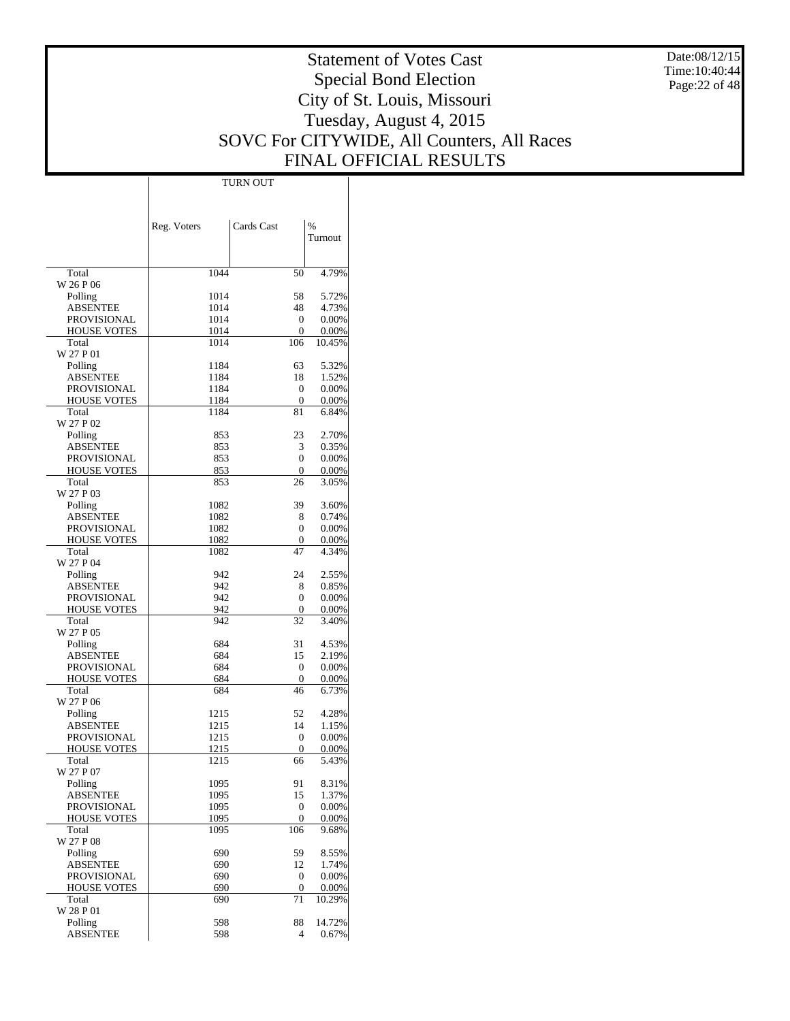Date:08/12/15 Time:10:40:44 Page:22 of 48

# Statement of Votes Cast Special Bond Election City of St. Louis, Missouri Tuesday, August 4, 2015 SOVC For CITYWIDE, All Counters, All Races FINAL OFFICIAL RESULTS

Τ

|                                   | Reg. Voters  | Cards Cast            | $\%$           |
|-----------------------------------|--------------|-----------------------|----------------|
|                                   |              |                       | Turnout        |
|                                   |              |                       |                |
| Total                             | 1044         | 50                    | 4.79%          |
| W 26 P 06                         | 1014         |                       |                |
| Polling<br><b>ABSENTEE</b>        | 1014         | 58<br>48              | 5.72%<br>4.73% |
| <b>PROVISIONAL</b>                | 1014         | 0                     | 0.00%          |
| <b>HOUSE VOTES</b>                | 1014         | 0                     | 0.00%          |
| Total                             | 1014         | 106                   | 10.45%         |
| W 27 P 01                         |              |                       |                |
| Polling<br><b>ABSENTEE</b>        | 1184<br>1184 | 63<br>18              | 5.32%<br>1.52% |
| PROVISIONAL                       | 1184         | 0                     | 0.00%          |
| <b>HOUSE VOTES</b>                | 1184         | 0                     | 0.00%          |
| Total                             | 1184         | 81                    | 6.84%          |
| W 27 P 02                         |              |                       |                |
| Polling                           | 853          | 23                    | 2.70%          |
| <b>ABSENTEE</b>                   | 853          | 3                     | 0.35%<br>0.00% |
| PROVISIONAL<br><b>HOUSE VOTES</b> | 853<br>853   | 0<br>0                | 0.00%          |
| Total                             | 853          | 26                    | 3.05%          |
| W 27 P 03                         |              |                       |                |
| Polling                           | 1082         | 39                    | 3.60%          |
| <b>ABSENTEE</b>                   | 1082         | 8                     | 0.74%          |
| <b>PROVISIONAL</b>                | 1082         | 0                     | 0.00%          |
| <b>HOUSE VOTES</b><br>Total       | 1082<br>1082 | 0<br>47               | 0.00%<br>4.34% |
| W 27 P 04                         |              |                       |                |
| Polling                           | 942          | 24                    | 2.55%          |
| <b>ABSENTEE</b>                   | 942          | 8                     | 0.85%          |
| PROVISIONAL                       | 942          | 0                     | 0.00%          |
| <b>HOUSE VOTES</b>                | 942          | 0                     | 0.00%          |
| Total<br>W 27 P 05                | 942          | 32                    | 3.40%          |
| Polling                           | 684          | 31                    | 4.53%          |
| <b>ABSENTEE</b>                   | 684          | 15                    | 2.19%          |
| PROVISIONAL                       | 684          | 0                     | 0.00%          |
| <b>HOUSE VOTES</b>                | 684          | 0                     | 0.00%          |
| Total                             | 684          | 46                    | 6.73%          |
| W 27 P 06                         |              |                       |                |
| Polling<br><b>ABSENTEE</b>        | 1215<br>1215 | 52<br>14              | 4.28%<br>1.15% |
| <b>PROVISIONAL</b>                | 1215         | 0                     | 0.00%          |
| <b>HOUSE VOTES</b>                | 1215         | 0                     | 0.00%          |
| Total                             | 1215         | 66                    | 5.43%          |
| W 27 P 07                         |              |                       |                |
| Polling<br><b>ABSENTEE</b>        | 1095         | 91                    | 8.31%          |
| PROVISIONAL                       | 1095<br>1095 | 15<br>$\mathbf{0}$    | 1.37%<br>0.00% |
| <b>HOUSE VOTES</b>                | 1095         | 0                     | 0.00%          |
| Total                             | 1095         | 106                   | 9.68%          |
| W 27 P 08                         |              |                       |                |
| Polling                           | 690          | 59                    | 8.55%          |
| <b>ABSENTEE</b>                   | 690          | 12                    | 1.74%          |
| PROVISIONAL<br><b>HOUSE VOTES</b> | 690<br>690   | $\boldsymbol{0}$<br>0 | 0.00%<br>0.00% |
| Total                             | 690          | 71                    | 10.29%         |
| W 28 P 01                         |              |                       |                |
| Polling                           | 598          | 88                    | 14.72%         |
| <b>ABSENTEE</b>                   | 598          | 4                     | 0.67%          |

TURN OUT

 $\mathbf{I}$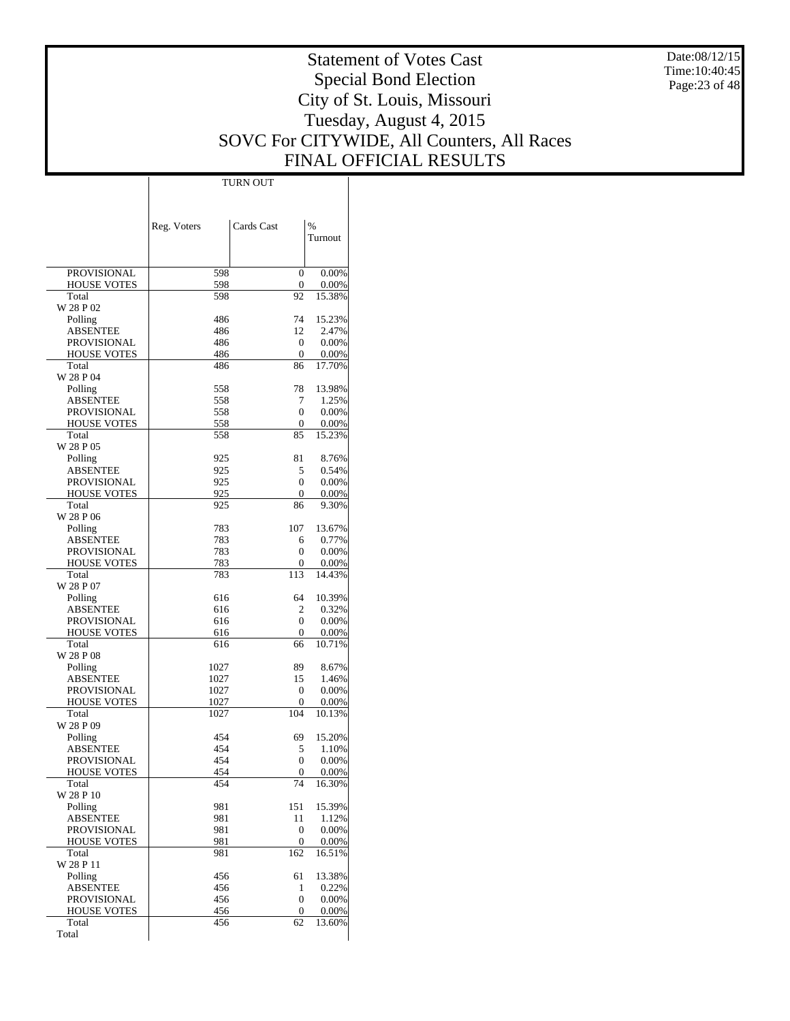Date:08/12/15 Time:10:40:45 Page:23 of 48

# Statement of Votes Cast Special Bond Election City of St. Louis, Missouri Tuesday, August 4, 2015 SOVC For CITYWIDE, All Counters, All Races FINAL OFFICIAL RESULTS

Τ

|                             | Reg. Voters | Cards Cast         | $\frac{0}{0}$   |
|-----------------------------|-------------|--------------------|-----------------|
|                             |             |                    | Turnout         |
|                             |             |                    |                 |
| PROVISIONAL                 | 598         | 0                  | 0.00%           |
| <b>HOUSE VOTES</b>          | 598         | 0                  | 0.00%           |
| Total<br>W 28 P 02          | 598         | 92                 | 15.38%          |
| Polling                     | 486         | 74                 | 15.23%          |
| ABSENTEE                    | 486         | 12                 | 2.47%           |
| PROVISIONAL                 | 486         | 0                  | 0.00%           |
| <b>HOUSE VOTES</b><br>Total | 486<br>486  | $\mathbf{0}$<br>86 | 0.00%<br>17.70% |
| W 28 P 04                   |             |                    |                 |
| Polling                     | 558         | 78                 | 13.98%          |
| ABSENTEE                    | 558         | 7                  | 1.25%           |
| PROVISIONAL                 | 558<br>558  | 0                  | 0.00%           |
| <b>HOUSE VOTES</b><br>Total | 558         | 0<br>85            | 0.00%<br>15.23% |
| W 28 P 05                   |             |                    |                 |
| Polling                     | 925         | 81                 | 8.76%           |
| ABSENTEE                    | 925         | 5                  | 0.54%           |
| PROVISIONAL                 | 925         | 0                  | 0.00%           |
| <b>HOUSE VOTES</b><br>Total | 925<br>925  | 0<br>86            | 0.00%<br>9.30%  |
| W 28 P 06                   |             |                    |                 |
| Polling                     | 783         | 107                | 13.67%          |
| ABSENTEE                    | 783         | 6                  | 0.77%           |
| <b>PROVISIONAL</b>          | 783         | 0                  | 0.00%           |
| <b>HOUSE VOTES</b>          | 783         | 0                  | 0.00%           |
| Total<br>W 28 P 07          | 783         | 113                | 14.43%          |
| Polling                     | 616         | 64                 | 10.39%          |
| ABSENTEE                    | 616         | 2                  | 0.32%           |
| PROVISIONAL                 | 616         | 0                  | 0.00%           |
| <b>HOUSE VOTES</b><br>Total | 616<br>616  | 0<br>66            | 0.00%<br>10.71% |
| W 28 P 08                   |             |                    |                 |
| Polling                     | 1027        | 89                 | 8.67%           |
| ABSENTEE                    | 1027        | 15                 | 1.46%           |
| PROVISIONAL                 | 1027        | 0                  | 0.00%           |
| <b>HOUSE VOTES</b>          | 1027        | 0                  | 0.00%<br>10.13% |
| Total<br>W 28 P 09          | 1027        | 104                |                 |
| Polling                     | 454         | 69                 | 15.20%          |
| ABSENTEE                    | 454         | 5                  | 1.10%           |
| <b>PROVISIONAL</b>          | 454         | $\theta$           | 0.00%           |
| <b>HOUSE VOTES</b>          | 454         | 0                  | 0.00%           |
| Total<br>W 28 P 10          | 454         | 74                 | 16.30%          |
| Polling                     | 981         | 151                | 15.39%          |
| ABSENTEE                    | 981         | 11                 | 1.12%           |
| PROVISIONAL                 | 981         | $\boldsymbol{0}$   | 0.00%           |
| HOUSE VOTES                 | 981         | 0                  | 0.00%           |
| Total<br>W 28 P 11          | 981         | 162                | 16.51%          |
| Polling                     | 456         | 61                 | 13.38%          |
| <b>ABSENTEE</b>             | 456         | 1                  | 0.22%           |
| PROVISIONAL                 | 456         | 0                  | 0.00%           |
| HOUSE VOTES                 | 456         | 0                  | 0.00%           |
| Total<br>Total              | 456         | 62                 | 13.60%          |
|                             |             |                    |                 |

TURN OUT

 $\mathbf{I}$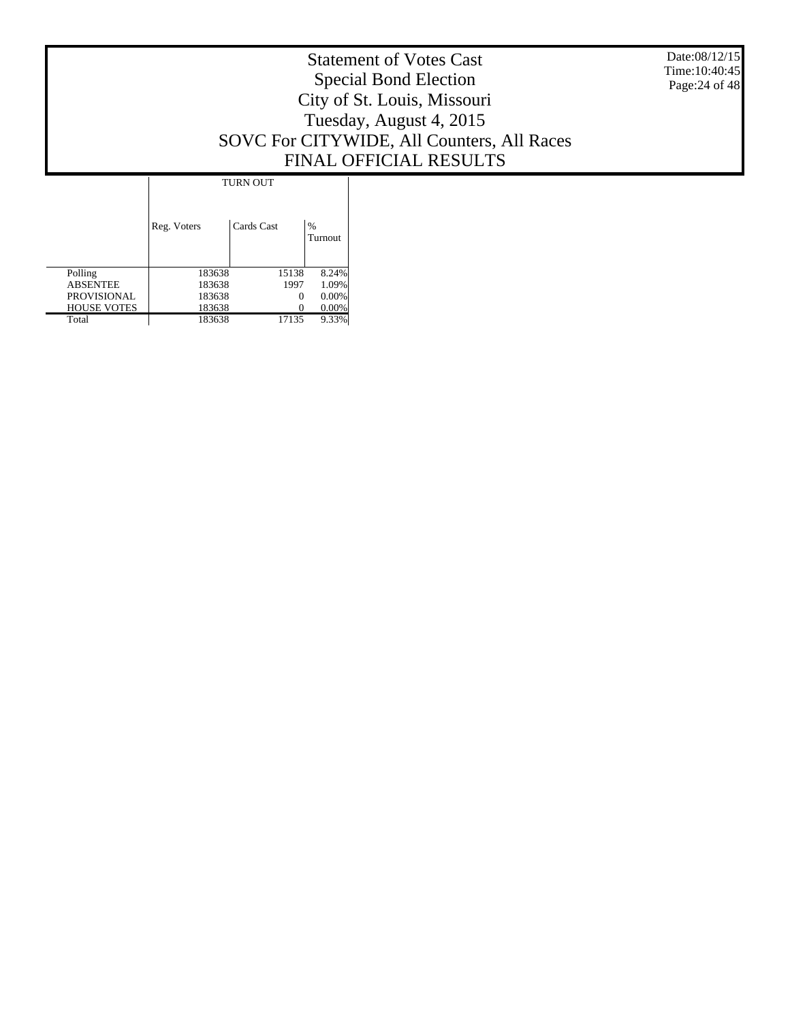Date:08/12/15 Time:10:40:45 Page:24 of 48

# Statement of Votes Cast Special Bond Election City of St. Louis, Missouri Tuesday, August 4, 2015 SOVC For CITYWIDE, All Counters, All Races FINAL OFFICIAL RESULTS

T

|                    | <b>TURN OUT</b> |            |                          |
|--------------------|-----------------|------------|--------------------------|
|                    | Reg. Voters     | Cards Cast | $\frac{0}{0}$<br>Turnout |
| Polling            | 183638          | 15138      | 8.24%                    |
| <b>ABSENTEE</b>    | 183638          | 1997       | 1.09%                    |
| <b>PROVISIONAL</b> | 183638          | 0          | 0.00%                    |
| <b>HOUSE VOTES</b> | 183638          | $\theta$   | $0.00\%$                 |
| Total              | 183638          | 17135      | 9.33%                    |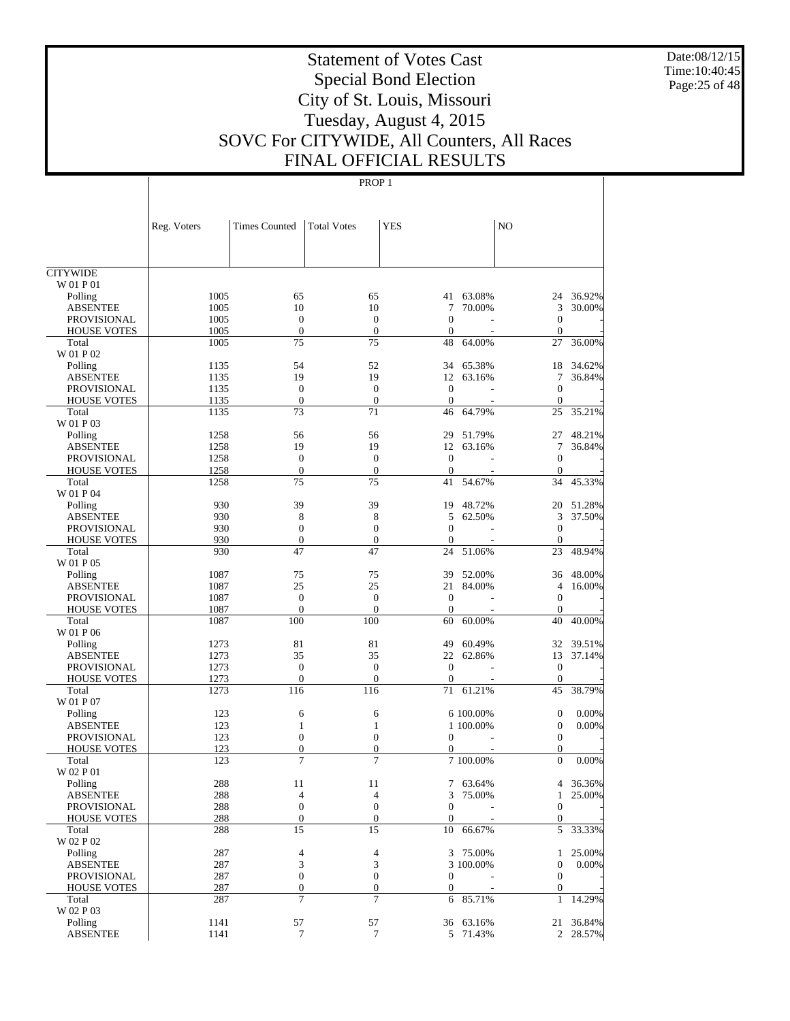Date:08/12/15 Time:10:40:45 Page:25 of 48

# Statement of Votes Cast Special Bond Election City of St. Louis, Missouri Tuesday, August 4, 2015 SOVC For CITYWIDE, All Counters, All Races FINAL OFFICIAL RESULTS

|                             | Reg. Voters  | <b>Times Counted</b>    | <b>Total Votes</b>    | <b>YES</b>         |                       | N <sub>O</sub>                   |                    |
|-----------------------------|--------------|-------------------------|-----------------------|--------------------|-----------------------|----------------------------------|--------------------|
|                             |              |                         |                       |                    |                       |                                  |                    |
|                             |              |                         |                       |                    |                       |                                  |                    |
| <b>CITYWIDE</b>             |              |                         |                       |                    |                       |                                  |                    |
| W 01 P 01                   |              |                         |                       |                    |                       |                                  |                    |
| Polling                     | 1005         | 65                      | 65                    |                    | 41 63.08%             | 24                               | 36.92%             |
| <b>ABSENTEE</b>             | 1005         | 10                      | 10                    | 7                  | 70.00%                | 3                                | 30.00%             |
| <b>PROVISIONAL</b>          | 1005         | $\mathbf{0}$            | $\theta$              | $\theta$           |                       | $\mathbf{0}$                     |                    |
| <b>HOUSE VOTES</b>          | 1005         | $\mathbf{0}$            | $\mathbf{0}$          | $\theta$           |                       | $\theta$                         |                    |
| Total<br>W 01 P 02          | 1005         | 75                      | 75                    | 48                 | 64.00%                | 27                               | 36.00%             |
| Polling                     | 1135         | 54                      | 52                    | 34                 | 65.38%                | 18                               | 34.62%             |
| <b>ABSENTEE</b>             | 1135         | 19                      | 19                    | 12                 | 63.16%                | 7                                | 36.84%             |
| <b>PROVISIONAL</b>          | 1135         | $\mathbf{0}$            | $\mathbf{0}$          | $\mathbf{0}$       |                       | $\overline{0}$                   |                    |
| <b>HOUSE VOTES</b>          | 1135         | $\boldsymbol{0}$        | $\boldsymbol{0}$      | $\theta$           |                       | $\mathbf{0}$                     |                    |
| Total                       | 1135         | 73                      | 71                    | 46                 | 64.79%                | 25                               | 35.21%             |
| W 01 P 03                   |              |                         |                       |                    |                       |                                  |                    |
| Polling                     | 1258         | 56                      | 56                    | 29                 | 51.79%                | 27                               | 48.21%             |
| <b>ABSENTEE</b>             | 1258         | 19                      | 19                    | 12                 | 63.16%                | 7                                | 36.84%             |
| <b>PROVISIONAL</b>          | 1258         | $\mathbf{0}$            | $\mathbf{0}$          | $\mathbf{0}$       |                       | $\mathbf{0}$                     |                    |
| <b>HOUSE VOTES</b>          | 1258         | $\boldsymbol{0}$        | $\overline{0}$        | $\theta$           |                       | $\mathbf{0}$                     |                    |
| Total                       | 1258         | 75                      | 75                    | 41                 | 54.67%                | 34                               | 45.33%             |
| W 01 P 04                   |              |                         |                       |                    |                       |                                  |                    |
| Polling<br><b>ABSENTEE</b>  | 930<br>930   | 39<br>8                 | 39<br>8               | 19<br>5            | 48.72%<br>62.50%      | 20<br>3                          | 51.28%<br>37.50%   |
| <b>PROVISIONAL</b>          | 930          | $\mathbf{0}$            | $\mathbf{0}$          | $\Omega$           |                       | $\mathbf{0}$                     |                    |
| <b>HOUSE VOTES</b>          | 930          | $\boldsymbol{0}$        | $\overline{0}$        | $\mathbf{0}$       |                       | $\boldsymbol{0}$                 |                    |
| Total                       | 930          | 47                      | 47                    | 24                 | 51.06%                | 23                               | 48.94%             |
| W 01 P 05                   |              |                         |                       |                    |                       |                                  |                    |
| Polling                     | 1087         | 75                      | 75                    | 39                 | 52.00%                | 36                               | 48.00%             |
| <b>ABSENTEE</b>             | 1087         | 25                      | 25                    | 21                 | 84.00%                | $\overline{4}$                   | 16.00%             |
| <b>PROVISIONAL</b>          | 1087         | $\mathbf{0}$            | $\theta$              | $\mathbf{0}$       |                       | $\mathbf{0}$                     |                    |
| <b>HOUSE VOTES</b>          | 1087         | $\mathbf{0}$            | $\overline{0}$        | $\mathbf{0}$       |                       | $\boldsymbol{0}$                 |                    |
| Total                       | 1087         | 100                     | 100                   | 60                 | 60.00%                | 40                               | 40.00%             |
| W 01 P 06                   |              |                         |                       |                    |                       |                                  |                    |
| Polling                     | 1273         | 81                      | 81                    | 49                 | 60.49%                | 32                               | 39.51%             |
| <b>ABSENTEE</b>             | 1273         | 35                      | 35                    | 22                 | 62.86%                | 13                               | 37.14%             |
| <b>PROVISIONAL</b>          | 1273         | $\mathbf{0}$            | $\mathbf{0}$          | $\theta$           |                       | $\boldsymbol{0}$                 |                    |
| <b>HOUSE VOTES</b><br>Total | 1273<br>1273 | $\boldsymbol{0}$<br>116 | $\overline{0}$<br>116 | $\mathbf{0}$<br>71 | 61.21%                | $\mathbf{0}$<br>45               | 38.79%             |
| W 01 P 07                   |              |                         |                       |                    |                       |                                  |                    |
| Polling                     | 123          | 6                       | 6                     |                    | 6 100.00%             | $\boldsymbol{0}$                 | 0.00%              |
| <b>ABSENTEE</b>             | 123          | 1                       | 1                     |                    | 1 100.00%             | $\boldsymbol{0}$                 | 0.00%              |
| PROVISIONAL                 | 123          | $\mathbf{0}$            | $\overline{0}$        | $\mathbf{0}$       |                       | $\boldsymbol{0}$                 |                    |
| <b>HOUSE VOTES</b>          | 123          | $\boldsymbol{0}$        | $\boldsymbol{0}$      | 0                  |                       | $\theta$                         |                    |
| Total                       | 123          | 7                       | 7                     |                    | 7 100.00%             | $\overline{0}$                   | 0.00%              |
| W 02 P 01                   |              |                         |                       |                    |                       |                                  |                    |
| Polling                     | 288          | 11                      | 11                    | $\tau$             | 63.64%                |                                  | 4 36.36%           |
| <b>ABSENTEE</b>             | 288          | 4                       | 4                     | 3                  | 75.00%                | $\mathbf{1}$                     | 25.00%             |
| PROVISIONAL                 | 288          | $\boldsymbol{0}$        | $\boldsymbol{0}$      | $\mathbf{0}$       |                       | $\mathbf{0}$                     |                    |
| <b>HOUSE VOTES</b>          | 288          | $\boldsymbol{0}$        | $\boldsymbol{0}$      | $\boldsymbol{0}$   |                       | $\boldsymbol{0}$                 |                    |
| Total                       | 288          | 15                      | 15                    | 10                 | 66.67%                | 5                                | 33.33%             |
| W 02 P 02                   |              |                         |                       |                    |                       |                                  |                    |
| Polling<br><b>ABSENTEE</b>  | 287<br>287   | $\overline{4}$<br>3     | 4<br>3                |                    | 3 75.00%<br>3 100.00% | $\mathbf{1}$<br>$\boldsymbol{0}$ | 25.00%<br>$0.00\%$ |
| PROVISIONAL                 | 287          | $\boldsymbol{0}$        | $\boldsymbol{0}$      | $\mathbf{0}$       |                       | $\boldsymbol{0}$                 |                    |
| <b>HOUSE VOTES</b>          | 287          | $\boldsymbol{0}$        | $\boldsymbol{0}$      | $\boldsymbol{0}$   |                       | $\boldsymbol{0}$                 |                    |
| Total                       | 287          | $\tau$                  | 7                     | 6                  | 85.71%                | 1                                | 14.29%             |
| W 02 P 03                   |              |                         |                       |                    |                       |                                  |                    |
| Polling                     | 1141         | 57                      | 57                    |                    | 36 63.16%             |                                  | 21 36.84%          |
| <b>ABSENTEE</b>             | 1141         | $\boldsymbol{7}$        | 7                     |                    | 5 71.43%              |                                  | 2 28.57%           |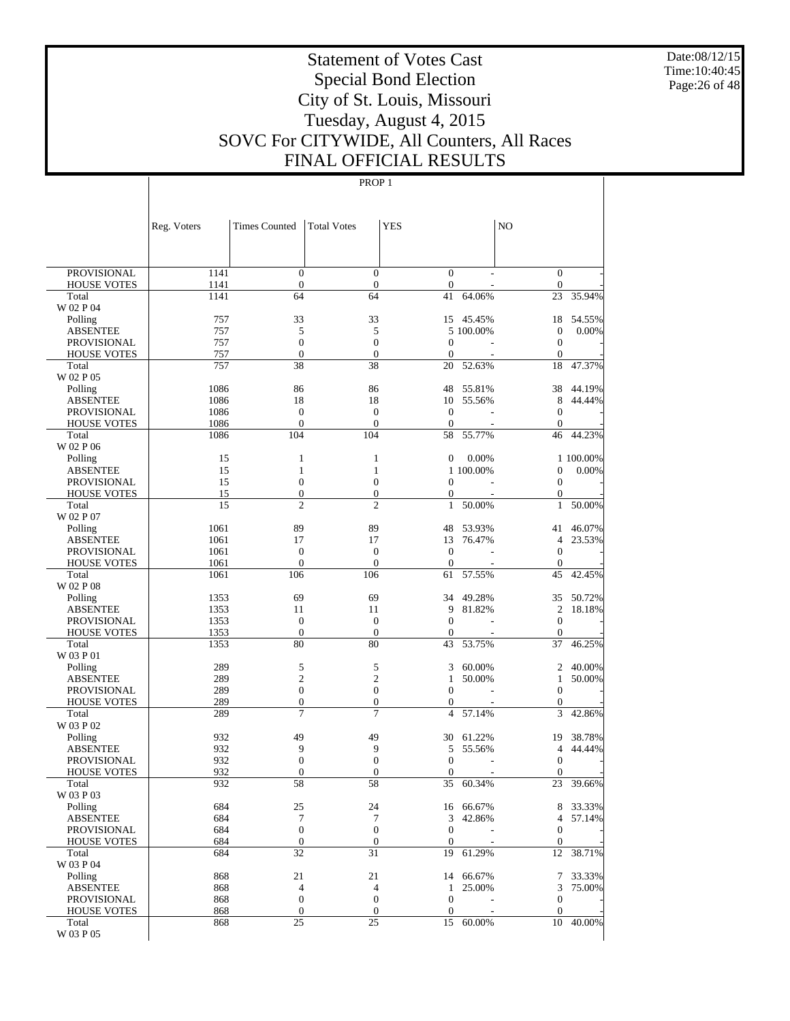Date:08/12/15 Time:10:40:45 Page:26 of 48

# Statement of Votes Cast Special Bond Election City of St. Louis, Missouri Tuesday, August 4, 2015 SOVC For CITYWIDE, All Counters, All Races FINAL OFFICIAL RESULTS

|                                   | Reg. Voters  | <b>Times Counted</b>             | <b>Total Votes</b>                   | <b>YES</b>                   |                  | N <sub>O</sub>                       |                  |
|-----------------------------------|--------------|----------------------------------|--------------------------------------|------------------------------|------------------|--------------------------------------|------------------|
|                                   |              |                                  |                                      |                              |                  |                                      |                  |
| <b>PROVISIONAL</b>                | 1141         | $\boldsymbol{0}$                 | $\boldsymbol{0}$                     | $\boldsymbol{0}$             |                  | $\boldsymbol{0}$                     |                  |
| <b>HOUSE VOTES</b>                | 1141         | $\boldsymbol{0}$                 | $\boldsymbol{0}$                     | $\mathbf{0}$                 |                  | $\boldsymbol{0}$                     |                  |
| Total                             | 1141         | 64                               | 64                                   | 41                           | 64.06%           | 23                                   | 35.94%           |
| W 02 P 04                         |              |                                  |                                      |                              |                  |                                      |                  |
| Polling                           | 757<br>757   | 33<br>5                          | 33<br>5                              | 15                           | 45.45%           | 18                                   | 54.55%<br>0.00%  |
| ABSENTEE<br><b>PROVISIONAL</b>    | 757          | $\boldsymbol{0}$                 | $\mathbf{0}$                         | $\boldsymbol{0}$             | 5 100.00%        | $\boldsymbol{0}$<br>$\boldsymbol{0}$ |                  |
| <b>HOUSE VOTES</b>                | 757          | $\boldsymbol{0}$                 | $\boldsymbol{0}$                     | $\mathbf{0}$                 |                  | $\mathbf{0}$                         |                  |
| Total                             | 757          | 38                               | 38                                   | 20                           | 52.63%           | 18                                   | 47.37%           |
| W 02 P 05                         |              |                                  |                                      |                              |                  |                                      |                  |
| Polling                           | 1086         | 86                               | 86                                   | 48                           | 55.81%           | 38                                   | 44.19%           |
| ABSENTEE                          | 1086         | 18                               | 18                                   | 10                           | 55.56%           | 8                                    | 44.44%           |
| PROVISIONAL                       | 1086         | $\mathbf{0}$                     | $\mathbf{0}$                         | $\mathbf{0}$                 |                  | $\boldsymbol{0}$                     |                  |
| <b>HOUSE VOTES</b>                | 1086         | $\boldsymbol{0}$                 | $\mathbf{0}$                         | $\theta$                     |                  | $\mathbf{0}$                         |                  |
| Total<br>W 02 P 06                | 1086         | 104                              | 104                                  | 58                           | 55.77%           | 46                                   | 44.23%           |
| Polling                           | 15           | 1                                | 1                                    | $\boldsymbol{0}$             | 0.00%            |                                      | 1 100.00%        |
| ABSENTEE                          | 15           | $\mathbf{1}$                     | $\mathbf{1}$                         |                              | 1 100.00%        | 0                                    | 0.00%            |
| <b>PROVISIONAL</b>                | 15           | $\boldsymbol{0}$                 | $\boldsymbol{0}$                     | $\boldsymbol{0}$             |                  | $\boldsymbol{0}$                     |                  |
| <b>HOUSE VOTES</b>                | 15           | $\boldsymbol{0}$                 | $\boldsymbol{0}$                     | $\mathbf{0}$                 |                  | $\mathbf{0}$                         |                  |
| Total                             | 15           | $\overline{c}$                   | $\mathfrak{2}$                       | $\mathbf{1}$                 | 50.00%           | $\mathbf{1}$                         | 50.00%           |
| W 02 P 07                         |              |                                  |                                      |                              |                  |                                      |                  |
| Polling                           | 1061         | 89                               | 89                                   | 48                           | 53.93%           | 41                                   | 46.07%           |
| ABSENTEE                          | 1061         | 17                               | 17                                   | 13                           | 76.47%           | $\overline{4}$                       | 23.53%           |
| PROVISIONAL<br><b>HOUSE VOTES</b> | 1061<br>1061 | $\mathbf{0}$<br>$\boldsymbol{0}$ | $\boldsymbol{0}$<br>$\boldsymbol{0}$ | $\mathbf{0}$<br>$\mathbf{0}$ |                  | $\boldsymbol{0}$<br>$\mathbf{0}$     |                  |
| Total                             | 1061         | 106                              | 106                                  | 61                           | 57.55%           | 45                                   | 42.45%           |
| W 02 P 08                         |              |                                  |                                      |                              |                  |                                      |                  |
| Polling                           | 1353         | 69                               | 69                                   | 34                           | 49.28%           | 35                                   | 50.72%           |
| ABSENTEE                          | 1353         | 11                               | 11                                   | 9                            | 81.82%           | $\overline{c}$                       | 18.18%           |
| PROVISIONAL                       | 1353         | $\boldsymbol{0}$                 | $\mathbf{0}$                         | $\theta$                     |                  | $\boldsymbol{0}$                     |                  |
| <b>HOUSE VOTES</b>                | 1353         | $\boldsymbol{0}$                 | $\boldsymbol{0}$                     | $\theta$                     |                  | $\mathbf{0}$                         |                  |
| Total                             | 1353         | 80                               | 80                                   | 43                           | 53.75%           | 37                                   | 46.25%           |
| W 03 P 01                         | 289          |                                  |                                      |                              |                  |                                      |                  |
| Polling<br>ABSENTEE               | 289          | 5<br>$\mathfrak{2}$              | 5<br>$\overline{c}$                  | 3<br>$\mathbf{1}$            | 60.00%<br>50.00% | 2<br>$\mathbf{1}$                    | 40.00%<br>50.00% |
| PROVISIONAL                       | 289          | $\boldsymbol{0}$                 | $\boldsymbol{0}$                     | $\mathbf{0}$                 |                  | $\boldsymbol{0}$                     |                  |
| <b>HOUSE VOTES</b>                | 289          | $\boldsymbol{0}$                 | $\boldsymbol{0}$                     | $\mathbf{0}$                 |                  | $\boldsymbol{0}$                     |                  |
| Total                             | 289          | 7                                | 7                                    | $\overline{4}$               | 57.14%           | 3                                    | 42.86%           |
| W 03 P 02                         |              |                                  |                                      |                              |                  |                                      |                  |
| Polling                           | 932          | 49                               | 49                                   | 30                           | 61.22%           | 19                                   | 38.78%           |
| ABSENTEE                          | 932          | 9                                | 9                                    | 5                            | 55.56%           | $\overline{4}$                       | 44.44%           |
| <b>PROVISIONAL</b>                | 932          | $\boldsymbol{0}$                 | $\mathbf{0}$                         | $\mathbf{0}$                 |                  | $\mathbf{0}$                         |                  |
| <b>HOUSE VOTES</b>                | 932<br>932   | $\boldsymbol{0}$<br>58           | $\mathbf{0}$<br>58                   | $\mathbf{0}$<br>35           | 60.34%           | $\boldsymbol{0}$<br>23               | 39.66%           |
| Total<br>W 03 P 03                |              |                                  |                                      |                              |                  |                                      |                  |
| Polling                           | 684          | 25                               | 24                                   |                              | 16 66.67%        | 8                                    | 33.33%           |
| <b>ABSENTEE</b>                   | 684          | 7                                | 7                                    | 3                            | 42.86%           | 4                                    | 57.14%           |
| <b>PROVISIONAL</b>                | 684          | $\boldsymbol{0}$                 | $\boldsymbol{0}$                     | $\mathbf{0}$                 |                  | $\boldsymbol{0}$                     |                  |
| <b>HOUSE VOTES</b>                | 684          | $\boldsymbol{0}$                 | $\boldsymbol{0}$                     | $\boldsymbol{0}$             |                  | $\boldsymbol{0}$                     |                  |
| Total                             | 684          | 32                               | 31                                   | 19                           | 61.29%           | 12                                   | 38.71%           |
| W 03 P 04                         |              |                                  |                                      |                              |                  |                                      |                  |
| Polling                           | 868          | 21                               | 21                                   | 14                           | 66.67%           | 7                                    | 33.33%           |
| <b>ABSENTEE</b>                   | 868          | 4<br>$\boldsymbol{0}$            | 4<br>$\boldsymbol{0}$                | $\mathbf{1}$<br>$\mathbf{0}$ | 25.00%           | 3                                    | 75.00%           |
| PROVISIONAL<br><b>HOUSE VOTES</b> | 868<br>868   | $\boldsymbol{0}$                 | $\boldsymbol{0}$                     | $\boldsymbol{0}$             |                  | $\boldsymbol{0}$<br>$\boldsymbol{0}$ |                  |
| Total                             | 868          | 25                               | 25                                   | 15                           | 60.00%           | 10                                   | 40.00%           |
| W 03 P 05                         |              |                                  |                                      |                              |                  |                                      |                  |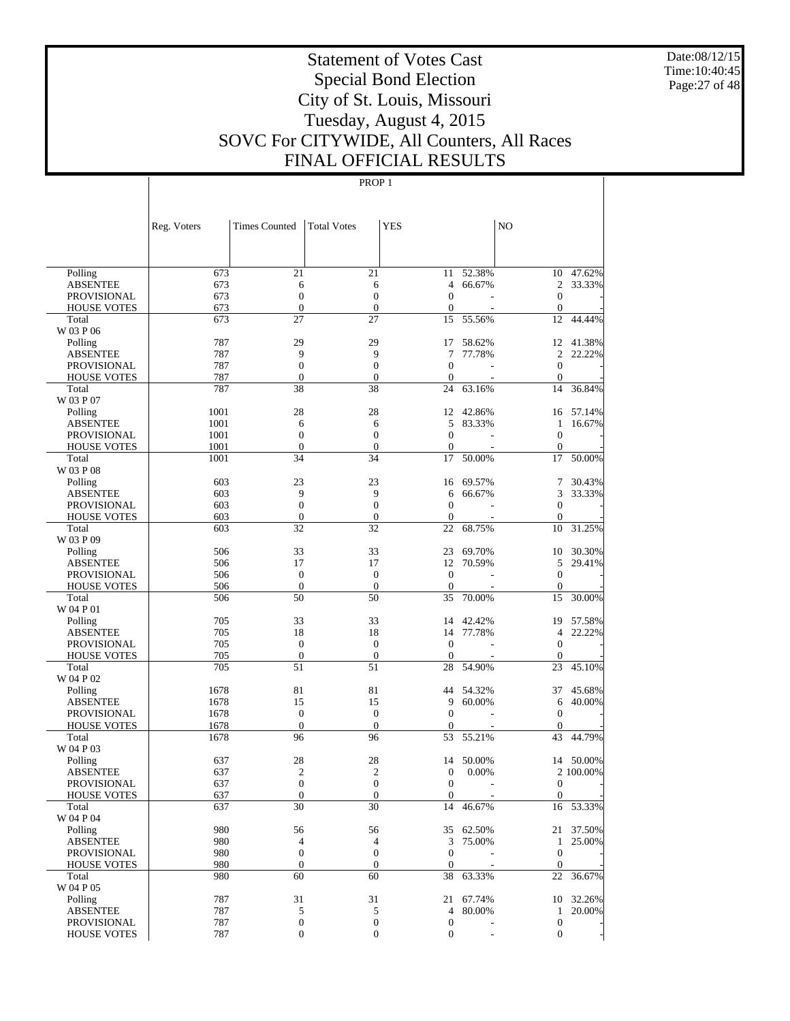Date:08/12/15 Time:10:40:45 Page:27 of 48

# Statement of Votes Cast Special Bond Election City of St. Louis, Missouri Tuesday, August 4, 2015 SOVC For CITYWIDE, All Counters, All Races FINAL OFFICIAL RESULTS

| $\overline{21}$<br>Polling<br>673<br>21<br>52.38%<br>47.62%<br>11<br>10<br>673<br>66.67%<br>$\overline{2}$<br>33.33%<br><b>ABSENTEE</b><br>6<br>6<br>4<br>673<br>$\mathbf{0}$<br>$\boldsymbol{0}$<br>$\overline{0}$<br><b>PROVISIONAL</b><br>$\mathbf{0}$<br>673<br>$\boldsymbol{0}$<br>$\boldsymbol{0}$<br>$\boldsymbol{0}$<br><b>HOUSE VOTES</b><br>$\boldsymbol{0}$<br>÷,<br>27<br>673<br>27<br>15<br>55.56%<br>12<br>44.44%<br>Total<br>W 03 P 06<br>787<br>29<br>29<br>41.38%<br>17<br>58.62%<br>12<br>Polling<br>787<br>9<br>9<br>77.78%<br>$\overline{2}$<br>22.22%<br><b>ABSENTEE</b><br>7<br>787<br>$\mathbf{0}$<br>$\mathbf{0}$<br>$\overline{0}$<br><b>PROVISIONAL</b><br>$\mathbf{0}$<br>787<br>$\boldsymbol{0}$<br><b>HOUSE VOTES</b><br>$\boldsymbol{0}$<br>$\boldsymbol{0}$<br>$\boldsymbol{0}$<br>÷,<br>787<br>38<br>38<br>24<br>63.16%<br>14<br>36.84%<br>Total<br>W 03 P 07<br>1001<br>28<br>28<br>42.86%<br>Polling<br>12<br>16<br>57.14%<br>1001<br>5<br>83.33%<br>16.67%<br><b>ABSENTEE</b><br>6<br>6<br>$\mathbf{1}$<br>1001<br>$\boldsymbol{0}$<br>$\boldsymbol{0}$<br>$\mathbf{0}$<br>$\overline{0}$<br><b>PROVISIONAL</b><br>1001<br><b>HOUSE VOTES</b><br>$\boldsymbol{0}$<br>$\boldsymbol{0}$<br>0<br>$\mathbf{0}$<br>1001<br>34<br>34<br>17<br>50.00%<br>17<br>50.00%<br>Total<br>W 03 P 08<br>603<br>23<br>23<br>69.57%<br>30.43%<br>16<br>7<br>Polling<br>603<br>9<br>9<br>3<br>33.33%<br><b>ABSENTEE</b><br>6<br>66.67%<br>603<br>$\mathbf{0}$<br>$\mathbf{0}$<br>$\overline{0}$<br>$\boldsymbol{0}$<br><b>PROVISIONAL</b><br>603<br>$\boldsymbol{0}$<br><b>HOUSE VOTES</b><br>$\boldsymbol{0}$<br>$\boldsymbol{0}$<br>$\boldsymbol{0}$<br>603<br>32<br>32<br>22<br>68.75%<br>10<br>31.25%<br>Total<br>W 03 P 09<br>506<br>33<br>33<br>69.70%<br>30.30%<br>Polling<br>23<br>10<br>506<br>17<br>17<br>12<br>70.59%<br>5<br>29.41%<br><b>ABSENTEE</b><br>506<br>$\boldsymbol{0}$<br>$\boldsymbol{0}$<br>$\mathbf{0}$<br>$\overline{0}$<br><b>PROVISIONAL</b><br>506<br>$\boldsymbol{0}$<br>$\boldsymbol{0}$<br>$\boldsymbol{0}$<br><b>HOUSE VOTES</b><br>$\boldsymbol{0}$<br>506<br>50<br>50<br>35<br>70.00%<br>15<br>30.00%<br>Total<br>W 04 P 01<br>705<br>33<br>33<br>14<br>42.42%<br>19<br>57.58%<br>Polling<br>705<br>18<br>18<br>77.78%<br>22.22%<br><b>ABSENTEE</b><br>14<br>$\overline{4}$<br>705<br>$\mathbf{0}$<br>$\boldsymbol{0}$<br>$\mathbf{0}$<br>$\mathbf{0}$<br><b>PROVISIONAL</b><br>705<br>$\boldsymbol{0}$<br>$\boldsymbol{0}$<br>$\mathbf{0}$<br><b>HOUSE VOTES</b><br>$\mathbf{0}$<br>705<br>51<br>51<br>28<br>54.90%<br>23<br>45.10%<br>Total<br>W 04 P 02<br>81<br>81<br>54.32%<br>45.68%<br>1678<br>44<br>37<br>Polling<br>9<br>60.00%<br>40.00%<br><b>ABSENTEE</b><br>1678<br>15<br>15<br>6<br>1678<br>$\boldsymbol{0}$<br>$\boldsymbol{0}$<br>$\mathbf{0}$<br><b>PROVISIONAL</b><br>$\theta$<br>$\boldsymbol{0}$<br>$\boldsymbol{0}$<br><b>HOUSE VOTES</b><br>1678<br>0<br>$\boldsymbol{0}$<br>÷,<br>1678<br>96<br>96<br>53<br>55.21%<br>43<br>44.79%<br>Total<br>W 04 P 03<br>28<br>14 50.00%<br>637<br>28<br>14<br>50.00%<br>Polling<br>637<br>$\overline{2}$<br>$\overline{c}$<br><b>ABSENTEE</b><br>0<br>0.00%<br>2 100.00%<br>637<br>$\mathbf{0}$<br>$\mathbf{0}$<br>$\overline{0}$<br><b>PROVISIONAL</b><br>$\overline{0}$<br>÷,<br><b>HOUSE VOTES</b><br>637<br>$\boldsymbol{0}$<br>$\boldsymbol{0}$<br>$\mathbf{0}$<br>$\overline{0}$<br>30<br>30<br>637<br>14<br>16<br>53.33%<br>Total<br>46.67%<br>W 04 P 04<br>980<br>56<br>56<br>21 37.50%<br>Polling<br>35<br>62.50%<br>980<br>$\overline{4}$<br>$\overline{4}$<br>3<br>75.00%<br>25.00%<br><b>ABSENTEE</b><br>1<br>980<br>$\boldsymbol{0}$<br>$\boldsymbol{0}$<br>$\boldsymbol{0}$<br>PROVISIONAL<br>$\mathbf{0}$<br>980<br>$\boldsymbol{0}$<br>$\mathbf{0}$<br><b>HOUSE VOTES</b><br>$\boldsymbol{0}$<br>$\boldsymbol{0}$<br>$\overline{\phantom{a}}$<br>980<br>60<br>60<br>38<br>63.33%<br>22<br>36.67%<br>Total<br>W 04 P 05<br>787<br>31<br>31<br>32.26%<br>Polling<br>21<br>67.74%<br>10<br>787<br>5<br>80.00%<br>1 20.00%<br><b>ABSENTEE</b><br>5<br>4<br>787<br>$\boldsymbol{0}$<br>$\boldsymbol{0}$<br>PROVISIONAL<br>$\boldsymbol{0}$<br>$\mathbf{0}$<br>787<br>$\boldsymbol{0}$<br>$\boldsymbol{0}$<br>$\boldsymbol{0}$<br>$\boldsymbol{0}$<br><b>HOUSE VOTES</b> | Reg. Voters | <b>Times Counted</b> | <b>Total Votes</b> | <b>YES</b> | NO |  |
|---------------------------------------------------------------------------------------------------------------------------------------------------------------------------------------------------------------------------------------------------------------------------------------------------------------------------------------------------------------------------------------------------------------------------------------------------------------------------------------------------------------------------------------------------------------------------------------------------------------------------------------------------------------------------------------------------------------------------------------------------------------------------------------------------------------------------------------------------------------------------------------------------------------------------------------------------------------------------------------------------------------------------------------------------------------------------------------------------------------------------------------------------------------------------------------------------------------------------------------------------------------------------------------------------------------------------------------------------------------------------------------------------------------------------------------------------------------------------------------------------------------------------------------------------------------------------------------------------------------------------------------------------------------------------------------------------------------------------------------------------------------------------------------------------------------------------------------------------------------------------------------------------------------------------------------------------------------------------------------------------------------------------------------------------------------------------------------------------------------------------------------------------------------------------------------------------------------------------------------------------------------------------------------------------------------------------------------------------------------------------------------------------------------------------------------------------------------------------------------------------------------------------------------------------------------------------------------------------------------------------------------------------------------------------------------------------------------------------------------------------------------------------------------------------------------------------------------------------------------------------------------------------------------------------------------------------------------------------------------------------------------------------------------------------------------------------------------------------------------------------------------------------------------------------------------------------------------------------------------------------------------------------------------------------------------------------------------------------------------------------------------------------------------------------------------------------------------------------------------------------------------------------------------------------------------------------------------------------------------------------------------------------------------------------------------------------------------------------------------------------------------------------------------------------------------------------------------------------------------------------------------------------------------------------------------------------------------------------------------------------------------------------------------------------------------------------------------------------------------------------------------------------------------------------------------------------------------------------------------------------------------------------------------------------|-------------|----------------------|--------------------|------------|----|--|
|                                                                                                                                                                                                                                                                                                                                                                                                                                                                                                                                                                                                                                                                                                                                                                                                                                                                                                                                                                                                                                                                                                                                                                                                                                                                                                                                                                                                                                                                                                                                                                                                                                                                                                                                                                                                                                                                                                                                                                                                                                                                                                                                                                                                                                                                                                                                                                                                                                                                                                                                                                                                                                                                                                                                                                                                                                                                                                                                                                                                                                                                                                                                                                                                                                                                                                                                                                                                                                                                                                                                                                                                                                                                                                                                                                                                                                                                                                                                                                                                                                                                                                                                                                                                                                                                                                   |             |                      |                    |            |    |  |
|                                                                                                                                                                                                                                                                                                                                                                                                                                                                                                                                                                                                                                                                                                                                                                                                                                                                                                                                                                                                                                                                                                                                                                                                                                                                                                                                                                                                                                                                                                                                                                                                                                                                                                                                                                                                                                                                                                                                                                                                                                                                                                                                                                                                                                                                                                                                                                                                                                                                                                                                                                                                                                                                                                                                                                                                                                                                                                                                                                                                                                                                                                                                                                                                                                                                                                                                                                                                                                                                                                                                                                                                                                                                                                                                                                                                                                                                                                                                                                                                                                                                                                                                                                                                                                                                                                   |             |                      |                    |            |    |  |
|                                                                                                                                                                                                                                                                                                                                                                                                                                                                                                                                                                                                                                                                                                                                                                                                                                                                                                                                                                                                                                                                                                                                                                                                                                                                                                                                                                                                                                                                                                                                                                                                                                                                                                                                                                                                                                                                                                                                                                                                                                                                                                                                                                                                                                                                                                                                                                                                                                                                                                                                                                                                                                                                                                                                                                                                                                                                                                                                                                                                                                                                                                                                                                                                                                                                                                                                                                                                                                                                                                                                                                                                                                                                                                                                                                                                                                                                                                                                                                                                                                                                                                                                                                                                                                                                                                   |             |                      |                    |            |    |  |
|                                                                                                                                                                                                                                                                                                                                                                                                                                                                                                                                                                                                                                                                                                                                                                                                                                                                                                                                                                                                                                                                                                                                                                                                                                                                                                                                                                                                                                                                                                                                                                                                                                                                                                                                                                                                                                                                                                                                                                                                                                                                                                                                                                                                                                                                                                                                                                                                                                                                                                                                                                                                                                                                                                                                                                                                                                                                                                                                                                                                                                                                                                                                                                                                                                                                                                                                                                                                                                                                                                                                                                                                                                                                                                                                                                                                                                                                                                                                                                                                                                                                                                                                                                                                                                                                                                   |             |                      |                    |            |    |  |
|                                                                                                                                                                                                                                                                                                                                                                                                                                                                                                                                                                                                                                                                                                                                                                                                                                                                                                                                                                                                                                                                                                                                                                                                                                                                                                                                                                                                                                                                                                                                                                                                                                                                                                                                                                                                                                                                                                                                                                                                                                                                                                                                                                                                                                                                                                                                                                                                                                                                                                                                                                                                                                                                                                                                                                                                                                                                                                                                                                                                                                                                                                                                                                                                                                                                                                                                                                                                                                                                                                                                                                                                                                                                                                                                                                                                                                                                                                                                                                                                                                                                                                                                                                                                                                                                                                   |             |                      |                    |            |    |  |
|                                                                                                                                                                                                                                                                                                                                                                                                                                                                                                                                                                                                                                                                                                                                                                                                                                                                                                                                                                                                                                                                                                                                                                                                                                                                                                                                                                                                                                                                                                                                                                                                                                                                                                                                                                                                                                                                                                                                                                                                                                                                                                                                                                                                                                                                                                                                                                                                                                                                                                                                                                                                                                                                                                                                                                                                                                                                                                                                                                                                                                                                                                                                                                                                                                                                                                                                                                                                                                                                                                                                                                                                                                                                                                                                                                                                                                                                                                                                                                                                                                                                                                                                                                                                                                                                                                   |             |                      |                    |            |    |  |
|                                                                                                                                                                                                                                                                                                                                                                                                                                                                                                                                                                                                                                                                                                                                                                                                                                                                                                                                                                                                                                                                                                                                                                                                                                                                                                                                                                                                                                                                                                                                                                                                                                                                                                                                                                                                                                                                                                                                                                                                                                                                                                                                                                                                                                                                                                                                                                                                                                                                                                                                                                                                                                                                                                                                                                                                                                                                                                                                                                                                                                                                                                                                                                                                                                                                                                                                                                                                                                                                                                                                                                                                                                                                                                                                                                                                                                                                                                                                                                                                                                                                                                                                                                                                                                                                                                   |             |                      |                    |            |    |  |
|                                                                                                                                                                                                                                                                                                                                                                                                                                                                                                                                                                                                                                                                                                                                                                                                                                                                                                                                                                                                                                                                                                                                                                                                                                                                                                                                                                                                                                                                                                                                                                                                                                                                                                                                                                                                                                                                                                                                                                                                                                                                                                                                                                                                                                                                                                                                                                                                                                                                                                                                                                                                                                                                                                                                                                                                                                                                                                                                                                                                                                                                                                                                                                                                                                                                                                                                                                                                                                                                                                                                                                                                                                                                                                                                                                                                                                                                                                                                                                                                                                                                                                                                                                                                                                                                                                   |             |                      |                    |            |    |  |
|                                                                                                                                                                                                                                                                                                                                                                                                                                                                                                                                                                                                                                                                                                                                                                                                                                                                                                                                                                                                                                                                                                                                                                                                                                                                                                                                                                                                                                                                                                                                                                                                                                                                                                                                                                                                                                                                                                                                                                                                                                                                                                                                                                                                                                                                                                                                                                                                                                                                                                                                                                                                                                                                                                                                                                                                                                                                                                                                                                                                                                                                                                                                                                                                                                                                                                                                                                                                                                                                                                                                                                                                                                                                                                                                                                                                                                                                                                                                                                                                                                                                                                                                                                                                                                                                                                   |             |                      |                    |            |    |  |
|                                                                                                                                                                                                                                                                                                                                                                                                                                                                                                                                                                                                                                                                                                                                                                                                                                                                                                                                                                                                                                                                                                                                                                                                                                                                                                                                                                                                                                                                                                                                                                                                                                                                                                                                                                                                                                                                                                                                                                                                                                                                                                                                                                                                                                                                                                                                                                                                                                                                                                                                                                                                                                                                                                                                                                                                                                                                                                                                                                                                                                                                                                                                                                                                                                                                                                                                                                                                                                                                                                                                                                                                                                                                                                                                                                                                                                                                                                                                                                                                                                                                                                                                                                                                                                                                                                   |             |                      |                    |            |    |  |
|                                                                                                                                                                                                                                                                                                                                                                                                                                                                                                                                                                                                                                                                                                                                                                                                                                                                                                                                                                                                                                                                                                                                                                                                                                                                                                                                                                                                                                                                                                                                                                                                                                                                                                                                                                                                                                                                                                                                                                                                                                                                                                                                                                                                                                                                                                                                                                                                                                                                                                                                                                                                                                                                                                                                                                                                                                                                                                                                                                                                                                                                                                                                                                                                                                                                                                                                                                                                                                                                                                                                                                                                                                                                                                                                                                                                                                                                                                                                                                                                                                                                                                                                                                                                                                                                                                   |             |                      |                    |            |    |  |
|                                                                                                                                                                                                                                                                                                                                                                                                                                                                                                                                                                                                                                                                                                                                                                                                                                                                                                                                                                                                                                                                                                                                                                                                                                                                                                                                                                                                                                                                                                                                                                                                                                                                                                                                                                                                                                                                                                                                                                                                                                                                                                                                                                                                                                                                                                                                                                                                                                                                                                                                                                                                                                                                                                                                                                                                                                                                                                                                                                                                                                                                                                                                                                                                                                                                                                                                                                                                                                                                                                                                                                                                                                                                                                                                                                                                                                                                                                                                                                                                                                                                                                                                                                                                                                                                                                   |             |                      |                    |            |    |  |
|                                                                                                                                                                                                                                                                                                                                                                                                                                                                                                                                                                                                                                                                                                                                                                                                                                                                                                                                                                                                                                                                                                                                                                                                                                                                                                                                                                                                                                                                                                                                                                                                                                                                                                                                                                                                                                                                                                                                                                                                                                                                                                                                                                                                                                                                                                                                                                                                                                                                                                                                                                                                                                                                                                                                                                                                                                                                                                                                                                                                                                                                                                                                                                                                                                                                                                                                                                                                                                                                                                                                                                                                                                                                                                                                                                                                                                                                                                                                                                                                                                                                                                                                                                                                                                                                                                   |             |                      |                    |            |    |  |
|                                                                                                                                                                                                                                                                                                                                                                                                                                                                                                                                                                                                                                                                                                                                                                                                                                                                                                                                                                                                                                                                                                                                                                                                                                                                                                                                                                                                                                                                                                                                                                                                                                                                                                                                                                                                                                                                                                                                                                                                                                                                                                                                                                                                                                                                                                                                                                                                                                                                                                                                                                                                                                                                                                                                                                                                                                                                                                                                                                                                                                                                                                                                                                                                                                                                                                                                                                                                                                                                                                                                                                                                                                                                                                                                                                                                                                                                                                                                                                                                                                                                                                                                                                                                                                                                                                   |             |                      |                    |            |    |  |
|                                                                                                                                                                                                                                                                                                                                                                                                                                                                                                                                                                                                                                                                                                                                                                                                                                                                                                                                                                                                                                                                                                                                                                                                                                                                                                                                                                                                                                                                                                                                                                                                                                                                                                                                                                                                                                                                                                                                                                                                                                                                                                                                                                                                                                                                                                                                                                                                                                                                                                                                                                                                                                                                                                                                                                                                                                                                                                                                                                                                                                                                                                                                                                                                                                                                                                                                                                                                                                                                                                                                                                                                                                                                                                                                                                                                                                                                                                                                                                                                                                                                                                                                                                                                                                                                                                   |             |                      |                    |            |    |  |
|                                                                                                                                                                                                                                                                                                                                                                                                                                                                                                                                                                                                                                                                                                                                                                                                                                                                                                                                                                                                                                                                                                                                                                                                                                                                                                                                                                                                                                                                                                                                                                                                                                                                                                                                                                                                                                                                                                                                                                                                                                                                                                                                                                                                                                                                                                                                                                                                                                                                                                                                                                                                                                                                                                                                                                                                                                                                                                                                                                                                                                                                                                                                                                                                                                                                                                                                                                                                                                                                                                                                                                                                                                                                                                                                                                                                                                                                                                                                                                                                                                                                                                                                                                                                                                                                                                   |             |                      |                    |            |    |  |
|                                                                                                                                                                                                                                                                                                                                                                                                                                                                                                                                                                                                                                                                                                                                                                                                                                                                                                                                                                                                                                                                                                                                                                                                                                                                                                                                                                                                                                                                                                                                                                                                                                                                                                                                                                                                                                                                                                                                                                                                                                                                                                                                                                                                                                                                                                                                                                                                                                                                                                                                                                                                                                                                                                                                                                                                                                                                                                                                                                                                                                                                                                                                                                                                                                                                                                                                                                                                                                                                                                                                                                                                                                                                                                                                                                                                                                                                                                                                                                                                                                                                                                                                                                                                                                                                                                   |             |                      |                    |            |    |  |
|                                                                                                                                                                                                                                                                                                                                                                                                                                                                                                                                                                                                                                                                                                                                                                                                                                                                                                                                                                                                                                                                                                                                                                                                                                                                                                                                                                                                                                                                                                                                                                                                                                                                                                                                                                                                                                                                                                                                                                                                                                                                                                                                                                                                                                                                                                                                                                                                                                                                                                                                                                                                                                                                                                                                                                                                                                                                                                                                                                                                                                                                                                                                                                                                                                                                                                                                                                                                                                                                                                                                                                                                                                                                                                                                                                                                                                                                                                                                                                                                                                                                                                                                                                                                                                                                                                   |             |                      |                    |            |    |  |
|                                                                                                                                                                                                                                                                                                                                                                                                                                                                                                                                                                                                                                                                                                                                                                                                                                                                                                                                                                                                                                                                                                                                                                                                                                                                                                                                                                                                                                                                                                                                                                                                                                                                                                                                                                                                                                                                                                                                                                                                                                                                                                                                                                                                                                                                                                                                                                                                                                                                                                                                                                                                                                                                                                                                                                                                                                                                                                                                                                                                                                                                                                                                                                                                                                                                                                                                                                                                                                                                                                                                                                                                                                                                                                                                                                                                                                                                                                                                                                                                                                                                                                                                                                                                                                                                                                   |             |                      |                    |            |    |  |
|                                                                                                                                                                                                                                                                                                                                                                                                                                                                                                                                                                                                                                                                                                                                                                                                                                                                                                                                                                                                                                                                                                                                                                                                                                                                                                                                                                                                                                                                                                                                                                                                                                                                                                                                                                                                                                                                                                                                                                                                                                                                                                                                                                                                                                                                                                                                                                                                                                                                                                                                                                                                                                                                                                                                                                                                                                                                                                                                                                                                                                                                                                                                                                                                                                                                                                                                                                                                                                                                                                                                                                                                                                                                                                                                                                                                                                                                                                                                                                                                                                                                                                                                                                                                                                                                                                   |             |                      |                    |            |    |  |
|                                                                                                                                                                                                                                                                                                                                                                                                                                                                                                                                                                                                                                                                                                                                                                                                                                                                                                                                                                                                                                                                                                                                                                                                                                                                                                                                                                                                                                                                                                                                                                                                                                                                                                                                                                                                                                                                                                                                                                                                                                                                                                                                                                                                                                                                                                                                                                                                                                                                                                                                                                                                                                                                                                                                                                                                                                                                                                                                                                                                                                                                                                                                                                                                                                                                                                                                                                                                                                                                                                                                                                                                                                                                                                                                                                                                                                                                                                                                                                                                                                                                                                                                                                                                                                                                                                   |             |                      |                    |            |    |  |
|                                                                                                                                                                                                                                                                                                                                                                                                                                                                                                                                                                                                                                                                                                                                                                                                                                                                                                                                                                                                                                                                                                                                                                                                                                                                                                                                                                                                                                                                                                                                                                                                                                                                                                                                                                                                                                                                                                                                                                                                                                                                                                                                                                                                                                                                                                                                                                                                                                                                                                                                                                                                                                                                                                                                                                                                                                                                                                                                                                                                                                                                                                                                                                                                                                                                                                                                                                                                                                                                                                                                                                                                                                                                                                                                                                                                                                                                                                                                                                                                                                                                                                                                                                                                                                                                                                   |             |                      |                    |            |    |  |
|                                                                                                                                                                                                                                                                                                                                                                                                                                                                                                                                                                                                                                                                                                                                                                                                                                                                                                                                                                                                                                                                                                                                                                                                                                                                                                                                                                                                                                                                                                                                                                                                                                                                                                                                                                                                                                                                                                                                                                                                                                                                                                                                                                                                                                                                                                                                                                                                                                                                                                                                                                                                                                                                                                                                                                                                                                                                                                                                                                                                                                                                                                                                                                                                                                                                                                                                                                                                                                                                                                                                                                                                                                                                                                                                                                                                                                                                                                                                                                                                                                                                                                                                                                                                                                                                                                   |             |                      |                    |            |    |  |
|                                                                                                                                                                                                                                                                                                                                                                                                                                                                                                                                                                                                                                                                                                                                                                                                                                                                                                                                                                                                                                                                                                                                                                                                                                                                                                                                                                                                                                                                                                                                                                                                                                                                                                                                                                                                                                                                                                                                                                                                                                                                                                                                                                                                                                                                                                                                                                                                                                                                                                                                                                                                                                                                                                                                                                                                                                                                                                                                                                                                                                                                                                                                                                                                                                                                                                                                                                                                                                                                                                                                                                                                                                                                                                                                                                                                                                                                                                                                                                                                                                                                                                                                                                                                                                                                                                   |             |                      |                    |            |    |  |
|                                                                                                                                                                                                                                                                                                                                                                                                                                                                                                                                                                                                                                                                                                                                                                                                                                                                                                                                                                                                                                                                                                                                                                                                                                                                                                                                                                                                                                                                                                                                                                                                                                                                                                                                                                                                                                                                                                                                                                                                                                                                                                                                                                                                                                                                                                                                                                                                                                                                                                                                                                                                                                                                                                                                                                                                                                                                                                                                                                                                                                                                                                                                                                                                                                                                                                                                                                                                                                                                                                                                                                                                                                                                                                                                                                                                                                                                                                                                                                                                                                                                                                                                                                                                                                                                                                   |             |                      |                    |            |    |  |
|                                                                                                                                                                                                                                                                                                                                                                                                                                                                                                                                                                                                                                                                                                                                                                                                                                                                                                                                                                                                                                                                                                                                                                                                                                                                                                                                                                                                                                                                                                                                                                                                                                                                                                                                                                                                                                                                                                                                                                                                                                                                                                                                                                                                                                                                                                                                                                                                                                                                                                                                                                                                                                                                                                                                                                                                                                                                                                                                                                                                                                                                                                                                                                                                                                                                                                                                                                                                                                                                                                                                                                                                                                                                                                                                                                                                                                                                                                                                                                                                                                                                                                                                                                                                                                                                                                   |             |                      |                    |            |    |  |
|                                                                                                                                                                                                                                                                                                                                                                                                                                                                                                                                                                                                                                                                                                                                                                                                                                                                                                                                                                                                                                                                                                                                                                                                                                                                                                                                                                                                                                                                                                                                                                                                                                                                                                                                                                                                                                                                                                                                                                                                                                                                                                                                                                                                                                                                                                                                                                                                                                                                                                                                                                                                                                                                                                                                                                                                                                                                                                                                                                                                                                                                                                                                                                                                                                                                                                                                                                                                                                                                                                                                                                                                                                                                                                                                                                                                                                                                                                                                                                                                                                                                                                                                                                                                                                                                                                   |             |                      |                    |            |    |  |
|                                                                                                                                                                                                                                                                                                                                                                                                                                                                                                                                                                                                                                                                                                                                                                                                                                                                                                                                                                                                                                                                                                                                                                                                                                                                                                                                                                                                                                                                                                                                                                                                                                                                                                                                                                                                                                                                                                                                                                                                                                                                                                                                                                                                                                                                                                                                                                                                                                                                                                                                                                                                                                                                                                                                                                                                                                                                                                                                                                                                                                                                                                                                                                                                                                                                                                                                                                                                                                                                                                                                                                                                                                                                                                                                                                                                                                                                                                                                                                                                                                                                                                                                                                                                                                                                                                   |             |                      |                    |            |    |  |
|                                                                                                                                                                                                                                                                                                                                                                                                                                                                                                                                                                                                                                                                                                                                                                                                                                                                                                                                                                                                                                                                                                                                                                                                                                                                                                                                                                                                                                                                                                                                                                                                                                                                                                                                                                                                                                                                                                                                                                                                                                                                                                                                                                                                                                                                                                                                                                                                                                                                                                                                                                                                                                                                                                                                                                                                                                                                                                                                                                                                                                                                                                                                                                                                                                                                                                                                                                                                                                                                                                                                                                                                                                                                                                                                                                                                                                                                                                                                                                                                                                                                                                                                                                                                                                                                                                   |             |                      |                    |            |    |  |
|                                                                                                                                                                                                                                                                                                                                                                                                                                                                                                                                                                                                                                                                                                                                                                                                                                                                                                                                                                                                                                                                                                                                                                                                                                                                                                                                                                                                                                                                                                                                                                                                                                                                                                                                                                                                                                                                                                                                                                                                                                                                                                                                                                                                                                                                                                                                                                                                                                                                                                                                                                                                                                                                                                                                                                                                                                                                                                                                                                                                                                                                                                                                                                                                                                                                                                                                                                                                                                                                                                                                                                                                                                                                                                                                                                                                                                                                                                                                                                                                                                                                                                                                                                                                                                                                                                   |             |                      |                    |            |    |  |
|                                                                                                                                                                                                                                                                                                                                                                                                                                                                                                                                                                                                                                                                                                                                                                                                                                                                                                                                                                                                                                                                                                                                                                                                                                                                                                                                                                                                                                                                                                                                                                                                                                                                                                                                                                                                                                                                                                                                                                                                                                                                                                                                                                                                                                                                                                                                                                                                                                                                                                                                                                                                                                                                                                                                                                                                                                                                                                                                                                                                                                                                                                                                                                                                                                                                                                                                                                                                                                                                                                                                                                                                                                                                                                                                                                                                                                                                                                                                                                                                                                                                                                                                                                                                                                                                                                   |             |                      |                    |            |    |  |
|                                                                                                                                                                                                                                                                                                                                                                                                                                                                                                                                                                                                                                                                                                                                                                                                                                                                                                                                                                                                                                                                                                                                                                                                                                                                                                                                                                                                                                                                                                                                                                                                                                                                                                                                                                                                                                                                                                                                                                                                                                                                                                                                                                                                                                                                                                                                                                                                                                                                                                                                                                                                                                                                                                                                                                                                                                                                                                                                                                                                                                                                                                                                                                                                                                                                                                                                                                                                                                                                                                                                                                                                                                                                                                                                                                                                                                                                                                                                                                                                                                                                                                                                                                                                                                                                                                   |             |                      |                    |            |    |  |
|                                                                                                                                                                                                                                                                                                                                                                                                                                                                                                                                                                                                                                                                                                                                                                                                                                                                                                                                                                                                                                                                                                                                                                                                                                                                                                                                                                                                                                                                                                                                                                                                                                                                                                                                                                                                                                                                                                                                                                                                                                                                                                                                                                                                                                                                                                                                                                                                                                                                                                                                                                                                                                                                                                                                                                                                                                                                                                                                                                                                                                                                                                                                                                                                                                                                                                                                                                                                                                                                                                                                                                                                                                                                                                                                                                                                                                                                                                                                                                                                                                                                                                                                                                                                                                                                                                   |             |                      |                    |            |    |  |
|                                                                                                                                                                                                                                                                                                                                                                                                                                                                                                                                                                                                                                                                                                                                                                                                                                                                                                                                                                                                                                                                                                                                                                                                                                                                                                                                                                                                                                                                                                                                                                                                                                                                                                                                                                                                                                                                                                                                                                                                                                                                                                                                                                                                                                                                                                                                                                                                                                                                                                                                                                                                                                                                                                                                                                                                                                                                                                                                                                                                                                                                                                                                                                                                                                                                                                                                                                                                                                                                                                                                                                                                                                                                                                                                                                                                                                                                                                                                                                                                                                                                                                                                                                                                                                                                                                   |             |                      |                    |            |    |  |
|                                                                                                                                                                                                                                                                                                                                                                                                                                                                                                                                                                                                                                                                                                                                                                                                                                                                                                                                                                                                                                                                                                                                                                                                                                                                                                                                                                                                                                                                                                                                                                                                                                                                                                                                                                                                                                                                                                                                                                                                                                                                                                                                                                                                                                                                                                                                                                                                                                                                                                                                                                                                                                                                                                                                                                                                                                                                                                                                                                                                                                                                                                                                                                                                                                                                                                                                                                                                                                                                                                                                                                                                                                                                                                                                                                                                                                                                                                                                                                                                                                                                                                                                                                                                                                                                                                   |             |                      |                    |            |    |  |
|                                                                                                                                                                                                                                                                                                                                                                                                                                                                                                                                                                                                                                                                                                                                                                                                                                                                                                                                                                                                                                                                                                                                                                                                                                                                                                                                                                                                                                                                                                                                                                                                                                                                                                                                                                                                                                                                                                                                                                                                                                                                                                                                                                                                                                                                                                                                                                                                                                                                                                                                                                                                                                                                                                                                                                                                                                                                                                                                                                                                                                                                                                                                                                                                                                                                                                                                                                                                                                                                                                                                                                                                                                                                                                                                                                                                                                                                                                                                                                                                                                                                                                                                                                                                                                                                                                   |             |                      |                    |            |    |  |
|                                                                                                                                                                                                                                                                                                                                                                                                                                                                                                                                                                                                                                                                                                                                                                                                                                                                                                                                                                                                                                                                                                                                                                                                                                                                                                                                                                                                                                                                                                                                                                                                                                                                                                                                                                                                                                                                                                                                                                                                                                                                                                                                                                                                                                                                                                                                                                                                                                                                                                                                                                                                                                                                                                                                                                                                                                                                                                                                                                                                                                                                                                                                                                                                                                                                                                                                                                                                                                                                                                                                                                                                                                                                                                                                                                                                                                                                                                                                                                                                                                                                                                                                                                                                                                                                                                   |             |                      |                    |            |    |  |
|                                                                                                                                                                                                                                                                                                                                                                                                                                                                                                                                                                                                                                                                                                                                                                                                                                                                                                                                                                                                                                                                                                                                                                                                                                                                                                                                                                                                                                                                                                                                                                                                                                                                                                                                                                                                                                                                                                                                                                                                                                                                                                                                                                                                                                                                                                                                                                                                                                                                                                                                                                                                                                                                                                                                                                                                                                                                                                                                                                                                                                                                                                                                                                                                                                                                                                                                                                                                                                                                                                                                                                                                                                                                                                                                                                                                                                                                                                                                                                                                                                                                                                                                                                                                                                                                                                   |             |                      |                    |            |    |  |
|                                                                                                                                                                                                                                                                                                                                                                                                                                                                                                                                                                                                                                                                                                                                                                                                                                                                                                                                                                                                                                                                                                                                                                                                                                                                                                                                                                                                                                                                                                                                                                                                                                                                                                                                                                                                                                                                                                                                                                                                                                                                                                                                                                                                                                                                                                                                                                                                                                                                                                                                                                                                                                                                                                                                                                                                                                                                                                                                                                                                                                                                                                                                                                                                                                                                                                                                                                                                                                                                                                                                                                                                                                                                                                                                                                                                                                                                                                                                                                                                                                                                                                                                                                                                                                                                                                   |             |                      |                    |            |    |  |
|                                                                                                                                                                                                                                                                                                                                                                                                                                                                                                                                                                                                                                                                                                                                                                                                                                                                                                                                                                                                                                                                                                                                                                                                                                                                                                                                                                                                                                                                                                                                                                                                                                                                                                                                                                                                                                                                                                                                                                                                                                                                                                                                                                                                                                                                                                                                                                                                                                                                                                                                                                                                                                                                                                                                                                                                                                                                                                                                                                                                                                                                                                                                                                                                                                                                                                                                                                                                                                                                                                                                                                                                                                                                                                                                                                                                                                                                                                                                                                                                                                                                                                                                                                                                                                                                                                   |             |                      |                    |            |    |  |
|                                                                                                                                                                                                                                                                                                                                                                                                                                                                                                                                                                                                                                                                                                                                                                                                                                                                                                                                                                                                                                                                                                                                                                                                                                                                                                                                                                                                                                                                                                                                                                                                                                                                                                                                                                                                                                                                                                                                                                                                                                                                                                                                                                                                                                                                                                                                                                                                                                                                                                                                                                                                                                                                                                                                                                                                                                                                                                                                                                                                                                                                                                                                                                                                                                                                                                                                                                                                                                                                                                                                                                                                                                                                                                                                                                                                                                                                                                                                                                                                                                                                                                                                                                                                                                                                                                   |             |                      |                    |            |    |  |
|                                                                                                                                                                                                                                                                                                                                                                                                                                                                                                                                                                                                                                                                                                                                                                                                                                                                                                                                                                                                                                                                                                                                                                                                                                                                                                                                                                                                                                                                                                                                                                                                                                                                                                                                                                                                                                                                                                                                                                                                                                                                                                                                                                                                                                                                                                                                                                                                                                                                                                                                                                                                                                                                                                                                                                                                                                                                                                                                                                                                                                                                                                                                                                                                                                                                                                                                                                                                                                                                                                                                                                                                                                                                                                                                                                                                                                                                                                                                                                                                                                                                                                                                                                                                                                                                                                   |             |                      |                    |            |    |  |
|                                                                                                                                                                                                                                                                                                                                                                                                                                                                                                                                                                                                                                                                                                                                                                                                                                                                                                                                                                                                                                                                                                                                                                                                                                                                                                                                                                                                                                                                                                                                                                                                                                                                                                                                                                                                                                                                                                                                                                                                                                                                                                                                                                                                                                                                                                                                                                                                                                                                                                                                                                                                                                                                                                                                                                                                                                                                                                                                                                                                                                                                                                                                                                                                                                                                                                                                                                                                                                                                                                                                                                                                                                                                                                                                                                                                                                                                                                                                                                                                                                                                                                                                                                                                                                                                                                   |             |                      |                    |            |    |  |
|                                                                                                                                                                                                                                                                                                                                                                                                                                                                                                                                                                                                                                                                                                                                                                                                                                                                                                                                                                                                                                                                                                                                                                                                                                                                                                                                                                                                                                                                                                                                                                                                                                                                                                                                                                                                                                                                                                                                                                                                                                                                                                                                                                                                                                                                                                                                                                                                                                                                                                                                                                                                                                                                                                                                                                                                                                                                                                                                                                                                                                                                                                                                                                                                                                                                                                                                                                                                                                                                                                                                                                                                                                                                                                                                                                                                                                                                                                                                                                                                                                                                                                                                                                                                                                                                                                   |             |                      |                    |            |    |  |
|                                                                                                                                                                                                                                                                                                                                                                                                                                                                                                                                                                                                                                                                                                                                                                                                                                                                                                                                                                                                                                                                                                                                                                                                                                                                                                                                                                                                                                                                                                                                                                                                                                                                                                                                                                                                                                                                                                                                                                                                                                                                                                                                                                                                                                                                                                                                                                                                                                                                                                                                                                                                                                                                                                                                                                                                                                                                                                                                                                                                                                                                                                                                                                                                                                                                                                                                                                                                                                                                                                                                                                                                                                                                                                                                                                                                                                                                                                                                                                                                                                                                                                                                                                                                                                                                                                   |             |                      |                    |            |    |  |
|                                                                                                                                                                                                                                                                                                                                                                                                                                                                                                                                                                                                                                                                                                                                                                                                                                                                                                                                                                                                                                                                                                                                                                                                                                                                                                                                                                                                                                                                                                                                                                                                                                                                                                                                                                                                                                                                                                                                                                                                                                                                                                                                                                                                                                                                                                                                                                                                                                                                                                                                                                                                                                                                                                                                                                                                                                                                                                                                                                                                                                                                                                                                                                                                                                                                                                                                                                                                                                                                                                                                                                                                                                                                                                                                                                                                                                                                                                                                                                                                                                                                                                                                                                                                                                                                                                   |             |                      |                    |            |    |  |
|                                                                                                                                                                                                                                                                                                                                                                                                                                                                                                                                                                                                                                                                                                                                                                                                                                                                                                                                                                                                                                                                                                                                                                                                                                                                                                                                                                                                                                                                                                                                                                                                                                                                                                                                                                                                                                                                                                                                                                                                                                                                                                                                                                                                                                                                                                                                                                                                                                                                                                                                                                                                                                                                                                                                                                                                                                                                                                                                                                                                                                                                                                                                                                                                                                                                                                                                                                                                                                                                                                                                                                                                                                                                                                                                                                                                                                                                                                                                                                                                                                                                                                                                                                                                                                                                                                   |             |                      |                    |            |    |  |
|                                                                                                                                                                                                                                                                                                                                                                                                                                                                                                                                                                                                                                                                                                                                                                                                                                                                                                                                                                                                                                                                                                                                                                                                                                                                                                                                                                                                                                                                                                                                                                                                                                                                                                                                                                                                                                                                                                                                                                                                                                                                                                                                                                                                                                                                                                                                                                                                                                                                                                                                                                                                                                                                                                                                                                                                                                                                                                                                                                                                                                                                                                                                                                                                                                                                                                                                                                                                                                                                                                                                                                                                                                                                                                                                                                                                                                                                                                                                                                                                                                                                                                                                                                                                                                                                                                   |             |                      |                    |            |    |  |
|                                                                                                                                                                                                                                                                                                                                                                                                                                                                                                                                                                                                                                                                                                                                                                                                                                                                                                                                                                                                                                                                                                                                                                                                                                                                                                                                                                                                                                                                                                                                                                                                                                                                                                                                                                                                                                                                                                                                                                                                                                                                                                                                                                                                                                                                                                                                                                                                                                                                                                                                                                                                                                                                                                                                                                                                                                                                                                                                                                                                                                                                                                                                                                                                                                                                                                                                                                                                                                                                                                                                                                                                                                                                                                                                                                                                                                                                                                                                                                                                                                                                                                                                                                                                                                                                                                   |             |                      |                    |            |    |  |
|                                                                                                                                                                                                                                                                                                                                                                                                                                                                                                                                                                                                                                                                                                                                                                                                                                                                                                                                                                                                                                                                                                                                                                                                                                                                                                                                                                                                                                                                                                                                                                                                                                                                                                                                                                                                                                                                                                                                                                                                                                                                                                                                                                                                                                                                                                                                                                                                                                                                                                                                                                                                                                                                                                                                                                                                                                                                                                                                                                                                                                                                                                                                                                                                                                                                                                                                                                                                                                                                                                                                                                                                                                                                                                                                                                                                                                                                                                                                                                                                                                                                                                                                                                                                                                                                                                   |             |                      |                    |            |    |  |
|                                                                                                                                                                                                                                                                                                                                                                                                                                                                                                                                                                                                                                                                                                                                                                                                                                                                                                                                                                                                                                                                                                                                                                                                                                                                                                                                                                                                                                                                                                                                                                                                                                                                                                                                                                                                                                                                                                                                                                                                                                                                                                                                                                                                                                                                                                                                                                                                                                                                                                                                                                                                                                                                                                                                                                                                                                                                                                                                                                                                                                                                                                                                                                                                                                                                                                                                                                                                                                                                                                                                                                                                                                                                                                                                                                                                                                                                                                                                                                                                                                                                                                                                                                                                                                                                                                   |             |                      |                    |            |    |  |
|                                                                                                                                                                                                                                                                                                                                                                                                                                                                                                                                                                                                                                                                                                                                                                                                                                                                                                                                                                                                                                                                                                                                                                                                                                                                                                                                                                                                                                                                                                                                                                                                                                                                                                                                                                                                                                                                                                                                                                                                                                                                                                                                                                                                                                                                                                                                                                                                                                                                                                                                                                                                                                                                                                                                                                                                                                                                                                                                                                                                                                                                                                                                                                                                                                                                                                                                                                                                                                                                                                                                                                                                                                                                                                                                                                                                                                                                                                                                                                                                                                                                                                                                                                                                                                                                                                   |             |                      |                    |            |    |  |
|                                                                                                                                                                                                                                                                                                                                                                                                                                                                                                                                                                                                                                                                                                                                                                                                                                                                                                                                                                                                                                                                                                                                                                                                                                                                                                                                                                                                                                                                                                                                                                                                                                                                                                                                                                                                                                                                                                                                                                                                                                                                                                                                                                                                                                                                                                                                                                                                                                                                                                                                                                                                                                                                                                                                                                                                                                                                                                                                                                                                                                                                                                                                                                                                                                                                                                                                                                                                                                                                                                                                                                                                                                                                                                                                                                                                                                                                                                                                                                                                                                                                                                                                                                                                                                                                                                   |             |                      |                    |            |    |  |
|                                                                                                                                                                                                                                                                                                                                                                                                                                                                                                                                                                                                                                                                                                                                                                                                                                                                                                                                                                                                                                                                                                                                                                                                                                                                                                                                                                                                                                                                                                                                                                                                                                                                                                                                                                                                                                                                                                                                                                                                                                                                                                                                                                                                                                                                                                                                                                                                                                                                                                                                                                                                                                                                                                                                                                                                                                                                                                                                                                                                                                                                                                                                                                                                                                                                                                                                                                                                                                                                                                                                                                                                                                                                                                                                                                                                                                                                                                                                                                                                                                                                                                                                                                                                                                                                                                   |             |                      |                    |            |    |  |
|                                                                                                                                                                                                                                                                                                                                                                                                                                                                                                                                                                                                                                                                                                                                                                                                                                                                                                                                                                                                                                                                                                                                                                                                                                                                                                                                                                                                                                                                                                                                                                                                                                                                                                                                                                                                                                                                                                                                                                                                                                                                                                                                                                                                                                                                                                                                                                                                                                                                                                                                                                                                                                                                                                                                                                                                                                                                                                                                                                                                                                                                                                                                                                                                                                                                                                                                                                                                                                                                                                                                                                                                                                                                                                                                                                                                                                                                                                                                                                                                                                                                                                                                                                                                                                                                                                   |             |                      |                    |            |    |  |
|                                                                                                                                                                                                                                                                                                                                                                                                                                                                                                                                                                                                                                                                                                                                                                                                                                                                                                                                                                                                                                                                                                                                                                                                                                                                                                                                                                                                                                                                                                                                                                                                                                                                                                                                                                                                                                                                                                                                                                                                                                                                                                                                                                                                                                                                                                                                                                                                                                                                                                                                                                                                                                                                                                                                                                                                                                                                                                                                                                                                                                                                                                                                                                                                                                                                                                                                                                                                                                                                                                                                                                                                                                                                                                                                                                                                                                                                                                                                                                                                                                                                                                                                                                                                                                                                                                   |             |                      |                    |            |    |  |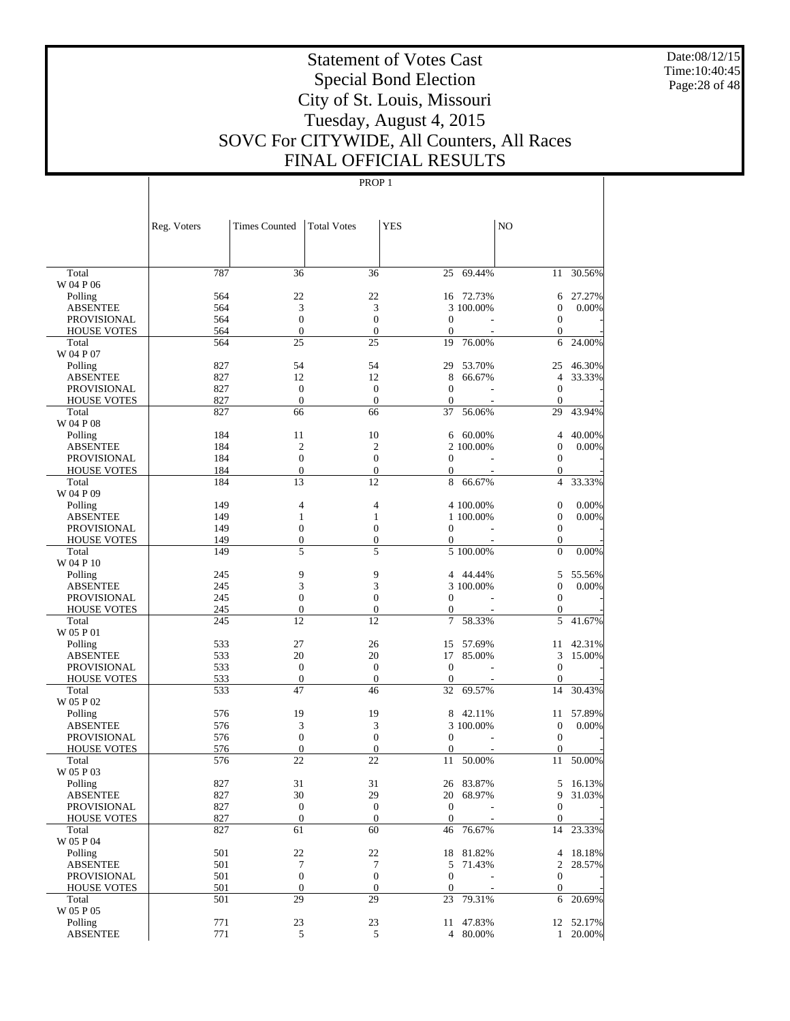Date:08/12/15 Time:10:40:45 Page:28 of 48

# Statement of Votes Cast Special Bond Election City of St. Louis, Missouri Tuesday, August 4, 2015 SOVC For CITYWIDE, All Counters, All Races FINAL OFFICIAL RESULTS

|                             | Reg. Voters | <b>Times Counted</b>             | <b>Total Votes</b>               | <b>YES</b>                 |                        | N <sub>O</sub>                       |           |
|-----------------------------|-------------|----------------------------------|----------------------------------|----------------------------|------------------------|--------------------------------------|-----------|
|                             |             |                                  |                                  |                            |                        |                                      |           |
| Total                       | 787         | 36                               | 36                               | 25                         | 69.44%                 | 11                                   | 30.56%    |
| W 04 P 06                   |             |                                  |                                  |                            |                        |                                      |           |
| Polling                     | 564         | 22                               | 22                               | 16                         | 72.73%                 | 6                                    | 27.27%    |
| <b>ABSENTEE</b>             | 564         | 3                                | 3                                |                            | 3 100,00%              | $\boldsymbol{0}$                     | 0.00%     |
| <b>PROVISIONAL</b>          | 564<br>564  | $\mathbf{0}$<br>$\boldsymbol{0}$ | $\mathbf{0}$<br>$\boldsymbol{0}$ | $\theta$<br>$\overline{0}$ |                        | $\boldsymbol{0}$<br>$\boldsymbol{0}$ |           |
| <b>HOUSE VOTES</b><br>Total | 564         | 25                               | 25                               | 19                         | 76.00%                 | 6                                    | 24.00%    |
| W 04 P 07                   |             |                                  |                                  |                            |                        |                                      |           |
| Polling                     | 827         | 54                               | 54                               | 29                         | 53.70%                 | 25                                   | 46.30%    |
| <b>ABSENTEE</b>             | 827         | 12                               | 12                               | 8                          | 66.67%                 | $\overline{4}$                       | 33.33%    |
| <b>PROVISIONAL</b>          | 827         | $\boldsymbol{0}$                 | $\boldsymbol{0}$                 | $\theta$                   |                        | $\boldsymbol{0}$                     |           |
| <b>HOUSE VOTES</b>          | 827         | $\boldsymbol{0}$                 | $\boldsymbol{0}$                 | $\mathbf{0}$               |                        | $\boldsymbol{0}$                     |           |
| Total                       | 827         | 66                               | 66                               | 37                         | 56.06%                 | 29                                   | 43.94%    |
| W 04 P 08                   |             |                                  |                                  |                            |                        |                                      |           |
| Polling                     | 184         | 11                               | 10                               | 6                          | 60.00%                 | $\overline{4}$                       | 40.00%    |
| <b>ABSENTEE</b>             | 184         | $\mathfrak{2}$                   | $\mathfrak{2}$                   |                            | 2 100,00%              | $\boldsymbol{0}$                     | 0.00%     |
| <b>PROVISIONAL</b>          | 184         | $\boldsymbol{0}$                 | $\mathbf{0}$                     | $\mathbf{0}$               |                        | $\boldsymbol{0}$                     |           |
| <b>HOUSE VOTES</b>          | 184         | $\boldsymbol{0}$                 | $\boldsymbol{0}$                 | $\mathbf{0}$               |                        | $\mathbf{0}$                         |           |
| Total                       | 184         | 13                               | 12                               | 8                          | 66.67%                 | $\overline{4}$                       | 33.33%    |
| W 04 P 09                   |             |                                  |                                  |                            |                        |                                      |           |
| Polling                     | 149         | 4                                | $\overline{4}$                   |                            | 4 100.00%              | $\boldsymbol{0}$                     | 0.00%     |
| <b>ABSENTEE</b>             | 149         | 1                                | 1                                |                            | 1 100,00%              | $\boldsymbol{0}$                     | 0.00%     |
| <b>PROVISIONAL</b>          | 149         | $\boldsymbol{0}$                 | $\overline{0}$                   | $\mathbf{0}$               |                        | $\boldsymbol{0}$                     |           |
| <b>HOUSE VOTES</b>          | 149<br>149  | $\boldsymbol{0}$<br>5            | $\boldsymbol{0}$                 | $\boldsymbol{0}$           | $\overline{5}$ 100.00% | $\mathbf{0}$<br>$\overline{0}$       |           |
| Total<br>W 04 P 10          |             |                                  | 5                                |                            |                        |                                      | 0.00%     |
| Polling                     | 245         | 9                                | 9                                |                            | 4 44.44%               | 5                                    | 55.56%    |
| <b>ABSENTEE</b>             | 245         | 3                                | 3                                |                            | 3 100.00%              | $\boldsymbol{0}$                     | 0.00%     |
| PROVISIONAL                 | 245         | $\overline{0}$                   | $\mathbf{0}$                     | $\mathbf{0}$               |                        | $\boldsymbol{0}$                     |           |
| <b>HOUSE VOTES</b>          | 245         | $\boldsymbol{0}$                 | $\boldsymbol{0}$                 | $\mathbf{0}$               |                        | $\mathbf{0}$                         |           |
| Total                       | 245         | 12                               | 12                               | 7                          | 58.33%                 | 5                                    | 41.67%    |
| W 05 P 01                   |             |                                  |                                  |                            |                        |                                      |           |
| Polling                     | 533         | 27                               | 26                               | 15                         | 57.69%                 | 11                                   | 42.31%    |
| <b>ABSENTEE</b>             | 533         | 20                               | 20                               | 17                         | 85.00%                 | 3                                    | 15.00%    |
| <b>PROVISIONAL</b>          | 533         | $\boldsymbol{0}$                 | $\theta$                         | $\theta$                   |                        | $\boldsymbol{0}$                     |           |
| <b>HOUSE VOTES</b>          | 533         | $\boldsymbol{0}$                 | $\mathbf{0}$                     | $\overline{0}$             |                        | $\boldsymbol{0}$                     |           |
| Total                       | 533         | 47                               | 46                               | 32                         | 69.57%                 | 14                                   | 30.43%    |
| W 05 P 02                   |             |                                  |                                  |                            |                        |                                      |           |
| Polling                     | 576         | 19                               | 19                               | 8                          | 42.11%                 | 11                                   | 57.89%    |
| <b>ABSENTEE</b>             | 576         | 3                                | 3                                |                            | 3 100,00%              | $\boldsymbol{0}$                     | 0.00%     |
| <b>PROVISIONAL</b>          | 576         | $\boldsymbol{0}$                 | $\mathbf{0}$                     | $\mathbf{0}$               |                        | $\boldsymbol{0}$                     |           |
| <b>HOUSE VOTES</b>          | 576         | $\boldsymbol{0}$<br>22           | $\theta$                         | $\mathbf{0}$               |                        | $\boldsymbol{0}$                     |           |
| Total<br>W 05 P 03          | 576         |                                  | 22                               | 11                         | 50.00%                 | 11                                   | 50.00%    |
|                             | 827         | 31                               | 31                               |                            | 26 83.87%              | 5                                    | 16.13%    |
| Polling<br><b>ABSENTEE</b>  | 827         | 30                               | 29                               |                            | 20 68.97%              | 9                                    | 31.03%    |
| <b>PROVISIONAL</b>          | 827         | $\boldsymbol{0}$                 | $\boldsymbol{0}$                 | $\mathbf{0}$               |                        | $\overline{0}$                       |           |
| <b>HOUSE VOTES</b>          | 827         | $\boldsymbol{0}$                 | $\mathbf{0}$                     | $\mathbf{0}$               |                        | $\boldsymbol{0}$                     |           |
| Total                       | 827         | 61                               | 60                               | 46                         | 76.67%                 | 14                                   | 23.33%    |
| W 05 P 04                   |             |                                  |                                  |                            |                        |                                      |           |
| Polling                     | 501         | 22                               | 22                               | 18                         | 81.82%                 | 4                                    | 18.18%    |
| <b>ABSENTEE</b>             | 501         | 7                                | 7                                | 5                          | 71.43%                 | 2                                    | 28.57%    |
| <b>PROVISIONAL</b>          | 501         | $\boldsymbol{0}$                 | $\boldsymbol{0}$                 | $\mathbf{0}$               |                        | $\boldsymbol{0}$                     |           |
| <b>HOUSE VOTES</b>          | 501         | $\boldsymbol{0}$                 | $\boldsymbol{0}$                 | $\boldsymbol{0}$           |                        | $\mathbf{0}$                         |           |
| Total                       | 501         | 29                               | 29                               | 23                         | 79.31%                 | 6                                    | 20.69%    |
| W 05 P 05                   |             |                                  |                                  |                            |                        |                                      |           |
| Polling                     | 771         | 23                               | 23                               |                            | 11 47.83%              |                                      | 12 52.17% |
| <b>ABSENTEE</b>             | 771         | 5                                | 5                                |                            | 4 80.00%               | $\mathbf{1}$                         | 20.00%    |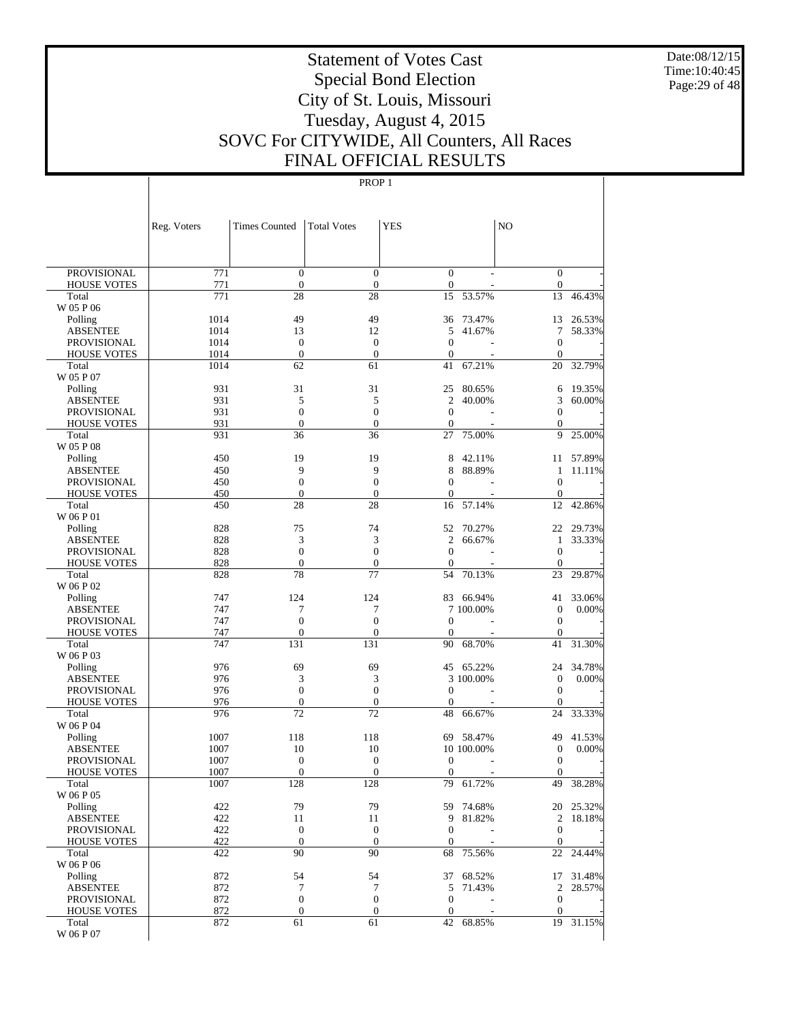Date:08/12/15 Time:10:40:45 Page:29 of 48

# Statement of Votes Cast Special Bond Election City of St. Louis, Missouri Tuesday, August 4, 2015 SOVC For CITYWIDE, All Counters, All Races FINAL OFFICIAL RESULTS

|                             | Reg. Voters | <b>Times Counted</b>           | <b>Total Votes</b> | <b>YES</b>           |                  | NO.                  |                  |
|-----------------------------|-------------|--------------------------------|--------------------|----------------------|------------------|----------------------|------------------|
|                             |             |                                |                    |                      |                  |                      |                  |
| <b>PROVISIONAL</b>          | 771         | $\mathbf{0}$                   | $\overline{0}$     | $\mathbf{0}$         |                  | $\boldsymbol{0}$     |                  |
| <b>HOUSE VOTES</b>          | 771         | $\boldsymbol{0}$               | $\mathbf{0}$       | $\boldsymbol{0}$     |                  | $\boldsymbol{0}$     |                  |
| Total                       | 771         | 28                             | 28                 | 15                   | 53.57%           | 13                   | 46.43%           |
| W 05 P 06                   |             |                                |                    |                      |                  |                      |                  |
| Polling                     | 1014        | 49                             | 49                 | 36                   | 73.47%           | 13                   | 26.53%           |
| <b>ABSENTEE</b>             | 1014        | 13                             | 12                 | 5                    | 41.67%           | 7                    | 58.33%           |
| <b>PROVISIONAL</b>          | 1014        | $\mathbf{0}$                   | $\mathbf{0}$       | $\overline{0}$       |                  | $\mathbf{0}$         |                  |
| <b>HOUSE VOTES</b>          | 1014        | $\boldsymbol{0}$               | $\theta$           | $\theta$             |                  | $\theta$             |                  |
| Total                       | 1014        | 62                             | 61                 | 41                   | 67.21%           | 20                   | 32.79%           |
| W 05 P 07                   | 931         | 31                             | 31                 | 25                   |                  |                      |                  |
| Polling<br><b>ABSENTEE</b>  | 931         | 5                              | 5                  | $\overline{c}$       | 80.65%<br>40.00% | 6<br>3               | 19.35%<br>60.00% |
| <b>PROVISIONAL</b>          | 931         | $\mathbf{0}$                   | $\boldsymbol{0}$   | $\mathbf{0}$         |                  | $\boldsymbol{0}$     |                  |
| <b>HOUSE VOTES</b>          | 931         | $\boldsymbol{0}$               | $\mathbf{0}$       | $\theta$             |                  | $\boldsymbol{0}$     |                  |
| Total                       | 931         | 36                             | 36                 | 27                   | 75.00%           | 9                    | 25.00%           |
| W 05 P 08                   |             |                                |                    |                      |                  |                      |                  |
| Polling                     | 450         | 19                             | 19                 | 8                    | 42.11%           | 11                   | 57.89%           |
| <b>ABSENTEE</b>             | 450         | 9                              | 9                  | 8                    | 88.89%           | 1                    | 11.11%           |
| <b>PROVISIONAL</b>          | 450         | $\boldsymbol{0}$               | $\boldsymbol{0}$   | $\overline{0}$       |                  | $\mathbf{0}$         |                  |
| <b>HOUSE VOTES</b>          | 450         | $\boldsymbol{0}$               | $\boldsymbol{0}$   | $\overline{0}$       |                  | $\mathbf{0}$         |                  |
| Total                       | 450         | 28                             | 28                 | 16                   | 57.14%           | 12                   | 42.86%           |
| W 06 P 01                   |             |                                |                    |                      |                  |                      |                  |
| Polling                     | 828         | 75                             | 74                 | 52                   | 70.27%           | 22                   | 29.73%           |
| <b>ABSENTEE</b>             | 828         | 3                              | 3                  | $\overline{c}$       | 66.67%           | 1                    | 33.33%           |
| <b>PROVISIONAL</b>          | 828         | $\mathbf{0}$<br>$\overline{0}$ | $\mathbf{0}$       | $\theta$             |                  | $\mathbf{0}$         |                  |
| <b>HOUSE VOTES</b><br>Total | 828<br>828  | 78                             | $\mathbf{0}$<br>77 | $\overline{0}$<br>54 | 70.13%           | $\theta$<br>23       | 29.87%           |
| W 06 P 02                   |             |                                |                    |                      |                  |                      |                  |
| Polling                     | 747         | 124                            | 124                | 83                   | 66.94%           | 41                   | 33.06%           |
| <b>ABSENTEE</b>             | 747         | 7                              | 7                  |                      | 7 100,00%        | $\boldsymbol{0}$     | $0.00\%$         |
| <b>PROVISIONAL</b>          | 747         | $\mathbf{0}$                   | $\boldsymbol{0}$   | $\overline{0}$       |                  | $\boldsymbol{0}$     |                  |
| <b>HOUSE VOTES</b>          | 747         | $\overline{0}$                 | $\mathbf{0}$       | $\overline{0}$       |                  | $\theta$             |                  |
| Total                       | 747         | 131                            | 131                | 90                   | 68.70%           | 41                   | 31.30%           |
| W 06 P 03                   |             |                                |                    |                      |                  |                      |                  |
| Polling                     | 976         | 69                             | 69                 | 45                   | 65.22%           | 24                   | 34.78%           |
| <b>ABSENTEE</b>             | 976         | 3                              | 3                  |                      | 3 100.00%        | $\boldsymbol{0}$     | $0.00\%$         |
| <b>PROVISIONAL</b>          | 976         | $\mathbf{0}$                   | $\mathbf{0}$       | $\overline{0}$       |                  | $\boldsymbol{0}$     |                  |
| <b>HOUSE VOTES</b><br>Total | 976<br>976  | $\boldsymbol{0}$<br>72         | $\mathbf{0}$<br>72 | $\overline{0}$<br>48 | 66.67%           | $\overline{0}$<br>24 | 33.33%           |
| W 06 P 04                   |             |                                |                    |                      |                  |                      |                  |
| Polling                     | 1007        | 118                            | 118                | 69                   | 58.47%           | 49                   | 41.53%           |
| <b>ABSENTEE</b>             | 1007        | 10                             | 10                 |                      | 10 100.00%       | $\boldsymbol{0}$     | $0.00\%$         |
| <b>PROVISIONAL</b>          | 1007        | $\boldsymbol{0}$               | $\mathbf{0}$       | $\mathbf{0}$         |                  | $\boldsymbol{0}$     |                  |
| <b>HOUSE VOTES</b>          | 1007        | $\mathbf{0}$                   | $\mathbf{0}$       | $\overline{0}$       |                  | $\overline{0}$       |                  |
| Total                       | 1007        | 128                            | 128                | 79                   | 61.72%           | 49                   | 38.28%           |
| W 06 P 05                   |             |                                |                    |                      |                  |                      |                  |
| Polling                     | 422         | 79                             | 79                 |                      | 59 74.68%        |                      | 20 25.32%        |
| <b>ABSENTEE</b>             | 422         | 11                             | 11                 | 9                    | 81.82%           | 2                    | 18.18%           |
| <b>PROVISIONAL</b>          | 422         | $\boldsymbol{0}$               | $\mathbf{0}$       | $\theta$             |                  | $\boldsymbol{0}$     |                  |
| <b>HOUSE VOTES</b>          | 422         | $\mathbf{0}$<br>90             | $\mathbf{0}$<br>90 | $\theta$             | 75.56%           | $\theta$             |                  |
| Total<br>W 06 P 06          | 422         |                                |                    | 68                   |                  | 22                   | 24.44%           |
| Polling                     | 872         | 54                             | 54                 | 37                   | 68.52%           |                      | 17 31.48%        |
| <b>ABSENTEE</b>             | 872         | 7                              | 7                  | 5                    | 71.43%           | $\overline{c}$       | 28.57%           |
| <b>PROVISIONAL</b>          | 872         | $\boldsymbol{0}$               | $\boldsymbol{0}$   | $\mathbf{0}$         |                  | $\boldsymbol{0}$     |                  |
| <b>HOUSE VOTES</b>          | 872         | $\boldsymbol{0}$               | $\boldsymbol{0}$   | $\theta$             |                  | $\boldsymbol{0}$     |                  |
| Total                       | 872         | 61                             | 61                 | 42                   | 68.85%           |                      | 19 31.15%        |
| W 06 P 07                   |             |                                |                    |                      |                  |                      |                  |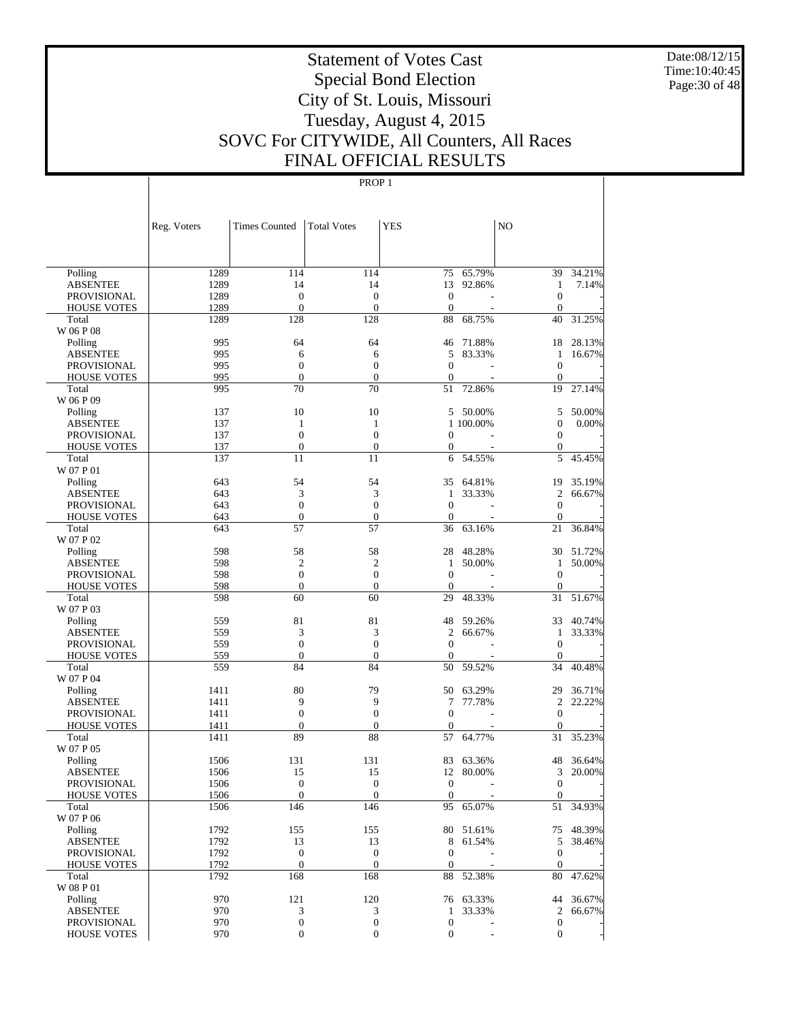Date:08/12/15 Time:10:40:45 Page:30 of 48

# Statement of Votes Cast Special Bond Election City of St. Louis, Missouri Tuesday, August 4, 2015 SOVC For CITYWIDE, All Counters, All Races FINAL OFFICIAL RESULTS

|                             | Reg. Voters  | <b>Times Counted</b>   | <b>Total Votes</b>     | <b>YES</b>            |           | N <sub>O</sub>        |           |
|-----------------------------|--------------|------------------------|------------------------|-----------------------|-----------|-----------------------|-----------|
|                             |              |                        |                        |                       |           |                       |           |
| Polling                     | 1289         | 114                    | 114                    | 75                    | 65.79%    | 39                    | 34.21%    |
| <b>ABSENTEE</b>             | 1289         | 14                     | 14                     | 13                    | 92.86%    | $\mathbf{1}$          | 7.14%     |
| PROVISIONAL                 | 1289         | $\boldsymbol{0}$       | $\boldsymbol{0}$       | $\mathbf{0}$          |           | $\boldsymbol{0}$      |           |
| <b>HOUSE VOTES</b>          | 1289         | $\boldsymbol{0}$       | $\boldsymbol{0}$       | $\mathbf{0}$          |           | $\mathbf{0}$          |           |
| Total                       | 1289         | 128                    | 128                    | 88                    | 68.75%    | 40                    | 31.25%    |
| W 06 P 08                   |              |                        |                        |                       |           |                       |           |
| Polling                     | 995          | 64                     | 64                     | 46                    | 71.88%    | 18                    | 28.13%    |
| <b>ABSENTEE</b>             | 995          | 6                      | 6                      | 5                     | 83.33%    | $\mathbf{1}$          | 16.67%    |
| PROVISIONAL                 | 995          | $\boldsymbol{0}$       | $\boldsymbol{0}$       | $\mathbf{0}$          |           | $\mathbf{0}$          |           |
| <b>HOUSE VOTES</b>          | 995          | $\boldsymbol{0}$       | $\boldsymbol{0}$       | $\mathbf{0}$          |           | $\mathbf{0}$          |           |
| Total                       | 995          | 70                     | 70                     | 51                    | 72.86%    | 19                    | 27.14%    |
| W 06 P 09                   |              |                        |                        |                       |           |                       |           |
| Polling                     | 137          | 10                     | 10                     | 5                     | 50.00%    | 5                     | 50.00%    |
| <b>ABSENTEE</b>             | 137          | $\mathbf{1}$           | 1                      |                       | 1 100.00% | $\boldsymbol{0}$      | 0.00%     |
| PROVISIONAL                 | 137          | $\boldsymbol{0}$       | $\boldsymbol{0}$       | 0                     |           | $\boldsymbol{0}$      |           |
| <b>HOUSE VOTES</b><br>Total | 137<br>137   | $\mathbf{0}$<br>11     | $\boldsymbol{0}$<br>11 | $\boldsymbol{0}$<br>6 | 54.55%    | $\boldsymbol{0}$<br>5 | 45.45%    |
| W 07 P 01                   |              |                        |                        |                       |           |                       |           |
| Polling                     | 643          | 54                     | 54                     | 35                    | 64.81%    | 19                    | 35.19%    |
| <b>ABSENTEE</b>             | 643          | 3                      | 3                      | 1                     | 33.33%    | $\overline{c}$        | 66.67%    |
| PROVISIONAL                 | 643          | $\boldsymbol{0}$       | $\boldsymbol{0}$       | $\mathbf{0}$          |           | $\mathbf{0}$          |           |
| <b>HOUSE VOTES</b>          | 643          | $\boldsymbol{0}$       | $\boldsymbol{0}$       | $\mathbf{0}$          |           | $\mathbf{0}$          |           |
| Total                       | 643          | 57                     | 57                     | 36                    | 63.16%    | 21                    | 36.84%    |
| W 07 P 02                   |              |                        |                        |                       |           |                       |           |
| Polling                     | 598          | 58                     | 58                     | 28                    | 48.28%    | 30                    | 51.72%    |
| <b>ABSENTEE</b>             | 598          | $\overline{c}$         | $\overline{c}$         | 1                     | 50.00%    | $\mathbf{1}$          | 50.00%    |
| PROVISIONAL                 | 598          | $\boldsymbol{0}$       | $\boldsymbol{0}$       | $\mathbf{0}$          |           | $\mathbf{0}$          |           |
| <b>HOUSE VOTES</b>          | 598          | $\boldsymbol{0}$       | $\boldsymbol{0}$       | $\mathbf{0}$          |           | $\mathbf{0}$          |           |
| Total                       | 598          | 60                     | 60                     | 29                    | 48.33%    | 31                    | 51.67%    |
| W 07 P 03                   |              |                        |                        |                       |           |                       |           |
| Polling                     | 559          | 81                     | 81                     | 48                    | 59.26%    | 33                    | 40.74%    |
| <b>ABSENTEE</b>             | 559          | 3                      | 3                      | $\mathfrak{2}$        | 66.67%    | $\mathbf{1}$          | 33.33%    |
| PROVISIONAL                 | 559          | $\boldsymbol{0}$       | $\boldsymbol{0}$       | $\boldsymbol{0}$      |           | $\mathbf{0}$          |           |
| <b>HOUSE VOTES</b>          | 559          | $\boldsymbol{0}$       | $\boldsymbol{0}$       | $\mathbf{0}$          |           | $\mathbf{0}$          |           |
| Total                       | 559          | 84                     | 84                     | 50                    | 59.52%    | 34                    | 40.48%    |
| W 07 P 04                   |              |                        |                        |                       |           |                       |           |
| Polling                     | 1411         | 80                     | 79                     | 50                    | 63.29%    | 29                    | 36.71%    |
| <b>ABSENTEE</b>             | 1411         | 9                      | 9                      | 7                     | 77.78%    | $\overline{c}$        | 22.22%    |
| PROVISIONAL                 | 1411         | $\boldsymbol{0}$       | $\boldsymbol{0}$       | $\mathbf{0}$          |           | $\boldsymbol{0}$      |           |
| <b>HOUSE VOTES</b><br>Total | 1411<br>1411 | $\boldsymbol{0}$<br>89 | $\boldsymbol{0}$<br>88 | $\mathbf{0}$<br>57    | 64.77%    | $\mathbf{0}$<br>31    | 35.23%    |
| W 07 P 05                   |              |                        |                        |                       |           |                       |           |
| Polling                     | 1506         | 131                    | 131                    | 83                    | 63.36%    | 48                    | 36.64%    |
| <b>ABSENTEE</b>             | 1506         | 15                     | 15                     | 12                    | 80.00%    | 3                     | 20.00%    |
| <b>PROVISIONAL</b>          | 1506         | $\boldsymbol{0}$       | $\boldsymbol{0}$       | $\boldsymbol{0}$      | ÷         | $\mathbf{0}$          |           |
| <b>HOUSE VOTES</b>          | 1506         | $\boldsymbol{0}$       | $\mathbf{0}$           | $\mathbf{0}$          |           | $\overline{0}$        |           |
| Total                       | 1506         | 146                    | 146                    | 95                    | 65.07%    | 51                    | 34.93%    |
| W 07 P 06                   |              |                        |                        |                       |           |                       |           |
| Polling                     | 1792         | 155                    | 155                    |                       | 80 51.61% |                       | 75 48.39% |
| <b>ABSENTEE</b>             | 1792         | 13                     | 13                     | 8                     | 61.54%    | 5                     | 38.46%    |
| PROVISIONAL                 | 1792         | $\boldsymbol{0}$       | $\boldsymbol{0}$       | $\mathbf{0}$          |           | $\boldsymbol{0}$      |           |
| <b>HOUSE VOTES</b>          | 1792         | $\boldsymbol{0}$       | $\mathbf{0}$           | $\boldsymbol{0}$      |           | $\mathbf{0}$          |           |
| Total                       | 1792         | 168                    | 168                    | 88                    | 52.38%    | 80                    | 47.62%    |
| W 08 P 01                   |              |                        |                        |                       |           |                       |           |
| Polling                     | 970          | 121                    | 120                    |                       | 76 63.33% | 44                    | 36.67%    |
| <b>ABSENTEE</b>             | 970          | $\mathfrak{Z}$         | 3                      | $\mathbf{1}$          | 33.33%    | $\overline{2}$        | 66.67%    |
| PROVISIONAL                 | 970          | $\boldsymbol{0}$       | $\boldsymbol{0}$       | $\boldsymbol{0}$      |           | $\mathbf{0}$          |           |
| <b>HOUSE VOTES</b>          | 970          | $\boldsymbol{0}$       | $\boldsymbol{0}$       | $\boldsymbol{0}$      |           | $\mathbf{0}$          |           |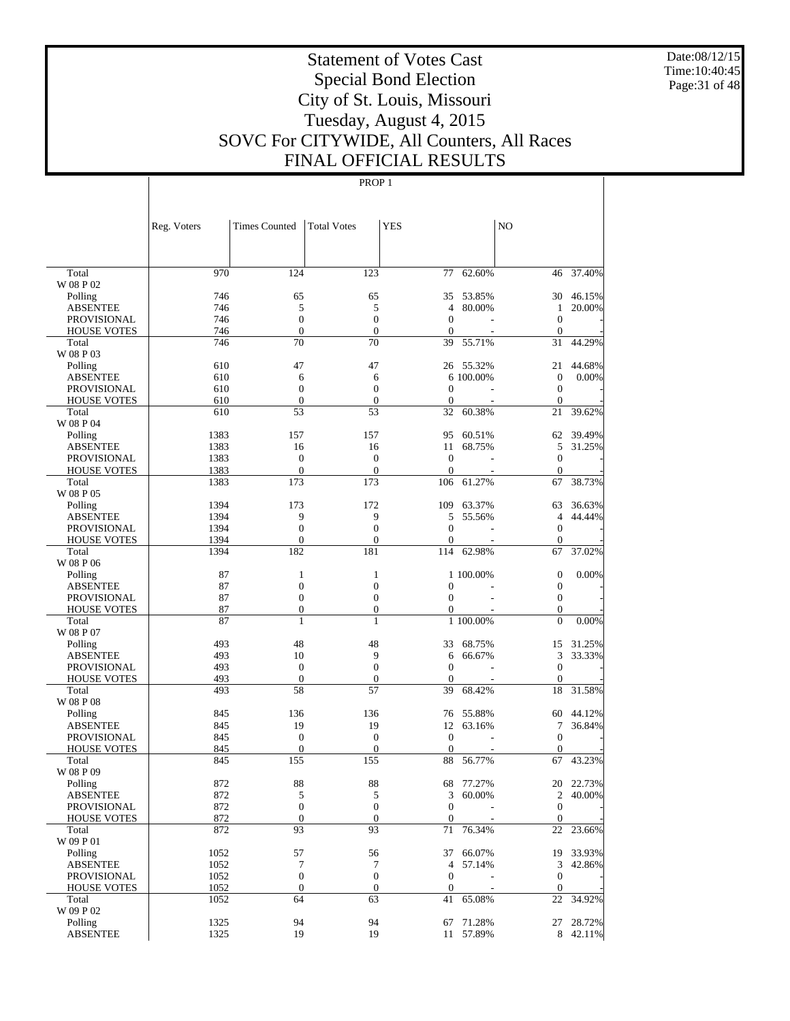Date:08/12/15 Time:10:40:45 Page:31 of 48

# Statement of Votes Cast Special Bond Election City of St. Louis, Missouri Tuesday, August 4, 2015 SOVC For CITYWIDE, All Counters, All Races FINAL OFFICIAL RESULTS

|                            | Reg. Voters  | <b>Times Counted</b>   | <b>Total Votes</b>     | <b>YES</b>       |                  | N <sub>O</sub>         |                  |
|----------------------------|--------------|------------------------|------------------------|------------------|------------------|------------------------|------------------|
|                            |              |                        |                        |                  |                  |                        |                  |
| Total                      | 970          | 124                    | 123                    | 77               | 62.60%           | 46                     | 37.40%           |
| W 08 P 02                  |              |                        |                        |                  |                  |                        |                  |
| Polling                    | 746          | 65                     | 65                     | 35               | 53.85%           |                        | 30 46.15%        |
| <b>ABSENTEE</b>            | 746          | 5                      | 5                      | $\overline{4}$   | 80.00%           | 1                      | 20.00%           |
| PROVISIONAL                | 746          | $\boldsymbol{0}$       | $\boldsymbol{0}$       | $\mathbf{0}$     |                  | $\boldsymbol{0}$       |                  |
| <b>HOUSE VOTES</b>         | 746<br>746   | $\boldsymbol{0}$<br>70 | $\boldsymbol{0}$<br>70 | $\theta$<br>39   | 55.71%           | $\boldsymbol{0}$<br>31 | 44.29%           |
| Total<br>W 08 P 03         |              |                        |                        |                  |                  |                        |                  |
| Polling                    | 610          | 47                     | 47                     | 26               | 55.32%           | 21                     | 44.68%           |
| <b>ABSENTEE</b>            | 610          | 6                      | 6                      |                  | 6 100.00%        | $\boldsymbol{0}$       | 0.00%            |
| <b>PROVISIONAL</b>         | 610          | $\boldsymbol{0}$       | $\boldsymbol{0}$       | $\overline{0}$   |                  | $\boldsymbol{0}$       |                  |
| <b>HOUSE VOTES</b>         | 610          | $\boldsymbol{0}$       | $\boldsymbol{0}$       | $\theta$         |                  | $\boldsymbol{0}$       |                  |
| Total                      | 610          | 53                     | 53                     | 32               | 60.38%           | 21                     | 39.62%           |
| W 08 P 04                  | 1383         | 157                    | 157                    | 95               | 60.51%           | 62                     | 39.49%           |
| Polling<br><b>ABSENTEE</b> | 1383         | 16                     | 16                     | 11               | 68.75%           | 5                      | 31.25%           |
| PROVISIONAL                | 1383         | $\boldsymbol{0}$       | $\boldsymbol{0}$       | $\mathbf{0}$     |                  | $\mathbf{0}$           |                  |
| <b>HOUSE VOTES</b>         | 1383         | $\boldsymbol{0}$       | $\boldsymbol{0}$       | $\mathbf{0}$     |                  | $\boldsymbol{0}$       |                  |
| Total                      | 1383         | 173                    | 173                    | 106              | 61.27%           | 67                     | 38.73%           |
| W 08 P 05                  |              |                        |                        |                  |                  |                        |                  |
| Polling                    | 1394         | 173                    | 172                    | 109              | 63.37%           | 63                     | 36.63%           |
| ABSENTEE                   | 1394         | 9                      | 9                      | 5                | 55.56%           | $\overline{4}$         | 44.44%           |
| <b>PROVISIONAL</b>         | 1394         | $\boldsymbol{0}$       | $\boldsymbol{0}$       | $\mathbf{0}$     |                  | $\mathbf{0}$           |                  |
| <b>HOUSE VOTES</b>         | 1394         | $\boldsymbol{0}$       | $\boldsymbol{0}$       | $\mathbf{0}$     |                  | $\boldsymbol{0}$       |                  |
| Total                      | 1394         | 182                    | 181                    | 114              | 62.98%           | 67                     | 37.02%           |
| W 08 P 06                  |              |                        |                        |                  |                  |                        |                  |
| Polling                    | 87           | $\mathbf{1}$           | $\mathbf{1}$           |                  | 1 100.00%        | $\boldsymbol{0}$       | 0.00%            |
| <b>ABSENTEE</b>            | 87           | $\boldsymbol{0}$       | $\boldsymbol{0}$       | $\mathbf{0}$     |                  | $\boldsymbol{0}$       |                  |
| PROVISIONAL                | 87           | $\boldsymbol{0}$       | $\boldsymbol{0}$       | $\mathbf{0}$     |                  | $\mathbf{0}$           |                  |
| <b>HOUSE VOTES</b>         | 87           | $\boldsymbol{0}$       | $\boldsymbol{0}$       | $\mathbf{0}$     |                  | $\mathbf{0}$           |                  |
| Total                      | 87           | $\mathbf{1}$           | 1                      |                  | 1 100.00%        | $\overline{0}$         | 0.00%            |
| W 08 P 07                  |              |                        |                        |                  |                  |                        |                  |
| Polling<br><b>ABSENTEE</b> | 493<br>493   | 48<br>10               | 48<br>9                | 33<br>6          | 68.75%<br>66.67% | 15<br>3                | 31.25%<br>33.33% |
| <b>PROVISIONAL</b>         | 493          | $\boldsymbol{0}$       | $\boldsymbol{0}$       | $\theta$         |                  | $\mathbf{0}$           |                  |
| <b>HOUSE VOTES</b>         | 493          | $\boldsymbol{0}$       | $\boldsymbol{0}$       | $\theta$         |                  | $\boldsymbol{0}$       |                  |
| Total                      | 493          | 58                     | 57                     | 39               | 68.42%           | 18                     | 31.58%           |
| W 08 P 08                  |              |                        |                        |                  |                  |                        |                  |
| Polling                    | 845          | 136                    | 136                    | 76               | 55.88%           | 60                     | 44.12%           |
| <b>ABSENTEE</b>            | 845          | 19                     | 19                     | 12               | 63.16%           | 7                      | 36.84%           |
| <b>PROVISIONAL</b>         | 845          | $\boldsymbol{0}$       | $\boldsymbol{0}$       | $\boldsymbol{0}$ |                  | $\boldsymbol{0}$       |                  |
| <b>HOUSE VOTES</b>         | 845          | $\boldsymbol{0}$       | $\boldsymbol{0}$       | $\mathbf{0}$     |                  | $\boldsymbol{0}$       |                  |
| Total                      | 845          | 155                    | 155                    | 88               | 56.77%           | 67                     | 43.23%           |
| W 08 P 09                  |              |                        |                        |                  |                  |                        |                  |
| Polling                    | 872          | 88                     | 88                     | 68               | 77.27%           |                        | 20 22.73%        |
| <b>ABSENTEE</b>            | 872          | 5                      | 5                      | $\mathfrak{Z}$   | 60.00%           | 2                      | 40.00%           |
| PROVISIONAL                | 872          | $\boldsymbol{0}$       | $\boldsymbol{0}$       | $\mathbf{0}$     |                  | $\mathbf{0}$           |                  |
| <b>HOUSE VOTES</b>         | 872          | $\boldsymbol{0}$       | $\boldsymbol{0}$       | $\mathbf{0}$     |                  | $\boldsymbol{0}$       |                  |
| Total                      | 872          | 93                     | 93                     | 71               | 76.34%           | 22                     | 23.66%           |
| W 09 P 01                  |              | 57                     | 56                     | 37               |                  |                        | 33.93%           |
| Polling<br><b>ABSENTEE</b> | 1052<br>1052 | 7                      | 7                      | $\overline{4}$   | 66.07%<br>57.14% | 19<br>3                | 42.86%           |
| <b>PROVISIONAL</b>         | 1052         | $\boldsymbol{0}$       | $\boldsymbol{0}$       | $\mathbf{0}$     |                  | $\boldsymbol{0}$       |                  |
| <b>HOUSE VOTES</b>         | 1052         | $\boldsymbol{0}$       | $\boldsymbol{0}$       | $\boldsymbol{0}$ |                  | $\boldsymbol{0}$       |                  |
| Total                      | 1052         | 64                     | 63                     | 41               | 65.08%           | 22                     | 34.92%           |
| W 09 P 02                  |              |                        |                        |                  |                  |                        |                  |
| Polling                    | 1325         | 94                     | 94                     | 67               | 71.28%           |                        | 27 28.72%        |
| <b>ABSENTEE</b>            | 1325         | 19                     | 19                     | 11               | 57.89%           |                        | 8 42.11%         |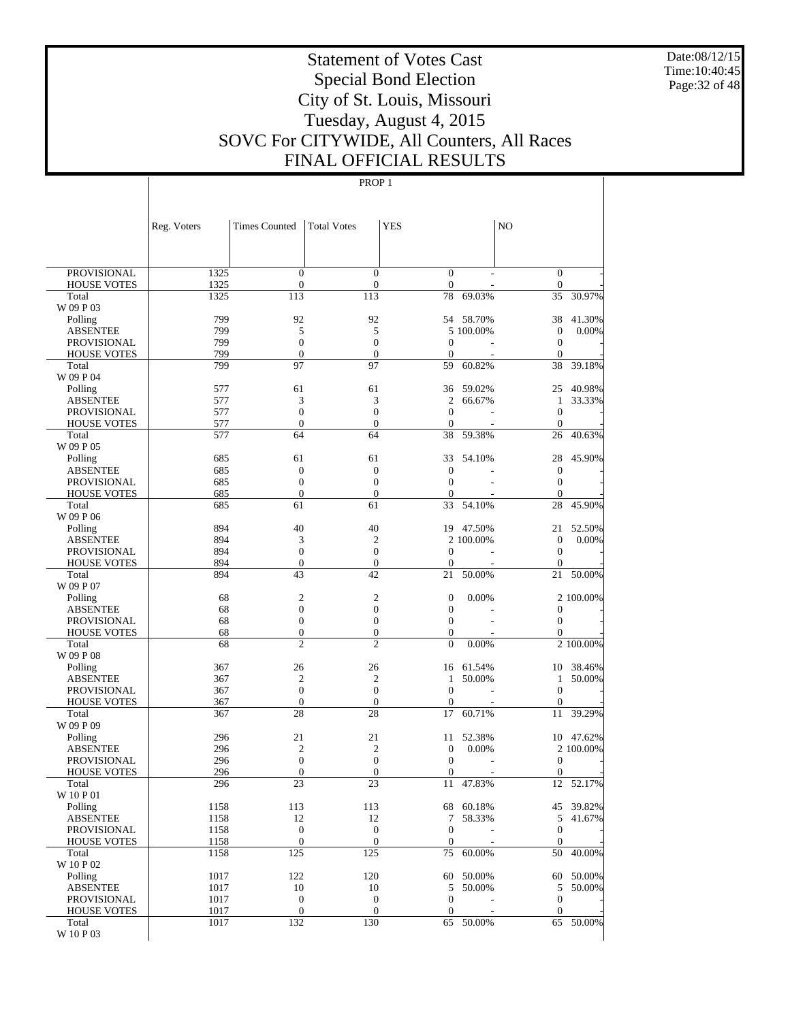Date:08/12/15 Time:10:40:45 Page:32 of 48

# Statement of Votes Cast Special Bond Election City of St. Louis, Missouri Tuesday, August 4, 2015 SOVC For CITYWIDE, All Counters, All Races FINAL OFFICIAL RESULTS

|                                       | Reg. Voters  | <b>Times Counted</b>                 | <b>Total Votes</b>                 | <b>YES</b>                   |           | N <sub>O</sub>                     |           |
|---------------------------------------|--------------|--------------------------------------|------------------------------------|------------------------------|-----------|------------------------------------|-----------|
|                                       |              |                                      |                                    |                              |           |                                    |           |
|                                       |              |                                      |                                    |                              |           |                                    |           |
| <b>PROVISIONAL</b>                    | 1325         | $\boldsymbol{0}$                     | $\mathbf{0}$                       | $\mathbf{0}$                 |           | $\boldsymbol{0}$                   |           |
| <b>HOUSE VOTES</b><br>Total           | 1325<br>1325 | $\boldsymbol{0}$<br>113              | $\boldsymbol{0}$<br>113            | $\mathbf{0}$<br>78           | 69.03%    | $\boldsymbol{0}$<br>35             | 30.97%    |
| W 09 P 03                             |              |                                      |                                    |                              |           |                                    |           |
| Polling                               | 799          | 92                                   | 92                                 | 54                           | 58.70%    | 38                                 | 41.30%    |
| <b>ABSENTEE</b>                       | 799          | 5                                    | 5                                  |                              | 5 100.00% | $\boldsymbol{0}$                   | 0.00%     |
| <b>PROVISIONAL</b>                    | 799          | $\boldsymbol{0}$                     | $\boldsymbol{0}$                   | $\mathbf{0}$                 |           | $\boldsymbol{0}$                   |           |
| <b>HOUSE VOTES</b>                    | 799          | $\boldsymbol{0}$                     | $\overline{0}$                     | $\theta$                     |           | $\theta$                           |           |
| Total                                 | 799          | 97                                   | 97                                 | 59                           | 60.82%    | 38                                 | 39.18%    |
| W 09 P 04<br>Polling                  | 577          | 61                                   | 61                                 | 36                           | 59.02%    | 25                                 | 40.98%    |
| <b>ABSENTEE</b>                       | 577          | 3                                    | 3                                  | $\mathfrak{2}$               | 66.67%    | 1                                  | 33.33%    |
| <b>PROVISIONAL</b>                    | 577          | $\boldsymbol{0}$                     | $\boldsymbol{0}$                   | $\mathbf{0}$                 |           | $\mathbf{0}$                       |           |
| <b>HOUSE VOTES</b>                    | 577          | $\boldsymbol{0}$                     | $\boldsymbol{0}$                   | $\theta$                     |           | $\mathbf{0}$                       |           |
| Total                                 | 577          | 64                                   | 64                                 | 38                           | 59.38%    | 26                                 | 40.63%    |
| W 09 P 05                             |              |                                      |                                    |                              |           |                                    |           |
| Polling                               | 685          | 61                                   | 61                                 | 33                           | 54.10%    | 28                                 | 45.90%    |
| <b>ABSENTEE</b>                       | 685          | $\boldsymbol{0}$                     | $\boldsymbol{0}$                   | $\theta$                     |           | $\boldsymbol{0}$                   |           |
| <b>PROVISIONAL</b>                    | 685<br>685   | $\boldsymbol{0}$<br>$\boldsymbol{0}$ | $\boldsymbol{0}$<br>$\mathbf{0}$   | $\mathbf{0}$<br>$\theta$     |           | $\boldsymbol{0}$<br>$\overline{0}$ |           |
| <b>HOUSE VOTES</b><br>Total           | 685          | 61                                   | 61                                 | 33                           | 54.10%    | 28                                 | 45.90%    |
| W 09 P 06                             |              |                                      |                                    |                              |           |                                    |           |
| Polling                               | 894          | 40                                   | 40                                 | 19                           | 47.50%    | 21                                 | 52.50%    |
| <b>ABSENTEE</b>                       | 894          | 3                                    | $\overline{2}$                     |                              | 2 100,00% | $\boldsymbol{0}$                   | $0.00\%$  |
| <b>PROVISIONAL</b>                    | 894          | $\boldsymbol{0}$                     | $\boldsymbol{0}$                   | $\mathbf{0}$                 |           | $\boldsymbol{0}$                   |           |
| <b>HOUSE VOTES</b>                    | 894          | $\boldsymbol{0}$                     | $\boldsymbol{0}$                   | $\overline{0}$               |           | $\overline{0}$                     |           |
| Total                                 | 894          | 43                                   | 42                                 | 21                           | 50.00%    | 21                                 | 50.00%    |
| W 09 P 07                             |              |                                      |                                    |                              |           |                                    |           |
| Polling                               | 68<br>68     | 2<br>$\boldsymbol{0}$                | $\overline{c}$<br>$\boldsymbol{0}$ | $\mathbf{0}$<br>$\mathbf{0}$ | 0.00%     |                                    | 2 100.00% |
| <b>ABSENTEE</b><br><b>PROVISIONAL</b> | 68           | $\boldsymbol{0}$                     | $\boldsymbol{0}$                   | $\mathbf{0}$                 |           | 0<br>$\boldsymbol{0}$              |           |
| <b>HOUSE VOTES</b>                    | 68           | $\boldsymbol{0}$                     | $\boldsymbol{0}$                   | $\boldsymbol{0}$             |           | $\mathbf{0}$                       |           |
| Total                                 | 68           | $\overline{c}$                       | $\overline{2}$                     | $\overline{0}$               | 0.00%     |                                    | 2 100.00% |
| W 09 P 08                             |              |                                      |                                    |                              |           |                                    |           |
| Polling                               | 367          | 26                                   | 26                                 | 16                           | 61.54%    | 10                                 | 38.46%    |
| <b>ABSENTEE</b>                       | 367          | $\overline{c}$                       | $\overline{2}$                     | 1                            | 50.00%    | 1                                  | 50.00%    |
| <b>PROVISIONAL</b>                    | 367          | $\boldsymbol{0}$                     | $\boldsymbol{0}$                   | $\mathbf{0}$                 |           | $\mathbf{0}$                       |           |
| <b>HOUSE VOTES</b>                    | 367          | $\boldsymbol{0}$<br>28               | $\boldsymbol{0}$<br>28             | $\mathbf{0}$                 | 60.71%    | $\boldsymbol{0}$                   | 39.29%    |
| Total<br>W 09 P 09                    | 367          |                                      |                                    | 17                           |           | 11                                 |           |
| Polling                               | 296          | 21                                   | 21                                 | 11                           | 52.38%    |                                    | 10 47.62% |
| <b>ABSENTEE</b>                       | 296          | $\mathfrak{2}$                       | $\overline{c}$                     | $\mathbf{0}$                 | 0.00%     |                                    | 2 100.00% |
| PROVISIONAL                           | 296          | $\boldsymbol{0}$                     | $\boldsymbol{0}$                   | $\mathbf{0}$                 |           | $\boldsymbol{0}$                   |           |
| <b>HOUSE VOTES</b>                    | 296          | $\boldsymbol{0}$                     | $\mathbf{0}$                       | $\mathbf{0}$                 |           | $\boldsymbol{0}$                   |           |
| Total                                 | 296          | 23                                   | 23                                 | 11                           | 47.83%    | 12                                 | 52.17%    |
| W 10 P 01                             |              |                                      |                                    |                              |           |                                    |           |
| Polling<br><b>ABSENTEE</b>            | 1158         | 113                                  | 113                                | 68                           | 60.18%    |                                    | 45 39.82% |
| PROVISIONAL                           | 1158<br>1158 | 12<br>$\boldsymbol{0}$               | 12<br>$\boldsymbol{0}$             | 7<br>$\mathbf{0}$            | 58.33%    | 5<br>$\boldsymbol{0}$              | 41.67%    |
| <b>HOUSE VOTES</b>                    | 1158         | $\mathbf{0}$                         | $\mathbf{0}$                       | $\overline{0}$               |           | $\mathbf{0}$                       |           |
| Total                                 | 1158         | 125                                  | 125                                | 75                           | 60.00%    | 50                                 | 40.00%    |
| W 10 P 02                             |              |                                      |                                    |                              |           |                                    |           |
| Polling                               | 1017         | 122                                  | 120                                | 60                           | 50.00%    | 60                                 | 50.00%    |
| <b>ABSENTEE</b>                       | 1017         | 10                                   | 10                                 | 5                            | 50.00%    | 5                                  | 50.00%    |
| PROVISIONAL                           | 1017         | $\boldsymbol{0}$                     | $\boldsymbol{0}$                   | $\mathbf{0}$                 |           | $\boldsymbol{0}$                   |           |
| <b>HOUSE VOTES</b>                    | 1017         | $\boldsymbol{0}$                     | $\boldsymbol{0}$                   | $\boldsymbol{0}$             |           | $\boldsymbol{0}$                   |           |
| Total<br>W 10 P 03                    | 1017         | 132                                  | 130                                | 65                           | 50.00%    | 65                                 | 50.00%    |
|                                       |              |                                      |                                    |                              |           |                                    |           |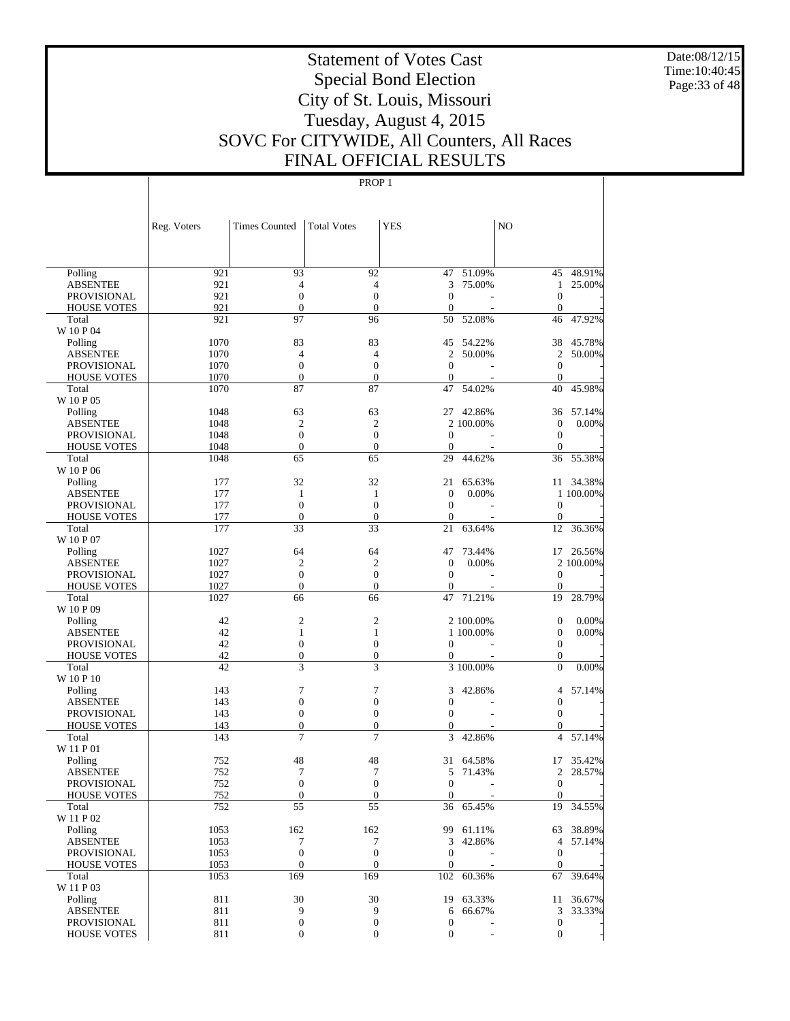Date:08/12/15 Time:10:40:45 Page:33 of 48

# Statement of Votes Cast Special Bond Election City of St. Louis, Missouri Tuesday, August 4, 2015 SOVC For CITYWIDE, All Counters, All Races FINAL OFFICIAL RESULTS

| 93<br>921<br>92<br>47<br>51.09%<br>45 48.91%<br>Polling<br>921<br>$\overline{4}$<br>3<br>75.00%<br>25.00%<br><b>ABSENTEE</b><br>4<br>$\mathbf{1}$<br>$\boldsymbol{0}$<br>921<br>$\boldsymbol{0}$<br>$\mathbf{0}$<br>$\mathbf{0}$<br>PROVISIONAL<br>921<br>$\boldsymbol{0}$<br>$\boldsymbol{0}$<br>$\mathbf{0}$<br>$\mathbf{0}$<br><b>HOUSE VOTES</b><br>97<br>921<br>96<br>50<br>52.08%<br>46<br>47.92%<br>Total<br>W 10 P 04<br>1070<br>83<br>83<br>45<br>54.22%<br>38<br>45.78%<br>Polling<br>$\mathfrak{2}$<br>1070<br>$\overline{4}$<br>$\overline{4}$<br>$\overline{c}$<br>50.00%<br><b>ABSENTEE</b><br>50.00%<br>1070<br>$\boldsymbol{0}$<br>$\boldsymbol{0}$<br>$\boldsymbol{0}$<br>$\boldsymbol{0}$<br><b>PROVISIONAL</b><br>1070<br>$\boldsymbol{0}$<br>$\boldsymbol{0}$<br>$\boldsymbol{0}$<br>$\mathbf{0}$<br><b>HOUSE VOTES</b><br>87<br>87<br>1070<br>47<br>54.02%<br>40<br>45.98%<br>Total<br>W 10 P 05<br>63<br>63<br>42.86%<br>1048<br>27<br>36<br>57.14%<br>Polling<br>$\overline{c}$<br>$\mathbf{2}$<br>$\boldsymbol{0}$<br>0.00%<br>1048<br>2 100.00%<br><b>ABSENTEE</b><br>$\boldsymbol{0}$<br>$\boldsymbol{0}$<br>$\mathbf{0}$<br><b>PROVISIONAL</b><br>1048<br>$\boldsymbol{0}$<br>$\boldsymbol{0}$<br>$\boldsymbol{0}$<br>$\boldsymbol{0}$<br>1048<br>$\theta$<br><b>HOUSE VOTES</b><br>1048<br>65<br>65<br>29<br>44.62%<br>36<br>55.38%<br>Total<br>W 10 P 06<br>32<br>32<br>177<br>11 34.38%<br>21<br>65.63%<br>Polling<br>177<br>$\mathbf{1}$<br>$\mathbf{0}$<br>0.00%<br><b>ABSENTEE</b><br>1<br>1 100.00%<br>$\mathbf{0}$<br>$\boldsymbol{0}$<br>177<br>$\mathbf{0}$<br>$\mathbf{0}$<br>PROVISIONAL<br>177<br>$\boldsymbol{0}$<br>$\boldsymbol{0}$<br>$\boldsymbol{0}$<br>$\mathbf{0}$<br><b>HOUSE VOTES</b><br>33<br>33<br>177<br>63.64%<br>12<br>36.36%<br>Total<br>21<br>W 10 P 07<br>64<br>64<br>47<br>73.44%<br>26.56%<br>1027<br>17<br>Polling<br>$\overline{c}$<br>$\overline{c}$<br>$\mathbf{0}$<br>0.00%<br>2 100.00%<br>1027<br><b>ABSENTEE</b><br>1027<br>$\boldsymbol{0}$<br>$\boldsymbol{0}$<br>$\mathbf{0}$<br>$\mathbf{0}$<br>PROVISIONAL<br>$\boldsymbol{0}$<br>1027<br>$\boldsymbol{0}$<br>$\overline{0}$<br>$\mathbf{0}$<br><b>HOUSE VOTES</b><br>28.79%<br>1027<br>66<br>66<br>47<br>71.21%<br>19<br>Total<br>W 10 P 09<br>$\mathbf{2}$<br>$\overline{c}$<br>42<br>$\mathbf{0}$<br>0.00%<br>2 100.00%<br>Polling<br>42<br>$\mathbf{1}$<br>$\boldsymbol{0}$<br>$\mathbf{1}$<br>1 100.00%<br>0.00%<br><b>ABSENTEE</b><br>$\boldsymbol{0}$<br>$\boldsymbol{0}$<br>42<br>$\boldsymbol{0}$<br>$\boldsymbol{0}$<br>PROVISIONAL<br>42<br>$\boldsymbol{0}$<br>$\boldsymbol{0}$<br>$\boldsymbol{0}$<br>$\boldsymbol{0}$<br><b>HOUSE VOTES</b><br>3<br>3<br>42<br>3 100.00%<br>0.00%<br>Total<br>$\theta$<br>W 10 P 10<br>7<br>$\tau$<br>3<br>42.86%<br>57.14%<br>143<br>Polling<br>4<br>$\mathbf{0}$<br>$\boldsymbol{0}$<br>$\mathbf{0}$<br>143<br>$\boldsymbol{0}$<br><b>ABSENTEE</b><br>$\boldsymbol{0}$<br>$\boldsymbol{0}$<br>$\boldsymbol{0}$<br>$\boldsymbol{0}$<br>143<br>PROVISIONAL<br>$\mathbf{0}$<br>$\boldsymbol{0}$<br>143<br>$\boldsymbol{0}$<br>$\overline{0}$<br><b>HOUSE VOTES</b><br>143<br>7<br>7<br>3<br>42.86%<br>$\overline{4}$<br>57.14%<br>Total<br>W 11 P 01<br>48<br>48<br>752<br>31<br>64.58%<br>17<br>35.42%<br>Polling<br>752<br>7<br>7<br>28.57%<br><b>ABSENTEE</b><br>5<br>71.43%<br>2<br>$\overline{0}$<br>$\overline{0}$<br>752<br>$\overline{0}$<br>$\mathbf{0}$<br><b>PROVISIONAL</b><br>÷<br>752<br>$\boldsymbol{0}$<br>$\boldsymbol{0}$<br>$\mathbf{0}$<br><b>HOUSE VOTES</b><br>$\overline{0}$<br>55<br>55<br>752<br>36<br>19<br>65.45%<br>34.55%<br>Total<br>W 11 P 02<br>162<br>162<br>38.89%<br>1053<br>99<br>61.11%<br>63<br>Polling<br>7<br>7<br><b>ABSENTEE</b><br>1053<br>3<br>42.86%<br>$\overline{4}$<br>57.14%<br>$\boldsymbol{0}$<br>$\boldsymbol{0}$<br>1053<br>$\mathbf{0}$<br>$\mathbf{0}$<br>PROVISIONAL<br>$\boldsymbol{0}$<br>$\mathbf{0}$<br>$\boldsymbol{0}$<br>$\mathbf{0}$<br>1053<br><b>HOUSE VOTES</b><br>169<br>169<br>102<br>60.36%<br>39.64%<br>1053<br>67<br>Total<br>W 11 P 03<br>30<br>30<br>63.33%<br>Polling<br>811<br>19<br>11<br>36.67%<br>9<br>9<br><b>ABSENTEE</b><br>811<br>6<br>66.67%<br>3<br>33.33%<br>811<br>$\boldsymbol{0}$<br>$\boldsymbol{0}$<br>$\boldsymbol{0}$<br>$\mathbf{0}$<br>PROVISIONAL<br>$\boldsymbol{0}$<br>$\boldsymbol{0}$<br>$\mathbf{0}$ |                    | Reg. Voters | <b>Times Counted</b> | <b>Total Votes</b> | <b>YES</b>       | N <sub>O</sub> |  |
|----------------------------------------------------------------------------------------------------------------------------------------------------------------------------------------------------------------------------------------------------------------------------------------------------------------------------------------------------------------------------------------------------------------------------------------------------------------------------------------------------------------------------------------------------------------------------------------------------------------------------------------------------------------------------------------------------------------------------------------------------------------------------------------------------------------------------------------------------------------------------------------------------------------------------------------------------------------------------------------------------------------------------------------------------------------------------------------------------------------------------------------------------------------------------------------------------------------------------------------------------------------------------------------------------------------------------------------------------------------------------------------------------------------------------------------------------------------------------------------------------------------------------------------------------------------------------------------------------------------------------------------------------------------------------------------------------------------------------------------------------------------------------------------------------------------------------------------------------------------------------------------------------------------------------------------------------------------------------------------------------------------------------------------------------------------------------------------------------------------------------------------------------------------------------------------------------------------------------------------------------------------------------------------------------------------------------------------------------------------------------------------------------------------------------------------------------------------------------------------------------------------------------------------------------------------------------------------------------------------------------------------------------------------------------------------------------------------------------------------------------------------------------------------------------------------------------------------------------------------------------------------------------------------------------------------------------------------------------------------------------------------------------------------------------------------------------------------------------------------------------------------------------------------------------------------------------------------------------------------------------------------------------------------------------------------------------------------------------------------------------------------------------------------------------------------------------------------------------------------------------------------------------------------------------------------------------------------------------------------------------------------------------------------------------------------------------------------------------------------------------------------------------------------------------------------------------------------------------------------------------------------------------------------------------------------------------------------------------------------------------------------------------------------------------------------------------------------------------------------------------------------------------------------------------------------------------------------------------------------------------------------------------------------------------------------------------------------------------------------------------------|--------------------|-------------|----------------------|--------------------|------------------|----------------|--|
|                                                                                                                                                                                                                                                                                                                                                                                                                                                                                                                                                                                                                                                                                                                                                                                                                                                                                                                                                                                                                                                                                                                                                                                                                                                                                                                                                                                                                                                                                                                                                                                                                                                                                                                                                                                                                                                                                                                                                                                                                                                                                                                                                                                                                                                                                                                                                                                                                                                                                                                                                                                                                                                                                                                                                                                                                                                                                                                                                                                                                                                                                                                                                                                                                                                                                                                                                                                                                                                                                                                                                                                                                                                                                                                                                                                                                                                                                                                                                                                                                                                                                                                                                                                                                                                                                                                                                                                  |                    |             |                      |                    |                  |                |  |
|                                                                                                                                                                                                                                                                                                                                                                                                                                                                                                                                                                                                                                                                                                                                                                                                                                                                                                                                                                                                                                                                                                                                                                                                                                                                                                                                                                                                                                                                                                                                                                                                                                                                                                                                                                                                                                                                                                                                                                                                                                                                                                                                                                                                                                                                                                                                                                                                                                                                                                                                                                                                                                                                                                                                                                                                                                                                                                                                                                                                                                                                                                                                                                                                                                                                                                                                                                                                                                                                                                                                                                                                                                                                                                                                                                                                                                                                                                                                                                                                                                                                                                                                                                                                                                                                                                                                                                                  |                    |             |                      |                    |                  |                |  |
|                                                                                                                                                                                                                                                                                                                                                                                                                                                                                                                                                                                                                                                                                                                                                                                                                                                                                                                                                                                                                                                                                                                                                                                                                                                                                                                                                                                                                                                                                                                                                                                                                                                                                                                                                                                                                                                                                                                                                                                                                                                                                                                                                                                                                                                                                                                                                                                                                                                                                                                                                                                                                                                                                                                                                                                                                                                                                                                                                                                                                                                                                                                                                                                                                                                                                                                                                                                                                                                                                                                                                                                                                                                                                                                                                                                                                                                                                                                                                                                                                                                                                                                                                                                                                                                                                                                                                                                  |                    |             |                      |                    |                  |                |  |
|                                                                                                                                                                                                                                                                                                                                                                                                                                                                                                                                                                                                                                                                                                                                                                                                                                                                                                                                                                                                                                                                                                                                                                                                                                                                                                                                                                                                                                                                                                                                                                                                                                                                                                                                                                                                                                                                                                                                                                                                                                                                                                                                                                                                                                                                                                                                                                                                                                                                                                                                                                                                                                                                                                                                                                                                                                                                                                                                                                                                                                                                                                                                                                                                                                                                                                                                                                                                                                                                                                                                                                                                                                                                                                                                                                                                                                                                                                                                                                                                                                                                                                                                                                                                                                                                                                                                                                                  |                    |             |                      |                    |                  |                |  |
|                                                                                                                                                                                                                                                                                                                                                                                                                                                                                                                                                                                                                                                                                                                                                                                                                                                                                                                                                                                                                                                                                                                                                                                                                                                                                                                                                                                                                                                                                                                                                                                                                                                                                                                                                                                                                                                                                                                                                                                                                                                                                                                                                                                                                                                                                                                                                                                                                                                                                                                                                                                                                                                                                                                                                                                                                                                                                                                                                                                                                                                                                                                                                                                                                                                                                                                                                                                                                                                                                                                                                                                                                                                                                                                                                                                                                                                                                                                                                                                                                                                                                                                                                                                                                                                                                                                                                                                  |                    |             |                      |                    |                  |                |  |
|                                                                                                                                                                                                                                                                                                                                                                                                                                                                                                                                                                                                                                                                                                                                                                                                                                                                                                                                                                                                                                                                                                                                                                                                                                                                                                                                                                                                                                                                                                                                                                                                                                                                                                                                                                                                                                                                                                                                                                                                                                                                                                                                                                                                                                                                                                                                                                                                                                                                                                                                                                                                                                                                                                                                                                                                                                                                                                                                                                                                                                                                                                                                                                                                                                                                                                                                                                                                                                                                                                                                                                                                                                                                                                                                                                                                                                                                                                                                                                                                                                                                                                                                                                                                                                                                                                                                                                                  |                    |             |                      |                    |                  |                |  |
|                                                                                                                                                                                                                                                                                                                                                                                                                                                                                                                                                                                                                                                                                                                                                                                                                                                                                                                                                                                                                                                                                                                                                                                                                                                                                                                                                                                                                                                                                                                                                                                                                                                                                                                                                                                                                                                                                                                                                                                                                                                                                                                                                                                                                                                                                                                                                                                                                                                                                                                                                                                                                                                                                                                                                                                                                                                                                                                                                                                                                                                                                                                                                                                                                                                                                                                                                                                                                                                                                                                                                                                                                                                                                                                                                                                                                                                                                                                                                                                                                                                                                                                                                                                                                                                                                                                                                                                  |                    |             |                      |                    |                  |                |  |
|                                                                                                                                                                                                                                                                                                                                                                                                                                                                                                                                                                                                                                                                                                                                                                                                                                                                                                                                                                                                                                                                                                                                                                                                                                                                                                                                                                                                                                                                                                                                                                                                                                                                                                                                                                                                                                                                                                                                                                                                                                                                                                                                                                                                                                                                                                                                                                                                                                                                                                                                                                                                                                                                                                                                                                                                                                                                                                                                                                                                                                                                                                                                                                                                                                                                                                                                                                                                                                                                                                                                                                                                                                                                                                                                                                                                                                                                                                                                                                                                                                                                                                                                                                                                                                                                                                                                                                                  |                    |             |                      |                    |                  |                |  |
|                                                                                                                                                                                                                                                                                                                                                                                                                                                                                                                                                                                                                                                                                                                                                                                                                                                                                                                                                                                                                                                                                                                                                                                                                                                                                                                                                                                                                                                                                                                                                                                                                                                                                                                                                                                                                                                                                                                                                                                                                                                                                                                                                                                                                                                                                                                                                                                                                                                                                                                                                                                                                                                                                                                                                                                                                                                                                                                                                                                                                                                                                                                                                                                                                                                                                                                                                                                                                                                                                                                                                                                                                                                                                                                                                                                                                                                                                                                                                                                                                                                                                                                                                                                                                                                                                                                                                                                  |                    |             |                      |                    |                  |                |  |
|                                                                                                                                                                                                                                                                                                                                                                                                                                                                                                                                                                                                                                                                                                                                                                                                                                                                                                                                                                                                                                                                                                                                                                                                                                                                                                                                                                                                                                                                                                                                                                                                                                                                                                                                                                                                                                                                                                                                                                                                                                                                                                                                                                                                                                                                                                                                                                                                                                                                                                                                                                                                                                                                                                                                                                                                                                                                                                                                                                                                                                                                                                                                                                                                                                                                                                                                                                                                                                                                                                                                                                                                                                                                                                                                                                                                                                                                                                                                                                                                                                                                                                                                                                                                                                                                                                                                                                                  |                    |             |                      |                    |                  |                |  |
|                                                                                                                                                                                                                                                                                                                                                                                                                                                                                                                                                                                                                                                                                                                                                                                                                                                                                                                                                                                                                                                                                                                                                                                                                                                                                                                                                                                                                                                                                                                                                                                                                                                                                                                                                                                                                                                                                                                                                                                                                                                                                                                                                                                                                                                                                                                                                                                                                                                                                                                                                                                                                                                                                                                                                                                                                                                                                                                                                                                                                                                                                                                                                                                                                                                                                                                                                                                                                                                                                                                                                                                                                                                                                                                                                                                                                                                                                                                                                                                                                                                                                                                                                                                                                                                                                                                                                                                  |                    |             |                      |                    |                  |                |  |
|                                                                                                                                                                                                                                                                                                                                                                                                                                                                                                                                                                                                                                                                                                                                                                                                                                                                                                                                                                                                                                                                                                                                                                                                                                                                                                                                                                                                                                                                                                                                                                                                                                                                                                                                                                                                                                                                                                                                                                                                                                                                                                                                                                                                                                                                                                                                                                                                                                                                                                                                                                                                                                                                                                                                                                                                                                                                                                                                                                                                                                                                                                                                                                                                                                                                                                                                                                                                                                                                                                                                                                                                                                                                                                                                                                                                                                                                                                                                                                                                                                                                                                                                                                                                                                                                                                                                                                                  |                    |             |                      |                    |                  |                |  |
|                                                                                                                                                                                                                                                                                                                                                                                                                                                                                                                                                                                                                                                                                                                                                                                                                                                                                                                                                                                                                                                                                                                                                                                                                                                                                                                                                                                                                                                                                                                                                                                                                                                                                                                                                                                                                                                                                                                                                                                                                                                                                                                                                                                                                                                                                                                                                                                                                                                                                                                                                                                                                                                                                                                                                                                                                                                                                                                                                                                                                                                                                                                                                                                                                                                                                                                                                                                                                                                                                                                                                                                                                                                                                                                                                                                                                                                                                                                                                                                                                                                                                                                                                                                                                                                                                                                                                                                  |                    |             |                      |                    |                  |                |  |
|                                                                                                                                                                                                                                                                                                                                                                                                                                                                                                                                                                                                                                                                                                                                                                                                                                                                                                                                                                                                                                                                                                                                                                                                                                                                                                                                                                                                                                                                                                                                                                                                                                                                                                                                                                                                                                                                                                                                                                                                                                                                                                                                                                                                                                                                                                                                                                                                                                                                                                                                                                                                                                                                                                                                                                                                                                                                                                                                                                                                                                                                                                                                                                                                                                                                                                                                                                                                                                                                                                                                                                                                                                                                                                                                                                                                                                                                                                                                                                                                                                                                                                                                                                                                                                                                                                                                                                                  |                    |             |                      |                    |                  |                |  |
|                                                                                                                                                                                                                                                                                                                                                                                                                                                                                                                                                                                                                                                                                                                                                                                                                                                                                                                                                                                                                                                                                                                                                                                                                                                                                                                                                                                                                                                                                                                                                                                                                                                                                                                                                                                                                                                                                                                                                                                                                                                                                                                                                                                                                                                                                                                                                                                                                                                                                                                                                                                                                                                                                                                                                                                                                                                                                                                                                                                                                                                                                                                                                                                                                                                                                                                                                                                                                                                                                                                                                                                                                                                                                                                                                                                                                                                                                                                                                                                                                                                                                                                                                                                                                                                                                                                                                                                  |                    |             |                      |                    |                  |                |  |
|                                                                                                                                                                                                                                                                                                                                                                                                                                                                                                                                                                                                                                                                                                                                                                                                                                                                                                                                                                                                                                                                                                                                                                                                                                                                                                                                                                                                                                                                                                                                                                                                                                                                                                                                                                                                                                                                                                                                                                                                                                                                                                                                                                                                                                                                                                                                                                                                                                                                                                                                                                                                                                                                                                                                                                                                                                                                                                                                                                                                                                                                                                                                                                                                                                                                                                                                                                                                                                                                                                                                                                                                                                                                                                                                                                                                                                                                                                                                                                                                                                                                                                                                                                                                                                                                                                                                                                                  |                    |             |                      |                    |                  |                |  |
|                                                                                                                                                                                                                                                                                                                                                                                                                                                                                                                                                                                                                                                                                                                                                                                                                                                                                                                                                                                                                                                                                                                                                                                                                                                                                                                                                                                                                                                                                                                                                                                                                                                                                                                                                                                                                                                                                                                                                                                                                                                                                                                                                                                                                                                                                                                                                                                                                                                                                                                                                                                                                                                                                                                                                                                                                                                                                                                                                                                                                                                                                                                                                                                                                                                                                                                                                                                                                                                                                                                                                                                                                                                                                                                                                                                                                                                                                                                                                                                                                                                                                                                                                                                                                                                                                                                                                                                  |                    |             |                      |                    |                  |                |  |
|                                                                                                                                                                                                                                                                                                                                                                                                                                                                                                                                                                                                                                                                                                                                                                                                                                                                                                                                                                                                                                                                                                                                                                                                                                                                                                                                                                                                                                                                                                                                                                                                                                                                                                                                                                                                                                                                                                                                                                                                                                                                                                                                                                                                                                                                                                                                                                                                                                                                                                                                                                                                                                                                                                                                                                                                                                                                                                                                                                                                                                                                                                                                                                                                                                                                                                                                                                                                                                                                                                                                                                                                                                                                                                                                                                                                                                                                                                                                                                                                                                                                                                                                                                                                                                                                                                                                                                                  |                    |             |                      |                    |                  |                |  |
|                                                                                                                                                                                                                                                                                                                                                                                                                                                                                                                                                                                                                                                                                                                                                                                                                                                                                                                                                                                                                                                                                                                                                                                                                                                                                                                                                                                                                                                                                                                                                                                                                                                                                                                                                                                                                                                                                                                                                                                                                                                                                                                                                                                                                                                                                                                                                                                                                                                                                                                                                                                                                                                                                                                                                                                                                                                                                                                                                                                                                                                                                                                                                                                                                                                                                                                                                                                                                                                                                                                                                                                                                                                                                                                                                                                                                                                                                                                                                                                                                                                                                                                                                                                                                                                                                                                                                                                  |                    |             |                      |                    |                  |                |  |
|                                                                                                                                                                                                                                                                                                                                                                                                                                                                                                                                                                                                                                                                                                                                                                                                                                                                                                                                                                                                                                                                                                                                                                                                                                                                                                                                                                                                                                                                                                                                                                                                                                                                                                                                                                                                                                                                                                                                                                                                                                                                                                                                                                                                                                                                                                                                                                                                                                                                                                                                                                                                                                                                                                                                                                                                                                                                                                                                                                                                                                                                                                                                                                                                                                                                                                                                                                                                                                                                                                                                                                                                                                                                                                                                                                                                                                                                                                                                                                                                                                                                                                                                                                                                                                                                                                                                                                                  |                    |             |                      |                    |                  |                |  |
|                                                                                                                                                                                                                                                                                                                                                                                                                                                                                                                                                                                                                                                                                                                                                                                                                                                                                                                                                                                                                                                                                                                                                                                                                                                                                                                                                                                                                                                                                                                                                                                                                                                                                                                                                                                                                                                                                                                                                                                                                                                                                                                                                                                                                                                                                                                                                                                                                                                                                                                                                                                                                                                                                                                                                                                                                                                                                                                                                                                                                                                                                                                                                                                                                                                                                                                                                                                                                                                                                                                                                                                                                                                                                                                                                                                                                                                                                                                                                                                                                                                                                                                                                                                                                                                                                                                                                                                  |                    |             |                      |                    |                  |                |  |
|                                                                                                                                                                                                                                                                                                                                                                                                                                                                                                                                                                                                                                                                                                                                                                                                                                                                                                                                                                                                                                                                                                                                                                                                                                                                                                                                                                                                                                                                                                                                                                                                                                                                                                                                                                                                                                                                                                                                                                                                                                                                                                                                                                                                                                                                                                                                                                                                                                                                                                                                                                                                                                                                                                                                                                                                                                                                                                                                                                                                                                                                                                                                                                                                                                                                                                                                                                                                                                                                                                                                                                                                                                                                                                                                                                                                                                                                                                                                                                                                                                                                                                                                                                                                                                                                                                                                                                                  |                    |             |                      |                    |                  |                |  |
|                                                                                                                                                                                                                                                                                                                                                                                                                                                                                                                                                                                                                                                                                                                                                                                                                                                                                                                                                                                                                                                                                                                                                                                                                                                                                                                                                                                                                                                                                                                                                                                                                                                                                                                                                                                                                                                                                                                                                                                                                                                                                                                                                                                                                                                                                                                                                                                                                                                                                                                                                                                                                                                                                                                                                                                                                                                                                                                                                                                                                                                                                                                                                                                                                                                                                                                                                                                                                                                                                                                                                                                                                                                                                                                                                                                                                                                                                                                                                                                                                                                                                                                                                                                                                                                                                                                                                                                  |                    |             |                      |                    |                  |                |  |
|                                                                                                                                                                                                                                                                                                                                                                                                                                                                                                                                                                                                                                                                                                                                                                                                                                                                                                                                                                                                                                                                                                                                                                                                                                                                                                                                                                                                                                                                                                                                                                                                                                                                                                                                                                                                                                                                                                                                                                                                                                                                                                                                                                                                                                                                                                                                                                                                                                                                                                                                                                                                                                                                                                                                                                                                                                                                                                                                                                                                                                                                                                                                                                                                                                                                                                                                                                                                                                                                                                                                                                                                                                                                                                                                                                                                                                                                                                                                                                                                                                                                                                                                                                                                                                                                                                                                                                                  |                    |             |                      |                    |                  |                |  |
|                                                                                                                                                                                                                                                                                                                                                                                                                                                                                                                                                                                                                                                                                                                                                                                                                                                                                                                                                                                                                                                                                                                                                                                                                                                                                                                                                                                                                                                                                                                                                                                                                                                                                                                                                                                                                                                                                                                                                                                                                                                                                                                                                                                                                                                                                                                                                                                                                                                                                                                                                                                                                                                                                                                                                                                                                                                                                                                                                                                                                                                                                                                                                                                                                                                                                                                                                                                                                                                                                                                                                                                                                                                                                                                                                                                                                                                                                                                                                                                                                                                                                                                                                                                                                                                                                                                                                                                  |                    |             |                      |                    |                  |                |  |
|                                                                                                                                                                                                                                                                                                                                                                                                                                                                                                                                                                                                                                                                                                                                                                                                                                                                                                                                                                                                                                                                                                                                                                                                                                                                                                                                                                                                                                                                                                                                                                                                                                                                                                                                                                                                                                                                                                                                                                                                                                                                                                                                                                                                                                                                                                                                                                                                                                                                                                                                                                                                                                                                                                                                                                                                                                                                                                                                                                                                                                                                                                                                                                                                                                                                                                                                                                                                                                                                                                                                                                                                                                                                                                                                                                                                                                                                                                                                                                                                                                                                                                                                                                                                                                                                                                                                                                                  |                    |             |                      |                    |                  |                |  |
|                                                                                                                                                                                                                                                                                                                                                                                                                                                                                                                                                                                                                                                                                                                                                                                                                                                                                                                                                                                                                                                                                                                                                                                                                                                                                                                                                                                                                                                                                                                                                                                                                                                                                                                                                                                                                                                                                                                                                                                                                                                                                                                                                                                                                                                                                                                                                                                                                                                                                                                                                                                                                                                                                                                                                                                                                                                                                                                                                                                                                                                                                                                                                                                                                                                                                                                                                                                                                                                                                                                                                                                                                                                                                                                                                                                                                                                                                                                                                                                                                                                                                                                                                                                                                                                                                                                                                                                  |                    |             |                      |                    |                  |                |  |
|                                                                                                                                                                                                                                                                                                                                                                                                                                                                                                                                                                                                                                                                                                                                                                                                                                                                                                                                                                                                                                                                                                                                                                                                                                                                                                                                                                                                                                                                                                                                                                                                                                                                                                                                                                                                                                                                                                                                                                                                                                                                                                                                                                                                                                                                                                                                                                                                                                                                                                                                                                                                                                                                                                                                                                                                                                                                                                                                                                                                                                                                                                                                                                                                                                                                                                                                                                                                                                                                                                                                                                                                                                                                                                                                                                                                                                                                                                                                                                                                                                                                                                                                                                                                                                                                                                                                                                                  |                    |             |                      |                    |                  |                |  |
|                                                                                                                                                                                                                                                                                                                                                                                                                                                                                                                                                                                                                                                                                                                                                                                                                                                                                                                                                                                                                                                                                                                                                                                                                                                                                                                                                                                                                                                                                                                                                                                                                                                                                                                                                                                                                                                                                                                                                                                                                                                                                                                                                                                                                                                                                                                                                                                                                                                                                                                                                                                                                                                                                                                                                                                                                                                                                                                                                                                                                                                                                                                                                                                                                                                                                                                                                                                                                                                                                                                                                                                                                                                                                                                                                                                                                                                                                                                                                                                                                                                                                                                                                                                                                                                                                                                                                                                  |                    |             |                      |                    |                  |                |  |
|                                                                                                                                                                                                                                                                                                                                                                                                                                                                                                                                                                                                                                                                                                                                                                                                                                                                                                                                                                                                                                                                                                                                                                                                                                                                                                                                                                                                                                                                                                                                                                                                                                                                                                                                                                                                                                                                                                                                                                                                                                                                                                                                                                                                                                                                                                                                                                                                                                                                                                                                                                                                                                                                                                                                                                                                                                                                                                                                                                                                                                                                                                                                                                                                                                                                                                                                                                                                                                                                                                                                                                                                                                                                                                                                                                                                                                                                                                                                                                                                                                                                                                                                                                                                                                                                                                                                                                                  |                    |             |                      |                    |                  |                |  |
|                                                                                                                                                                                                                                                                                                                                                                                                                                                                                                                                                                                                                                                                                                                                                                                                                                                                                                                                                                                                                                                                                                                                                                                                                                                                                                                                                                                                                                                                                                                                                                                                                                                                                                                                                                                                                                                                                                                                                                                                                                                                                                                                                                                                                                                                                                                                                                                                                                                                                                                                                                                                                                                                                                                                                                                                                                                                                                                                                                                                                                                                                                                                                                                                                                                                                                                                                                                                                                                                                                                                                                                                                                                                                                                                                                                                                                                                                                                                                                                                                                                                                                                                                                                                                                                                                                                                                                                  |                    |             |                      |                    |                  |                |  |
|                                                                                                                                                                                                                                                                                                                                                                                                                                                                                                                                                                                                                                                                                                                                                                                                                                                                                                                                                                                                                                                                                                                                                                                                                                                                                                                                                                                                                                                                                                                                                                                                                                                                                                                                                                                                                                                                                                                                                                                                                                                                                                                                                                                                                                                                                                                                                                                                                                                                                                                                                                                                                                                                                                                                                                                                                                                                                                                                                                                                                                                                                                                                                                                                                                                                                                                                                                                                                                                                                                                                                                                                                                                                                                                                                                                                                                                                                                                                                                                                                                                                                                                                                                                                                                                                                                                                                                                  |                    |             |                      |                    |                  |                |  |
|                                                                                                                                                                                                                                                                                                                                                                                                                                                                                                                                                                                                                                                                                                                                                                                                                                                                                                                                                                                                                                                                                                                                                                                                                                                                                                                                                                                                                                                                                                                                                                                                                                                                                                                                                                                                                                                                                                                                                                                                                                                                                                                                                                                                                                                                                                                                                                                                                                                                                                                                                                                                                                                                                                                                                                                                                                                                                                                                                                                                                                                                                                                                                                                                                                                                                                                                                                                                                                                                                                                                                                                                                                                                                                                                                                                                                                                                                                                                                                                                                                                                                                                                                                                                                                                                                                                                                                                  |                    |             |                      |                    |                  |                |  |
|                                                                                                                                                                                                                                                                                                                                                                                                                                                                                                                                                                                                                                                                                                                                                                                                                                                                                                                                                                                                                                                                                                                                                                                                                                                                                                                                                                                                                                                                                                                                                                                                                                                                                                                                                                                                                                                                                                                                                                                                                                                                                                                                                                                                                                                                                                                                                                                                                                                                                                                                                                                                                                                                                                                                                                                                                                                                                                                                                                                                                                                                                                                                                                                                                                                                                                                                                                                                                                                                                                                                                                                                                                                                                                                                                                                                                                                                                                                                                                                                                                                                                                                                                                                                                                                                                                                                                                                  |                    |             |                      |                    |                  |                |  |
|                                                                                                                                                                                                                                                                                                                                                                                                                                                                                                                                                                                                                                                                                                                                                                                                                                                                                                                                                                                                                                                                                                                                                                                                                                                                                                                                                                                                                                                                                                                                                                                                                                                                                                                                                                                                                                                                                                                                                                                                                                                                                                                                                                                                                                                                                                                                                                                                                                                                                                                                                                                                                                                                                                                                                                                                                                                                                                                                                                                                                                                                                                                                                                                                                                                                                                                                                                                                                                                                                                                                                                                                                                                                                                                                                                                                                                                                                                                                                                                                                                                                                                                                                                                                                                                                                                                                                                                  |                    |             |                      |                    |                  |                |  |
|                                                                                                                                                                                                                                                                                                                                                                                                                                                                                                                                                                                                                                                                                                                                                                                                                                                                                                                                                                                                                                                                                                                                                                                                                                                                                                                                                                                                                                                                                                                                                                                                                                                                                                                                                                                                                                                                                                                                                                                                                                                                                                                                                                                                                                                                                                                                                                                                                                                                                                                                                                                                                                                                                                                                                                                                                                                                                                                                                                                                                                                                                                                                                                                                                                                                                                                                                                                                                                                                                                                                                                                                                                                                                                                                                                                                                                                                                                                                                                                                                                                                                                                                                                                                                                                                                                                                                                                  |                    |             |                      |                    |                  |                |  |
|                                                                                                                                                                                                                                                                                                                                                                                                                                                                                                                                                                                                                                                                                                                                                                                                                                                                                                                                                                                                                                                                                                                                                                                                                                                                                                                                                                                                                                                                                                                                                                                                                                                                                                                                                                                                                                                                                                                                                                                                                                                                                                                                                                                                                                                                                                                                                                                                                                                                                                                                                                                                                                                                                                                                                                                                                                                                                                                                                                                                                                                                                                                                                                                                                                                                                                                                                                                                                                                                                                                                                                                                                                                                                                                                                                                                                                                                                                                                                                                                                                                                                                                                                                                                                                                                                                                                                                                  |                    |             |                      |                    |                  |                |  |
|                                                                                                                                                                                                                                                                                                                                                                                                                                                                                                                                                                                                                                                                                                                                                                                                                                                                                                                                                                                                                                                                                                                                                                                                                                                                                                                                                                                                                                                                                                                                                                                                                                                                                                                                                                                                                                                                                                                                                                                                                                                                                                                                                                                                                                                                                                                                                                                                                                                                                                                                                                                                                                                                                                                                                                                                                                                                                                                                                                                                                                                                                                                                                                                                                                                                                                                                                                                                                                                                                                                                                                                                                                                                                                                                                                                                                                                                                                                                                                                                                                                                                                                                                                                                                                                                                                                                                                                  |                    |             |                      |                    |                  |                |  |
|                                                                                                                                                                                                                                                                                                                                                                                                                                                                                                                                                                                                                                                                                                                                                                                                                                                                                                                                                                                                                                                                                                                                                                                                                                                                                                                                                                                                                                                                                                                                                                                                                                                                                                                                                                                                                                                                                                                                                                                                                                                                                                                                                                                                                                                                                                                                                                                                                                                                                                                                                                                                                                                                                                                                                                                                                                                                                                                                                                                                                                                                                                                                                                                                                                                                                                                                                                                                                                                                                                                                                                                                                                                                                                                                                                                                                                                                                                                                                                                                                                                                                                                                                                                                                                                                                                                                                                                  |                    |             |                      |                    |                  |                |  |
|                                                                                                                                                                                                                                                                                                                                                                                                                                                                                                                                                                                                                                                                                                                                                                                                                                                                                                                                                                                                                                                                                                                                                                                                                                                                                                                                                                                                                                                                                                                                                                                                                                                                                                                                                                                                                                                                                                                                                                                                                                                                                                                                                                                                                                                                                                                                                                                                                                                                                                                                                                                                                                                                                                                                                                                                                                                                                                                                                                                                                                                                                                                                                                                                                                                                                                                                                                                                                                                                                                                                                                                                                                                                                                                                                                                                                                                                                                                                                                                                                                                                                                                                                                                                                                                                                                                                                                                  |                    |             |                      |                    |                  |                |  |
|                                                                                                                                                                                                                                                                                                                                                                                                                                                                                                                                                                                                                                                                                                                                                                                                                                                                                                                                                                                                                                                                                                                                                                                                                                                                                                                                                                                                                                                                                                                                                                                                                                                                                                                                                                                                                                                                                                                                                                                                                                                                                                                                                                                                                                                                                                                                                                                                                                                                                                                                                                                                                                                                                                                                                                                                                                                                                                                                                                                                                                                                                                                                                                                                                                                                                                                                                                                                                                                                                                                                                                                                                                                                                                                                                                                                                                                                                                                                                                                                                                                                                                                                                                                                                                                                                                                                                                                  |                    |             |                      |                    |                  |                |  |
|                                                                                                                                                                                                                                                                                                                                                                                                                                                                                                                                                                                                                                                                                                                                                                                                                                                                                                                                                                                                                                                                                                                                                                                                                                                                                                                                                                                                                                                                                                                                                                                                                                                                                                                                                                                                                                                                                                                                                                                                                                                                                                                                                                                                                                                                                                                                                                                                                                                                                                                                                                                                                                                                                                                                                                                                                                                                                                                                                                                                                                                                                                                                                                                                                                                                                                                                                                                                                                                                                                                                                                                                                                                                                                                                                                                                                                                                                                                                                                                                                                                                                                                                                                                                                                                                                                                                                                                  |                    |             |                      |                    |                  |                |  |
|                                                                                                                                                                                                                                                                                                                                                                                                                                                                                                                                                                                                                                                                                                                                                                                                                                                                                                                                                                                                                                                                                                                                                                                                                                                                                                                                                                                                                                                                                                                                                                                                                                                                                                                                                                                                                                                                                                                                                                                                                                                                                                                                                                                                                                                                                                                                                                                                                                                                                                                                                                                                                                                                                                                                                                                                                                                                                                                                                                                                                                                                                                                                                                                                                                                                                                                                                                                                                                                                                                                                                                                                                                                                                                                                                                                                                                                                                                                                                                                                                                                                                                                                                                                                                                                                                                                                                                                  |                    |             |                      |                    |                  |                |  |
|                                                                                                                                                                                                                                                                                                                                                                                                                                                                                                                                                                                                                                                                                                                                                                                                                                                                                                                                                                                                                                                                                                                                                                                                                                                                                                                                                                                                                                                                                                                                                                                                                                                                                                                                                                                                                                                                                                                                                                                                                                                                                                                                                                                                                                                                                                                                                                                                                                                                                                                                                                                                                                                                                                                                                                                                                                                                                                                                                                                                                                                                                                                                                                                                                                                                                                                                                                                                                                                                                                                                                                                                                                                                                                                                                                                                                                                                                                                                                                                                                                                                                                                                                                                                                                                                                                                                                                                  |                    |             |                      |                    |                  |                |  |
|                                                                                                                                                                                                                                                                                                                                                                                                                                                                                                                                                                                                                                                                                                                                                                                                                                                                                                                                                                                                                                                                                                                                                                                                                                                                                                                                                                                                                                                                                                                                                                                                                                                                                                                                                                                                                                                                                                                                                                                                                                                                                                                                                                                                                                                                                                                                                                                                                                                                                                                                                                                                                                                                                                                                                                                                                                                                                                                                                                                                                                                                                                                                                                                                                                                                                                                                                                                                                                                                                                                                                                                                                                                                                                                                                                                                                                                                                                                                                                                                                                                                                                                                                                                                                                                                                                                                                                                  |                    |             |                      |                    |                  |                |  |
|                                                                                                                                                                                                                                                                                                                                                                                                                                                                                                                                                                                                                                                                                                                                                                                                                                                                                                                                                                                                                                                                                                                                                                                                                                                                                                                                                                                                                                                                                                                                                                                                                                                                                                                                                                                                                                                                                                                                                                                                                                                                                                                                                                                                                                                                                                                                                                                                                                                                                                                                                                                                                                                                                                                                                                                                                                                                                                                                                                                                                                                                                                                                                                                                                                                                                                                                                                                                                                                                                                                                                                                                                                                                                                                                                                                                                                                                                                                                                                                                                                                                                                                                                                                                                                                                                                                                                                                  |                    |             |                      |                    |                  |                |  |
|                                                                                                                                                                                                                                                                                                                                                                                                                                                                                                                                                                                                                                                                                                                                                                                                                                                                                                                                                                                                                                                                                                                                                                                                                                                                                                                                                                                                                                                                                                                                                                                                                                                                                                                                                                                                                                                                                                                                                                                                                                                                                                                                                                                                                                                                                                                                                                                                                                                                                                                                                                                                                                                                                                                                                                                                                                                                                                                                                                                                                                                                                                                                                                                                                                                                                                                                                                                                                                                                                                                                                                                                                                                                                                                                                                                                                                                                                                                                                                                                                                                                                                                                                                                                                                                                                                                                                                                  |                    |             |                      |                    |                  |                |  |
|                                                                                                                                                                                                                                                                                                                                                                                                                                                                                                                                                                                                                                                                                                                                                                                                                                                                                                                                                                                                                                                                                                                                                                                                                                                                                                                                                                                                                                                                                                                                                                                                                                                                                                                                                                                                                                                                                                                                                                                                                                                                                                                                                                                                                                                                                                                                                                                                                                                                                                                                                                                                                                                                                                                                                                                                                                                                                                                                                                                                                                                                                                                                                                                                                                                                                                                                                                                                                                                                                                                                                                                                                                                                                                                                                                                                                                                                                                                                                                                                                                                                                                                                                                                                                                                                                                                                                                                  |                    |             |                      |                    |                  |                |  |
|                                                                                                                                                                                                                                                                                                                                                                                                                                                                                                                                                                                                                                                                                                                                                                                                                                                                                                                                                                                                                                                                                                                                                                                                                                                                                                                                                                                                                                                                                                                                                                                                                                                                                                                                                                                                                                                                                                                                                                                                                                                                                                                                                                                                                                                                                                                                                                                                                                                                                                                                                                                                                                                                                                                                                                                                                                                                                                                                                                                                                                                                                                                                                                                                                                                                                                                                                                                                                                                                                                                                                                                                                                                                                                                                                                                                                                                                                                                                                                                                                                                                                                                                                                                                                                                                                                                                                                                  |                    |             |                      |                    |                  |                |  |
|                                                                                                                                                                                                                                                                                                                                                                                                                                                                                                                                                                                                                                                                                                                                                                                                                                                                                                                                                                                                                                                                                                                                                                                                                                                                                                                                                                                                                                                                                                                                                                                                                                                                                                                                                                                                                                                                                                                                                                                                                                                                                                                                                                                                                                                                                                                                                                                                                                                                                                                                                                                                                                                                                                                                                                                                                                                                                                                                                                                                                                                                                                                                                                                                                                                                                                                                                                                                                                                                                                                                                                                                                                                                                                                                                                                                                                                                                                                                                                                                                                                                                                                                                                                                                                                                                                                                                                                  |                    |             |                      |                    |                  |                |  |
|                                                                                                                                                                                                                                                                                                                                                                                                                                                                                                                                                                                                                                                                                                                                                                                                                                                                                                                                                                                                                                                                                                                                                                                                                                                                                                                                                                                                                                                                                                                                                                                                                                                                                                                                                                                                                                                                                                                                                                                                                                                                                                                                                                                                                                                                                                                                                                                                                                                                                                                                                                                                                                                                                                                                                                                                                                                                                                                                                                                                                                                                                                                                                                                                                                                                                                                                                                                                                                                                                                                                                                                                                                                                                                                                                                                                                                                                                                                                                                                                                                                                                                                                                                                                                                                                                                                                                                                  |                    |             |                      |                    |                  |                |  |
|                                                                                                                                                                                                                                                                                                                                                                                                                                                                                                                                                                                                                                                                                                                                                                                                                                                                                                                                                                                                                                                                                                                                                                                                                                                                                                                                                                                                                                                                                                                                                                                                                                                                                                                                                                                                                                                                                                                                                                                                                                                                                                                                                                                                                                                                                                                                                                                                                                                                                                                                                                                                                                                                                                                                                                                                                                                                                                                                                                                                                                                                                                                                                                                                                                                                                                                                                                                                                                                                                                                                                                                                                                                                                                                                                                                                                                                                                                                                                                                                                                                                                                                                                                                                                                                                                                                                                                                  |                    |             |                      |                    |                  |                |  |
|                                                                                                                                                                                                                                                                                                                                                                                                                                                                                                                                                                                                                                                                                                                                                                                                                                                                                                                                                                                                                                                                                                                                                                                                                                                                                                                                                                                                                                                                                                                                                                                                                                                                                                                                                                                                                                                                                                                                                                                                                                                                                                                                                                                                                                                                                                                                                                                                                                                                                                                                                                                                                                                                                                                                                                                                                                                                                                                                                                                                                                                                                                                                                                                                                                                                                                                                                                                                                                                                                                                                                                                                                                                                                                                                                                                                                                                                                                                                                                                                                                                                                                                                                                                                                                                                                                                                                                                  |                    |             |                      |                    |                  |                |  |
|                                                                                                                                                                                                                                                                                                                                                                                                                                                                                                                                                                                                                                                                                                                                                                                                                                                                                                                                                                                                                                                                                                                                                                                                                                                                                                                                                                                                                                                                                                                                                                                                                                                                                                                                                                                                                                                                                                                                                                                                                                                                                                                                                                                                                                                                                                                                                                                                                                                                                                                                                                                                                                                                                                                                                                                                                                                                                                                                                                                                                                                                                                                                                                                                                                                                                                                                                                                                                                                                                                                                                                                                                                                                                                                                                                                                                                                                                                                                                                                                                                                                                                                                                                                                                                                                                                                                                                                  |                    |             |                      |                    |                  |                |  |
|                                                                                                                                                                                                                                                                                                                                                                                                                                                                                                                                                                                                                                                                                                                                                                                                                                                                                                                                                                                                                                                                                                                                                                                                                                                                                                                                                                                                                                                                                                                                                                                                                                                                                                                                                                                                                                                                                                                                                                                                                                                                                                                                                                                                                                                                                                                                                                                                                                                                                                                                                                                                                                                                                                                                                                                                                                                                                                                                                                                                                                                                                                                                                                                                                                                                                                                                                                                                                                                                                                                                                                                                                                                                                                                                                                                                                                                                                                                                                                                                                                                                                                                                                                                                                                                                                                                                                                                  |                    |             |                      |                    |                  |                |  |
|                                                                                                                                                                                                                                                                                                                                                                                                                                                                                                                                                                                                                                                                                                                                                                                                                                                                                                                                                                                                                                                                                                                                                                                                                                                                                                                                                                                                                                                                                                                                                                                                                                                                                                                                                                                                                                                                                                                                                                                                                                                                                                                                                                                                                                                                                                                                                                                                                                                                                                                                                                                                                                                                                                                                                                                                                                                                                                                                                                                                                                                                                                                                                                                                                                                                                                                                                                                                                                                                                                                                                                                                                                                                                                                                                                                                                                                                                                                                                                                                                                                                                                                                                                                                                                                                                                                                                                                  | <b>HOUSE VOTES</b> | 811         |                      |                    | $\boldsymbol{0}$ |                |  |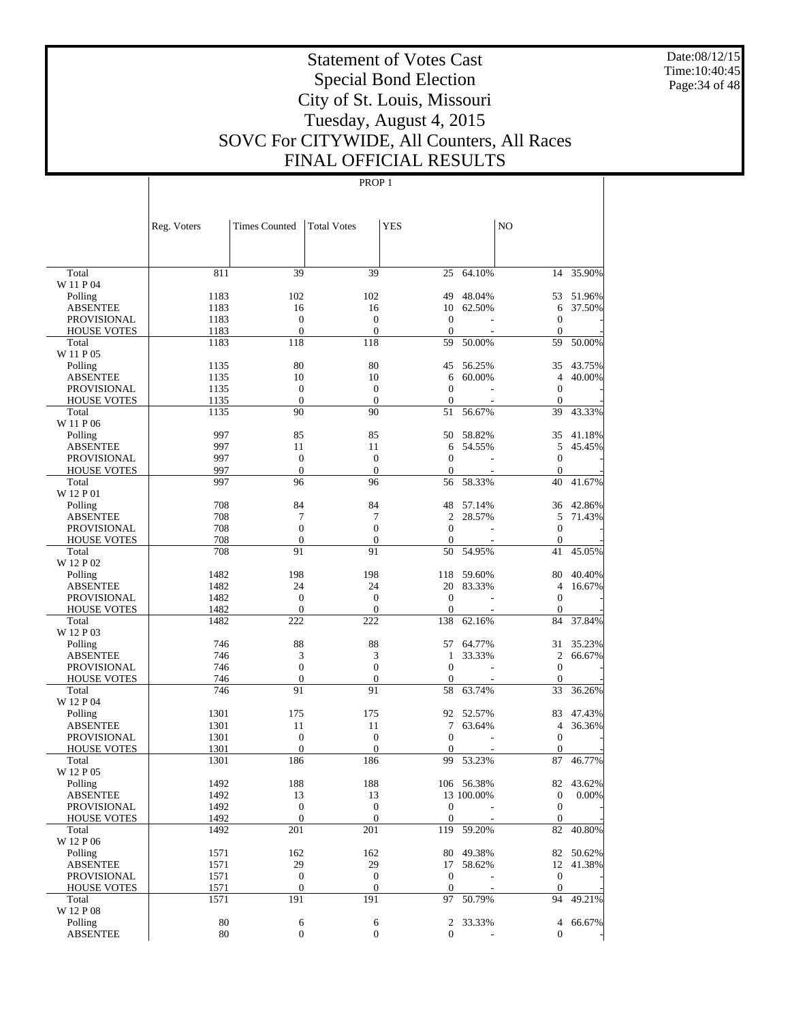Date:08/12/15 Time:10:40:45 Page:34 of 48

# Statement of Votes Cast Special Bond Election City of St. Louis, Missouri Tuesday, August 4, 2015 SOVC For CITYWIDE, All Counters, All Races FINAL OFFICIAL RESULTS

|                                       | Reg. Voters  | <b>Times Counted</b>                 | <b>Total Votes</b>                   | <b>YES</b>                       |            | N <sub>O</sub>               |          |
|---------------------------------------|--------------|--------------------------------------|--------------------------------------|----------------------------------|------------|------------------------------|----------|
|                                       |              |                                      |                                      |                                  |            |                              |          |
| Total                                 | 811          | 39                                   | 39                                   | 25                               | 64.10%     | 14                           | 35.90%   |
| W 11 P 04                             |              |                                      |                                      |                                  |            |                              |          |
| Polling                               | 1183         | 102                                  | 102                                  | 49                               | 48.04%     | 53                           | 51.96%   |
| <b>ABSENTEE</b><br><b>PROVISIONAL</b> | 1183<br>1183 | 16<br>$\mathbf{0}$                   | 16<br>$\overline{0}$                 | 10<br>$\overline{0}$             | 62.50%     | 6<br>$\boldsymbol{0}$        | 37.50%   |
| <b>HOUSE VOTES</b>                    | 1183         | $\boldsymbol{0}$                     | $\mathbf{0}$                         | $\theta$                         |            | $\boldsymbol{0}$             |          |
| Total                                 | 1183         | 118                                  | 118                                  | 59                               | 50.00%     | 59                           | 50.00%   |
| W 11 P 05                             |              |                                      |                                      |                                  |            |                              |          |
| Polling                               | 1135         | 80                                   | 80                                   | 45                               | 56.25%     | 35                           | 43.75%   |
| <b>ABSENTEE</b>                       | 1135         | 10                                   | 10                                   | 6                                | 60.00%     | 4                            | 40.00%   |
| <b>PROVISIONAL</b>                    | 1135         | $\boldsymbol{0}$                     | $\overline{0}$                       | $\overline{0}$                   |            | 0                            |          |
| <b>HOUSE VOTES</b>                    | 1135         | $\boldsymbol{0}$                     | $\mathbf{0}$                         | $\theta$                         |            | $\boldsymbol{0}$             |          |
| Total                                 | 1135         | 90                                   | 90                                   | 51                               | 56.67%     | 39                           | 43.33%   |
| W 11 P 06                             |              |                                      |                                      |                                  |            |                              |          |
| Polling                               | 997          | 85                                   | 85                                   | 50                               | 58.82%     | 35                           | 41.18%   |
| <b>ABSENTEE</b>                       | 997          | 11                                   | 11                                   | 6                                | 54.55%     | 5                            | 45.45%   |
| <b>PROVISIONAL</b>                    | 997<br>997   | $\mathbf{0}$                         | $\overline{0}$<br>$\mathbf{0}$       | $\overline{0}$                   |            | $\boldsymbol{0}$             |          |
| <b>HOUSE VOTES</b><br>Total           | 997          | $\boldsymbol{0}$<br>96               | 96                                   | $\theta$<br>56                   | 58.33%     | $\boldsymbol{0}$<br>40       | 41.67%   |
| W 12 P 01                             |              |                                      |                                      |                                  |            |                              |          |
| Polling                               | 708          | 84                                   | 84                                   | 48                               | 57.14%     | 36                           | 42.86%   |
| <b>ABSENTEE</b>                       | 708          | 7                                    | 7                                    | $\overline{2}$                   | 28.57%     | 5                            | 71.43%   |
| <b>PROVISIONAL</b>                    | 708          | $\mathbf{0}$                         | $\overline{0}$                       | $\mathbf{0}$                     |            | $\boldsymbol{0}$             |          |
| <b>HOUSE VOTES</b>                    | 708          | $\boldsymbol{0}$                     | $\boldsymbol{0}$                     | $\overline{0}$                   |            | $\boldsymbol{0}$             |          |
| Total                                 | 708          | 91                                   | 91                                   | 50                               | 54.95%     | 41                           | 45.05%   |
| W 12 P 02                             |              |                                      |                                      |                                  |            |                              |          |
| Polling                               | 1482         | 198                                  | 198                                  | 118                              | 59.60%     | 80                           | 40.40%   |
| <b>ABSENTEE</b>                       | 1482         | 24                                   | 24                                   | 20                               | 83.33%     | 4                            | 16.67%   |
| <b>PROVISIONAL</b>                    | 1482         | $\mathbf{0}$                         | $\overline{0}$                       | $\overline{0}$                   |            | $\boldsymbol{0}$             |          |
| <b>HOUSE VOTES</b>                    | 1482         | $\mathbf{0}$                         | $\theta$                             | $\theta$                         |            | $\mathbf{0}$                 |          |
| Total                                 | 1482         | 222                                  | 222                                  | 138                              | 62.16%     | 84                           | 37.84%   |
| W 12 P 03                             | 746          | 88                                   | 88                                   | 57                               | 64.77%     | 31                           | 35.23%   |
| Polling<br><b>ABSENTEE</b>            | 746          | 3                                    | 3                                    | 1                                | 33.33%     | $\overline{c}$               | 66.67%   |
| <b>PROVISIONAL</b>                    | 746          | $\mathbf{0}$                         | $\overline{0}$                       | $\overline{0}$                   |            | $\boldsymbol{0}$             |          |
| <b>HOUSE VOTES</b>                    | 746          | $\boldsymbol{0}$                     | $\boldsymbol{0}$                     | $\theta$                         |            | $\boldsymbol{0}$             |          |
| Total                                 | 746          | 91                                   | 91                                   | 58                               | 63.74%     | 33                           | 36.26%   |
| W 12 P 04                             |              |                                      |                                      |                                  |            |                              |          |
| Polling                               | 1301         | 175                                  | 175                                  | 92                               | 52.57%     | 83                           | 47.43%   |
| <b>ABSENTEE</b>                       | 1301         | 11                                   | 11                                   | 7                                | 63.64%     | $\overline{4}$               | 36.36%   |
| <b>PROVISIONAL</b>                    | 1301         | $\boldsymbol{0}$                     | $\overline{0}$                       | $\theta$                         |            | $\boldsymbol{0}$             |          |
| <b>HOUSE VOTES</b>                    | 1301         | $\mathbf{0}$                         | $\theta$                             | $\mathbf{0}$                     |            | $\mathbf{0}$                 |          |
| Total                                 | 1301         | 186                                  | 186                                  | 99                               | 53.23%     | 87                           | 46.77%   |
| W 12 P 05                             |              |                                      |                                      |                                  |            |                              |          |
| Polling                               | 1492         | 188                                  | 188                                  |                                  | 106 56.38% | 82                           | 43.62%   |
| <b>ABSENTEE</b>                       | 1492         | 13                                   | 13                                   |                                  | 13 100.00% | $\boldsymbol{0}$             | $0.00\%$ |
| PROVISIONAL<br><b>HOUSE VOTES</b>     | 1492<br>1492 | $\boldsymbol{0}$<br>$\boldsymbol{0}$ | $\boldsymbol{0}$<br>$\boldsymbol{0}$ | $\mathbf{0}$<br>$\boldsymbol{0}$ |            | $\mathbf{0}$<br>$\mathbf{0}$ |          |
| Total                                 | 1492         | 201                                  | 201                                  | 119                              | 59.20%     | 82                           | 40.80%   |
| W 12 P 06                             |              |                                      |                                      |                                  |            |                              |          |
| Polling                               | 1571         | 162                                  | 162                                  | 80                               | 49.38%     | 82                           | 50.62%   |
| <b>ABSENTEE</b>                       | 1571         | 29                                   | 29                                   | 17                               | 58.62%     | 12                           | 41.38%   |
| PROVISIONAL                           | 1571         | $\boldsymbol{0}$                     | $\boldsymbol{0}$                     | $\mathbf{0}$                     |            | $\boldsymbol{0}$             |          |
| <b>HOUSE VOTES</b>                    | 1571         | $\boldsymbol{0}$                     | $\boldsymbol{0}$                     | $\mathbf{0}$                     |            | $\mathbf{0}$                 |          |
| Total                                 | 1571         | 191                                  | 191                                  | 97                               | 50.79%     | 94                           | 49.21%   |
| W 12 P 08                             |              |                                      |                                      |                                  |            |                              |          |
| Polling                               | 80           | 6                                    | 6                                    | 2                                | 33.33%     | 4                            | 66.67%   |
| ABSENTEE                              | 80           | $\boldsymbol{0}$                     | $\mathbf{0}$                         | $\overline{0}$                   |            | $\overline{0}$               |          |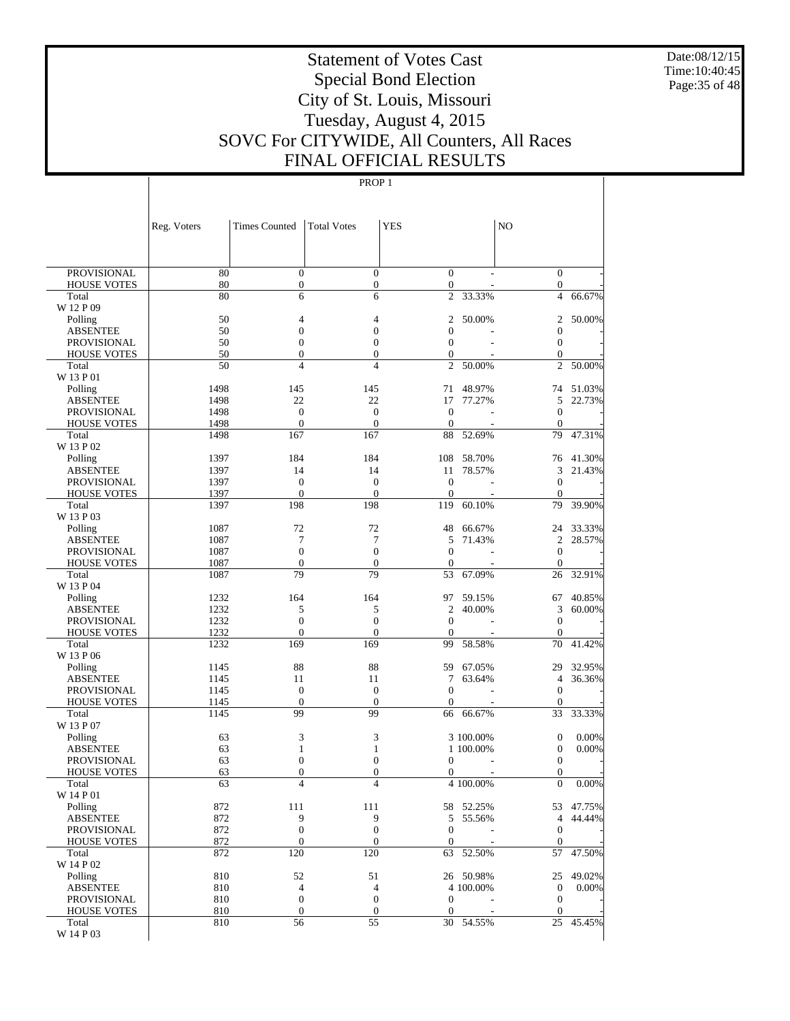Date:08/12/15 Time:10:40:45 Page:35 of 48

# Statement of Votes Cast Special Bond Election City of St. Louis, Missouri Tuesday, August 4, 2015 SOVC For CITYWIDE, All Counters, All Races FINAL OFFICIAL RESULTS

## PROP 1

| <b>PROVISIONAL</b><br>80<br>$\mathbf{0}$<br>$\mathbf{0}$<br>$\mathbf{0}$<br>$\mathbf{0}$<br>80<br>$\boldsymbol{0}$<br>$\boldsymbol{0}$<br>$\overline{0}$<br>$\boldsymbol{0}$<br><b>HOUSE VOTES</b><br>80<br>6<br>6<br>$\overline{c}$<br>33.33%<br>$\overline{4}$<br>66.67%<br>Total<br>W 12 P 09<br>50<br>50.00%<br>50.00%<br>Polling<br>4<br>4<br>2<br>2<br>50<br>$\mathbf{0}$<br>$\boldsymbol{0}$<br>$\overline{0}$<br>$\boldsymbol{0}$<br><b>ABSENTEE</b><br>50<br><b>PROVISIONAL</b><br>$\boldsymbol{0}$<br>$\boldsymbol{0}$<br>$\mathbf{0}$<br>$\boldsymbol{0}$<br>50<br>$\boldsymbol{0}$<br>$\boldsymbol{0}$<br>$\boldsymbol{0}$<br><b>HOUSE VOTES</b><br>$\mathbf{0}$<br>50<br>$\overline{4}$<br>$\overline{4}$<br>$\mathfrak{2}$<br>$\mathfrak{2}$<br>50.00%<br>50.00%<br>Total<br>W 13 P 01<br>51.03%<br>1498<br>145<br>145<br>71<br>48.97%<br>74<br>Polling<br>1498<br>22<br>22<br>17<br>5<br><b>ABSENTEE</b><br>77.27%<br>22.73%<br>1498<br>$\boldsymbol{0}$<br>$\mathbf{0}$<br>$\boldsymbol{0}$<br>$\boldsymbol{0}$<br><b>PROVISIONAL</b><br>1498<br>$\mathbf{0}$<br>$\overline{0}$<br>$\boldsymbol{0}$<br><b>HOUSE VOTES</b><br>$\theta$<br>1498<br>167<br>167<br>88<br>52.69%<br>79<br>47.31%<br>Total<br>W 13 P 02<br>184<br>184<br>108<br>58.70%<br>41.30%<br>Polling<br>1397<br>76<br>14<br>14<br>78.57%<br>3<br>21.43%<br><b>ABSENTEE</b><br>1397<br>11<br>1397<br>$\boldsymbol{0}$<br>$\boldsymbol{0}$<br>$\mathbf{0}$<br>$\mathbf{0}$<br><b>PROVISIONAL</b><br>1397<br>$\mathbf{0}$<br>$\overline{0}$<br><b>HOUSE VOTES</b><br>$\mathbf{0}$<br>$\boldsymbol{0}$<br>198<br>198<br>1397<br>119<br>60.10%<br>79<br>39.90%<br>Total<br>W 13 P 03<br>1087<br>72<br>72<br>48<br>66.67%<br>24<br>33.33%<br>Polling<br>7<br>7<br>$\overline{c}$<br>28.57%<br><b>ABSENTEE</b><br>1087<br>5<br>71.43%<br>1087<br>$\boldsymbol{0}$<br>$\boldsymbol{0}$<br>$\boldsymbol{0}$<br><b>PROVISIONAL</b><br>$\mathbf{0}$<br>$\mathbf{0}$<br>$\overline{0}$<br>$\boldsymbol{0}$<br><b>HOUSE VOTES</b><br>1087<br>$\mathbf{0}$<br>79<br>79<br>1087<br>53<br>67.09%<br>26<br>32.91%<br>Total<br>W 13 P 04<br>164<br>164<br>97<br>40.85%<br>1232<br>59.15%<br>67<br>Polling<br>1232<br>5<br>5<br>$\overline{c}$<br>3<br><b>ABSENTEE</b><br>40.00%<br>60.00%<br>1232<br>$\boldsymbol{0}$<br>$\boldsymbol{0}$<br>$\mathbf{0}$<br><b>PROVISIONAL</b><br>$\mathbf{0}$<br>1232<br>$\mathbf{0}$<br>$\overline{0}$<br><b>HOUSE VOTES</b><br>$\mathbf{0}$<br>$\boldsymbol{0}$<br>169<br>169<br>41.42%<br>1232<br>99<br>58.58%<br>70<br>Total<br>W 13 P 06<br>88<br>88<br>32.95%<br>1145<br>59<br>67.05%<br>29<br>Polling<br><b>ABSENTEE</b><br>11<br>11<br>7<br>63.64%<br>$\overline{4}$<br>36.36%<br>1145<br>$\boldsymbol{0}$<br>$\mathbf{0}$<br>$\mathbf{0}$<br>$\boldsymbol{0}$<br><b>PROVISIONAL</b><br>1145<br>$\mathbf{0}$<br>$\overline{0}$<br><b>HOUSE VOTES</b><br>1145<br>$\mathbf{0}$<br>$\boldsymbol{0}$<br>99<br>99<br>1145<br>66<br>66.67%<br>33<br>33.33%<br>Total<br>W 13 P 07<br>63<br>3<br>3<br>$\boldsymbol{0}$<br>0.00%<br>3 100.00%<br>Polling<br>63<br>$\boldsymbol{0}$<br>0.00%<br><b>ABSENTEE</b><br>1<br>1<br>1 100.00%<br>63<br>$\boldsymbol{0}$<br>$\boldsymbol{0}$<br>$\boldsymbol{0}$<br>PROVISIONAL<br>$\mathbf{0}$<br>63<br>$\boldsymbol{0}$<br>$\boldsymbol{0}$<br><b>HOUSE VOTES</b><br>$\boldsymbol{0}$<br>0<br>$\overline{4}$<br>$\overline{4}$<br>$\overline{0}$<br>0.00%<br>63<br>4 100.00%<br>Total<br>W 14 P 01<br>111<br>111<br>Polling<br>872<br>58 52.25%<br>53 47.75%<br><b>ABSENTEE</b><br>872<br>9<br>9<br>5 55.56%<br>$\overline{4}$<br>44.44%<br>$\boldsymbol{0}$<br>$\boldsymbol{0}$<br>872<br>$\mathbf{0}$<br>PROVISIONAL<br>$\mathbf{0}$<br><b>HOUSE VOTES</b><br>872<br>$\mathbf{0}$<br>$\mathbf{0}$<br>$\mathbf{0}$<br>$\mathbf{0}$<br>120<br>120<br>872<br>63<br>52.50%<br>57<br>47.50%<br>Total<br>W 14 P 02<br>810<br>52<br>51<br>Polling<br>26 50.98%<br>25<br>49.02%<br><b>ABSENTEE</b><br>$\overline{4}$<br>$\overline{4}$<br>4 100.00%<br>$\mathbf{0}$<br>$0.00\%$<br>810<br>810<br>$\mathbf{0}$<br>$\boldsymbol{0}$<br>$\mathbf{0}$<br>PROVISIONAL<br>$\boldsymbol{0}$<br>$\mathbf{0}$<br>$\boldsymbol{0}$<br>$\mathbf{0}$<br><b>HOUSE VOTES</b><br>810<br>$\mathbf{0}$<br>56<br>55<br>Total<br>810<br>30 54.55%<br>25<br>45.45% |           | Reg. Voters | <b>Times Counted</b> | <b>Total Votes</b> | <b>YES</b> | N <sub>O</sub> |  |
|-----------------------------------------------------------------------------------------------------------------------------------------------------------------------------------------------------------------------------------------------------------------------------------------------------------------------------------------------------------------------------------------------------------------------------------------------------------------------------------------------------------------------------------------------------------------------------------------------------------------------------------------------------------------------------------------------------------------------------------------------------------------------------------------------------------------------------------------------------------------------------------------------------------------------------------------------------------------------------------------------------------------------------------------------------------------------------------------------------------------------------------------------------------------------------------------------------------------------------------------------------------------------------------------------------------------------------------------------------------------------------------------------------------------------------------------------------------------------------------------------------------------------------------------------------------------------------------------------------------------------------------------------------------------------------------------------------------------------------------------------------------------------------------------------------------------------------------------------------------------------------------------------------------------------------------------------------------------------------------------------------------------------------------------------------------------------------------------------------------------------------------------------------------------------------------------------------------------------------------------------------------------------------------------------------------------------------------------------------------------------------------------------------------------------------------------------------------------------------------------------------------------------------------------------------------------------------------------------------------------------------------------------------------------------------------------------------------------------------------------------------------------------------------------------------------------------------------------------------------------------------------------------------------------------------------------------------------------------------------------------------------------------------------------------------------------------------------------------------------------------------------------------------------------------------------------------------------------------------------------------------------------------------------------------------------------------------------------------------------------------------------------------------------------------------------------------------------------------------------------------------------------------------------------------------------------------------------------------------------------------------------------------------------------------------------------------------------------------------------------------------------------------------------------------------------------------------------------------------------------------------------------------------------------------------------------------------------------------------------------------------------------------------------------------------------------------------------------------------------------------------------------------------------------------------------------------------------------------------------------------------------------------------------|-----------|-------------|----------------------|--------------------|------------|----------------|--|
|                                                                                                                                                                                                                                                                                                                                                                                                                                                                                                                                                                                                                                                                                                                                                                                                                                                                                                                                                                                                                                                                                                                                                                                                                                                                                                                                                                                                                                                                                                                                                                                                                                                                                                                                                                                                                                                                                                                                                                                                                                                                                                                                                                                                                                                                                                                                                                                                                                                                                                                                                                                                                                                                                                                                                                                                                                                                                                                                                                                                                                                                                                                                                                                                                                                                                                                                                                                                                                                                                                                                                                                                                                                                                                                                                                                                                                                                                                                                                                                                                                                                                                                                                                                                                                                                                   |           |             |                      |                    |            |                |  |
|                                                                                                                                                                                                                                                                                                                                                                                                                                                                                                                                                                                                                                                                                                                                                                                                                                                                                                                                                                                                                                                                                                                                                                                                                                                                                                                                                                                                                                                                                                                                                                                                                                                                                                                                                                                                                                                                                                                                                                                                                                                                                                                                                                                                                                                                                                                                                                                                                                                                                                                                                                                                                                                                                                                                                                                                                                                                                                                                                                                                                                                                                                                                                                                                                                                                                                                                                                                                                                                                                                                                                                                                                                                                                                                                                                                                                                                                                                                                                                                                                                                                                                                                                                                                                                                                                   |           |             |                      |                    |            |                |  |
|                                                                                                                                                                                                                                                                                                                                                                                                                                                                                                                                                                                                                                                                                                                                                                                                                                                                                                                                                                                                                                                                                                                                                                                                                                                                                                                                                                                                                                                                                                                                                                                                                                                                                                                                                                                                                                                                                                                                                                                                                                                                                                                                                                                                                                                                                                                                                                                                                                                                                                                                                                                                                                                                                                                                                                                                                                                                                                                                                                                                                                                                                                                                                                                                                                                                                                                                                                                                                                                                                                                                                                                                                                                                                                                                                                                                                                                                                                                                                                                                                                                                                                                                                                                                                                                                                   |           |             |                      |                    |            |                |  |
|                                                                                                                                                                                                                                                                                                                                                                                                                                                                                                                                                                                                                                                                                                                                                                                                                                                                                                                                                                                                                                                                                                                                                                                                                                                                                                                                                                                                                                                                                                                                                                                                                                                                                                                                                                                                                                                                                                                                                                                                                                                                                                                                                                                                                                                                                                                                                                                                                                                                                                                                                                                                                                                                                                                                                                                                                                                                                                                                                                                                                                                                                                                                                                                                                                                                                                                                                                                                                                                                                                                                                                                                                                                                                                                                                                                                                                                                                                                                                                                                                                                                                                                                                                                                                                                                                   |           |             |                      |                    |            |                |  |
|                                                                                                                                                                                                                                                                                                                                                                                                                                                                                                                                                                                                                                                                                                                                                                                                                                                                                                                                                                                                                                                                                                                                                                                                                                                                                                                                                                                                                                                                                                                                                                                                                                                                                                                                                                                                                                                                                                                                                                                                                                                                                                                                                                                                                                                                                                                                                                                                                                                                                                                                                                                                                                                                                                                                                                                                                                                                                                                                                                                                                                                                                                                                                                                                                                                                                                                                                                                                                                                                                                                                                                                                                                                                                                                                                                                                                                                                                                                                                                                                                                                                                                                                                                                                                                                                                   |           |             |                      |                    |            |                |  |
|                                                                                                                                                                                                                                                                                                                                                                                                                                                                                                                                                                                                                                                                                                                                                                                                                                                                                                                                                                                                                                                                                                                                                                                                                                                                                                                                                                                                                                                                                                                                                                                                                                                                                                                                                                                                                                                                                                                                                                                                                                                                                                                                                                                                                                                                                                                                                                                                                                                                                                                                                                                                                                                                                                                                                                                                                                                                                                                                                                                                                                                                                                                                                                                                                                                                                                                                                                                                                                                                                                                                                                                                                                                                                                                                                                                                                                                                                                                                                                                                                                                                                                                                                                                                                                                                                   |           |             |                      |                    |            |                |  |
|                                                                                                                                                                                                                                                                                                                                                                                                                                                                                                                                                                                                                                                                                                                                                                                                                                                                                                                                                                                                                                                                                                                                                                                                                                                                                                                                                                                                                                                                                                                                                                                                                                                                                                                                                                                                                                                                                                                                                                                                                                                                                                                                                                                                                                                                                                                                                                                                                                                                                                                                                                                                                                                                                                                                                                                                                                                                                                                                                                                                                                                                                                                                                                                                                                                                                                                                                                                                                                                                                                                                                                                                                                                                                                                                                                                                                                                                                                                                                                                                                                                                                                                                                                                                                                                                                   |           |             |                      |                    |            |                |  |
|                                                                                                                                                                                                                                                                                                                                                                                                                                                                                                                                                                                                                                                                                                                                                                                                                                                                                                                                                                                                                                                                                                                                                                                                                                                                                                                                                                                                                                                                                                                                                                                                                                                                                                                                                                                                                                                                                                                                                                                                                                                                                                                                                                                                                                                                                                                                                                                                                                                                                                                                                                                                                                                                                                                                                                                                                                                                                                                                                                                                                                                                                                                                                                                                                                                                                                                                                                                                                                                                                                                                                                                                                                                                                                                                                                                                                                                                                                                                                                                                                                                                                                                                                                                                                                                                                   |           |             |                      |                    |            |                |  |
|                                                                                                                                                                                                                                                                                                                                                                                                                                                                                                                                                                                                                                                                                                                                                                                                                                                                                                                                                                                                                                                                                                                                                                                                                                                                                                                                                                                                                                                                                                                                                                                                                                                                                                                                                                                                                                                                                                                                                                                                                                                                                                                                                                                                                                                                                                                                                                                                                                                                                                                                                                                                                                                                                                                                                                                                                                                                                                                                                                                                                                                                                                                                                                                                                                                                                                                                                                                                                                                                                                                                                                                                                                                                                                                                                                                                                                                                                                                                                                                                                                                                                                                                                                                                                                                                                   |           |             |                      |                    |            |                |  |
|                                                                                                                                                                                                                                                                                                                                                                                                                                                                                                                                                                                                                                                                                                                                                                                                                                                                                                                                                                                                                                                                                                                                                                                                                                                                                                                                                                                                                                                                                                                                                                                                                                                                                                                                                                                                                                                                                                                                                                                                                                                                                                                                                                                                                                                                                                                                                                                                                                                                                                                                                                                                                                                                                                                                                                                                                                                                                                                                                                                                                                                                                                                                                                                                                                                                                                                                                                                                                                                                                                                                                                                                                                                                                                                                                                                                                                                                                                                                                                                                                                                                                                                                                                                                                                                                                   |           |             |                      |                    |            |                |  |
|                                                                                                                                                                                                                                                                                                                                                                                                                                                                                                                                                                                                                                                                                                                                                                                                                                                                                                                                                                                                                                                                                                                                                                                                                                                                                                                                                                                                                                                                                                                                                                                                                                                                                                                                                                                                                                                                                                                                                                                                                                                                                                                                                                                                                                                                                                                                                                                                                                                                                                                                                                                                                                                                                                                                                                                                                                                                                                                                                                                                                                                                                                                                                                                                                                                                                                                                                                                                                                                                                                                                                                                                                                                                                                                                                                                                                                                                                                                                                                                                                                                                                                                                                                                                                                                                                   |           |             |                      |                    |            |                |  |
|                                                                                                                                                                                                                                                                                                                                                                                                                                                                                                                                                                                                                                                                                                                                                                                                                                                                                                                                                                                                                                                                                                                                                                                                                                                                                                                                                                                                                                                                                                                                                                                                                                                                                                                                                                                                                                                                                                                                                                                                                                                                                                                                                                                                                                                                                                                                                                                                                                                                                                                                                                                                                                                                                                                                                                                                                                                                                                                                                                                                                                                                                                                                                                                                                                                                                                                                                                                                                                                                                                                                                                                                                                                                                                                                                                                                                                                                                                                                                                                                                                                                                                                                                                                                                                                                                   |           |             |                      |                    |            |                |  |
|                                                                                                                                                                                                                                                                                                                                                                                                                                                                                                                                                                                                                                                                                                                                                                                                                                                                                                                                                                                                                                                                                                                                                                                                                                                                                                                                                                                                                                                                                                                                                                                                                                                                                                                                                                                                                                                                                                                                                                                                                                                                                                                                                                                                                                                                                                                                                                                                                                                                                                                                                                                                                                                                                                                                                                                                                                                                                                                                                                                                                                                                                                                                                                                                                                                                                                                                                                                                                                                                                                                                                                                                                                                                                                                                                                                                                                                                                                                                                                                                                                                                                                                                                                                                                                                                                   |           |             |                      |                    |            |                |  |
|                                                                                                                                                                                                                                                                                                                                                                                                                                                                                                                                                                                                                                                                                                                                                                                                                                                                                                                                                                                                                                                                                                                                                                                                                                                                                                                                                                                                                                                                                                                                                                                                                                                                                                                                                                                                                                                                                                                                                                                                                                                                                                                                                                                                                                                                                                                                                                                                                                                                                                                                                                                                                                                                                                                                                                                                                                                                                                                                                                                                                                                                                                                                                                                                                                                                                                                                                                                                                                                                                                                                                                                                                                                                                                                                                                                                                                                                                                                                                                                                                                                                                                                                                                                                                                                                                   |           |             |                      |                    |            |                |  |
|                                                                                                                                                                                                                                                                                                                                                                                                                                                                                                                                                                                                                                                                                                                                                                                                                                                                                                                                                                                                                                                                                                                                                                                                                                                                                                                                                                                                                                                                                                                                                                                                                                                                                                                                                                                                                                                                                                                                                                                                                                                                                                                                                                                                                                                                                                                                                                                                                                                                                                                                                                                                                                                                                                                                                                                                                                                                                                                                                                                                                                                                                                                                                                                                                                                                                                                                                                                                                                                                                                                                                                                                                                                                                                                                                                                                                                                                                                                                                                                                                                                                                                                                                                                                                                                                                   |           |             |                      |                    |            |                |  |
|                                                                                                                                                                                                                                                                                                                                                                                                                                                                                                                                                                                                                                                                                                                                                                                                                                                                                                                                                                                                                                                                                                                                                                                                                                                                                                                                                                                                                                                                                                                                                                                                                                                                                                                                                                                                                                                                                                                                                                                                                                                                                                                                                                                                                                                                                                                                                                                                                                                                                                                                                                                                                                                                                                                                                                                                                                                                                                                                                                                                                                                                                                                                                                                                                                                                                                                                                                                                                                                                                                                                                                                                                                                                                                                                                                                                                                                                                                                                                                                                                                                                                                                                                                                                                                                                                   |           |             |                      |                    |            |                |  |
|                                                                                                                                                                                                                                                                                                                                                                                                                                                                                                                                                                                                                                                                                                                                                                                                                                                                                                                                                                                                                                                                                                                                                                                                                                                                                                                                                                                                                                                                                                                                                                                                                                                                                                                                                                                                                                                                                                                                                                                                                                                                                                                                                                                                                                                                                                                                                                                                                                                                                                                                                                                                                                                                                                                                                                                                                                                                                                                                                                                                                                                                                                                                                                                                                                                                                                                                                                                                                                                                                                                                                                                                                                                                                                                                                                                                                                                                                                                                                                                                                                                                                                                                                                                                                                                                                   |           |             |                      |                    |            |                |  |
|                                                                                                                                                                                                                                                                                                                                                                                                                                                                                                                                                                                                                                                                                                                                                                                                                                                                                                                                                                                                                                                                                                                                                                                                                                                                                                                                                                                                                                                                                                                                                                                                                                                                                                                                                                                                                                                                                                                                                                                                                                                                                                                                                                                                                                                                                                                                                                                                                                                                                                                                                                                                                                                                                                                                                                                                                                                                                                                                                                                                                                                                                                                                                                                                                                                                                                                                                                                                                                                                                                                                                                                                                                                                                                                                                                                                                                                                                                                                                                                                                                                                                                                                                                                                                                                                                   |           |             |                      |                    |            |                |  |
|                                                                                                                                                                                                                                                                                                                                                                                                                                                                                                                                                                                                                                                                                                                                                                                                                                                                                                                                                                                                                                                                                                                                                                                                                                                                                                                                                                                                                                                                                                                                                                                                                                                                                                                                                                                                                                                                                                                                                                                                                                                                                                                                                                                                                                                                                                                                                                                                                                                                                                                                                                                                                                                                                                                                                                                                                                                                                                                                                                                                                                                                                                                                                                                                                                                                                                                                                                                                                                                                                                                                                                                                                                                                                                                                                                                                                                                                                                                                                                                                                                                                                                                                                                                                                                                                                   |           |             |                      |                    |            |                |  |
|                                                                                                                                                                                                                                                                                                                                                                                                                                                                                                                                                                                                                                                                                                                                                                                                                                                                                                                                                                                                                                                                                                                                                                                                                                                                                                                                                                                                                                                                                                                                                                                                                                                                                                                                                                                                                                                                                                                                                                                                                                                                                                                                                                                                                                                                                                                                                                                                                                                                                                                                                                                                                                                                                                                                                                                                                                                                                                                                                                                                                                                                                                                                                                                                                                                                                                                                                                                                                                                                                                                                                                                                                                                                                                                                                                                                                                                                                                                                                                                                                                                                                                                                                                                                                                                                                   |           |             |                      |                    |            |                |  |
|                                                                                                                                                                                                                                                                                                                                                                                                                                                                                                                                                                                                                                                                                                                                                                                                                                                                                                                                                                                                                                                                                                                                                                                                                                                                                                                                                                                                                                                                                                                                                                                                                                                                                                                                                                                                                                                                                                                                                                                                                                                                                                                                                                                                                                                                                                                                                                                                                                                                                                                                                                                                                                                                                                                                                                                                                                                                                                                                                                                                                                                                                                                                                                                                                                                                                                                                                                                                                                                                                                                                                                                                                                                                                                                                                                                                                                                                                                                                                                                                                                                                                                                                                                                                                                                                                   |           |             |                      |                    |            |                |  |
|                                                                                                                                                                                                                                                                                                                                                                                                                                                                                                                                                                                                                                                                                                                                                                                                                                                                                                                                                                                                                                                                                                                                                                                                                                                                                                                                                                                                                                                                                                                                                                                                                                                                                                                                                                                                                                                                                                                                                                                                                                                                                                                                                                                                                                                                                                                                                                                                                                                                                                                                                                                                                                                                                                                                                                                                                                                                                                                                                                                                                                                                                                                                                                                                                                                                                                                                                                                                                                                                                                                                                                                                                                                                                                                                                                                                                                                                                                                                                                                                                                                                                                                                                                                                                                                                                   |           |             |                      |                    |            |                |  |
|                                                                                                                                                                                                                                                                                                                                                                                                                                                                                                                                                                                                                                                                                                                                                                                                                                                                                                                                                                                                                                                                                                                                                                                                                                                                                                                                                                                                                                                                                                                                                                                                                                                                                                                                                                                                                                                                                                                                                                                                                                                                                                                                                                                                                                                                                                                                                                                                                                                                                                                                                                                                                                                                                                                                                                                                                                                                                                                                                                                                                                                                                                                                                                                                                                                                                                                                                                                                                                                                                                                                                                                                                                                                                                                                                                                                                                                                                                                                                                                                                                                                                                                                                                                                                                                                                   |           |             |                      |                    |            |                |  |
|                                                                                                                                                                                                                                                                                                                                                                                                                                                                                                                                                                                                                                                                                                                                                                                                                                                                                                                                                                                                                                                                                                                                                                                                                                                                                                                                                                                                                                                                                                                                                                                                                                                                                                                                                                                                                                                                                                                                                                                                                                                                                                                                                                                                                                                                                                                                                                                                                                                                                                                                                                                                                                                                                                                                                                                                                                                                                                                                                                                                                                                                                                                                                                                                                                                                                                                                                                                                                                                                                                                                                                                                                                                                                                                                                                                                                                                                                                                                                                                                                                                                                                                                                                                                                                                                                   |           |             |                      |                    |            |                |  |
|                                                                                                                                                                                                                                                                                                                                                                                                                                                                                                                                                                                                                                                                                                                                                                                                                                                                                                                                                                                                                                                                                                                                                                                                                                                                                                                                                                                                                                                                                                                                                                                                                                                                                                                                                                                                                                                                                                                                                                                                                                                                                                                                                                                                                                                                                                                                                                                                                                                                                                                                                                                                                                                                                                                                                                                                                                                                                                                                                                                                                                                                                                                                                                                                                                                                                                                                                                                                                                                                                                                                                                                                                                                                                                                                                                                                                                                                                                                                                                                                                                                                                                                                                                                                                                                                                   |           |             |                      |                    |            |                |  |
|                                                                                                                                                                                                                                                                                                                                                                                                                                                                                                                                                                                                                                                                                                                                                                                                                                                                                                                                                                                                                                                                                                                                                                                                                                                                                                                                                                                                                                                                                                                                                                                                                                                                                                                                                                                                                                                                                                                                                                                                                                                                                                                                                                                                                                                                                                                                                                                                                                                                                                                                                                                                                                                                                                                                                                                                                                                                                                                                                                                                                                                                                                                                                                                                                                                                                                                                                                                                                                                                                                                                                                                                                                                                                                                                                                                                                                                                                                                                                                                                                                                                                                                                                                                                                                                                                   |           |             |                      |                    |            |                |  |
|                                                                                                                                                                                                                                                                                                                                                                                                                                                                                                                                                                                                                                                                                                                                                                                                                                                                                                                                                                                                                                                                                                                                                                                                                                                                                                                                                                                                                                                                                                                                                                                                                                                                                                                                                                                                                                                                                                                                                                                                                                                                                                                                                                                                                                                                                                                                                                                                                                                                                                                                                                                                                                                                                                                                                                                                                                                                                                                                                                                                                                                                                                                                                                                                                                                                                                                                                                                                                                                                                                                                                                                                                                                                                                                                                                                                                                                                                                                                                                                                                                                                                                                                                                                                                                                                                   |           |             |                      |                    |            |                |  |
|                                                                                                                                                                                                                                                                                                                                                                                                                                                                                                                                                                                                                                                                                                                                                                                                                                                                                                                                                                                                                                                                                                                                                                                                                                                                                                                                                                                                                                                                                                                                                                                                                                                                                                                                                                                                                                                                                                                                                                                                                                                                                                                                                                                                                                                                                                                                                                                                                                                                                                                                                                                                                                                                                                                                                                                                                                                                                                                                                                                                                                                                                                                                                                                                                                                                                                                                                                                                                                                                                                                                                                                                                                                                                                                                                                                                                                                                                                                                                                                                                                                                                                                                                                                                                                                                                   |           |             |                      |                    |            |                |  |
|                                                                                                                                                                                                                                                                                                                                                                                                                                                                                                                                                                                                                                                                                                                                                                                                                                                                                                                                                                                                                                                                                                                                                                                                                                                                                                                                                                                                                                                                                                                                                                                                                                                                                                                                                                                                                                                                                                                                                                                                                                                                                                                                                                                                                                                                                                                                                                                                                                                                                                                                                                                                                                                                                                                                                                                                                                                                                                                                                                                                                                                                                                                                                                                                                                                                                                                                                                                                                                                                                                                                                                                                                                                                                                                                                                                                                                                                                                                                                                                                                                                                                                                                                                                                                                                                                   |           |             |                      |                    |            |                |  |
|                                                                                                                                                                                                                                                                                                                                                                                                                                                                                                                                                                                                                                                                                                                                                                                                                                                                                                                                                                                                                                                                                                                                                                                                                                                                                                                                                                                                                                                                                                                                                                                                                                                                                                                                                                                                                                                                                                                                                                                                                                                                                                                                                                                                                                                                                                                                                                                                                                                                                                                                                                                                                                                                                                                                                                                                                                                                                                                                                                                                                                                                                                                                                                                                                                                                                                                                                                                                                                                                                                                                                                                                                                                                                                                                                                                                                                                                                                                                                                                                                                                                                                                                                                                                                                                                                   |           |             |                      |                    |            |                |  |
|                                                                                                                                                                                                                                                                                                                                                                                                                                                                                                                                                                                                                                                                                                                                                                                                                                                                                                                                                                                                                                                                                                                                                                                                                                                                                                                                                                                                                                                                                                                                                                                                                                                                                                                                                                                                                                                                                                                                                                                                                                                                                                                                                                                                                                                                                                                                                                                                                                                                                                                                                                                                                                                                                                                                                                                                                                                                                                                                                                                                                                                                                                                                                                                                                                                                                                                                                                                                                                                                                                                                                                                                                                                                                                                                                                                                                                                                                                                                                                                                                                                                                                                                                                                                                                                                                   |           |             |                      |                    |            |                |  |
|                                                                                                                                                                                                                                                                                                                                                                                                                                                                                                                                                                                                                                                                                                                                                                                                                                                                                                                                                                                                                                                                                                                                                                                                                                                                                                                                                                                                                                                                                                                                                                                                                                                                                                                                                                                                                                                                                                                                                                                                                                                                                                                                                                                                                                                                                                                                                                                                                                                                                                                                                                                                                                                                                                                                                                                                                                                                                                                                                                                                                                                                                                                                                                                                                                                                                                                                                                                                                                                                                                                                                                                                                                                                                                                                                                                                                                                                                                                                                                                                                                                                                                                                                                                                                                                                                   |           |             |                      |                    |            |                |  |
|                                                                                                                                                                                                                                                                                                                                                                                                                                                                                                                                                                                                                                                                                                                                                                                                                                                                                                                                                                                                                                                                                                                                                                                                                                                                                                                                                                                                                                                                                                                                                                                                                                                                                                                                                                                                                                                                                                                                                                                                                                                                                                                                                                                                                                                                                                                                                                                                                                                                                                                                                                                                                                                                                                                                                                                                                                                                                                                                                                                                                                                                                                                                                                                                                                                                                                                                                                                                                                                                                                                                                                                                                                                                                                                                                                                                                                                                                                                                                                                                                                                                                                                                                                                                                                                                                   |           |             |                      |                    |            |                |  |
|                                                                                                                                                                                                                                                                                                                                                                                                                                                                                                                                                                                                                                                                                                                                                                                                                                                                                                                                                                                                                                                                                                                                                                                                                                                                                                                                                                                                                                                                                                                                                                                                                                                                                                                                                                                                                                                                                                                                                                                                                                                                                                                                                                                                                                                                                                                                                                                                                                                                                                                                                                                                                                                                                                                                                                                                                                                                                                                                                                                                                                                                                                                                                                                                                                                                                                                                                                                                                                                                                                                                                                                                                                                                                                                                                                                                                                                                                                                                                                                                                                                                                                                                                                                                                                                                                   |           |             |                      |                    |            |                |  |
|                                                                                                                                                                                                                                                                                                                                                                                                                                                                                                                                                                                                                                                                                                                                                                                                                                                                                                                                                                                                                                                                                                                                                                                                                                                                                                                                                                                                                                                                                                                                                                                                                                                                                                                                                                                                                                                                                                                                                                                                                                                                                                                                                                                                                                                                                                                                                                                                                                                                                                                                                                                                                                                                                                                                                                                                                                                                                                                                                                                                                                                                                                                                                                                                                                                                                                                                                                                                                                                                                                                                                                                                                                                                                                                                                                                                                                                                                                                                                                                                                                                                                                                                                                                                                                                                                   |           |             |                      |                    |            |                |  |
|                                                                                                                                                                                                                                                                                                                                                                                                                                                                                                                                                                                                                                                                                                                                                                                                                                                                                                                                                                                                                                                                                                                                                                                                                                                                                                                                                                                                                                                                                                                                                                                                                                                                                                                                                                                                                                                                                                                                                                                                                                                                                                                                                                                                                                                                                                                                                                                                                                                                                                                                                                                                                                                                                                                                                                                                                                                                                                                                                                                                                                                                                                                                                                                                                                                                                                                                                                                                                                                                                                                                                                                                                                                                                                                                                                                                                                                                                                                                                                                                                                                                                                                                                                                                                                                                                   |           |             |                      |                    |            |                |  |
|                                                                                                                                                                                                                                                                                                                                                                                                                                                                                                                                                                                                                                                                                                                                                                                                                                                                                                                                                                                                                                                                                                                                                                                                                                                                                                                                                                                                                                                                                                                                                                                                                                                                                                                                                                                                                                                                                                                                                                                                                                                                                                                                                                                                                                                                                                                                                                                                                                                                                                                                                                                                                                                                                                                                                                                                                                                                                                                                                                                                                                                                                                                                                                                                                                                                                                                                                                                                                                                                                                                                                                                                                                                                                                                                                                                                                                                                                                                                                                                                                                                                                                                                                                                                                                                                                   |           |             |                      |                    |            |                |  |
|                                                                                                                                                                                                                                                                                                                                                                                                                                                                                                                                                                                                                                                                                                                                                                                                                                                                                                                                                                                                                                                                                                                                                                                                                                                                                                                                                                                                                                                                                                                                                                                                                                                                                                                                                                                                                                                                                                                                                                                                                                                                                                                                                                                                                                                                                                                                                                                                                                                                                                                                                                                                                                                                                                                                                                                                                                                                                                                                                                                                                                                                                                                                                                                                                                                                                                                                                                                                                                                                                                                                                                                                                                                                                                                                                                                                                                                                                                                                                                                                                                                                                                                                                                                                                                                                                   |           |             |                      |                    |            |                |  |
|                                                                                                                                                                                                                                                                                                                                                                                                                                                                                                                                                                                                                                                                                                                                                                                                                                                                                                                                                                                                                                                                                                                                                                                                                                                                                                                                                                                                                                                                                                                                                                                                                                                                                                                                                                                                                                                                                                                                                                                                                                                                                                                                                                                                                                                                                                                                                                                                                                                                                                                                                                                                                                                                                                                                                                                                                                                                                                                                                                                                                                                                                                                                                                                                                                                                                                                                                                                                                                                                                                                                                                                                                                                                                                                                                                                                                                                                                                                                                                                                                                                                                                                                                                                                                                                                                   |           |             |                      |                    |            |                |  |
|                                                                                                                                                                                                                                                                                                                                                                                                                                                                                                                                                                                                                                                                                                                                                                                                                                                                                                                                                                                                                                                                                                                                                                                                                                                                                                                                                                                                                                                                                                                                                                                                                                                                                                                                                                                                                                                                                                                                                                                                                                                                                                                                                                                                                                                                                                                                                                                                                                                                                                                                                                                                                                                                                                                                                                                                                                                                                                                                                                                                                                                                                                                                                                                                                                                                                                                                                                                                                                                                                                                                                                                                                                                                                                                                                                                                                                                                                                                                                                                                                                                                                                                                                                                                                                                                                   |           |             |                      |                    |            |                |  |
|                                                                                                                                                                                                                                                                                                                                                                                                                                                                                                                                                                                                                                                                                                                                                                                                                                                                                                                                                                                                                                                                                                                                                                                                                                                                                                                                                                                                                                                                                                                                                                                                                                                                                                                                                                                                                                                                                                                                                                                                                                                                                                                                                                                                                                                                                                                                                                                                                                                                                                                                                                                                                                                                                                                                                                                                                                                                                                                                                                                                                                                                                                                                                                                                                                                                                                                                                                                                                                                                                                                                                                                                                                                                                                                                                                                                                                                                                                                                                                                                                                                                                                                                                                                                                                                                                   |           |             |                      |                    |            |                |  |
|                                                                                                                                                                                                                                                                                                                                                                                                                                                                                                                                                                                                                                                                                                                                                                                                                                                                                                                                                                                                                                                                                                                                                                                                                                                                                                                                                                                                                                                                                                                                                                                                                                                                                                                                                                                                                                                                                                                                                                                                                                                                                                                                                                                                                                                                                                                                                                                                                                                                                                                                                                                                                                                                                                                                                                                                                                                                                                                                                                                                                                                                                                                                                                                                                                                                                                                                                                                                                                                                                                                                                                                                                                                                                                                                                                                                                                                                                                                                                                                                                                                                                                                                                                                                                                                                                   |           |             |                      |                    |            |                |  |
|                                                                                                                                                                                                                                                                                                                                                                                                                                                                                                                                                                                                                                                                                                                                                                                                                                                                                                                                                                                                                                                                                                                                                                                                                                                                                                                                                                                                                                                                                                                                                                                                                                                                                                                                                                                                                                                                                                                                                                                                                                                                                                                                                                                                                                                                                                                                                                                                                                                                                                                                                                                                                                                                                                                                                                                                                                                                                                                                                                                                                                                                                                                                                                                                                                                                                                                                                                                                                                                                                                                                                                                                                                                                                                                                                                                                                                                                                                                                                                                                                                                                                                                                                                                                                                                                                   |           |             |                      |                    |            |                |  |
|                                                                                                                                                                                                                                                                                                                                                                                                                                                                                                                                                                                                                                                                                                                                                                                                                                                                                                                                                                                                                                                                                                                                                                                                                                                                                                                                                                                                                                                                                                                                                                                                                                                                                                                                                                                                                                                                                                                                                                                                                                                                                                                                                                                                                                                                                                                                                                                                                                                                                                                                                                                                                                                                                                                                                                                                                                                                                                                                                                                                                                                                                                                                                                                                                                                                                                                                                                                                                                                                                                                                                                                                                                                                                                                                                                                                                                                                                                                                                                                                                                                                                                                                                                                                                                                                                   |           |             |                      |                    |            |                |  |
|                                                                                                                                                                                                                                                                                                                                                                                                                                                                                                                                                                                                                                                                                                                                                                                                                                                                                                                                                                                                                                                                                                                                                                                                                                                                                                                                                                                                                                                                                                                                                                                                                                                                                                                                                                                                                                                                                                                                                                                                                                                                                                                                                                                                                                                                                                                                                                                                                                                                                                                                                                                                                                                                                                                                                                                                                                                                                                                                                                                                                                                                                                                                                                                                                                                                                                                                                                                                                                                                                                                                                                                                                                                                                                                                                                                                                                                                                                                                                                                                                                                                                                                                                                                                                                                                                   |           |             |                      |                    |            |                |  |
|                                                                                                                                                                                                                                                                                                                                                                                                                                                                                                                                                                                                                                                                                                                                                                                                                                                                                                                                                                                                                                                                                                                                                                                                                                                                                                                                                                                                                                                                                                                                                                                                                                                                                                                                                                                                                                                                                                                                                                                                                                                                                                                                                                                                                                                                                                                                                                                                                                                                                                                                                                                                                                                                                                                                                                                                                                                                                                                                                                                                                                                                                                                                                                                                                                                                                                                                                                                                                                                                                                                                                                                                                                                                                                                                                                                                                                                                                                                                                                                                                                                                                                                                                                                                                                                                                   |           |             |                      |                    |            |                |  |
|                                                                                                                                                                                                                                                                                                                                                                                                                                                                                                                                                                                                                                                                                                                                                                                                                                                                                                                                                                                                                                                                                                                                                                                                                                                                                                                                                                                                                                                                                                                                                                                                                                                                                                                                                                                                                                                                                                                                                                                                                                                                                                                                                                                                                                                                                                                                                                                                                                                                                                                                                                                                                                                                                                                                                                                                                                                                                                                                                                                                                                                                                                                                                                                                                                                                                                                                                                                                                                                                                                                                                                                                                                                                                                                                                                                                                                                                                                                                                                                                                                                                                                                                                                                                                                                                                   |           |             |                      |                    |            |                |  |
|                                                                                                                                                                                                                                                                                                                                                                                                                                                                                                                                                                                                                                                                                                                                                                                                                                                                                                                                                                                                                                                                                                                                                                                                                                                                                                                                                                                                                                                                                                                                                                                                                                                                                                                                                                                                                                                                                                                                                                                                                                                                                                                                                                                                                                                                                                                                                                                                                                                                                                                                                                                                                                                                                                                                                                                                                                                                                                                                                                                                                                                                                                                                                                                                                                                                                                                                                                                                                                                                                                                                                                                                                                                                                                                                                                                                                                                                                                                                                                                                                                                                                                                                                                                                                                                                                   |           |             |                      |                    |            |                |  |
|                                                                                                                                                                                                                                                                                                                                                                                                                                                                                                                                                                                                                                                                                                                                                                                                                                                                                                                                                                                                                                                                                                                                                                                                                                                                                                                                                                                                                                                                                                                                                                                                                                                                                                                                                                                                                                                                                                                                                                                                                                                                                                                                                                                                                                                                                                                                                                                                                                                                                                                                                                                                                                                                                                                                                                                                                                                                                                                                                                                                                                                                                                                                                                                                                                                                                                                                                                                                                                                                                                                                                                                                                                                                                                                                                                                                                                                                                                                                                                                                                                                                                                                                                                                                                                                                                   |           |             |                      |                    |            |                |  |
|                                                                                                                                                                                                                                                                                                                                                                                                                                                                                                                                                                                                                                                                                                                                                                                                                                                                                                                                                                                                                                                                                                                                                                                                                                                                                                                                                                                                                                                                                                                                                                                                                                                                                                                                                                                                                                                                                                                                                                                                                                                                                                                                                                                                                                                                                                                                                                                                                                                                                                                                                                                                                                                                                                                                                                                                                                                                                                                                                                                                                                                                                                                                                                                                                                                                                                                                                                                                                                                                                                                                                                                                                                                                                                                                                                                                                                                                                                                                                                                                                                                                                                                                                                                                                                                                                   |           |             |                      |                    |            |                |  |
|                                                                                                                                                                                                                                                                                                                                                                                                                                                                                                                                                                                                                                                                                                                                                                                                                                                                                                                                                                                                                                                                                                                                                                                                                                                                                                                                                                                                                                                                                                                                                                                                                                                                                                                                                                                                                                                                                                                                                                                                                                                                                                                                                                                                                                                                                                                                                                                                                                                                                                                                                                                                                                                                                                                                                                                                                                                                                                                                                                                                                                                                                                                                                                                                                                                                                                                                                                                                                                                                                                                                                                                                                                                                                                                                                                                                                                                                                                                                                                                                                                                                                                                                                                                                                                                                                   |           |             |                      |                    |            |                |  |
|                                                                                                                                                                                                                                                                                                                                                                                                                                                                                                                                                                                                                                                                                                                                                                                                                                                                                                                                                                                                                                                                                                                                                                                                                                                                                                                                                                                                                                                                                                                                                                                                                                                                                                                                                                                                                                                                                                                                                                                                                                                                                                                                                                                                                                                                                                                                                                                                                                                                                                                                                                                                                                                                                                                                                                                                                                                                                                                                                                                                                                                                                                                                                                                                                                                                                                                                                                                                                                                                                                                                                                                                                                                                                                                                                                                                                                                                                                                                                                                                                                                                                                                                                                                                                                                                                   |           |             |                      |                    |            |                |  |
|                                                                                                                                                                                                                                                                                                                                                                                                                                                                                                                                                                                                                                                                                                                                                                                                                                                                                                                                                                                                                                                                                                                                                                                                                                                                                                                                                                                                                                                                                                                                                                                                                                                                                                                                                                                                                                                                                                                                                                                                                                                                                                                                                                                                                                                                                                                                                                                                                                                                                                                                                                                                                                                                                                                                                                                                                                                                                                                                                                                                                                                                                                                                                                                                                                                                                                                                                                                                                                                                                                                                                                                                                                                                                                                                                                                                                                                                                                                                                                                                                                                                                                                                                                                                                                                                                   |           |             |                      |                    |            |                |  |
|                                                                                                                                                                                                                                                                                                                                                                                                                                                                                                                                                                                                                                                                                                                                                                                                                                                                                                                                                                                                                                                                                                                                                                                                                                                                                                                                                                                                                                                                                                                                                                                                                                                                                                                                                                                                                                                                                                                                                                                                                                                                                                                                                                                                                                                                                                                                                                                                                                                                                                                                                                                                                                                                                                                                                                                                                                                                                                                                                                                                                                                                                                                                                                                                                                                                                                                                                                                                                                                                                                                                                                                                                                                                                                                                                                                                                                                                                                                                                                                                                                                                                                                                                                                                                                                                                   |           |             |                      |                    |            |                |  |
|                                                                                                                                                                                                                                                                                                                                                                                                                                                                                                                                                                                                                                                                                                                                                                                                                                                                                                                                                                                                                                                                                                                                                                                                                                                                                                                                                                                                                                                                                                                                                                                                                                                                                                                                                                                                                                                                                                                                                                                                                                                                                                                                                                                                                                                                                                                                                                                                                                                                                                                                                                                                                                                                                                                                                                                                                                                                                                                                                                                                                                                                                                                                                                                                                                                                                                                                                                                                                                                                                                                                                                                                                                                                                                                                                                                                                                                                                                                                                                                                                                                                                                                                                                                                                                                                                   | W 14 P 03 |             |                      |                    |            |                |  |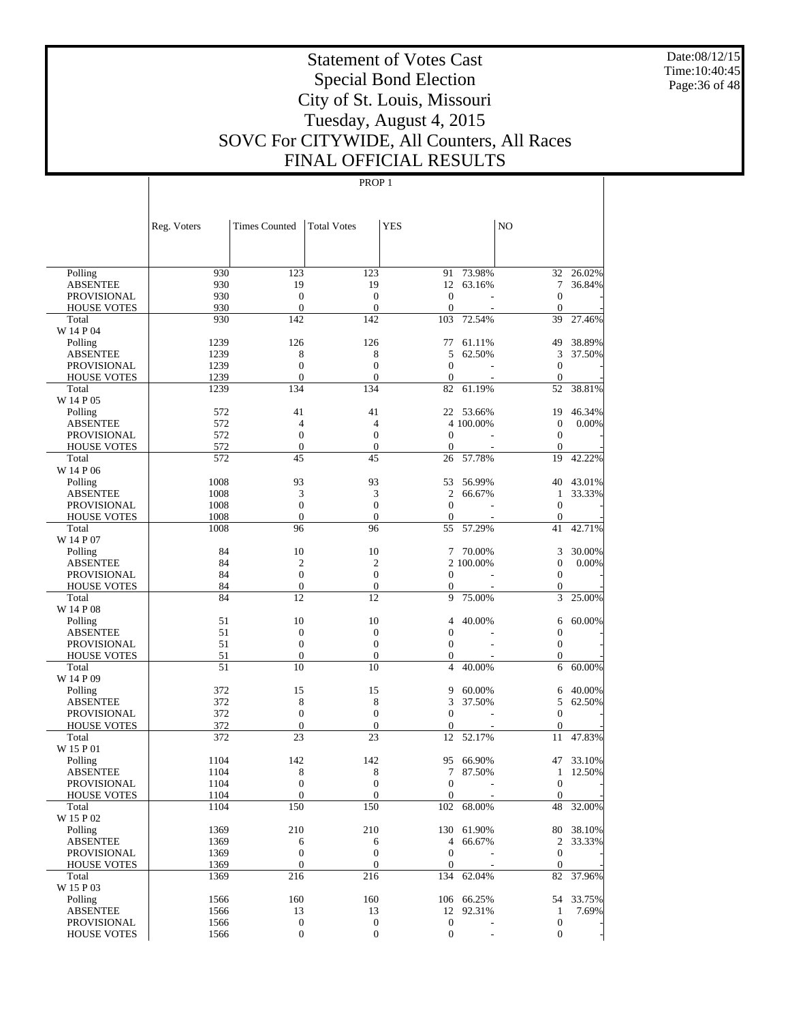Date:08/12/15 Time:10:40:45 Page:36 of 48

# Statement of Votes Cast Special Bond Election City of St. Louis, Missouri Tuesday, August 4, 2015 SOVC For CITYWIDE, All Counters, All Races FINAL OFFICIAL RESULTS

|                                          | Reg. Voters  | <b>Times Counted</b>         | <b>Total Votes</b>      | <b>YES</b>             |                      | NO                           |                       |
|------------------------------------------|--------------|------------------------------|-------------------------|------------------------|----------------------|------------------------------|-----------------------|
|                                          |              |                              |                         |                        |                      |                              |                       |
|                                          |              |                              |                         |                        |                      |                              |                       |
| Polling                                  | 930          | 123                          | 123                     | 91                     | 73.98%               | 32                           | 26.02%                |
| <b>ABSENTEE</b>                          | 930          | 19                           | 19                      | 12                     | 63.16%               | $\tau$                       | 36.84%                |
| <b>PROVISIONAL</b>                       | 930          | $\boldsymbol{0}$             | $\boldsymbol{0}$        | $\mathbf{0}$           |                      | $\overline{0}$               |                       |
| <b>HOUSE VOTES</b>                       | 930          | $\mathbf{0}$                 | $\boldsymbol{0}$        | $\mathbf{0}$           | ÷,                   | $\boldsymbol{0}$             |                       |
| Total                                    | 930          | 142                          | 142                     | 103                    | 72.54%               | 39                           | 27.46%                |
| W 14 P 04                                |              |                              |                         |                        |                      |                              |                       |
| Polling                                  | 1239         | 126                          | 126                     | 77                     | 61.11%               | 49                           | 38.89%                |
| <b>ABSENTEE</b>                          | 1239         | 8                            | 8                       | 5                      | 62.50%               | 3                            | 37.50%                |
| <b>PROVISIONAL</b>                       | 1239<br>1239 | $\mathbf{0}$<br>$\mathbf{0}$ | $\mathbf{0}$            | $\mathbf{0}$           |                      | $\overline{0}$               |                       |
| <b>HOUSE VOTES</b><br>Total              | 1239         | 134                          | $\boldsymbol{0}$<br>134 | $\boldsymbol{0}$<br>82 | 61.19%               | $\boldsymbol{0}$<br>52       | 38.81%                |
| W 14 P 05                                |              |                              |                         |                        |                      |                              |                       |
| Polling                                  | 572          | 41                           | 41                      |                        | 22 53.66%            | 19                           | 46.34%                |
| <b>ABSENTEE</b>                          | 572          | $\overline{4}$               | 4                       |                        | 4 100.00%            | $\boldsymbol{0}$             | 0.00%                 |
| <b>PROVISIONAL</b>                       | 572          | $\boldsymbol{0}$             | $\mathbf{0}$            | $\mathbf{0}$           |                      | $\overline{0}$               |                       |
| <b>HOUSE VOTES</b>                       | 572          | $\boldsymbol{0}$             | $\boldsymbol{0}$        | $\boldsymbol{0}$       |                      | $\mathbf{0}$                 |                       |
| Total                                    | 572          | 45                           | 45                      | 26                     | 57.78%               | 19                           | 42.22%                |
| W 14 P 06                                |              |                              |                         |                        |                      |                              |                       |
| Polling                                  | 1008         | 93                           | 93                      | 53                     | 56.99%               | 40                           | 43.01%                |
| <b>ABSENTEE</b>                          | 1008         | 3                            | 3                       | $\overline{c}$         | 66.67%               | $\mathbf{1}$                 | 33.33%                |
| <b>PROVISIONAL</b>                       | 1008         | $\mathbf{0}$                 | $\mathbf{0}$            | $\mathbf{0}$           |                      | $\overline{0}$               |                       |
| <b>HOUSE VOTES</b>                       | 1008         | $\boldsymbol{0}$             | $\boldsymbol{0}$        | $\boldsymbol{0}$       |                      | $\boldsymbol{0}$             |                       |
| Total                                    | 1008         | 96                           | 96                      | 55                     | 57.29%               | 41                           | 42.71%                |
| W 14 P 07                                |              |                              |                         |                        |                      |                              |                       |
| Polling                                  | 84           | 10                           | 10                      | 7                      | 70.00%               | 3                            | 30.00%                |
| <b>ABSENTEE</b>                          | 84           | $\overline{2}$               | $\overline{2}$          |                        | 2 100,00%            | $\boldsymbol{0}$             | 0.00%                 |
| <b>PROVISIONAL</b>                       | 84           | $\mathbf{0}$                 | $\boldsymbol{0}$        | $\mathbf{0}$           |                      | $\overline{0}$               |                       |
| <b>HOUSE VOTES</b>                       | 84           | $\boldsymbol{0}$             | $\boldsymbol{0}$        | 0                      |                      | 0                            |                       |
| Total                                    | 84           | 12                           | 12                      | 9                      | 75.00%               | 3                            | 25.00%                |
| W 14 P 08                                | 51           | 10                           |                         |                        |                      |                              |                       |
| Polling<br><b>ABSENTEE</b>               | 51           | $\mathbf{0}$                 | 10<br>$\boldsymbol{0}$  | 4<br>$\mathbf{0}$      | 40.00%               | 6<br>$\boldsymbol{0}$        | 60.00%                |
| <b>PROVISIONAL</b>                       | 51           | $\mathbf{0}$                 | $\boldsymbol{0}$        | $\mathbf{0}$           |                      | $\boldsymbol{0}$             |                       |
| <b>HOUSE VOTES</b>                       | 51           | $\boldsymbol{0}$             | $\boldsymbol{0}$        | $\boldsymbol{0}$       |                      | 0                            |                       |
| Total                                    | 51           | 10                           | 10                      | $\overline{4}$         | 40.00%               | 6                            | $60.00\%$             |
| W 14 P 09                                |              |                              |                         |                        |                      |                              |                       |
| Polling                                  | 372          | 15                           | 15                      | 9                      | 60.00%               | 6                            | 40.00%                |
| <b>ABSENTEE</b>                          | 372          | 8                            | 8                       | 3                      | 37.50%               | 5                            | 62.50%                |
| <b>PROVISIONAL</b>                       | 372          | $\mathbf{0}$                 | $\boldsymbol{0}$        | $\mathbf{0}$           |                      | $\overline{0}$               |                       |
| <b>HOUSE VOTES</b>                       | 372          | $\boldsymbol{0}$             | $\boldsymbol{0}$        | $\boldsymbol{0}$       |                      | $\boldsymbol{0}$             |                       |
| Total                                    | 372          | 23                           | 23                      | 12                     | 52.17%               | 11                           | 47.83%                |
| W 15 P 01                                |              |                              |                         |                        |                      |                              |                       |
| Polling                                  | 1104         | 142                          | 142                     | 95                     | 66.90%               | 47                           | 33.10%                |
| <b>ABSENTEE</b>                          | 1104         | 8                            | 8                       | 7                      | 87.50%               | $\mathbf{1}$                 | 12.50%                |
| <b>PROVISIONAL</b>                       | 1104         | $\mathbf{0}$                 | $\mathbf{0}$            | $\mathbf{0}$           | L,                   | $\mathbf{0}$                 |                       |
| <b>HOUSE VOTES</b>                       | 1104         | $\boldsymbol{0}$             | $\boldsymbol{0}$        | $\overline{0}$         |                      | $\boldsymbol{0}$             |                       |
| Total                                    | 1104         | 150                          | 150                     | 102                    | 68.00%               | 48                           | 32.00%                |
| W 15 P 02                                |              |                              |                         |                        |                      |                              |                       |
| Polling                                  | 1369         | 210                          | 210                     |                        | 130 61.90%<br>66.67% |                              | 80 38.10%<br>2 33.33% |
| <b>ABSENTEE</b>                          | 1369<br>1369 | 6<br>$\boldsymbol{0}$        | 6<br>$\boldsymbol{0}$   | 4<br>$\mathbf{0}$      |                      |                              |                       |
| <b>PROVISIONAL</b><br><b>HOUSE VOTES</b> | 1369         | $\mathbf{0}$                 | $\boldsymbol{0}$        | $\mathbf{0}$           |                      | $\mathbf{0}$<br>$\mathbf{0}$ |                       |
| Total                                    | 1369         | 216                          | 216                     | 134                    | 62.04%               | 82                           | 37.96%                |
| W 15 P 03                                |              |                              |                         |                        |                      |                              |                       |
| Polling                                  | 1566         | 160                          | 160                     |                        | 106 66.25%           | 54                           | 33.75%                |
| <b>ABSENTEE</b>                          | 1566         | 13                           | 13                      | 12                     | 92.31%               | $\mathbf{1}$                 | 7.69%                 |
| <b>PROVISIONAL</b>                       | 1566         | $\boldsymbol{0}$             | $\boldsymbol{0}$        | $\boldsymbol{0}$       |                      | $\boldsymbol{0}$             |                       |
| <b>HOUSE VOTES</b>                       | 1566         | $\boldsymbol{0}$             | $\boldsymbol{0}$        | $\boldsymbol{0}$       |                      | $\mathbf{0}$                 |                       |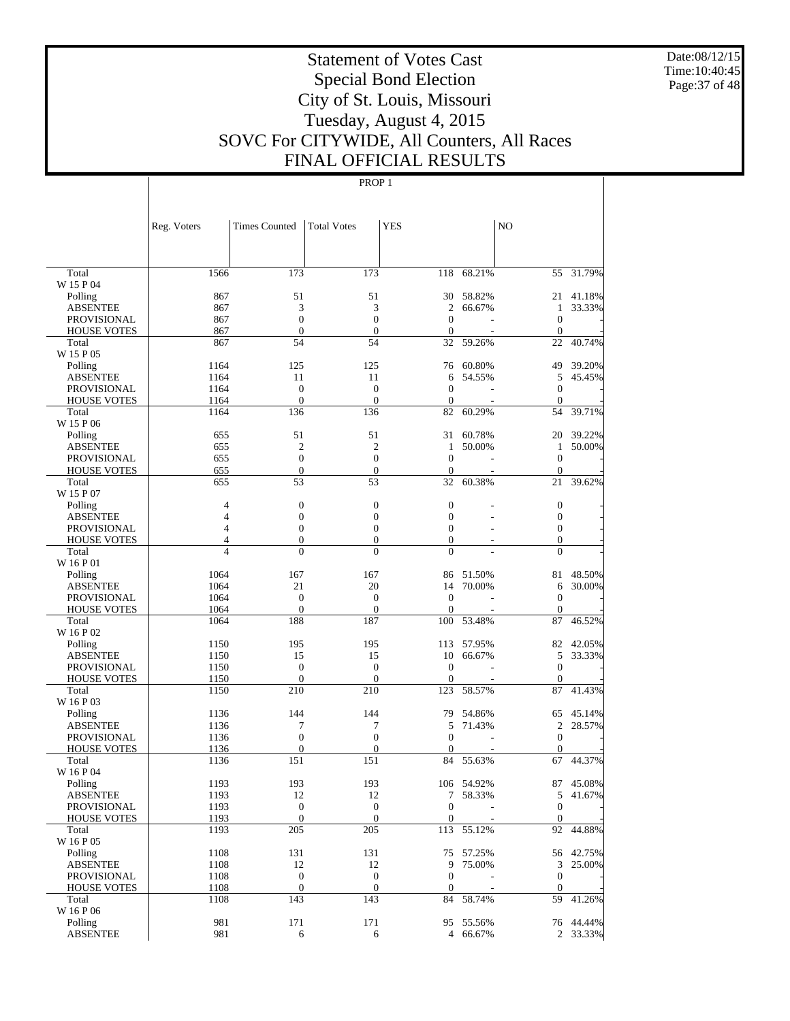Date:08/12/15 Time:10:40:45 Page:37 of 48

# Statement of Votes Cast Special Bond Election City of St. Louis, Missouri Tuesday, August 4, 2015 SOVC For CITYWIDE, All Counters, All Races FINAL OFFICIAL RESULTS

|                             | Reg. Voters                      | <b>Times Counted</b>                 | <b>Total Votes</b>                   | <b>YES</b>            |            | NO                    |           |
|-----------------------------|----------------------------------|--------------------------------------|--------------------------------------|-----------------------|------------|-----------------------|-----------|
|                             |                                  |                                      |                                      |                       |            |                       |           |
| Total<br>W 15 P 04          | 1566                             | 173                                  | 173                                  |                       | 118 68.21% |                       | 55 31.79% |
| Polling                     | 867                              | 51                                   | 51                                   | 30                    | 58.82%     |                       | 21 41.18% |
| <b>ABSENTEE</b>             | 867                              | 3                                    | 3                                    | 2                     | 66.67%     | 1                     | 33.33%    |
| <b>PROVISIONAL</b>          | 867                              | $\boldsymbol{0}$                     | $\boldsymbol{0}$                     | $\mathbf{0}$          |            | $\boldsymbol{0}$      |           |
| <b>HOUSE VOTES</b>          | 867                              | $\mathbf{0}$                         | $\mathbf{0}$                         | $\mathbf{0}$          |            | $\boldsymbol{0}$      |           |
| Total                       | 867                              | 54                                   | 54                                   | 32                    | 59.26%     | 22                    | 40.74%    |
| W 15 P 05                   |                                  |                                      |                                      |                       |            |                       |           |
| Polling                     | 1164                             | 125                                  | 125                                  | 76                    | 60.80%     | 49                    | 39.20%    |
| <b>ABSENTEE</b>             | 1164                             | 11                                   | 11                                   | 6                     | 54.55%     | 5                     | 45.45%    |
| <b>PROVISIONAL</b>          | 1164                             | $\boldsymbol{0}$                     | $\boldsymbol{0}$                     | $\mathbf{0}$          |            | $\boldsymbol{0}$      |           |
| <b>HOUSE VOTES</b>          | 1164                             | $\boldsymbol{0}$                     | $\boldsymbol{0}$                     | $\boldsymbol{0}$      |            | $\boldsymbol{0}$      |           |
| Total                       | 1164                             | 136                                  | 136                                  | 82                    | 60.29%     | 54                    | 39.71%    |
| W 15 P 06                   |                                  |                                      |                                      |                       |            |                       |           |
| Polling                     | 655                              | 51                                   | 51                                   | 31                    | 60.78%     |                       | 20 39.22% |
| <b>ABSENTEE</b>             | 655                              | $\overline{c}$                       | $\overline{c}$                       | 1                     | 50.00%     | 1                     | 50.00%    |
| <b>PROVISIONAL</b>          | 655                              | $\boldsymbol{0}$                     | $\boldsymbol{0}$                     | $\boldsymbol{0}$      |            | $\boldsymbol{0}$      |           |
| <b>HOUSE VOTES</b>          | 655                              | $\boldsymbol{0}$                     | $\mathbf{0}$                         | $\mathbf{0}$          |            | $\boldsymbol{0}$      |           |
| Total                       | 655                              | 53                                   | 53                                   | 32                    | 60.38%     | 21                    | 39.62%    |
| W 15 P 07                   |                                  |                                      |                                      |                       |            |                       |           |
| Polling                     | $\overline{4}$                   | $\boldsymbol{0}$                     | $\boldsymbol{0}$                     | $\boldsymbol{0}$      |            | $\boldsymbol{0}$      |           |
| <b>ABSENTEE</b>             | $\overline{4}$                   | $\boldsymbol{0}$                     | $\boldsymbol{0}$                     | $\mathbf{0}$          |            | $\boldsymbol{0}$      |           |
| <b>PROVISIONAL</b>          | $\overline{4}$                   | $\boldsymbol{0}$                     | $\boldsymbol{0}$                     | $\mathbf{0}$          |            | $\boldsymbol{0}$      |           |
| <b>HOUSE VOTES</b>          | $\overline{4}$<br>$\overline{4}$ | $\mathbf{0}$                         | $\boldsymbol{0}$                     | $\boldsymbol{0}$      |            | $\boldsymbol{0}$      |           |
| Total<br>W 16 P 01          |                                  | $\overline{0}$                       | $\overline{0}$                       | $\overline{0}$        |            | $\overline{0}$        |           |
| Polling                     | 1064                             | 167                                  | 167                                  |                       | 86 51.50%  | 81                    | 48.50%    |
| <b>ABSENTEE</b>             | 1064                             | 21                                   | 20                                   | 14                    | 70.00%     | 6                     | 30.00%    |
| <b>PROVISIONAL</b>          | 1064                             | $\boldsymbol{0}$                     | $\boldsymbol{0}$                     | $\mathbf{0}$          |            | $\boldsymbol{0}$      |           |
| <b>HOUSE VOTES</b>          | 1064                             | $\overline{0}$                       | $\overline{0}$                       | $\mathbf{0}$          |            | $\mathbf{0}$          |           |
| Total                       | 1064                             | 188                                  | 187                                  | 100                   | 53.48%     | 87                    | 46.52%    |
| W 16 P 02                   |                                  |                                      |                                      |                       |            |                       |           |
| Polling                     | 1150                             | 195                                  | 195                                  | 113                   | 57.95%     |                       | 82 42.05% |
| <b>ABSENTEE</b>             | 1150                             | 15                                   | 15                                   | 10                    | 66.67%     | 5                     | 33.33%    |
| <b>PROVISIONAL</b>          | 1150                             | $\boldsymbol{0}$                     | $\boldsymbol{0}$                     | $\mathbf{0}$          |            | $\boldsymbol{0}$      |           |
| <b>HOUSE VOTES</b>          | 1150                             | $\mathbf{0}$                         | $\boldsymbol{0}$                     | $\boldsymbol{0}$      |            | $\boldsymbol{0}$      |           |
| Total                       | 1150                             | 210                                  | 210                                  | 123                   | 58.57%     | 87                    | 41.43%    |
| W 16 P 03                   |                                  |                                      |                                      |                       |            |                       |           |
| Polling                     | 1136                             | 144                                  | 144                                  | 79                    | 54.86%     |                       | 65 45.14% |
| <b>ABSENTEE</b>             | 1136                             | 7                                    | 7                                    | 5                     | 71.43%     | $\overline{c}$        | 28.57%    |
| PROVISIONAL                 | 1136                             | $\boldsymbol{0}$                     | $\boldsymbol{0}$                     | $\theta$              |            | $\boldsymbol{0}$      |           |
| <b>HOUSE VOTES</b>          | 1136                             | $\mathbf{0}$                         | $\overline{0}$                       | $\mathbf{0}$          |            | 0                     |           |
| Total                       | 1136                             | 151                                  | 151                                  | 84                    | 55.63%     | 67                    | 44.37%    |
| W 16 P 04                   |                                  |                                      |                                      |                       |            |                       |           |
| Polling                     | 1193                             | 193                                  | 193                                  |                       | 106 54.92% | 87                    | 45.08%    |
| <b>ABSENTEE</b>             | 1193                             | 12                                   | 12                                   | $7\phantom{.0}$       | 58.33%     | 5                     | 41.67%    |
| <b>PROVISIONAL</b>          | 1193                             | $\boldsymbol{0}$                     | $\boldsymbol{0}$                     | $\boldsymbol{0}$      |            | $\boldsymbol{0}$      |           |
| <b>HOUSE VOTES</b>          | 1193                             | $\mathbf{0}$                         | $\boldsymbol{0}$                     | $\mathbf{0}$          |            | $\mathbf{0}$          |           |
| Total                       | 1193                             | 205                                  | 205                                  | 113                   | 55.12%     |                       | 92 44.88% |
| W 16 P 05                   |                                  |                                      |                                      |                       |            |                       |           |
| Polling                     | 1108                             | 131                                  | 131                                  |                       | 75 57.25%  |                       | 56 42.75% |
| <b>ABSENTEE</b>             | 1108<br>1108                     | 12                                   | 12                                   | 9<br>$\boldsymbol{0}$ | 75.00%     | 3<br>$\boldsymbol{0}$ | 25.00%    |
| <b>PROVISIONAL</b>          | 1108                             | $\boldsymbol{0}$<br>$\boldsymbol{0}$ | $\boldsymbol{0}$<br>$\boldsymbol{0}$ | $\mathbf{0}$          |            | $\mathbf{0}$          |           |
| <b>HOUSE VOTES</b><br>Total | 1108                             | 143                                  | 143                                  | 84                    | 58.74%     | 59                    | 41.26%    |
| W 16 P 06                   |                                  |                                      |                                      |                       |            |                       |           |
| Polling                     | 981                              | 171                                  | 171                                  |                       | 95 55.56%  |                       | 76 44.44% |
| <b>ABSENTEE</b>             | 981                              | 6                                    | 6                                    |                       | 4 66.67%   |                       | 2 33.33%  |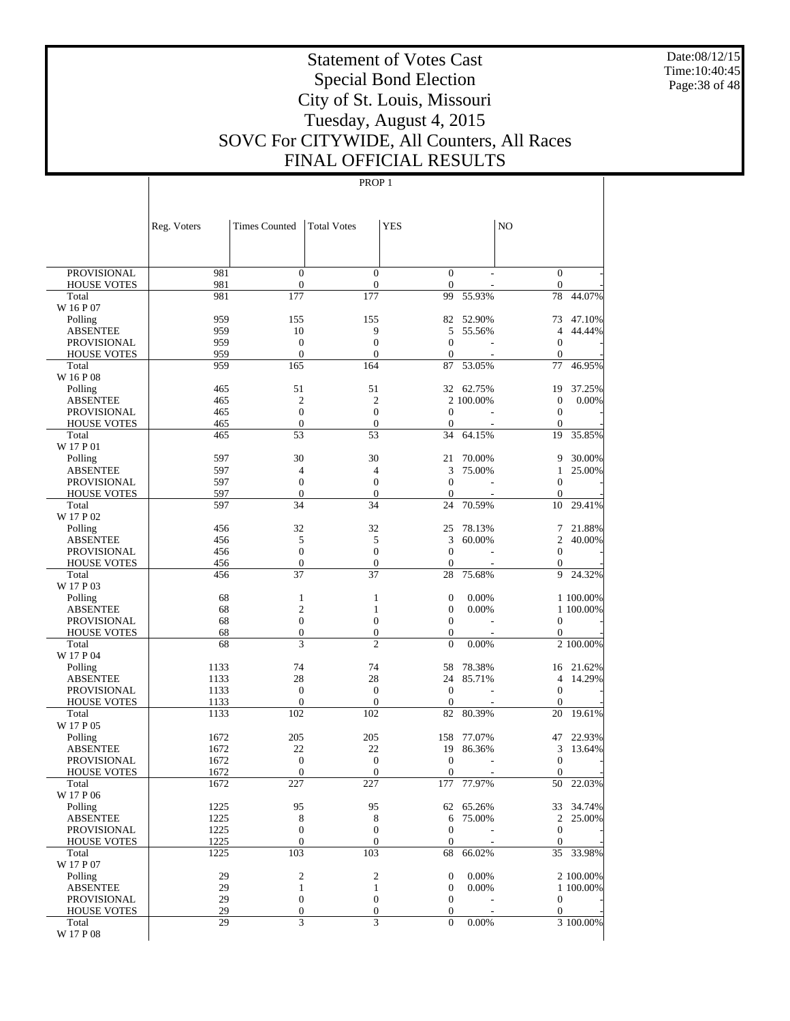Date:08/12/15 Time:10:40:45 Page:38 of 48

# Statement of Votes Cast Special Bond Election City of St. Louis, Missouri Tuesday, August 4, 2015 SOVC For CITYWIDE, All Counters, All Races FINAL OFFICIAL RESULTS

| <b>PROVISIONAL</b><br>981<br>$\boldsymbol{0}$<br>$\boldsymbol{0}$<br>$\boldsymbol{0}$<br>$\boldsymbol{0}$<br>981<br>$\boldsymbol{0}$<br>$\boldsymbol{0}$<br>$\mathbf{0}$<br>$\boldsymbol{0}$<br><b>HOUSE VOTES</b><br>44.07%<br>981<br>177<br>177<br>99<br>55.93%<br>78<br>Total<br>W 16 P 07<br>959<br>155<br>155<br>82<br>52.90%<br>47.10%<br>Polling<br>73<br>959<br>10<br>9<br>5<br>55.56%<br>4<br>44.44%<br>ABSENTEE<br>959<br>$\boldsymbol{0}$<br>$\boldsymbol{0}$<br><b>PROVISIONAL</b><br>$\mathbf{0}$<br>$\boldsymbol{0}$<br>959<br>$\boldsymbol{0}$<br>$\mathbf{0}$<br>$\theta$<br>$\theta$<br><b>HOUSE VOTES</b><br>959<br>165<br>164<br>87<br>53.05%<br>77<br>46.95%<br>Total<br>W 16 P 08<br>51<br>51<br>465<br>32<br>62.75%<br>19<br>37.25%<br>Polling<br>$\mathfrak{2}$<br>$\mathfrak{2}$<br>$\boldsymbol{0}$<br>465<br>2 100.00%<br>0.00%<br>ABSENTEE<br>$\boldsymbol{0}$<br>$\boldsymbol{0}$<br>465<br>$\mathbf{0}$<br>$\boldsymbol{0}$<br>PROVISIONAL<br>$\boldsymbol{0}$<br>$\boldsymbol{0}$<br>465<br>$\theta$<br>$\mathbf{0}$<br><b>HOUSE VOTES</b><br>53<br>53<br>34<br>64.15%<br>19<br>35.85%<br>465<br>Total<br>W 17 P 01<br>30<br>30<br>21<br>30.00%<br>597<br>70.00%<br>9<br>Polling<br>597<br>3<br>4<br>4<br>75.00%<br>25.00%<br>ABSENTEE<br>1<br>597<br>$\boldsymbol{0}$<br>$\boldsymbol{0}$<br><b>PROVISIONAL</b><br>$\mathbf{0}$<br>$\mathbf{0}$<br>597<br>$\boldsymbol{0}$<br>$\boldsymbol{0}$<br>$\theta$<br>$\mathbf{0}$<br><b>HOUSE VOTES</b><br>597<br>34<br>34<br>24<br>70.59%<br>10<br>29.41%<br>Total<br>W 17 P 02<br>32<br>32<br>456<br>25<br>78.13%<br>7<br>21.88%<br>Polling<br>5<br>5<br>3<br>2<br>456<br>60.00%<br>40.00%<br>ABSENTEE<br>$\boldsymbol{0}$<br>$\boldsymbol{0}$<br>$\boldsymbol{0}$<br>456<br>$\boldsymbol{0}$<br>PROVISIONAL<br>$\boldsymbol{0}$<br>$\boldsymbol{0}$<br>456<br>$\theta$<br>$\theta$<br><b>HOUSE VOTES</b><br>37<br>37<br>456<br>28<br>75.68%<br>24.32%<br>Total<br>9<br>W 17 P 03<br>68<br>$\mathbf{1}$<br>1<br>$\mathbf{0}$<br>0.00%<br>1 100.00%<br>Polling<br>$\overline{c}$<br>68<br>$\boldsymbol{0}$<br>$\mathbf{1}$<br>0.00%<br>1 100.00%<br>ABSENTEE<br>68<br>$\boldsymbol{0}$<br>$\boldsymbol{0}$<br><b>PROVISIONAL</b><br>$\boldsymbol{0}$<br>0<br>$\boldsymbol{0}$<br>68<br>$\boldsymbol{0}$<br>$\boldsymbol{0}$<br>$\mathbf{0}$<br><b>HOUSE VOTES</b><br>3<br>$\mathfrak{2}$<br>68<br>$\boldsymbol{0}$<br>0.00%<br>2 100.00%<br>Total<br>W 17 P 04<br>74<br>1133<br>74<br>58<br>78.38%<br>16 21.62%<br>Polling<br>28<br>28<br>1133<br>24<br>85.71%<br>$\overline{4}$<br>14.29%<br>ABSENTEE<br>$\mathbf{0}$<br>$\mathbf{0}$<br>$\boldsymbol{0}$<br>1133<br>$\boldsymbol{0}$<br>PROVISIONAL<br>$\boldsymbol{0}$<br>$\boldsymbol{0}$<br>1133<br>$\theta$<br>$\theta$<br><b>HOUSE VOTES</b><br>1133<br>102<br>102<br>82<br>80.39%<br>19.61%<br>Total<br>20<br>W 17 P 05<br>205<br>205<br>22.93%<br>1672<br>158<br>77.07%<br>47<br>Polling<br>22<br>22<br>1672<br>19<br>86.36%<br>3<br>13.64%<br>ABSENTEE<br>$\boldsymbol{0}$<br>1672<br>$\boldsymbol{0}$<br>$\mathbf{0}$<br>$\boldsymbol{0}$<br>PROVISIONAL<br>$\boldsymbol{0}$<br>$\mathbf{0}$<br>1672<br>$\mathbf{0}$<br>$\boldsymbol{0}$<br><b>HOUSE VOTES</b><br>22.03%<br>227<br>227<br>177<br>77.97%<br>50<br>Total<br>1672<br>W 17 P 06<br>1225<br>95<br>95<br>65.26%<br>33 34.74%<br>Polling<br>62<br>1225<br>8<br>25.00%<br><b>ABSENTEE</b><br>8<br>6<br>75.00%<br>2<br>1225<br>$\boldsymbol{0}$<br>$\boldsymbol{0}$<br>$\mathbf{0}$<br>$\boldsymbol{0}$<br>PROVISIONAL<br>1225<br>$\boldsymbol{0}$<br>$\boldsymbol{0}$<br>$\boldsymbol{0}$<br>$\mathbf{0}$<br><b>HOUSE VOTES</b><br>1225<br>103<br>103<br>68<br>66.02%<br>35<br>33.98%<br>Total<br>W 17 P 07<br>29<br>2<br>$\boldsymbol{2}$<br>$\mathbf{0}$<br>0.00%<br>2 100.00%<br>Polling<br>29<br>$\mathbf{1}$<br><b>ABSENTEE</b><br>1<br>$\mathbf{0}$<br>0.00%<br>1 100.00%<br>$\boldsymbol{0}$<br>29<br>$\boldsymbol{0}$<br>$\boldsymbol{0}$<br>$\boldsymbol{0}$<br>PROVISIONAL<br>29<br>$\boldsymbol{0}$<br>$\boldsymbol{0}$<br>$\boldsymbol{0}$<br>$\mathbf{0}$<br><b>HOUSE VOTES</b><br>3<br>3<br>29<br>$\overline{0}$<br>Total<br>0.00%<br>3 100.00%<br>W 17 P 08 | Reg. Voters | <b>Times Counted</b> | <b>Total Votes</b> | <b>YES</b> | N <sub>O</sub> |  |
|------------------------------------------------------------------------------------------------------------------------------------------------------------------------------------------------------------------------------------------------------------------------------------------------------------------------------------------------------------------------------------------------------------------------------------------------------------------------------------------------------------------------------------------------------------------------------------------------------------------------------------------------------------------------------------------------------------------------------------------------------------------------------------------------------------------------------------------------------------------------------------------------------------------------------------------------------------------------------------------------------------------------------------------------------------------------------------------------------------------------------------------------------------------------------------------------------------------------------------------------------------------------------------------------------------------------------------------------------------------------------------------------------------------------------------------------------------------------------------------------------------------------------------------------------------------------------------------------------------------------------------------------------------------------------------------------------------------------------------------------------------------------------------------------------------------------------------------------------------------------------------------------------------------------------------------------------------------------------------------------------------------------------------------------------------------------------------------------------------------------------------------------------------------------------------------------------------------------------------------------------------------------------------------------------------------------------------------------------------------------------------------------------------------------------------------------------------------------------------------------------------------------------------------------------------------------------------------------------------------------------------------------------------------------------------------------------------------------------------------------------------------------------------------------------------------------------------------------------------------------------------------------------------------------------------------------------------------------------------------------------------------------------------------------------------------------------------------------------------------------------------------------------------------------------------------------------------------------------------------------------------------------------------------------------------------------------------------------------------------------------------------------------------------------------------------------------------------------------------------------------------------------------------------------------------------------------------------------------------------------------------------------------------------------------------------------------------------------------------------------------------------------------------------------------------------------------------------------------------------------------------------------------------------------------------------------------------------------------------------------------------------------------------------------------------------------------------------------------------------------------------------------------------------------|-------------|----------------------|--------------------|------------|----------------|--|
|                                                                                                                                                                                                                                                                                                                                                                                                                                                                                                                                                                                                                                                                                                                                                                                                                                                                                                                                                                                                                                                                                                                                                                                                                                                                                                                                                                                                                                                                                                                                                                                                                                                                                                                                                                                                                                                                                                                                                                                                                                                                                                                                                                                                                                                                                                                                                                                                                                                                                                                                                                                                                                                                                                                                                                                                                                                                                                                                                                                                                                                                                                                                                                                                                                                                                                                                                                                                                                                                                                                                                                                                                                                                                                                                                                                                                                                                                                                                                                                                                                                                                                                                                                        |             |                      |                    |            |                |  |
|                                                                                                                                                                                                                                                                                                                                                                                                                                                                                                                                                                                                                                                                                                                                                                                                                                                                                                                                                                                                                                                                                                                                                                                                                                                                                                                                                                                                                                                                                                                                                                                                                                                                                                                                                                                                                                                                                                                                                                                                                                                                                                                                                                                                                                                                                                                                                                                                                                                                                                                                                                                                                                                                                                                                                                                                                                                                                                                                                                                                                                                                                                                                                                                                                                                                                                                                                                                                                                                                                                                                                                                                                                                                                                                                                                                                                                                                                                                                                                                                                                                                                                                                                                        |             |                      |                    |            |                |  |
|                                                                                                                                                                                                                                                                                                                                                                                                                                                                                                                                                                                                                                                                                                                                                                                                                                                                                                                                                                                                                                                                                                                                                                                                                                                                                                                                                                                                                                                                                                                                                                                                                                                                                                                                                                                                                                                                                                                                                                                                                                                                                                                                                                                                                                                                                                                                                                                                                                                                                                                                                                                                                                                                                                                                                                                                                                                                                                                                                                                                                                                                                                                                                                                                                                                                                                                                                                                                                                                                                                                                                                                                                                                                                                                                                                                                                                                                                                                                                                                                                                                                                                                                                                        |             |                      |                    |            |                |  |
|                                                                                                                                                                                                                                                                                                                                                                                                                                                                                                                                                                                                                                                                                                                                                                                                                                                                                                                                                                                                                                                                                                                                                                                                                                                                                                                                                                                                                                                                                                                                                                                                                                                                                                                                                                                                                                                                                                                                                                                                                                                                                                                                                                                                                                                                                                                                                                                                                                                                                                                                                                                                                                                                                                                                                                                                                                                                                                                                                                                                                                                                                                                                                                                                                                                                                                                                                                                                                                                                                                                                                                                                                                                                                                                                                                                                                                                                                                                                                                                                                                                                                                                                                                        |             |                      |                    |            |                |  |
|                                                                                                                                                                                                                                                                                                                                                                                                                                                                                                                                                                                                                                                                                                                                                                                                                                                                                                                                                                                                                                                                                                                                                                                                                                                                                                                                                                                                                                                                                                                                                                                                                                                                                                                                                                                                                                                                                                                                                                                                                                                                                                                                                                                                                                                                                                                                                                                                                                                                                                                                                                                                                                                                                                                                                                                                                                                                                                                                                                                                                                                                                                                                                                                                                                                                                                                                                                                                                                                                                                                                                                                                                                                                                                                                                                                                                                                                                                                                                                                                                                                                                                                                                                        |             |                      |                    |            |                |  |
|                                                                                                                                                                                                                                                                                                                                                                                                                                                                                                                                                                                                                                                                                                                                                                                                                                                                                                                                                                                                                                                                                                                                                                                                                                                                                                                                                                                                                                                                                                                                                                                                                                                                                                                                                                                                                                                                                                                                                                                                                                                                                                                                                                                                                                                                                                                                                                                                                                                                                                                                                                                                                                                                                                                                                                                                                                                                                                                                                                                                                                                                                                                                                                                                                                                                                                                                                                                                                                                                                                                                                                                                                                                                                                                                                                                                                                                                                                                                                                                                                                                                                                                                                                        |             |                      |                    |            |                |  |
|                                                                                                                                                                                                                                                                                                                                                                                                                                                                                                                                                                                                                                                                                                                                                                                                                                                                                                                                                                                                                                                                                                                                                                                                                                                                                                                                                                                                                                                                                                                                                                                                                                                                                                                                                                                                                                                                                                                                                                                                                                                                                                                                                                                                                                                                                                                                                                                                                                                                                                                                                                                                                                                                                                                                                                                                                                                                                                                                                                                                                                                                                                                                                                                                                                                                                                                                                                                                                                                                                                                                                                                                                                                                                                                                                                                                                                                                                                                                                                                                                                                                                                                                                                        |             |                      |                    |            |                |  |
|                                                                                                                                                                                                                                                                                                                                                                                                                                                                                                                                                                                                                                                                                                                                                                                                                                                                                                                                                                                                                                                                                                                                                                                                                                                                                                                                                                                                                                                                                                                                                                                                                                                                                                                                                                                                                                                                                                                                                                                                                                                                                                                                                                                                                                                                                                                                                                                                                                                                                                                                                                                                                                                                                                                                                                                                                                                                                                                                                                                                                                                                                                                                                                                                                                                                                                                                                                                                                                                                                                                                                                                                                                                                                                                                                                                                                                                                                                                                                                                                                                                                                                                                                                        |             |                      |                    |            |                |  |
|                                                                                                                                                                                                                                                                                                                                                                                                                                                                                                                                                                                                                                                                                                                                                                                                                                                                                                                                                                                                                                                                                                                                                                                                                                                                                                                                                                                                                                                                                                                                                                                                                                                                                                                                                                                                                                                                                                                                                                                                                                                                                                                                                                                                                                                                                                                                                                                                                                                                                                                                                                                                                                                                                                                                                                                                                                                                                                                                                                                                                                                                                                                                                                                                                                                                                                                                                                                                                                                                                                                                                                                                                                                                                                                                                                                                                                                                                                                                                                                                                                                                                                                                                                        |             |                      |                    |            |                |  |
|                                                                                                                                                                                                                                                                                                                                                                                                                                                                                                                                                                                                                                                                                                                                                                                                                                                                                                                                                                                                                                                                                                                                                                                                                                                                                                                                                                                                                                                                                                                                                                                                                                                                                                                                                                                                                                                                                                                                                                                                                                                                                                                                                                                                                                                                                                                                                                                                                                                                                                                                                                                                                                                                                                                                                                                                                                                                                                                                                                                                                                                                                                                                                                                                                                                                                                                                                                                                                                                                                                                                                                                                                                                                                                                                                                                                                                                                                                                                                                                                                                                                                                                                                                        |             |                      |                    |            |                |  |
|                                                                                                                                                                                                                                                                                                                                                                                                                                                                                                                                                                                                                                                                                                                                                                                                                                                                                                                                                                                                                                                                                                                                                                                                                                                                                                                                                                                                                                                                                                                                                                                                                                                                                                                                                                                                                                                                                                                                                                                                                                                                                                                                                                                                                                                                                                                                                                                                                                                                                                                                                                                                                                                                                                                                                                                                                                                                                                                                                                                                                                                                                                                                                                                                                                                                                                                                                                                                                                                                                                                                                                                                                                                                                                                                                                                                                                                                                                                                                                                                                                                                                                                                                                        |             |                      |                    |            |                |  |
|                                                                                                                                                                                                                                                                                                                                                                                                                                                                                                                                                                                                                                                                                                                                                                                                                                                                                                                                                                                                                                                                                                                                                                                                                                                                                                                                                                                                                                                                                                                                                                                                                                                                                                                                                                                                                                                                                                                                                                                                                                                                                                                                                                                                                                                                                                                                                                                                                                                                                                                                                                                                                                                                                                                                                                                                                                                                                                                                                                                                                                                                                                                                                                                                                                                                                                                                                                                                                                                                                                                                                                                                                                                                                                                                                                                                                                                                                                                                                                                                                                                                                                                                                                        |             |                      |                    |            |                |  |
|                                                                                                                                                                                                                                                                                                                                                                                                                                                                                                                                                                                                                                                                                                                                                                                                                                                                                                                                                                                                                                                                                                                                                                                                                                                                                                                                                                                                                                                                                                                                                                                                                                                                                                                                                                                                                                                                                                                                                                                                                                                                                                                                                                                                                                                                                                                                                                                                                                                                                                                                                                                                                                                                                                                                                                                                                                                                                                                                                                                                                                                                                                                                                                                                                                                                                                                                                                                                                                                                                                                                                                                                                                                                                                                                                                                                                                                                                                                                                                                                                                                                                                                                                                        |             |                      |                    |            |                |  |
|                                                                                                                                                                                                                                                                                                                                                                                                                                                                                                                                                                                                                                                                                                                                                                                                                                                                                                                                                                                                                                                                                                                                                                                                                                                                                                                                                                                                                                                                                                                                                                                                                                                                                                                                                                                                                                                                                                                                                                                                                                                                                                                                                                                                                                                                                                                                                                                                                                                                                                                                                                                                                                                                                                                                                                                                                                                                                                                                                                                                                                                                                                                                                                                                                                                                                                                                                                                                                                                                                                                                                                                                                                                                                                                                                                                                                                                                                                                                                                                                                                                                                                                                                                        |             |                      |                    |            |                |  |
|                                                                                                                                                                                                                                                                                                                                                                                                                                                                                                                                                                                                                                                                                                                                                                                                                                                                                                                                                                                                                                                                                                                                                                                                                                                                                                                                                                                                                                                                                                                                                                                                                                                                                                                                                                                                                                                                                                                                                                                                                                                                                                                                                                                                                                                                                                                                                                                                                                                                                                                                                                                                                                                                                                                                                                                                                                                                                                                                                                                                                                                                                                                                                                                                                                                                                                                                                                                                                                                                                                                                                                                                                                                                                                                                                                                                                                                                                                                                                                                                                                                                                                                                                                        |             |                      |                    |            |                |  |
|                                                                                                                                                                                                                                                                                                                                                                                                                                                                                                                                                                                                                                                                                                                                                                                                                                                                                                                                                                                                                                                                                                                                                                                                                                                                                                                                                                                                                                                                                                                                                                                                                                                                                                                                                                                                                                                                                                                                                                                                                                                                                                                                                                                                                                                                                                                                                                                                                                                                                                                                                                                                                                                                                                                                                                                                                                                                                                                                                                                                                                                                                                                                                                                                                                                                                                                                                                                                                                                                                                                                                                                                                                                                                                                                                                                                                                                                                                                                                                                                                                                                                                                                                                        |             |                      |                    |            |                |  |
|                                                                                                                                                                                                                                                                                                                                                                                                                                                                                                                                                                                                                                                                                                                                                                                                                                                                                                                                                                                                                                                                                                                                                                                                                                                                                                                                                                                                                                                                                                                                                                                                                                                                                                                                                                                                                                                                                                                                                                                                                                                                                                                                                                                                                                                                                                                                                                                                                                                                                                                                                                                                                                                                                                                                                                                                                                                                                                                                                                                                                                                                                                                                                                                                                                                                                                                                                                                                                                                                                                                                                                                                                                                                                                                                                                                                                                                                                                                                                                                                                                                                                                                                                                        |             |                      |                    |            |                |  |
|                                                                                                                                                                                                                                                                                                                                                                                                                                                                                                                                                                                                                                                                                                                                                                                                                                                                                                                                                                                                                                                                                                                                                                                                                                                                                                                                                                                                                                                                                                                                                                                                                                                                                                                                                                                                                                                                                                                                                                                                                                                                                                                                                                                                                                                                                                                                                                                                                                                                                                                                                                                                                                                                                                                                                                                                                                                                                                                                                                                                                                                                                                                                                                                                                                                                                                                                                                                                                                                                                                                                                                                                                                                                                                                                                                                                                                                                                                                                                                                                                                                                                                                                                                        |             |                      |                    |            |                |  |
|                                                                                                                                                                                                                                                                                                                                                                                                                                                                                                                                                                                                                                                                                                                                                                                                                                                                                                                                                                                                                                                                                                                                                                                                                                                                                                                                                                                                                                                                                                                                                                                                                                                                                                                                                                                                                                                                                                                                                                                                                                                                                                                                                                                                                                                                                                                                                                                                                                                                                                                                                                                                                                                                                                                                                                                                                                                                                                                                                                                                                                                                                                                                                                                                                                                                                                                                                                                                                                                                                                                                                                                                                                                                                                                                                                                                                                                                                                                                                                                                                                                                                                                                                                        |             |                      |                    |            |                |  |
|                                                                                                                                                                                                                                                                                                                                                                                                                                                                                                                                                                                                                                                                                                                                                                                                                                                                                                                                                                                                                                                                                                                                                                                                                                                                                                                                                                                                                                                                                                                                                                                                                                                                                                                                                                                                                                                                                                                                                                                                                                                                                                                                                                                                                                                                                                                                                                                                                                                                                                                                                                                                                                                                                                                                                                                                                                                                                                                                                                                                                                                                                                                                                                                                                                                                                                                                                                                                                                                                                                                                                                                                                                                                                                                                                                                                                                                                                                                                                                                                                                                                                                                                                                        |             |                      |                    |            |                |  |
|                                                                                                                                                                                                                                                                                                                                                                                                                                                                                                                                                                                                                                                                                                                                                                                                                                                                                                                                                                                                                                                                                                                                                                                                                                                                                                                                                                                                                                                                                                                                                                                                                                                                                                                                                                                                                                                                                                                                                                                                                                                                                                                                                                                                                                                                                                                                                                                                                                                                                                                                                                                                                                                                                                                                                                                                                                                                                                                                                                                                                                                                                                                                                                                                                                                                                                                                                                                                                                                                                                                                                                                                                                                                                                                                                                                                                                                                                                                                                                                                                                                                                                                                                                        |             |                      |                    |            |                |  |
|                                                                                                                                                                                                                                                                                                                                                                                                                                                                                                                                                                                                                                                                                                                                                                                                                                                                                                                                                                                                                                                                                                                                                                                                                                                                                                                                                                                                                                                                                                                                                                                                                                                                                                                                                                                                                                                                                                                                                                                                                                                                                                                                                                                                                                                                                                                                                                                                                                                                                                                                                                                                                                                                                                                                                                                                                                                                                                                                                                                                                                                                                                                                                                                                                                                                                                                                                                                                                                                                                                                                                                                                                                                                                                                                                                                                                                                                                                                                                                                                                                                                                                                                                                        |             |                      |                    |            |                |  |
|                                                                                                                                                                                                                                                                                                                                                                                                                                                                                                                                                                                                                                                                                                                                                                                                                                                                                                                                                                                                                                                                                                                                                                                                                                                                                                                                                                                                                                                                                                                                                                                                                                                                                                                                                                                                                                                                                                                                                                                                                                                                                                                                                                                                                                                                                                                                                                                                                                                                                                                                                                                                                                                                                                                                                                                                                                                                                                                                                                                                                                                                                                                                                                                                                                                                                                                                                                                                                                                                                                                                                                                                                                                                                                                                                                                                                                                                                                                                                                                                                                                                                                                                                                        |             |                      |                    |            |                |  |
|                                                                                                                                                                                                                                                                                                                                                                                                                                                                                                                                                                                                                                                                                                                                                                                                                                                                                                                                                                                                                                                                                                                                                                                                                                                                                                                                                                                                                                                                                                                                                                                                                                                                                                                                                                                                                                                                                                                                                                                                                                                                                                                                                                                                                                                                                                                                                                                                                                                                                                                                                                                                                                                                                                                                                                                                                                                                                                                                                                                                                                                                                                                                                                                                                                                                                                                                                                                                                                                                                                                                                                                                                                                                                                                                                                                                                                                                                                                                                                                                                                                                                                                                                                        |             |                      |                    |            |                |  |
|                                                                                                                                                                                                                                                                                                                                                                                                                                                                                                                                                                                                                                                                                                                                                                                                                                                                                                                                                                                                                                                                                                                                                                                                                                                                                                                                                                                                                                                                                                                                                                                                                                                                                                                                                                                                                                                                                                                                                                                                                                                                                                                                                                                                                                                                                                                                                                                                                                                                                                                                                                                                                                                                                                                                                                                                                                                                                                                                                                                                                                                                                                                                                                                                                                                                                                                                                                                                                                                                                                                                                                                                                                                                                                                                                                                                                                                                                                                                                                                                                                                                                                                                                                        |             |                      |                    |            |                |  |
|                                                                                                                                                                                                                                                                                                                                                                                                                                                                                                                                                                                                                                                                                                                                                                                                                                                                                                                                                                                                                                                                                                                                                                                                                                                                                                                                                                                                                                                                                                                                                                                                                                                                                                                                                                                                                                                                                                                                                                                                                                                                                                                                                                                                                                                                                                                                                                                                                                                                                                                                                                                                                                                                                                                                                                                                                                                                                                                                                                                                                                                                                                                                                                                                                                                                                                                                                                                                                                                                                                                                                                                                                                                                                                                                                                                                                                                                                                                                                                                                                                                                                                                                                                        |             |                      |                    |            |                |  |
|                                                                                                                                                                                                                                                                                                                                                                                                                                                                                                                                                                                                                                                                                                                                                                                                                                                                                                                                                                                                                                                                                                                                                                                                                                                                                                                                                                                                                                                                                                                                                                                                                                                                                                                                                                                                                                                                                                                                                                                                                                                                                                                                                                                                                                                                                                                                                                                                                                                                                                                                                                                                                                                                                                                                                                                                                                                                                                                                                                                                                                                                                                                                                                                                                                                                                                                                                                                                                                                                                                                                                                                                                                                                                                                                                                                                                                                                                                                                                                                                                                                                                                                                                                        |             |                      |                    |            |                |  |
|                                                                                                                                                                                                                                                                                                                                                                                                                                                                                                                                                                                                                                                                                                                                                                                                                                                                                                                                                                                                                                                                                                                                                                                                                                                                                                                                                                                                                                                                                                                                                                                                                                                                                                                                                                                                                                                                                                                                                                                                                                                                                                                                                                                                                                                                                                                                                                                                                                                                                                                                                                                                                                                                                                                                                                                                                                                                                                                                                                                                                                                                                                                                                                                                                                                                                                                                                                                                                                                                                                                                                                                                                                                                                                                                                                                                                                                                                                                                                                                                                                                                                                                                                                        |             |                      |                    |            |                |  |
|                                                                                                                                                                                                                                                                                                                                                                                                                                                                                                                                                                                                                                                                                                                                                                                                                                                                                                                                                                                                                                                                                                                                                                                                                                                                                                                                                                                                                                                                                                                                                                                                                                                                                                                                                                                                                                                                                                                                                                                                                                                                                                                                                                                                                                                                                                                                                                                                                                                                                                                                                                                                                                                                                                                                                                                                                                                                                                                                                                                                                                                                                                                                                                                                                                                                                                                                                                                                                                                                                                                                                                                                                                                                                                                                                                                                                                                                                                                                                                                                                                                                                                                                                                        |             |                      |                    |            |                |  |
|                                                                                                                                                                                                                                                                                                                                                                                                                                                                                                                                                                                                                                                                                                                                                                                                                                                                                                                                                                                                                                                                                                                                                                                                                                                                                                                                                                                                                                                                                                                                                                                                                                                                                                                                                                                                                                                                                                                                                                                                                                                                                                                                                                                                                                                                                                                                                                                                                                                                                                                                                                                                                                                                                                                                                                                                                                                                                                                                                                                                                                                                                                                                                                                                                                                                                                                                                                                                                                                                                                                                                                                                                                                                                                                                                                                                                                                                                                                                                                                                                                                                                                                                                                        |             |                      |                    |            |                |  |
|                                                                                                                                                                                                                                                                                                                                                                                                                                                                                                                                                                                                                                                                                                                                                                                                                                                                                                                                                                                                                                                                                                                                                                                                                                                                                                                                                                                                                                                                                                                                                                                                                                                                                                                                                                                                                                                                                                                                                                                                                                                                                                                                                                                                                                                                                                                                                                                                                                                                                                                                                                                                                                                                                                                                                                                                                                                                                                                                                                                                                                                                                                                                                                                                                                                                                                                                                                                                                                                                                                                                                                                                                                                                                                                                                                                                                                                                                                                                                                                                                                                                                                                                                                        |             |                      |                    |            |                |  |
|                                                                                                                                                                                                                                                                                                                                                                                                                                                                                                                                                                                                                                                                                                                                                                                                                                                                                                                                                                                                                                                                                                                                                                                                                                                                                                                                                                                                                                                                                                                                                                                                                                                                                                                                                                                                                                                                                                                                                                                                                                                                                                                                                                                                                                                                                                                                                                                                                                                                                                                                                                                                                                                                                                                                                                                                                                                                                                                                                                                                                                                                                                                                                                                                                                                                                                                                                                                                                                                                                                                                                                                                                                                                                                                                                                                                                                                                                                                                                                                                                                                                                                                                                                        |             |                      |                    |            |                |  |
|                                                                                                                                                                                                                                                                                                                                                                                                                                                                                                                                                                                                                                                                                                                                                                                                                                                                                                                                                                                                                                                                                                                                                                                                                                                                                                                                                                                                                                                                                                                                                                                                                                                                                                                                                                                                                                                                                                                                                                                                                                                                                                                                                                                                                                                                                                                                                                                                                                                                                                                                                                                                                                                                                                                                                                                                                                                                                                                                                                                                                                                                                                                                                                                                                                                                                                                                                                                                                                                                                                                                                                                                                                                                                                                                                                                                                                                                                                                                                                                                                                                                                                                                                                        |             |                      |                    |            |                |  |
|                                                                                                                                                                                                                                                                                                                                                                                                                                                                                                                                                                                                                                                                                                                                                                                                                                                                                                                                                                                                                                                                                                                                                                                                                                                                                                                                                                                                                                                                                                                                                                                                                                                                                                                                                                                                                                                                                                                                                                                                                                                                                                                                                                                                                                                                                                                                                                                                                                                                                                                                                                                                                                                                                                                                                                                                                                                                                                                                                                                                                                                                                                                                                                                                                                                                                                                                                                                                                                                                                                                                                                                                                                                                                                                                                                                                                                                                                                                                                                                                                                                                                                                                                                        |             |                      |                    |            |                |  |
|                                                                                                                                                                                                                                                                                                                                                                                                                                                                                                                                                                                                                                                                                                                                                                                                                                                                                                                                                                                                                                                                                                                                                                                                                                                                                                                                                                                                                                                                                                                                                                                                                                                                                                                                                                                                                                                                                                                                                                                                                                                                                                                                                                                                                                                                                                                                                                                                                                                                                                                                                                                                                                                                                                                                                                                                                                                                                                                                                                                                                                                                                                                                                                                                                                                                                                                                                                                                                                                                                                                                                                                                                                                                                                                                                                                                                                                                                                                                                                                                                                                                                                                                                                        |             |                      |                    |            |                |  |
|                                                                                                                                                                                                                                                                                                                                                                                                                                                                                                                                                                                                                                                                                                                                                                                                                                                                                                                                                                                                                                                                                                                                                                                                                                                                                                                                                                                                                                                                                                                                                                                                                                                                                                                                                                                                                                                                                                                                                                                                                                                                                                                                                                                                                                                                                                                                                                                                                                                                                                                                                                                                                                                                                                                                                                                                                                                                                                                                                                                                                                                                                                                                                                                                                                                                                                                                                                                                                                                                                                                                                                                                                                                                                                                                                                                                                                                                                                                                                                                                                                                                                                                                                                        |             |                      |                    |            |                |  |
|                                                                                                                                                                                                                                                                                                                                                                                                                                                                                                                                                                                                                                                                                                                                                                                                                                                                                                                                                                                                                                                                                                                                                                                                                                                                                                                                                                                                                                                                                                                                                                                                                                                                                                                                                                                                                                                                                                                                                                                                                                                                                                                                                                                                                                                                                                                                                                                                                                                                                                                                                                                                                                                                                                                                                                                                                                                                                                                                                                                                                                                                                                                                                                                                                                                                                                                                                                                                                                                                                                                                                                                                                                                                                                                                                                                                                                                                                                                                                                                                                                                                                                                                                                        |             |                      |                    |            |                |  |
|                                                                                                                                                                                                                                                                                                                                                                                                                                                                                                                                                                                                                                                                                                                                                                                                                                                                                                                                                                                                                                                                                                                                                                                                                                                                                                                                                                                                                                                                                                                                                                                                                                                                                                                                                                                                                                                                                                                                                                                                                                                                                                                                                                                                                                                                                                                                                                                                                                                                                                                                                                                                                                                                                                                                                                                                                                                                                                                                                                                                                                                                                                                                                                                                                                                                                                                                                                                                                                                                                                                                                                                                                                                                                                                                                                                                                                                                                                                                                                                                                                                                                                                                                                        |             |                      |                    |            |                |  |
|                                                                                                                                                                                                                                                                                                                                                                                                                                                                                                                                                                                                                                                                                                                                                                                                                                                                                                                                                                                                                                                                                                                                                                                                                                                                                                                                                                                                                                                                                                                                                                                                                                                                                                                                                                                                                                                                                                                                                                                                                                                                                                                                                                                                                                                                                                                                                                                                                                                                                                                                                                                                                                                                                                                                                                                                                                                                                                                                                                                                                                                                                                                                                                                                                                                                                                                                                                                                                                                                                                                                                                                                                                                                                                                                                                                                                                                                                                                                                                                                                                                                                                                                                                        |             |                      |                    |            |                |  |
|                                                                                                                                                                                                                                                                                                                                                                                                                                                                                                                                                                                                                                                                                                                                                                                                                                                                                                                                                                                                                                                                                                                                                                                                                                                                                                                                                                                                                                                                                                                                                                                                                                                                                                                                                                                                                                                                                                                                                                                                                                                                                                                                                                                                                                                                                                                                                                                                                                                                                                                                                                                                                                                                                                                                                                                                                                                                                                                                                                                                                                                                                                                                                                                                                                                                                                                                                                                                                                                                                                                                                                                                                                                                                                                                                                                                                                                                                                                                                                                                                                                                                                                                                                        |             |                      |                    |            |                |  |
|                                                                                                                                                                                                                                                                                                                                                                                                                                                                                                                                                                                                                                                                                                                                                                                                                                                                                                                                                                                                                                                                                                                                                                                                                                                                                                                                                                                                                                                                                                                                                                                                                                                                                                                                                                                                                                                                                                                                                                                                                                                                                                                                                                                                                                                                                                                                                                                                                                                                                                                                                                                                                                                                                                                                                                                                                                                                                                                                                                                                                                                                                                                                                                                                                                                                                                                                                                                                                                                                                                                                                                                                                                                                                                                                                                                                                                                                                                                                                                                                                                                                                                                                                                        |             |                      |                    |            |                |  |
|                                                                                                                                                                                                                                                                                                                                                                                                                                                                                                                                                                                                                                                                                                                                                                                                                                                                                                                                                                                                                                                                                                                                                                                                                                                                                                                                                                                                                                                                                                                                                                                                                                                                                                                                                                                                                                                                                                                                                                                                                                                                                                                                                                                                                                                                                                                                                                                                                                                                                                                                                                                                                                                                                                                                                                                                                                                                                                                                                                                                                                                                                                                                                                                                                                                                                                                                                                                                                                                                                                                                                                                                                                                                                                                                                                                                                                                                                                                                                                                                                                                                                                                                                                        |             |                      |                    |            |                |  |
|                                                                                                                                                                                                                                                                                                                                                                                                                                                                                                                                                                                                                                                                                                                                                                                                                                                                                                                                                                                                                                                                                                                                                                                                                                                                                                                                                                                                                                                                                                                                                                                                                                                                                                                                                                                                                                                                                                                                                                                                                                                                                                                                                                                                                                                                                                                                                                                                                                                                                                                                                                                                                                                                                                                                                                                                                                                                                                                                                                                                                                                                                                                                                                                                                                                                                                                                                                                                                                                                                                                                                                                                                                                                                                                                                                                                                                                                                                                                                                                                                                                                                                                                                                        |             |                      |                    |            |                |  |
|                                                                                                                                                                                                                                                                                                                                                                                                                                                                                                                                                                                                                                                                                                                                                                                                                                                                                                                                                                                                                                                                                                                                                                                                                                                                                                                                                                                                                                                                                                                                                                                                                                                                                                                                                                                                                                                                                                                                                                                                                                                                                                                                                                                                                                                                                                                                                                                                                                                                                                                                                                                                                                                                                                                                                                                                                                                                                                                                                                                                                                                                                                                                                                                                                                                                                                                                                                                                                                                                                                                                                                                                                                                                                                                                                                                                                                                                                                                                                                                                                                                                                                                                                                        |             |                      |                    |            |                |  |
|                                                                                                                                                                                                                                                                                                                                                                                                                                                                                                                                                                                                                                                                                                                                                                                                                                                                                                                                                                                                                                                                                                                                                                                                                                                                                                                                                                                                                                                                                                                                                                                                                                                                                                                                                                                                                                                                                                                                                                                                                                                                                                                                                                                                                                                                                                                                                                                                                                                                                                                                                                                                                                                                                                                                                                                                                                                                                                                                                                                                                                                                                                                                                                                                                                                                                                                                                                                                                                                                                                                                                                                                                                                                                                                                                                                                                                                                                                                                                                                                                                                                                                                                                                        |             |                      |                    |            |                |  |
|                                                                                                                                                                                                                                                                                                                                                                                                                                                                                                                                                                                                                                                                                                                                                                                                                                                                                                                                                                                                                                                                                                                                                                                                                                                                                                                                                                                                                                                                                                                                                                                                                                                                                                                                                                                                                                                                                                                                                                                                                                                                                                                                                                                                                                                                                                                                                                                                                                                                                                                                                                                                                                                                                                                                                                                                                                                                                                                                                                                                                                                                                                                                                                                                                                                                                                                                                                                                                                                                                                                                                                                                                                                                                                                                                                                                                                                                                                                                                                                                                                                                                                                                                                        |             |                      |                    |            |                |  |
|                                                                                                                                                                                                                                                                                                                                                                                                                                                                                                                                                                                                                                                                                                                                                                                                                                                                                                                                                                                                                                                                                                                                                                                                                                                                                                                                                                                                                                                                                                                                                                                                                                                                                                                                                                                                                                                                                                                                                                                                                                                                                                                                                                                                                                                                                                                                                                                                                                                                                                                                                                                                                                                                                                                                                                                                                                                                                                                                                                                                                                                                                                                                                                                                                                                                                                                                                                                                                                                                                                                                                                                                                                                                                                                                                                                                                                                                                                                                                                                                                                                                                                                                                                        |             |                      |                    |            |                |  |
|                                                                                                                                                                                                                                                                                                                                                                                                                                                                                                                                                                                                                                                                                                                                                                                                                                                                                                                                                                                                                                                                                                                                                                                                                                                                                                                                                                                                                                                                                                                                                                                                                                                                                                                                                                                                                                                                                                                                                                                                                                                                                                                                                                                                                                                                                                                                                                                                                                                                                                                                                                                                                                                                                                                                                                                                                                                                                                                                                                                                                                                                                                                                                                                                                                                                                                                                                                                                                                                                                                                                                                                                                                                                                                                                                                                                                                                                                                                                                                                                                                                                                                                                                                        |             |                      |                    |            |                |  |
|                                                                                                                                                                                                                                                                                                                                                                                                                                                                                                                                                                                                                                                                                                                                                                                                                                                                                                                                                                                                                                                                                                                                                                                                                                                                                                                                                                                                                                                                                                                                                                                                                                                                                                                                                                                                                                                                                                                                                                                                                                                                                                                                                                                                                                                                                                                                                                                                                                                                                                                                                                                                                                                                                                                                                                                                                                                                                                                                                                                                                                                                                                                                                                                                                                                                                                                                                                                                                                                                                                                                                                                                                                                                                                                                                                                                                                                                                                                                                                                                                                                                                                                                                                        |             |                      |                    |            |                |  |
|                                                                                                                                                                                                                                                                                                                                                                                                                                                                                                                                                                                                                                                                                                                                                                                                                                                                                                                                                                                                                                                                                                                                                                                                                                                                                                                                                                                                                                                                                                                                                                                                                                                                                                                                                                                                                                                                                                                                                                                                                                                                                                                                                                                                                                                                                                                                                                                                                                                                                                                                                                                                                                                                                                                                                                                                                                                                                                                                                                                                                                                                                                                                                                                                                                                                                                                                                                                                                                                                                                                                                                                                                                                                                                                                                                                                                                                                                                                                                                                                                                                                                                                                                                        |             |                      |                    |            |                |  |
|                                                                                                                                                                                                                                                                                                                                                                                                                                                                                                                                                                                                                                                                                                                                                                                                                                                                                                                                                                                                                                                                                                                                                                                                                                                                                                                                                                                                                                                                                                                                                                                                                                                                                                                                                                                                                                                                                                                                                                                                                                                                                                                                                                                                                                                                                                                                                                                                                                                                                                                                                                                                                                                                                                                                                                                                                                                                                                                                                                                                                                                                                                                                                                                                                                                                                                                                                                                                                                                                                                                                                                                                                                                                                                                                                                                                                                                                                                                                                                                                                                                                                                                                                                        |             |                      |                    |            |                |  |
|                                                                                                                                                                                                                                                                                                                                                                                                                                                                                                                                                                                                                                                                                                                                                                                                                                                                                                                                                                                                                                                                                                                                                                                                                                                                                                                                                                                                                                                                                                                                                                                                                                                                                                                                                                                                                                                                                                                                                                                                                                                                                                                                                                                                                                                                                                                                                                                                                                                                                                                                                                                                                                                                                                                                                                                                                                                                                                                                                                                                                                                                                                                                                                                                                                                                                                                                                                                                                                                                                                                                                                                                                                                                                                                                                                                                                                                                                                                                                                                                                                                                                                                                                                        |             |                      |                    |            |                |  |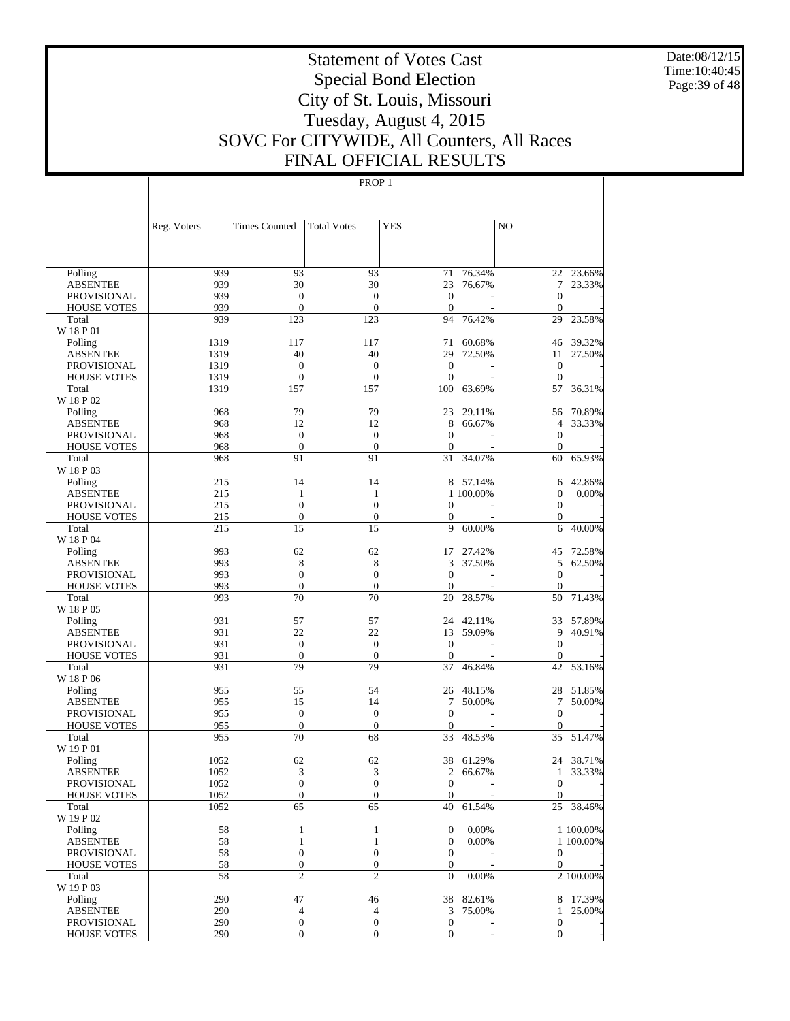Date:08/12/15 Time:10:40:45 Page:39 of 48

# Statement of Votes Cast Special Bond Election City of St. Louis, Missouri Tuesday, August 4, 2015 SOVC For CITYWIDE, All Counters, All Races FINAL OFFICIAL RESULTS

|                                   | Reg. Voters  | <b>Times Counted</b>    | <b>Total Votes</b>      | <b>YES</b>              |                  | N <sub>O</sub>        |           |
|-----------------------------------|--------------|-------------------------|-------------------------|-------------------------|------------------|-----------------------|-----------|
|                                   |              |                         |                         |                         |                  |                       |           |
| Polling                           | 939          | 93                      | 93                      | 71                      | 76.34%           |                       | 22 23.66% |
| <b>ABSENTEE</b>                   | 939          | 30                      | 30                      | 23                      | 76.67%           | 7                     | 23.33%    |
| <b>PROVISIONAL</b>                | 939          | $\boldsymbol{0}$        | $\boldsymbol{0}$        | $\boldsymbol{0}$        |                  | $\boldsymbol{0}$      |           |
| <b>HOUSE VOTES</b>                | 939          | $\boldsymbol{0}$        | $\boldsymbol{0}$        | $\boldsymbol{0}$        |                  | $\mathbf{0}$          |           |
| Total                             | 939          | 123                     | 123                     | 94                      | 76.42%           | 29                    | 23.58%    |
| W 18 P 01                         |              |                         |                         |                         |                  |                       |           |
| Polling                           | 1319         | 117                     | 117                     | 71                      | 60.68%           | 46                    | 39.32%    |
| <b>ABSENTEE</b>                   | 1319         | 40                      | 40                      | 29                      | 72.50%           | 11                    | 27.50%    |
| PROVISIONAL                       | 1319         | $\boldsymbol{0}$        | $\boldsymbol{0}$        | $\mathbf{0}$            |                  | $\boldsymbol{0}$      |           |
| <b>HOUSE VOTES</b>                | 1319<br>1319 | $\boldsymbol{0}$<br>157 | $\boldsymbol{0}$<br>157 | $\boldsymbol{0}$<br>100 | 63.69%           | $\mathbf{0}$          | 36.31%    |
| Total<br>W 18 P 02                |              |                         |                         |                         |                  | 57                    |           |
| Polling                           | 968          | 79                      | 79                      | 23                      | 29.11%           | 56                    | 70.89%    |
| <b>ABSENTEE</b>                   | 968          | 12                      | 12                      | 8                       | 66.67%           | 4                     | 33.33%    |
| <b>PROVISIONAL</b>                | 968          | $\boldsymbol{0}$        | $\boldsymbol{0}$        | $\boldsymbol{0}$        |                  | $\boldsymbol{0}$      |           |
| <b>HOUSE VOTES</b>                | 968          | $\boldsymbol{0}$        | $\boldsymbol{0}$        | $\boldsymbol{0}$        |                  | $\boldsymbol{0}$      |           |
| Total                             | 968          | 91                      | 91                      | 31                      | 34.07%           | 60                    | 65.93%    |
| W 18 P 03                         |              |                         |                         |                         |                  |                       |           |
| Polling                           | 215          | 14                      | 14                      | 8                       | 57.14%           | 6                     | 42.86%    |
| <b>ABSENTEE</b>                   | 215          | $\mathbf{1}$            | 1                       |                         | 1 100.00%        | $\boldsymbol{0}$      | 0.00%     |
| PROVISIONAL                       | 215          | $\boldsymbol{0}$        | $\boldsymbol{0}$        | $\boldsymbol{0}$        |                  | $\boldsymbol{0}$      |           |
| <b>HOUSE VOTES</b>                | 215          | $\boldsymbol{0}$        | $\boldsymbol{0}$        | $\boldsymbol{0}$        |                  | $\boldsymbol{0}$      |           |
| Total                             | 215          | 15                      | 15                      | 9                       | 60.00%           | 6                     | 40.00%    |
| W 18 P 04                         |              |                         |                         |                         |                  |                       |           |
| Polling                           | 993          | 62                      | 62                      | 17                      | 27.42%           | 45                    | 72.58%    |
| <b>ABSENTEE</b>                   | 993          | 8                       | 8                       | 3                       | 37.50%           | 5                     | 62.50%    |
| PROVISIONAL                       | 993          | $\boldsymbol{0}$        | $\boldsymbol{0}$        | $\boldsymbol{0}$        |                  | $\boldsymbol{0}$      |           |
| <b>HOUSE VOTES</b>                | 993          | $\mathbf{0}$            | $\boldsymbol{0}$        | $\boldsymbol{0}$        |                  | $\boldsymbol{0}$      |           |
| Total                             | 993          | 70                      | 70                      | 20                      | 28.57%           | 50                    | 71.43%    |
| W 18 P 05                         |              |                         |                         |                         |                  |                       |           |
| Polling                           | 931          | 57<br>22                | 57<br>22                | 24                      | 42.11%           | 33                    | 57.89%    |
| <b>ABSENTEE</b>                   | 931<br>931   | $\boldsymbol{0}$        | $\boldsymbol{0}$        | 13<br>$\mathbf{0}$      | 59.09%           | 9<br>$\boldsymbol{0}$ | 40.91%    |
| PROVISIONAL<br><b>HOUSE VOTES</b> | 931          | $\boldsymbol{0}$        | $\boldsymbol{0}$        | $\boldsymbol{0}$        |                  | $\boldsymbol{0}$      |           |
| Total                             | 931          | 79                      | 79                      | 37                      | 46.84%           | 42                    | 53.16%    |
| W 18 P 06                         |              |                         |                         |                         |                  |                       |           |
| Polling                           | 955          | 55                      | 54                      | 26                      | 48.15%           | 28                    | 51.85%    |
| <b>ABSENTEE</b>                   | 955          | 15                      | 14                      | 7                       | 50.00%           | 7                     | 50.00%    |
| PROVISIONAL                       | 955          | $\boldsymbol{0}$        | $\boldsymbol{0}$        | $\boldsymbol{0}$        |                  | $\mathbf{0}$          |           |
| <b>HOUSE VOTES</b>                | 955          | $\boldsymbol{0}$        | $\boldsymbol{0}$        | $\boldsymbol{0}$        |                  | $\boldsymbol{0}$      |           |
| Total                             | 955          | 70                      | 68                      | 33                      | 48.53%           | 35                    | 51.47%    |
| W 19 P 01                         |              |                         |                         |                         |                  |                       |           |
| Polling                           | 1052         | 62                      | 62                      | 38                      | 61.29%           | 24                    | 38.71%    |
| <b>ABSENTEE</b>                   | 1052         | 3                       | 3                       | $\mathfrak{2}$          | 66.67%           | $\mathbf{1}$          | 33.33%    |
| PROVISIONAL                       | 1052         | $\overline{0}$          | $\overline{0}$          | $\mathbf{0}$            | ÷.               | $\overline{0}$        |           |
| <b>HOUSE VOTES</b>                | 1052         | $\boldsymbol{0}$        | $\boldsymbol{0}$        | $\mathbf{0}$            |                  | $\mathbf{0}$          |           |
| Total                             | 1052         | 65                      | 65                      | 40                      | 61.54%           | 25                    | 38.46%    |
| W 19 P 02                         |              |                         |                         |                         |                  |                       |           |
| Polling                           | 58           | $\mathbf{1}$            | $\mathbf{1}$            | $\boldsymbol{0}$        | 0.00%            |                       | 1 100.00% |
| <b>ABSENTEE</b>                   | 58           | $\mathbf{1}$            | $\mathbf{1}$            | $\boldsymbol{0}$        | 0.00%            |                       | 1 100.00% |
| PROVISIONAL                       | 58           | $\boldsymbol{0}$        | $\boldsymbol{0}$        | $\boldsymbol{0}$        |                  | $\boldsymbol{0}$      |           |
| <b>HOUSE VOTES</b>                | 58           | $\boldsymbol{0}$        | $\boldsymbol{0}$        | $\boldsymbol{0}$        |                  | $\boldsymbol{0}$      |           |
| Total                             | 58           | $\overline{c}$          | $\mathfrak{2}$          | $\boldsymbol{0}$        | 0.00%            |                       | 2 100.00% |
| W 19 P 03                         | 290          | 47                      |                         |                         |                  |                       | 17.39%    |
| Polling<br><b>ABSENTEE</b>        | 290          | $\overline{4}$          | 46<br>4                 | 38<br>3                 | 82.61%<br>75.00% | 8<br>$\mathbf{1}$     | 25.00%    |
| <b>PROVISIONAL</b>                | 290          | $\boldsymbol{0}$        | $\boldsymbol{0}$        | $\boldsymbol{0}$        |                  | $\boldsymbol{0}$      |           |
| <b>HOUSE VOTES</b>                | 290          | $\mathbf{0}$            | $\boldsymbol{0}$        | $\boldsymbol{0}$        |                  | $\boldsymbol{0}$      |           |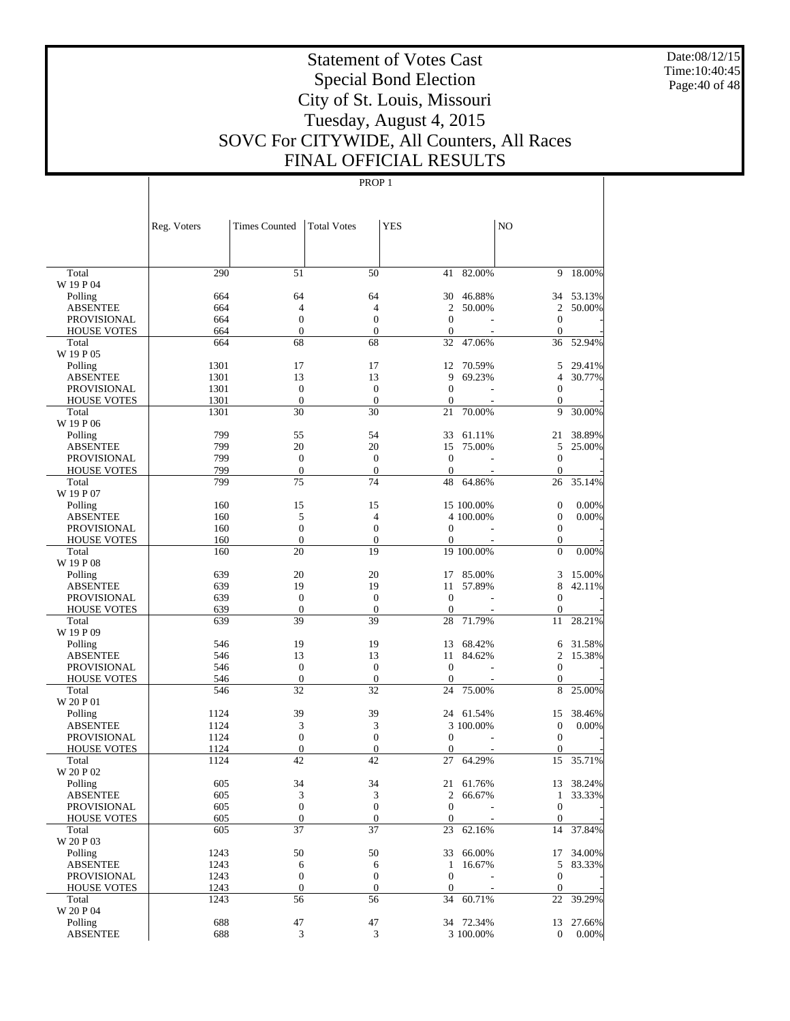Date:08/12/15 Time:10:40:45 Page:40 of 48

# Statement of Votes Cast Special Bond Election City of St. Louis, Missouri Tuesday, August 4, 2015 SOVC For CITYWIDE, All Counters, All Races FINAL OFFICIAL RESULTS

|                                          | Reg. Voters | <b>Times Counted</b>                 | <b>Total Votes</b>                   | <b>YES</b>                   |                  | N <sub>O</sub>                       |                     |
|------------------------------------------|-------------|--------------------------------------|--------------------------------------|------------------------------|------------------|--------------------------------------|---------------------|
|                                          |             |                                      |                                      |                              |                  |                                      |                     |
| Total                                    | 290         | 51                                   | 50                                   | 41                           | 82.00%           | 9                                    | 18.00%              |
| W 19 P 04                                |             |                                      |                                      |                              |                  |                                      |                     |
| Polling                                  | 664         | 64                                   | 64                                   | 30                           | 46.88%           |                                      | 34 53.13%           |
| <b>ABSENTEE</b>                          | 664         | $\overline{4}$<br>$\boldsymbol{0}$   | $\overline{4}$<br>$\overline{0}$     | 2<br>$\overline{0}$          | 50.00%           | 2                                    | 50.00%              |
| PROVISIONAL<br><b>HOUSE VOTES</b>        | 664<br>664  | $\boldsymbol{0}$                     | $\boldsymbol{0}$                     | $\mathbf{0}$                 |                  | $\boldsymbol{0}$<br>$\boldsymbol{0}$ |                     |
| Total                                    | 664         | 68                                   | 68                                   | 32                           | 47.06%           | 36                                   | 52.94%              |
| W 19 P 05                                |             |                                      |                                      |                              |                  |                                      |                     |
| Polling                                  | 1301        | 17                                   | 17                                   | 12                           | 70.59%           | 5                                    | 29.41%              |
| <b>ABSENTEE</b>                          | 1301        | 13                                   | 13                                   | 9                            | 69.23%           | $\overline{4}$                       | 30.77%              |
| <b>PROVISIONAL</b>                       | 1301        | $\mathbf{0}$                         | $\boldsymbol{0}$                     | $\mathbf{0}$                 |                  | $\boldsymbol{0}$                     |                     |
| <b>HOUSE VOTES</b>                       | 1301        | $\boldsymbol{0}$                     | $\mathbf{0}$                         | $\mathbf{0}$                 |                  | $\boldsymbol{0}$                     |                     |
| Total                                    | 1301        | 30                                   | 30                                   | 21                           | 70.00%           | 9                                    | 30.00%              |
| W 19 P 06                                |             |                                      |                                      |                              |                  |                                      |                     |
| Polling                                  | 799         | 55                                   | 54                                   | 33                           | 61.11%           | 21                                   | 38.89%              |
| <b>ABSENTEE</b>                          | 799         | 20                                   | 20                                   | 15                           | 75.00%           | 5                                    | 25.00%              |
| PROVISIONAL                              | 799         | $\boldsymbol{0}$                     | $\boldsymbol{0}$                     | $\boldsymbol{0}$             |                  | $\boldsymbol{0}$                     |                     |
| <b>HOUSE VOTES</b>                       | 799         | $\boldsymbol{0}$                     | $\boldsymbol{0}$                     | $\mathbf{0}$                 |                  | $\boldsymbol{0}$                     |                     |
| Total                                    | 799         | 75                                   | 74                                   | 48                           | 64.86%           | 26                                   | 35.14%              |
| W 19 P 07                                |             |                                      |                                      |                              |                  |                                      |                     |
| Polling                                  | 160         | 15                                   | 15                                   |                              | 15 100.00%       | $\boldsymbol{0}$                     | 0.00%               |
| <b>ABSENTEE</b>                          | 160         | 5                                    | $\overline{4}$                       |                              | 4 100.00%        | $\boldsymbol{0}$                     | 0.00%               |
| <b>PROVISIONAL</b><br><b>HOUSE VOTES</b> | 160         | $\boldsymbol{0}$<br>$\boldsymbol{0}$ | $\boldsymbol{0}$<br>$\boldsymbol{0}$ | $\boldsymbol{0}$<br>$\theta$ |                  | $\boldsymbol{0}$                     |                     |
| Total                                    | 160<br>160  | 20                                   | 19                                   |                              | 19 100.00%       | $\boldsymbol{0}$<br>$\overline{0}$   | 0.00%               |
| W 19 P 08                                |             |                                      |                                      |                              |                  |                                      |                     |
| Polling                                  | 639         | 20                                   | 20                                   | 17                           | 85.00%           | 3                                    | 15.00%              |
| <b>ABSENTEE</b>                          | 639         | 19                                   | 19                                   | 11                           | 57.89%           | 8                                    | 42.11%              |
| PROVISIONAL                              | 639         | $\boldsymbol{0}$                     | $\boldsymbol{0}$                     | $\boldsymbol{0}$             |                  | $\boldsymbol{0}$                     |                     |
| <b>HOUSE VOTES</b>                       | 639         | $\boldsymbol{0}$                     | $\boldsymbol{0}$                     | $\theta$                     |                  | $\boldsymbol{0}$                     |                     |
| Total                                    | 639         | 39                                   | 39                                   | 28                           | 71.79%           | 11                                   | 28.21%              |
| W 19 P 09                                |             |                                      |                                      |                              |                  |                                      |                     |
| Polling                                  | 546         | 19                                   | 19                                   | 13                           | 68.42%           | 6                                    | 31.58%              |
| <b>ABSENTEE</b>                          | 546         | 13                                   | 13                                   | 11                           | 84.62%           | $\overline{2}$                       | 15.38%              |
| PROVISIONAL                              | 546         | $\boldsymbol{0}$                     | $\boldsymbol{0}$                     | $\boldsymbol{0}$             |                  | $\mathbf{0}$                         |                     |
| <b>HOUSE VOTES</b>                       | 546         | $\boldsymbol{0}$                     | $\boldsymbol{0}$                     | $\theta$                     |                  | $\boldsymbol{0}$                     |                     |
| Total                                    | 546         | 32                                   | 32                                   | 24                           | 75.00%           | 8                                    | 25.00%              |
| W 20 P 01                                |             |                                      |                                      |                              |                  |                                      |                     |
| Polling                                  | 1124        | 39                                   | 39                                   | 24                           | 61.54%           | 15                                   | 38.46%              |
| <b>ABSENTEE</b>                          | 1124        | 3                                    | 3                                    |                              | 3 100.00%        | $\boldsymbol{0}$                     | $0.00\%$            |
| PROVISIONAL                              | 1124        | $\boldsymbol{0}$                     | $\boldsymbol{0}$                     | $\boldsymbol{0}$             |                  | $\boldsymbol{0}$                     |                     |
| <b>HOUSE VOTES</b>                       | 1124        | $\boldsymbol{0}$<br>42               | $\boldsymbol{0}$<br>42               | $\theta$<br>27               |                  | $\boldsymbol{0}$                     |                     |
| Total<br>W 20 P 02                       | 1124        |                                      |                                      |                              | 64.29%           | 15                                   | 35.71%              |
| Polling                                  | 605         | 34                                   | 34                                   | 21                           |                  |                                      |                     |
| <b>ABSENTEE</b>                          | 605         | 3                                    | 3                                    | $\mathfrak{2}$               | 61.76%<br>66.67% | $\mathbf{1}$                         | 13 38.24%<br>33.33% |
| PROVISIONAL                              | 605         | $\boldsymbol{0}$                     | $\boldsymbol{0}$                     | $\boldsymbol{0}$             |                  | $\mathbf{0}$                         |                     |
| <b>HOUSE VOTES</b>                       | 605         | $\boldsymbol{0}$                     | $\boldsymbol{0}$                     | $\boldsymbol{0}$             |                  | $\boldsymbol{0}$                     |                     |
| Total                                    | 605         | 37                                   | 37                                   | 23                           | 62.16%           | 14                                   | 37.84%              |
| W 20 P 03                                |             |                                      |                                      |                              |                  |                                      |                     |
| Polling                                  | 1243        | 50                                   | 50                                   | 33                           | 66.00%           | 17                                   | 34.00%              |
| <b>ABSENTEE</b>                          | 1243        | 6                                    | 6                                    | $\mathbf{1}$                 | 16.67%           | 5                                    | 83.33%              |
| <b>PROVISIONAL</b>                       | 1243        | $\boldsymbol{0}$                     | $\boldsymbol{0}$                     | $\mathbf{0}$                 |                  | $\boldsymbol{0}$                     |                     |
| <b>HOUSE VOTES</b>                       | 1243        | $\boldsymbol{0}$                     | $\boldsymbol{0}$                     | $\mathbf{0}$                 |                  | $\boldsymbol{0}$                     |                     |
| Total                                    | 1243        | 56                                   | 56                                   | 34                           | 60.71%           | 22                                   | 39.29%              |
| W 20 P 04                                |             |                                      |                                      |                              |                  |                                      |                     |
| Polling                                  | 688         | 47                                   | 47                                   |                              | 34 72.34%        | 13                                   | 27.66%              |
| <b>ABSENTEE</b>                          | 688         | 3                                    | 3                                    |                              | 3 100.00%        | $\boldsymbol{0}$                     | $0.00\%$            |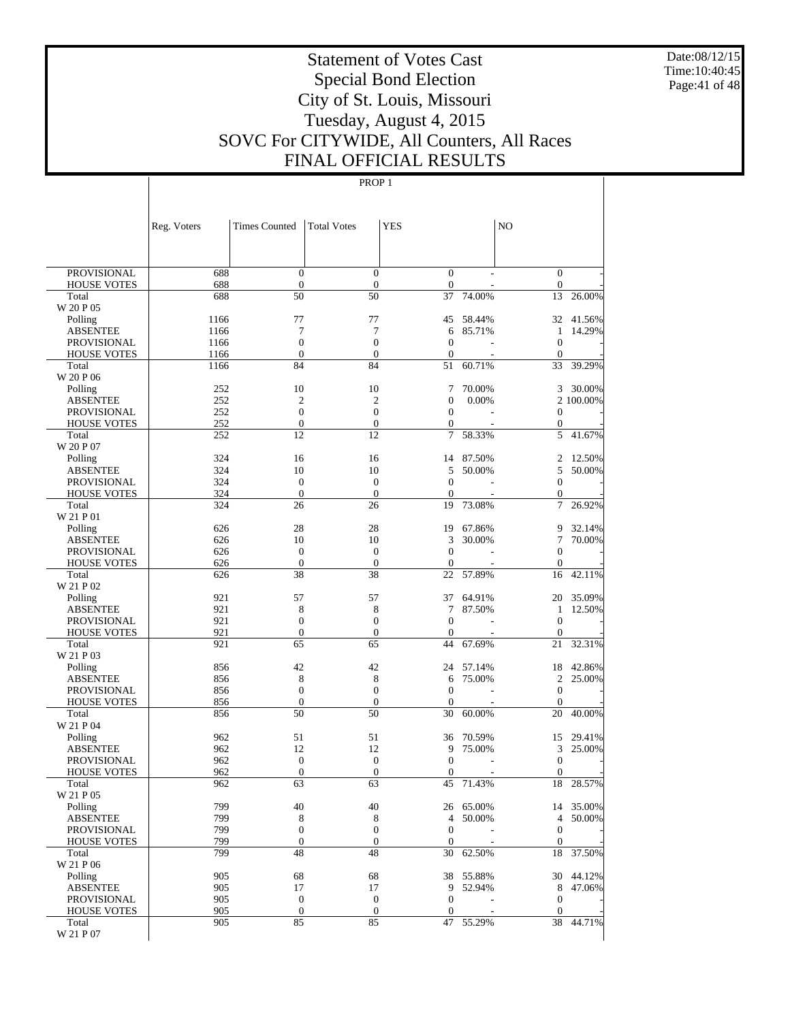Date:08/12/15 Time:10:40:45 Page:41 of 48

# Statement of Votes Cast Special Bond Election City of St. Louis, Missouri Tuesday, August 4, 2015 SOVC For CITYWIDE, All Counters, All Races FINAL OFFICIAL RESULTS

|                                          | Reg. Voters | <b>Times Counted</b>                 | <b>Total Votes</b>                   | <b>YES</b>                         |                 | NO.                                  |                     |
|------------------------------------------|-------------|--------------------------------------|--------------------------------------|------------------------------------|-----------------|--------------------------------------|---------------------|
|                                          |             |                                      |                                      |                                    |                 |                                      |                     |
|                                          |             |                                      |                                      |                                    |                 |                                      |                     |
| <b>PROVISIONAL</b><br><b>HOUSE VOTES</b> | 688<br>688  | $\mathbf{0}$<br>$\boldsymbol{0}$     | $\overline{0}$<br>$\mathbf{0}$       | $\boldsymbol{0}$<br>$\mathbf{0}$   |                 | $\boldsymbol{0}$<br>$\boldsymbol{0}$ |                     |
| Total                                    | 688         | 50                                   | 50                                   | 37                                 | 74.00%          | 13                                   | 26.00%              |
| W 20 P 05                                |             |                                      |                                      |                                    |                 |                                      |                     |
| Polling                                  | 1166        | 77                                   | 77                                   | 45                                 | 58.44%          | 32                                   | 41.56%              |
| <b>ABSENTEE</b>                          | 1166        | 7                                    | 7                                    | 6                                  | 85.71%          | 1                                    | 14.29%              |
| <b>PROVISIONAL</b>                       | 1166        | $\boldsymbol{0}$                     | $\boldsymbol{0}$                     | $\overline{0}$                     |                 | $\boldsymbol{0}$                     |                     |
| <b>HOUSE VOTES</b>                       | 1166        | $\mathbf{0}$                         | $\boldsymbol{0}$                     | $\overline{0}$                     |                 | $\mathbf{0}$                         |                     |
| Total                                    | 1166        | 84                                   | 84                                   | 51                                 | 60.71%          | 33                                   | 39.29%              |
| W 20 P 06                                | 252         | 10                                   | 10                                   | 7                                  |                 | 3                                    |                     |
| Polling<br><b>ABSENTEE</b>               | 252         | $\overline{c}$                       | $\overline{2}$                       | $\mathbf{0}$                       | 70.00%<br>0.00% |                                      | 30.00%<br>2 100.00% |
| <b>PROVISIONAL</b>                       | 252         | $\mathbf{0}$                         | $\mathbf{0}$                         | $\mathbf{0}$                       |                 | $\boldsymbol{0}$                     |                     |
| <b>HOUSE VOTES</b>                       | 252         | $\boldsymbol{0}$                     | $\mathbf{0}$                         | $\boldsymbol{0}$                   |                 | $\boldsymbol{0}$                     |                     |
| Total                                    | 252         | 12                                   | 12                                   | 7                                  | 58.33%          | 5                                    | 41.67%              |
| W 20 P 07                                |             |                                      |                                      |                                    |                 |                                      |                     |
| Polling                                  | 324         | 16                                   | 16                                   | 14                                 | 87.50%          | 2                                    | 12.50%              |
| <b>ABSENTEE</b>                          | 324         | 10                                   | 10                                   | 5                                  | 50.00%          | 5                                    | 50.00%              |
| <b>PROVISIONAL</b>                       | 324         | $\mathbf{0}$                         | $\mathbf{0}$                         | $\overline{0}$                     |                 | $\boldsymbol{0}$                     |                     |
| <b>HOUSE VOTES</b>                       | 324         | $\boldsymbol{0}$                     | $\boldsymbol{0}$                     | $\overline{0}$                     |                 | $\boldsymbol{0}$                     |                     |
| Total                                    | 324         | 26                                   | 26                                   | 19                                 | 73.08%          | 7                                    | 26.92%              |
| W 21 P 01<br>Polling                     | 626         | 28                                   | 28                                   | 19                                 | 67.86%          | 9                                    | 32.14%              |
| <b>ABSENTEE</b>                          | 626         | 10                                   | 10                                   | 3                                  | 30.00%          | 7                                    | 70.00%              |
| <b>PROVISIONAL</b>                       | 626         | $\mathbf{0}$                         | $\mathbf{0}$                         | $\overline{0}$                     |                 | $\boldsymbol{0}$                     |                     |
| <b>HOUSE VOTES</b>                       | 626         | $\boldsymbol{0}$                     | $\mathbf{0}$                         | $\theta$                           |                 | $\boldsymbol{0}$                     |                     |
| Total                                    | 626         | 38                                   | 38                                   | 22                                 | 57.89%          | 16                                   | 42.11%              |
| W 21 P 02                                |             |                                      |                                      |                                    |                 |                                      |                     |
| Polling                                  | 921         | 57                                   | 57                                   | 37                                 | 64.91%          | 20                                   | 35.09%              |
| <b>ABSENTEE</b>                          | 921         | $\,$ 8 $\,$                          | 8                                    | 7                                  | 87.50%          | 1                                    | 12.50%              |
| <b>PROVISIONAL</b>                       | 921         | $\boldsymbol{0}$                     | $\boldsymbol{0}$                     | $\overline{0}$                     |                 | $\mathbf{0}$                         |                     |
| <b>HOUSE VOTES</b>                       | 921         | $\boldsymbol{0}$                     | $\mathbf{0}$                         | $\overline{0}$                     |                 | $\mathbf{0}$                         |                     |
| Total<br>W 21 P 03                       | 921         | 65                                   | 65                                   | 44                                 | 67.69%          | 21                                   | 32.31%              |
| Polling                                  | 856         | 42                                   | 42                                   | 24                                 | 57.14%          | 18                                   | 42.86%              |
| <b>ABSENTEE</b>                          | 856         | 8                                    | 8                                    | 6                                  | 75.00%          | $\overline{c}$                       | 25.00%              |
| <b>PROVISIONAL</b>                       | 856         | $\boldsymbol{0}$                     | $\mathbf{0}$                         | $\overline{0}$                     |                 | $\boldsymbol{0}$                     |                     |
| <b>HOUSE VOTES</b>                       | 856         | $\boldsymbol{0}$                     | $\mathbf{0}$                         | $\overline{0}$                     |                 | $\overline{0}$                       |                     |
| Total                                    | 856         | 50                                   | 50                                   | 30                                 | 60.00%          | 20                                   | 40.00%              |
| W 21 P 04                                |             |                                      |                                      |                                    |                 |                                      |                     |
| Polling                                  | 962         | 51                                   | 51                                   | 36                                 | 70.59%          | 15                                   | 29.41%              |
| <b>ABSENTEE</b>                          | 962         | 12                                   | 12                                   | 9                                  | 75.00%          | 3                                    | 25.00%              |
| <b>PROVISIONAL</b>                       | 962         | $\boldsymbol{0}$                     | $\boldsymbol{0}$                     | $\overline{0}$                     |                 | $\boldsymbol{0}$                     |                     |
| <b>HOUSE VOTES</b><br>Total              | 962<br>962  | $\overline{0}$<br>63                 | $\mathbf{0}$<br>63                   | $\overline{0}$<br>45               | 71.43%          | $\boldsymbol{0}$<br>18               | 28.57%              |
| W 21 P 05                                |             |                                      |                                      |                                    |                 |                                      |                     |
| Polling                                  | 799         | 40                                   | 40                                   |                                    | 26 65.00%       |                                      | 14 35.00%           |
| <b>ABSENTEE</b>                          | 799         | 8                                    | 8                                    | $\overline{4}$                     | 50.00%          | $\overline{4}$                       | 50.00%              |
| <b>PROVISIONAL</b>                       | 799         | $\boldsymbol{0}$                     | $\mathbf{0}$                         | $\theta$                           |                 | $\boldsymbol{0}$                     |                     |
| <b>HOUSE VOTES</b>                       | 799         | $\boldsymbol{0}$                     | $\boldsymbol{0}$                     | $\overline{0}$                     |                 | $\boldsymbol{0}$                     |                     |
| Total                                    | 799         | 48                                   | 48                                   | 30                                 | 62.50%          | 18                                   | 37.50%              |
| W 21 P 06                                |             |                                      |                                      |                                    |                 |                                      |                     |
| Polling                                  | 905         | 68                                   | 68                                   |                                    | 38 55.88%       |                                      | 30 44.12%           |
| <b>ABSENTEE</b>                          | 905         | 17                                   | 17                                   | 9                                  | 52.94%          |                                      | 8 47.06%            |
| PROVISIONAL<br><b>HOUSE VOTES</b>        | 905<br>905  | $\boldsymbol{0}$<br>$\boldsymbol{0}$ | $\boldsymbol{0}$<br>$\boldsymbol{0}$ | $\boldsymbol{0}$<br>$\overline{0}$ |                 | $\boldsymbol{0}$<br>$\boldsymbol{0}$ |                     |
| Total                                    | 905         | 85                                   | 85                                   | 47                                 | 55.29%          | 38                                   | 44.71%              |
| W 21 P 07                                |             |                                      |                                      |                                    |                 |                                      |                     |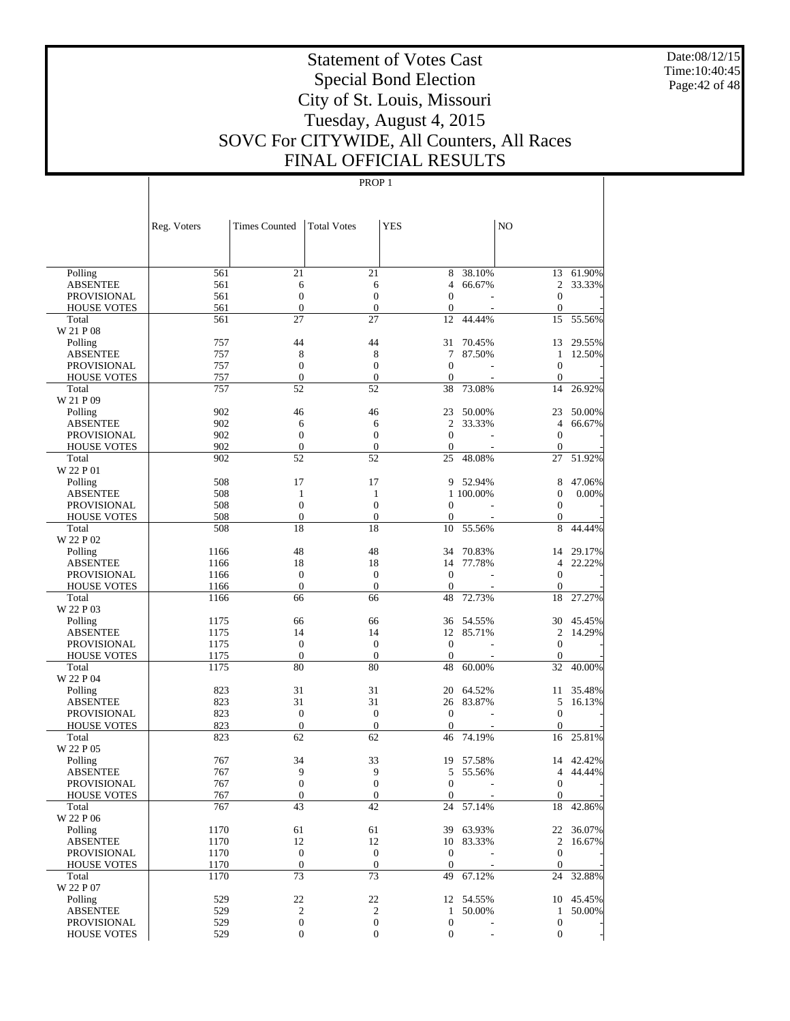Date:08/12/15 Time:10:40:45 Page:42 of 48

# Statement of Votes Cast Special Bond Election City of St. Louis, Missouri Tuesday, August 4, 2015 SOVC For CITYWIDE, All Counters, All Races FINAL OFFICIAL RESULTS

|                             | Reg. Voters | <b>Times Counted</b>             | <b>Total Votes</b>     | <b>YES</b>                           |           | N <sub>O</sub>                       |           |
|-----------------------------|-------------|----------------------------------|------------------------|--------------------------------------|-----------|--------------------------------------|-----------|
|                             |             |                                  |                        |                                      |           |                                      |           |
| Polling                     | 561         | $\overline{21}$                  | 21                     | 8                                    | 38.10%    |                                      | 13 61.90% |
| <b>ABSENTEE</b>             | 561         | 6                                | 6                      | 4                                    | 66.67%    | $\overline{2}$                       | 33.33%    |
| <b>PROVISIONAL</b>          | 561         | $\boldsymbol{0}$                 | $\boldsymbol{0}$       | $\mathbf{0}$                         |           | $\mathbf{0}$                         |           |
| <b>HOUSE VOTES</b>          | 561         | $\boldsymbol{0}$                 | $\boldsymbol{0}$       | $\mathbf{0}$                         |           | $\mathbf{0}$                         |           |
| Total                       | 561         | 27                               | 27                     | 12                                   | 44.44%    | 15                                   | 55.56%    |
| W 21 P 08                   |             |                                  |                        |                                      |           |                                      |           |
| Polling                     | 757         | 44                               | 44                     | 31                                   | 70.45%    | 13                                   | 29.55%    |
| <b>ABSENTEE</b>             | 757         | 8                                | 8                      | 7                                    | 87.50%    | 1                                    | 12.50%    |
| PROVISIONAL                 | 757         | $\boldsymbol{0}$                 | $\boldsymbol{0}$       | $\mathbf{0}$                         |           | $\mathbf{0}$                         |           |
| <b>HOUSE VOTES</b>          | 757         | $\boldsymbol{0}$                 | $\boldsymbol{0}$       | $\mathbf{0}$                         |           | $\mathbf{0}$                         |           |
| Total                       | 757         | 52                               | 52                     | 38                                   | 73.08%    | 14                                   | 26.92%    |
| W 21 P 09                   |             |                                  |                        |                                      |           |                                      |           |
| Polling                     | 902         | 46                               | 46                     | 23                                   | 50.00%    | 23                                   | 50.00%    |
| <b>ABSENTEE</b>             | 902         | 6                                | 6                      | $\mathfrak{2}$                       | 33.33%    | $\overline{4}$                       | 66.67%    |
| PROVISIONAL                 | 902         | $\boldsymbol{0}$                 | $\boldsymbol{0}$       | $\mathbf{0}$                         |           | $\mathbf{0}$                         |           |
| <b>HOUSE VOTES</b>          | 902         | $\boldsymbol{0}$                 | $\boldsymbol{0}$       | $\mathbf{0}$                         |           | $\mathbf{0}$                         |           |
| Total                       | 902         | 52                               | 52                     | 25                                   | 48.08%    | 27                                   | 51.92%    |
| W 22 P 01                   |             |                                  |                        |                                      |           |                                      |           |
| Polling                     | 508         | 17                               | 17                     | 9                                    | 52.94%    | 8                                    | 47.06%    |
| <b>ABSENTEE</b>             | 508         | $\mathbf{1}$<br>$\boldsymbol{0}$ | 1<br>$\boldsymbol{0}$  |                                      | 1 100.00% | $\boldsymbol{0}$                     | 0.00%     |
| <b>PROVISIONAL</b>          | 508<br>508  | $\boldsymbol{0}$                 | $\boldsymbol{0}$       | $\boldsymbol{0}$<br>$\boldsymbol{0}$ |           | $\boldsymbol{0}$<br>$\boldsymbol{0}$ |           |
| <b>HOUSE VOTES</b><br>Total | 508         | 18                               | 18                     | 10                                   | 55.56%    | 8                                    | 44.44%    |
| W 22 P 02                   |             |                                  |                        |                                      |           |                                      |           |
| Polling                     | 1166        | 48                               | 48                     | 34                                   | 70.83%    | 14                                   | 29.17%    |
| <b>ABSENTEE</b>             | 1166        | 18                               | 18                     | 14                                   | 77.78%    | $\overline{4}$                       | 22.22%    |
| PROVISIONAL                 | 1166        | $\boldsymbol{0}$                 | $\boldsymbol{0}$       | $\mathbf{0}$                         |           | $\mathbf{0}$                         |           |
| <b>HOUSE VOTES</b>          | 1166        | $\boldsymbol{0}$                 | $\boldsymbol{0}$       | $\mathbf{0}$                         |           | $\mathbf{0}$                         |           |
| Total                       | 1166        | 66                               | 66                     | 48                                   | 72.73%    | 18                                   | 27.27%    |
| W 22 P 03                   |             |                                  |                        |                                      |           |                                      |           |
| Polling                     | 1175        | 66                               | 66                     | 36                                   | 54.55%    | 30                                   | 45.45%    |
| <b>ABSENTEE</b>             | 1175        | 14                               | 14                     | 12                                   | 85.71%    | $\overline{c}$                       | 14.29%    |
| PROVISIONAL                 | 1175        | $\mathbf{0}$                     | $\boldsymbol{0}$       | $\mathbf{0}$                         |           | $\boldsymbol{0}$                     |           |
| <b>HOUSE VOTES</b>          | 1175        | $\boldsymbol{0}$                 | $\boldsymbol{0}$       | $\mathbf{0}$                         |           | $\mathbf{0}$                         |           |
| Total                       | 1175        | 80                               | 80                     | 48                                   | 60.00%    | 32                                   | 40.00%    |
| W 22 P 04                   |             |                                  |                        |                                      |           |                                      |           |
| Polling                     | 823         | 31                               | 31                     | 20                                   | 64.52%    | 11                                   | 35.48%    |
| <b>ABSENTEE</b>             | 823         | 31                               | 31                     | 26                                   | 83.87%    | 5                                    | 16.13%    |
| <b>PROVISIONAL</b>          | 823         | $\mathbf{0}$                     | $\boldsymbol{0}$       | $\mathbf{0}$                         |           | $\mathbf{0}$                         |           |
| <b>HOUSE VOTES</b>          | 823<br>823  | $\boldsymbol{0}$<br>62           | $\boldsymbol{0}$<br>62 | $\mathbf{0}$<br>46                   | 74.19%    | $\mathbf{0}$<br>16                   | 25.81%    |
| Total<br>W 22 P 05          |             |                                  |                        |                                      |           |                                      |           |
| Polling                     | 767         | 34                               | 33                     | 19                                   | 57.58%    | 14                                   | 42.42%    |
| <b>ABSENTEE</b>             | 767         | 9                                | 9                      | 5                                    | 55.56%    | $\overline{4}$                       | 44.44%    |
| <b>PROVISIONAL</b>          | 767         | $\overline{0}$                   | $\overline{0}$         | $\overline{0}$                       |           | $\mathbf{0}$                         |           |
| <b>HOUSE VOTES</b>          | 767         | $\boldsymbol{0}$                 | $\mathbf{0}$           | $\mathbf{0}$                         |           | $\mathbf{0}$                         |           |
| Total                       | 767         | 43                               | $42\,$                 | 24                                   | 57.14%    | 18                                   | 42.86%    |
| W 22 P 06                   |             |                                  |                        |                                      |           |                                      |           |
| Polling                     | 1170        | 61                               | 61                     |                                      | 39 63.93% |                                      | 22 36.07% |
| <b>ABSENTEE</b>             | 1170        | 12                               | 12                     | 10                                   | 83.33%    | $\overline{2}$                       | 16.67%    |
| PROVISIONAL                 | 1170        | $\boldsymbol{0}$                 | $\boldsymbol{0}$       | $\boldsymbol{0}$                     |           | $\mathbf{0}$                         |           |
| <b>HOUSE VOTES</b>          | 1170        | $\mathbf{0}$                     | $\mathbf{0}$           | $\mathbf{0}$                         |           | $\mathbf{0}$                         |           |
| Total                       | 1170        | 73                               | 73                     | 49                                   | 67.12%    | 24                                   | 32.88%    |
| W 22 P 07                   |             |                                  |                        |                                      |           |                                      |           |
| Polling                     | 529         | 22                               | 22                     |                                      | 12 54.55% |                                      | 10 45.45% |
| <b>ABSENTEE</b>             | 529         | $\sqrt{2}$                       | $\boldsymbol{2}$       | $\mathbf{1}$                         | 50.00%    | $\mathbf{1}$                         | 50.00%    |
| <b>PROVISIONAL</b>          | 529         | 0                                | $\boldsymbol{0}$       | $\boldsymbol{0}$                     |           | $\mathbf{0}$                         |           |
| <b>HOUSE VOTES</b>          | 529         | $\boldsymbol{0}$                 | $\boldsymbol{0}$       | $\boldsymbol{0}$                     |           | $\mathbf{0}$                         |           |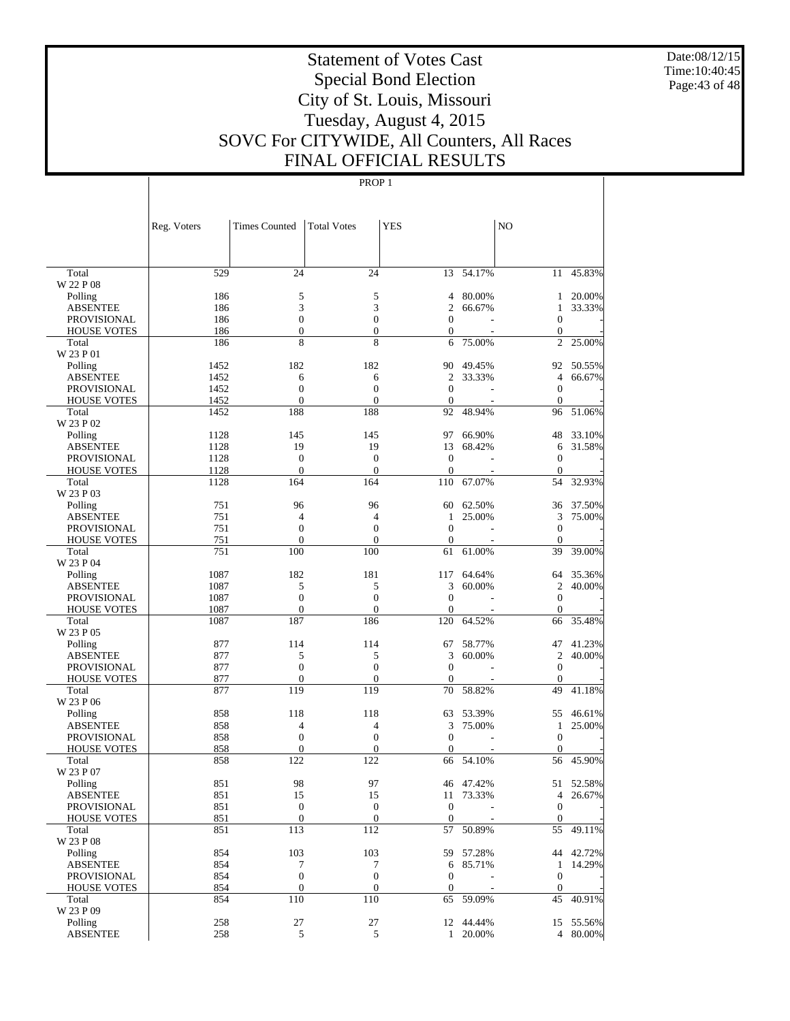Date:08/12/15 Time:10:40:45 Page:43 of 48

# Statement of Votes Cast Special Bond Election City of St. Louis, Missouri Tuesday, August 4, 2015 SOVC For CITYWIDE, All Counters, All Races FINAL OFFICIAL RESULTS

|                             | Reg. Voters | <b>Times Counted</b>  | <b>Total Votes</b> | <b>YES</b>        |           | N <sub>O</sub>                     |           |
|-----------------------------|-------------|-----------------------|--------------------|-------------------|-----------|------------------------------------|-----------|
|                             |             |                       |                    |                   |           |                                    |           |
| Total                       | 529         | 24                    | 24                 | 13                | 54.17%    | 11                                 | 45.83%    |
| W 22 P 08                   |             |                       |                    |                   |           |                                    |           |
| Polling                     | 186         | 5                     | 5                  | 4                 | 80.00%    | 1                                  | 20.00%    |
| <b>ABSENTEE</b>             | 186         | 3                     | 3                  | $\overline{2}$    | 66.67%    | 1                                  | 33.33%    |
| <b>PROVISIONAL</b>          | 186         | $\overline{0}$        | $\mathbf{0}$       | $\mathbf{0}$      |           | $\boldsymbol{0}$                   |           |
| <b>HOUSE VOTES</b><br>Total | 186<br>186  | $\boldsymbol{0}$<br>8 | $\mathbf{0}$<br>8  | $\mathbf{0}$<br>6 | 75.00%    | $\boldsymbol{0}$<br>$\overline{c}$ | 25.00%    |
| W 23 P 01                   |             |                       |                    |                   |           |                                    |           |
| Polling                     | 1452        | 182                   | 182                | 90                | 49.45%    | 92                                 | 50.55%    |
| <b>ABSENTEE</b>             | 1452        | 6                     | 6                  | $\overline{2}$    | 33.33%    | $\overline{4}$                     | 66.67%    |
| <b>PROVISIONAL</b>          | 1452        | $\overline{0}$        | $\mathbf{0}$       | $\overline{0}$    |           | $\boldsymbol{0}$                   |           |
| <b>HOUSE VOTES</b>          | 1452        | $\overline{0}$        | $\mathbf{0}$       | $\mathbf{0}$      |           | $\boldsymbol{0}$                   |           |
| Total                       | 1452        | 188                   | 188                | 92                | 48.94%    | 96                                 | 51.06%    |
| W 23 P 02                   |             |                       |                    |                   |           |                                    |           |
| Polling                     | 1128        | 145                   | 145                | 97                | 66.90%    | 48                                 | 33.10%    |
| <b>ABSENTEE</b>             | 1128        | 19                    | 19                 | 13                | 68.42%    | 6                                  | 31.58%    |
| <b>PROVISIONAL</b>          | 1128        | $\boldsymbol{0}$      | $\overline{0}$     | $\theta$          |           | $\boldsymbol{0}$                   |           |
| <b>HOUSE VOTES</b>          | 1128        | $\overline{0}$        | $\theta$           | $\overline{0}$    |           | $\overline{0}$                     |           |
| Total<br>W 23 P 03          | 1128        | 164                   | 164                | 110               | 67.07%    | 54                                 | 32.93%    |
| Polling                     | 751         | 96                    | 96                 | 60                | 62.50%    | 36                                 | 37.50%    |
| <b>ABSENTEE</b>             | 751         | 4                     | $\overline{4}$     | 1                 | 25.00%    | 3                                  | 75.00%    |
| <b>PROVISIONAL</b>          | 751         | $\overline{0}$        | $\overline{0}$     | $\overline{0}$    |           | $\boldsymbol{0}$                   |           |
| <b>HOUSE VOTES</b>          | 751         | $\overline{0}$        | $\overline{0}$     | $\overline{0}$    |           | $\boldsymbol{0}$                   |           |
| Total                       | 751         | 100                   | 100                | 61                | 61.00%    | 39                                 | 39.00%    |
| W 23 P 04                   |             |                       |                    |                   |           |                                    |           |
| Polling                     | 1087        | 182                   | 181                | 117               | 64.64%    | 64                                 | 35.36%    |
| <b>ABSENTEE</b>             | 1087        | 5                     | 5                  | 3                 | 60.00%    | 2                                  | 40.00%    |
| <b>PROVISIONAL</b>          | 1087        | $\overline{0}$        | $\overline{0}$     | $\overline{0}$    |           | $\boldsymbol{0}$                   |           |
| <b>HOUSE VOTES</b>          | 1087        | $\mathbf{0}$          | $\mathbf{0}$       | $\mathbf{0}$      |           | $\overline{0}$                     |           |
| Total                       | 1087        | 187                   | 186                | 120               | 64.52%    | 66                                 | 35.48%    |
| W 23 P 05                   |             |                       |                    |                   |           |                                    |           |
| Polling                     | 877         | 114                   | 114                | 67                | 58.77%    | 47                                 | 41.23%    |
| <b>ABSENTEE</b>             | 877         | 5                     | 5                  | 3                 | 60.00%    | $\overline{c}$                     | 40.00%    |
| <b>PROVISIONAL</b>          | 877         | $\overline{0}$        | $\mathbf{0}$       | $\overline{0}$    |           | $\boldsymbol{0}$                   |           |
| <b>HOUSE VOTES</b>          | 877         | $\overline{0}$        | $\mathbf{0}$       | $\mathbf{0}$      |           | $\boldsymbol{0}$                   |           |
| Total                       | 877         | 119                   | 119                | 70                | 58.82%    | 49                                 | 41.18%    |
| W 23 P 06                   |             |                       |                    |                   |           |                                    |           |
| Polling                     | 858         | 118                   | 118                | 63                | 53.39%    | 55                                 | 46.61%    |
| <b>ABSENTEE</b>             | 858         | 4                     | $\overline{4}$     | 3                 | 75.00%    | 1                                  | 25.00%    |
| <b>PROVISIONAL</b>          | 858         | $\overline{0}$        | $\mathbf{0}$       | $\overline{0}$    |           | $\boldsymbol{0}$                   |           |
| <b>HOUSE VOTES</b>          | 858         | 0                     | $\overline{0}$     | $\mathbf{0}$      |           | $\boldsymbol{0}$                   |           |
| Total<br>W 23 P 07          | 858         | 122                   | 122                | 66                | 54.10%    | 56                                 | 45.90%    |
|                             | 851         | 98                    | 97                 | 46                | 47.42%    |                                    | 51 52.58% |
| Polling<br><b>ABSENTEE</b>  | 851         | 15                    | 15                 |                   | 11 73.33% | 4                                  | 26.67%    |
| <b>PROVISIONAL</b>          | 851         | $\boldsymbol{0}$      | $\boldsymbol{0}$   | $\boldsymbol{0}$  |           | $\overline{0}$                     |           |
| <b>HOUSE VOTES</b>          | 851         | $\boldsymbol{0}$      | $\boldsymbol{0}$   | $\boldsymbol{0}$  |           | $\mathbf{0}$                       |           |
| Total                       | 851         | 113                   | 112                | 57                | 50.89%    | 55                                 | 49.11%    |
| W 23 P 08                   |             |                       |                    |                   |           |                                    |           |
| Polling                     | 854         | 103                   | 103                |                   | 59 57.28% |                                    | 44 42.72% |
| <b>ABSENTEE</b>             | 854         | 7                     | 7                  | 6                 | 85.71%    | $\mathbf{1}$                       | 14.29%    |
| <b>PROVISIONAL</b>          | 854         | $\boldsymbol{0}$      | $\boldsymbol{0}$   | $\mathbf{0}$      |           | $\mathbf{0}$                       |           |
| <b>HOUSE VOTES</b>          | 854         | $\boldsymbol{0}$      | $\boldsymbol{0}$   | $\boldsymbol{0}$  |           | $\boldsymbol{0}$                   |           |
| Total                       | 854         | 110                   | 110                | 65                | 59.09%    | 45                                 | 40.91%    |
| W 23 P 09                   |             |                       |                    |                   |           |                                    |           |
| Polling                     | 258         | 27                    | 27                 |                   | 12 44.44% |                                    | 15 55.56% |
| ABSENTEE                    | 258         | 5                     | 5                  | $\mathbf{1}$      | 20.00%    |                                    | 4 80.00%  |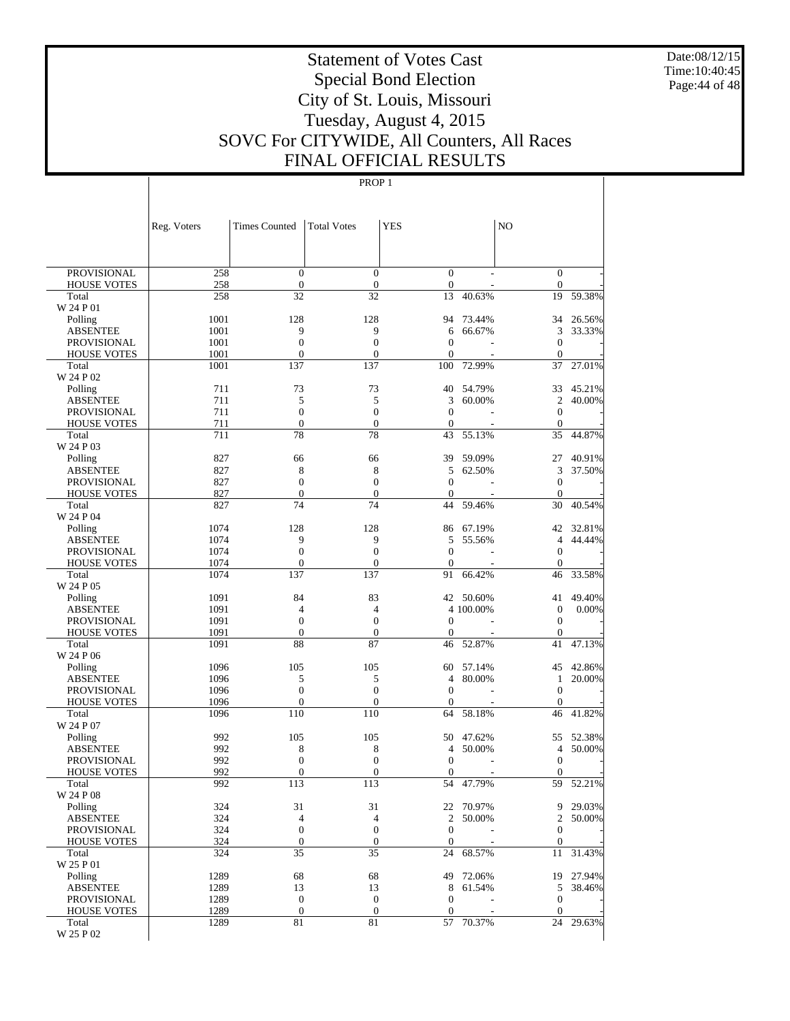Date:08/12/15 Time:10:40:45 Page:44 of 48

# Statement of Votes Cast Special Bond Election City of St. Louis, Missouri Tuesday, August 4, 2015 SOVC For CITYWIDE, All Counters, All Races FINAL OFFICIAL RESULTS

|                                       | Reg. Voters  | <b>Times Counted</b>             | <b>Total Votes</b>     | <b>YES</b>           |                  | NO.                                  |                  |
|---------------------------------------|--------------|----------------------------------|------------------------|----------------------|------------------|--------------------------------------|------------------|
|                                       |              |                                  |                        |                      |                  |                                      |                  |
| <b>PROVISIONAL</b>                    | 258          | $\mathbf{0}$                     | $\overline{0}$         | $\mathbf{0}$         |                  | $\boldsymbol{0}$                     |                  |
| <b>HOUSE VOTES</b>                    | 258          | $\boldsymbol{0}$                 | $\mathbf{0}$           | $\boldsymbol{0}$     |                  | $\boldsymbol{0}$                     |                  |
| Total                                 | 258          | 32                               | 32                     | 13                   | 40.63%           | 19                                   | 59.38%           |
| W 24 P 01                             |              |                                  |                        |                      |                  |                                      |                  |
| Polling                               | 1001         | 128                              | 128                    | 94                   | 73.44%           | 34                                   | 26.56%           |
| <b>ABSENTEE</b><br><b>PROVISIONAL</b> | 1001<br>1001 | 9<br>$\overline{0}$              | 9<br>$\boldsymbol{0}$  | 6<br>$\overline{0}$  | 66.67%           | 3<br>$\boldsymbol{0}$                | 33.33%           |
| <b>HOUSE VOTES</b>                    | 1001         | $\overline{0}$                   | $\overline{0}$         | $\mathbf{0}$         |                  | $\theta$                             |                  |
| Total                                 | 1001         | 137                              | 137                    | 100                  | 72.99%           | 37                                   | 27.01%           |
| W 24 P 02                             |              |                                  |                        |                      |                  |                                      |                  |
| Polling                               | 711          | 73                               | 73                     | 40                   | 54.79%           | 33                                   | 45.21%           |
| <b>ABSENTEE</b>                       | 711          | 5                                | 5                      | 3                    | 60.00%           | $\overline{c}$                       | 40.00%           |
| <b>PROVISIONAL</b>                    | 711          | $\mathbf{0}$                     | $\boldsymbol{0}$       | $\overline{0}$       |                  | $\boldsymbol{0}$                     |                  |
| <b>HOUSE VOTES</b>                    | 711          | $\boldsymbol{0}$                 | $\boldsymbol{0}$       | $\theta$             |                  | $\mathbf{0}$                         |                  |
| Total<br>W 24 P 03                    | 711          | 78                               | 78                     | 43                   | 55.13%           | 35                                   | 44.87%           |
| Polling                               | 827          | 66                               | 66                     | 39                   | 59.09%           | 27                                   | 40.91%           |
| <b>ABSENTEE</b>                       | 827          | 8                                | 8                      | 5                    | 62.50%           | 3                                    | 37.50%           |
| <b>PROVISIONAL</b>                    | 827          | $\mathbf{0}$                     | $\boldsymbol{0}$       | $\theta$             |                  | $\boldsymbol{0}$                     |                  |
| <b>HOUSE VOTES</b>                    | 827          | $\mathbf{0}$                     | $\mathbf{0}$           | $\theta$             |                  | $\mathbf{0}$                         |                  |
| Total                                 | 827          | 74                               | 74                     | 44                   | 59.46%           | 30                                   | 40.54%           |
| W 24 P 04                             |              |                                  |                        |                      |                  |                                      |                  |
| Polling                               | 1074         | 128                              | 128                    | 86                   | 67.19%           | 42                                   | 32.81%           |
| <b>ABSENTEE</b>                       | 1074         | 9                                | 9                      | 5                    | 55.56%           | $\overline{4}$                       | 44.44%           |
| <b>PROVISIONAL</b>                    | 1074         | $\overline{0}$<br>$\overline{0}$ | $\overline{0}$         | $\overline{0}$       |                  | $\boldsymbol{0}$                     |                  |
| <b>HOUSE VOTES</b><br>Total           | 1074<br>1074 | 137                              | $\overline{0}$<br>137  | $\theta$<br>91       | 66.42%           | $\boldsymbol{0}$<br>46               | 33.58%           |
| W 24 P 05                             |              |                                  |                        |                      |                  |                                      |                  |
| Polling                               | 1091         | 84                               | 83                     | 42                   | 50.60%           | 41                                   | 49.40%           |
| <b>ABSENTEE</b>                       | 1091         | $\overline{4}$                   | $\overline{4}$         |                      | 4 100,00%        | $\boldsymbol{0}$                     | $0.00\%$         |
| <b>PROVISIONAL</b>                    | 1091         | $\mathbf{0}$                     | $\boldsymbol{0}$       | $\overline{0}$       |                  | $\boldsymbol{0}$                     |                  |
| <b>HOUSE VOTES</b>                    | 1091         | $\boldsymbol{0}$                 | $\boldsymbol{0}$       | $\overline{0}$       |                  | $\mathbf{0}$                         |                  |
| Total                                 | 1091         | 88                               | 87                     | 46                   | 52.87%           | 41                                   | 47.13%           |
| W 24 P 06                             |              |                                  |                        |                      |                  |                                      |                  |
| Polling<br><b>ABSENTEE</b>            | 1096<br>1096 | 105<br>5                         | 105<br>5               | 60<br>4              | 57.14%<br>80.00% | 45<br>1                              | 42.86%<br>20.00% |
| <b>PROVISIONAL</b>                    | 1096         | $\mathbf{0}$                     | $\boldsymbol{0}$       | $\overline{0}$       |                  | $\mathbf{0}$                         |                  |
| <b>HOUSE VOTES</b>                    | 1096         | $\overline{0}$                   | $\overline{0}$         | $\theta$             |                  | $\overline{0}$                       |                  |
| Total                                 | 1096         | 110                              | 110                    | 64                   | 58.18%           | 46                                   | 41.82%           |
| W 24 P 07                             |              |                                  |                        |                      |                  |                                      |                  |
| Polling                               | 992          | 105                              | 105                    | 50                   | 47.62%           | 55                                   | 52.38%           |
| <b>ABSENTEE</b>                       | 992          | 8                                | 8                      | 4                    | 50.00%           | 4                                    | 50.00%           |
| <b>PROVISIONAL</b>                    | 992          | $\boldsymbol{0}$                 | $\boldsymbol{0}$       | $\overline{0}$       |                  | $\boldsymbol{0}$                     |                  |
| <b>HOUSE VOTES</b>                    | 992<br>992   | $\overline{0}$<br>113            | $\mathbf{0}$<br>113    | $\overline{0}$<br>54 | 47.79%           | $\boldsymbol{0}$<br>59               | 52.21%           |
| Total<br>W 24 P 08                    |              |                                  |                        |                      |                  |                                      |                  |
| Polling                               | 324          | 31                               | 31                     |                      | 22 70.97%        |                                      | 9 29.03%         |
| <b>ABSENTEE</b>                       | 324          | 4                                | $\overline{4}$         | $\overline{2}$       | 50.00%           | $\overline{2}$                       | 50.00%           |
| <b>PROVISIONAL</b>                    | 324          | $\boldsymbol{0}$                 | $\mathbf{0}$           | $\theta$             |                  | $\boldsymbol{0}$                     |                  |
| <b>HOUSE VOTES</b>                    | 324          | $\boldsymbol{0}$                 | $\boldsymbol{0}$       | $\theta$             |                  | $\boldsymbol{0}$                     |                  |
| Total                                 | 324          | 35                               | 35                     | 24                   | 68.57%           | 11                                   | 31.43%           |
| W 25 P 01                             |              |                                  |                        |                      |                  |                                      |                  |
| Polling                               | 1289         | 68                               | 68                     | 49                   | 72.06%           |                                      | 19 27.94%        |
| <b>ABSENTEE</b><br><b>PROVISIONAL</b> | 1289<br>1289 | 13<br>$\boldsymbol{0}$           | 13<br>$\boldsymbol{0}$ | 8<br>$\mathbf{0}$    | 61.54%           | 5                                    | 38.46%           |
| <b>HOUSE VOTES</b>                    | 1289         | $\boldsymbol{0}$                 | $\boldsymbol{0}$       | $\theta$             |                  | $\boldsymbol{0}$<br>$\boldsymbol{0}$ |                  |
| Total                                 | 1289         | 81                               | 81                     |                      | 57 70.37%        | 24                                   | 29.63%           |
| W 25 P 02                             |              |                                  |                        |                      |                  |                                      |                  |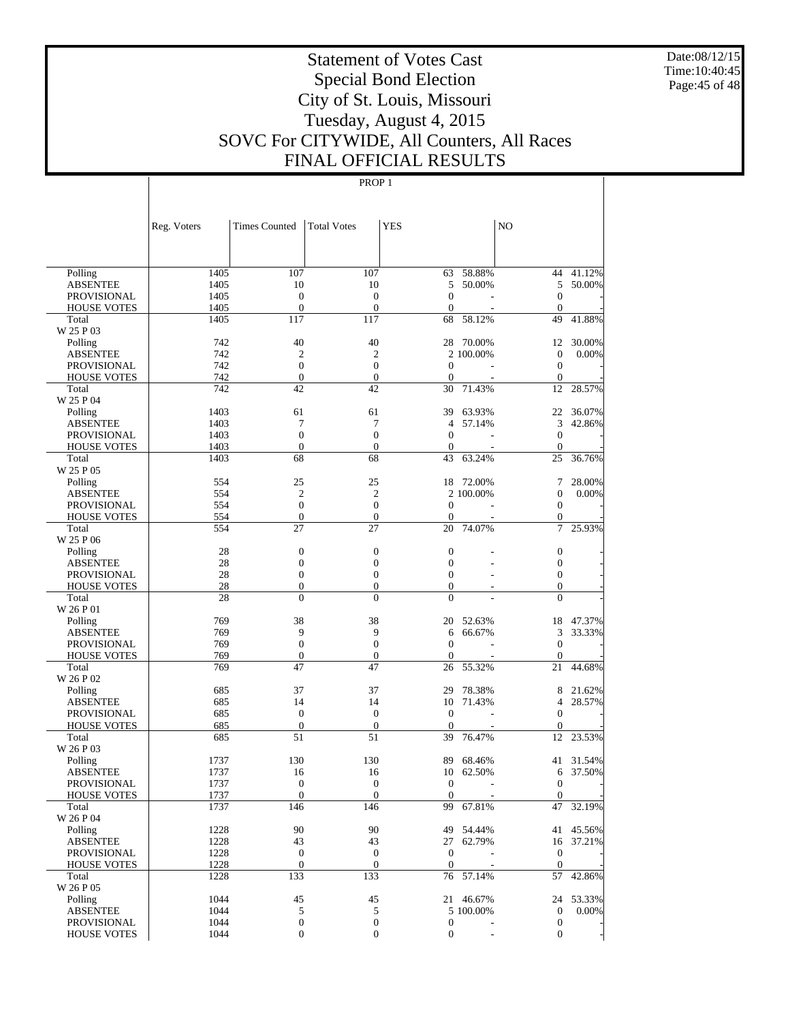Date:08/12/15 Time:10:40:45 Page:45 of 48

# Statement of Votes Cast Special Bond Election City of St. Louis, Missouri Tuesday, August 4, 2015 SOVC For CITYWIDE, All Counters, All Races FINAL OFFICIAL RESULTS

|                            | Reg. Voters | <b>Times Counted</b> | <b>Total Votes</b> | <b>YES</b>       |           | N <sub>O</sub>      |                  |
|----------------------------|-------------|----------------------|--------------------|------------------|-----------|---------------------|------------------|
|                            |             |                      |                    |                  |           |                     |                  |
| Polling                    | 1405        | 107                  | 107                | 63               | 58.88%    | 44                  | 41.12%           |
| <b>ABSENTEE</b>            | 1405        | 10                   | 10                 | 5                | 50.00%    | 5                   | 50.00%           |
| <b>PROVISIONAL</b>         | 1405        | $\mathbf{0}$         | $\boldsymbol{0}$   | $\overline{0}$   |           | $\mathbf{0}$        |                  |
| <b>HOUSE VOTES</b>         | 1405        | $\boldsymbol{0}$     | $\overline{0}$     | $\overline{0}$   |           | $\theta$            |                  |
| Total                      | 1405        | 117                  | 117                | 68               | 58.12%    | 49                  | 41.88%           |
| W 25 P 03                  |             |                      |                    |                  |           |                     |                  |
| Polling                    | 742         | 40                   | 40                 | 28               | 70.00%    | 12                  | 30.00%           |
| <b>ABSENTEE</b>            | 742         | $\overline{c}$       | $\overline{2}$     |                  | 2 100,00% | $\boldsymbol{0}$    | 0.00%            |
| PROVISIONAL                | 742         | $\boldsymbol{0}$     | $\mathbf{0}$       | $\overline{0}$   |           | $\mathbf{0}$        |                  |
| <b>HOUSE VOTES</b>         | 742         | $\boldsymbol{0}$     | $\boldsymbol{0}$   | $\overline{0}$   |           | $\boldsymbol{0}$    |                  |
| Total                      | 742         | 42                   | 42                 | 30               | 71.43%    | 12                  | 28.57%           |
| W 25 P 04                  |             |                      |                    |                  |           |                     |                  |
| Polling                    | 1403        | 61                   | 61                 | 39               | 63.93%    | 22                  | 36.07%           |
| <b>ABSENTEE</b>            | 1403        | 7                    | 7                  | $\overline{4}$   | 57.14%    | 3                   | 42.86%           |
| <b>PROVISIONAL</b>         | 1403        | $\mathbf{0}$         | $\boldsymbol{0}$   | $\overline{0}$   |           | $\mathbf{0}$        |                  |
| <b>HOUSE VOTES</b>         | 1403        | $\boldsymbol{0}$     | $\boldsymbol{0}$   | $\boldsymbol{0}$ |           | $\boldsymbol{0}$    |                  |
| Total                      | 1403        | 68                   | 68                 | 43               | 63.24%    | 25                  | 36.76%           |
| W 25 P 05                  | 554         | 25                   | 25                 | 18               | 72.00%    | 7                   | 28.00%           |
| Polling<br><b>ABSENTEE</b> | 554         | $\overline{c}$       | $\overline{2}$     |                  | 2 100,00% | $\boldsymbol{0}$    | 0.00%            |
| PROVISIONAL                | 554         | $\boldsymbol{0}$     | $\boldsymbol{0}$   | $\mathbf{0}$     |           | $\boldsymbol{0}$    |                  |
| <b>HOUSE VOTES</b>         | 554         | $\boldsymbol{0}$     | $\boldsymbol{0}$   | $\mathbf{0}$     |           | $\boldsymbol{0}$    |                  |
| Total                      | 554         | 27                   | 27                 | 20               | 74.07%    | 7                   | 25.93%           |
| W 25 P 06                  |             |                      |                    |                  |           |                     |                  |
| Polling                    | 28          | $\boldsymbol{0}$     | $\boldsymbol{0}$   | $\mathbf{0}$     |           | $\boldsymbol{0}$    |                  |
| <b>ABSENTEE</b>            | 28          | $\mathbf{0}$         | $\boldsymbol{0}$   | $\mathbf{0}$     |           | $\boldsymbol{0}$    |                  |
| <b>PROVISIONAL</b>         | 28          | $\boldsymbol{0}$     | $\boldsymbol{0}$   | $\boldsymbol{0}$ |           | $\boldsymbol{0}$    |                  |
| <b>HOUSE VOTES</b>         | 28          | $\boldsymbol{0}$     | $\boldsymbol{0}$   | $\mathbf{0}$     |           | $\boldsymbol{0}$    |                  |
| Total                      | 28          | $\overline{0}$       | $\overline{0}$     | $\overline{0}$   | L,        | $\overline{0}$      |                  |
| W 26 P 01                  |             |                      |                    |                  |           |                     |                  |
| Polling                    | 769         | 38                   | 38                 | 20               | 52.63%    | 18                  | 47.37%           |
| <b>ABSENTEE</b>            | 769         | 9                    | 9                  | 6                | 66.67%    | 3                   | 33.33%           |
| <b>PROVISIONAL</b>         | 769         | $\boldsymbol{0}$     | $\boldsymbol{0}$   | $\mathbf{0}$     |           | $\boldsymbol{0}$    |                  |
| <b>HOUSE VOTES</b>         | 769         | $\boldsymbol{0}$     | $\boldsymbol{0}$   | $\mathbf{0}$     |           | $\boldsymbol{0}$    |                  |
| Total                      | 769         | 47                   | 47                 | 26               | 55.32%    | 21                  | 44.68%           |
| W 26 P 02                  | 685         | 37                   | 37                 | 29               | 78.38%    |                     |                  |
| Polling<br><b>ABSENTEE</b> | 685         | 14                   | 14                 | 10               | 71.43%    | 8<br>$\overline{4}$ | 21.62%<br>28.57% |
| <b>PROVISIONAL</b>         | 685         | $\mathbf{0}$         | $\boldsymbol{0}$   | $\mathbf{0}$     |           | $\boldsymbol{0}$    |                  |
| <b>HOUSE VOTES</b>         | 685         | $\boldsymbol{0}$     | $\boldsymbol{0}$   | $\overline{0}$   |           | $\boldsymbol{0}$    |                  |
| Total                      | 685         | 51                   | 51                 | 39               | 76.47%    | 12                  | 23.53%           |
| W 26 P 03                  |             |                      |                    |                  |           |                     |                  |
| Polling                    | 1737        | 130                  | 130                | 89               | 68.46%    | 41                  | 31.54%           |
| <b>ABSENTEE</b>            | 1737        | 16                   | 16                 | 10               | 62.50%    | 6                   | 37.50%           |
| <b>PROVISIONAL</b>         | 1737        | $\overline{0}$       | $\overline{0}$     | $\overline{0}$   | J.        | $\overline{0}$      |                  |
| <b>HOUSE VOTES</b>         | 1737        | $\boldsymbol{0}$     | $\boldsymbol{0}$   | $\boldsymbol{0}$ |           | $\overline{0}$      |                  |
| Total                      | 1737        | 146                  | 146                | 99               | 67.81%    | 47                  | 32.19%           |
| W 26 P 04                  |             |                      |                    |                  |           |                     |                  |
| Polling                    | 1228        | 90                   | 90                 |                  | 49 54.44% |                     | 41 45.56%        |
| <b>ABSENTEE</b>            | 1228        | 43                   | 43                 | 27               | 62.79%    |                     | 16 37.21%        |
| PROVISIONAL                | 1228        | $\boldsymbol{0}$     | $\mathbf{0}$       | $\mathbf{0}$     |           | $\boldsymbol{0}$    |                  |
| <b>HOUSE VOTES</b>         | 1228        | $\boldsymbol{0}$     | $\mathbf{0}$       | $\boldsymbol{0}$ |           | $\mathbf{0}$        |                  |
| Total<br>W 26 P 05         | 1228        | 133                  | 133                |                  | 76 57.14% | 57                  | 42.86%           |
| Polling                    | 1044        | 45                   | 45                 |                  | 21 46.67% | 24                  | 53.33%           |
| <b>ABSENTEE</b>            | 1044        | 5                    | 5                  |                  | 5 100.00% | $\boldsymbol{0}$    | 0.00%            |
| PROVISIONAL                | 1044        | $\boldsymbol{0}$     | $\boldsymbol{0}$   | $\boldsymbol{0}$ |           | $\boldsymbol{0}$    |                  |
| <b>HOUSE VOTES</b>         | 1044        | $\boldsymbol{0}$     | $\boldsymbol{0}$   | $\boldsymbol{0}$ |           | $\mathbf{0}$        |                  |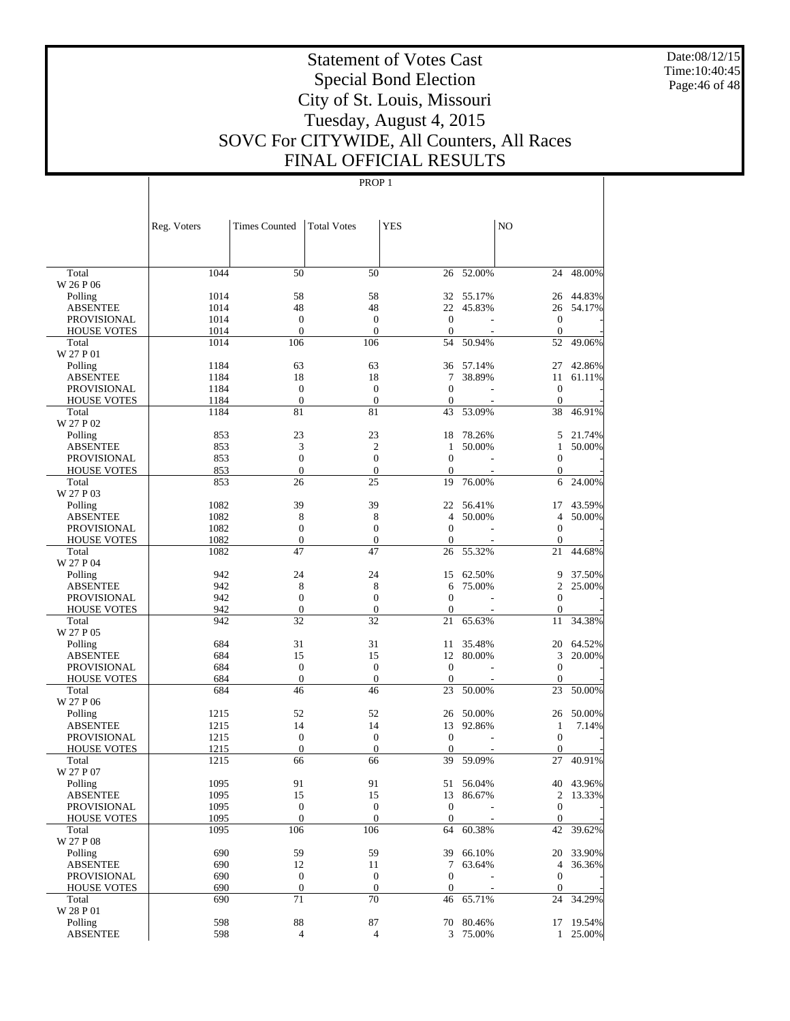Date:08/12/15 Time:10:40:45 Page:46 of 48

# Statement of Votes Cast Special Bond Election City of St. Louis, Missouri Tuesday, August 4, 2015 SOVC For CITYWIDE, All Counters, All Races FINAL OFFICIAL RESULTS

|                                   | Reg. Voters  | <b>Times Counted</b>  | <b>Total Votes</b>               | <b>YES</b>                   |           | NO                           |           |
|-----------------------------------|--------------|-----------------------|----------------------------------|------------------------------|-----------|------------------------------|-----------|
|                                   |              |                       |                                  |                              |           |                              |           |
| Total                             | 1044         | 50                    | 50                               | 26                           | $-52.00%$ | 24                           | 48.00%    |
| W 26 P 06                         |              |                       |                                  |                              |           |                              |           |
| Polling                           | 1014         | 58                    | 58                               |                              | 32 55.17% | 26                           | 44.83%    |
| <b>ABSENTEE</b>                   | 1014         | 48                    | 48                               | 22                           | 45.83%    | 26                           | 54.17%    |
| <b>PROVISIONAL</b>                | 1014         | $\boldsymbol{0}$      | $\boldsymbol{0}$                 | $\theta$                     |           | $\boldsymbol{0}$             |           |
| <b>HOUSE VOTES</b>                | 1014         | $\boldsymbol{0}$      | $\mathbf{0}$                     | $\theta$                     |           | $\boldsymbol{0}$             |           |
| Total<br>W 27 P 01                | 1014         | 106                   | 106                              | 54                           | 50.94%    | 52                           | 49.06%    |
| Polling                           | 1184         | 63                    | 63                               | 36                           | 57.14%    | 27                           | 42.86%    |
| ABSENTEE                          | 1184         | 18                    | 18                               | 7                            | 38.89%    | 11                           | 61.11%    |
| <b>PROVISIONAL</b>                | 1184         | $\boldsymbol{0}$      | $\boldsymbol{0}$                 | $\mathbf{0}$                 |           | $\boldsymbol{0}$             |           |
| <b>HOUSE VOTES</b>                | 1184         | $\boldsymbol{0}$      | $\mathbf{0}$                     | $\overline{0}$               |           | $\mathbf{0}$                 |           |
| Total                             | 1184         | 81                    | 81                               | 43                           | 53.09%    | 38                           | 46.91%    |
| W 27 P 02                         |              |                       |                                  |                              |           |                              |           |
| Polling                           | 853          | 23                    | 23                               | 18                           | 78.26%    | 5                            | 21.74%    |
| <b>ABSENTEE</b>                   | 853          | 3                     | $\overline{c}$                   | 1                            | 50.00%    | 1                            | 50.00%    |
| <b>PROVISIONAL</b>                | 853          | $\boldsymbol{0}$      | $\overline{0}$                   | $\theta$                     |           | $\mathbf{0}$                 |           |
| <b>HOUSE VOTES</b>                | 853          | $\boldsymbol{0}$      | $\mathbf{0}$                     | $\theta$                     |           | $\mathbf{0}$                 |           |
| Total<br>W 27 P 03                | 853          | 26                    | 25                               | 19                           | 76.00%    | 6                            | 24.00%    |
| Polling                           | 1082         | 39                    | 39                               | 22                           | 56.41%    | 17                           | 43.59%    |
| <b>ABSENTEE</b>                   | 1082         | 8                     | 8                                | 4                            | 50.00%    | $\overline{4}$               | 50.00%    |
| <b>PROVISIONAL</b>                | 1082         | 0                     | $\overline{0}$                   | $\theta$                     |           | $\boldsymbol{0}$             |           |
| <b>HOUSE VOTES</b>                | 1082         | $\boldsymbol{0}$      | $\boldsymbol{0}$                 | $\mathbf{0}$                 |           | $\mathbf{0}$                 |           |
| Total                             | 1082         | 47                    | 47                               | 26                           | 55.32%    | 21                           | 44.68%    |
| W 27 P 04                         |              |                       |                                  |                              |           |                              |           |
| Polling                           | 942          | 24                    | 24                               | 15                           | 62.50%    | 9                            | 37.50%    |
| <b>ABSENTEE</b>                   | 942          | 8                     | 8                                | 6                            | 75.00%    | 2                            | 25.00%    |
| <b>PROVISIONAL</b>                | 942          | $\boldsymbol{0}$      | $\boldsymbol{0}$                 | $\theta$                     |           | $\mathbf{0}$                 |           |
| <b>HOUSE VOTES</b>                | 942          | $\boldsymbol{0}$      | $\mathbf{0}$                     | $\mathbf{0}$                 |           | $\mathbf{0}$                 |           |
| Total<br>W 27 P 05                | 942          | 32                    | 32                               | 21                           | 65.63%    | 11                           | 34.38%    |
| Polling                           | 684          | 31                    | 31                               | 11                           | 35.48%    | 20                           | 64.52%    |
| ABSENTEE                          | 684          | 15                    | 15                               | 12                           | 80.00%    | 3                            | 20.00%    |
| <b>PROVISIONAL</b>                | 684          | $\boldsymbol{0}$      | $\theta$                         | $\theta$                     |           | $\mathbf{0}$                 |           |
| <b>HOUSE VOTES</b>                | 684          | $\boldsymbol{0}$      | $\boldsymbol{0}$                 | $\overline{0}$               |           | $\mathbf{0}$                 |           |
| Total                             | 684          | 46                    | 46                               | 23                           | 50.00%    | 23                           | 50.00%    |
| W 27 P 06                         |              |                       |                                  |                              |           |                              |           |
| Polling                           | 1215         | 52                    | 52                               | 26                           | 50.00%    | 26                           | 50.00%    |
| <b>ABSENTEE</b>                   | 1215         | 14                    | 14                               | 13                           | 92.86%    | 1                            | 7.14%     |
| <b>PROVISIONAL</b>                | 1215         | $\boldsymbol{0}$      | $\boldsymbol{0}$                 | $\overline{0}$               |           | $\boldsymbol{0}$             |           |
| <b>HOUSE VOTES</b>                | 1215         | $\boldsymbol{0}$      | $\boldsymbol{0}$                 | $\theta$                     |           | 0                            |           |
| Total                             | 1215         | 66                    | 66                               | 39                           | 59.09%    | 27                           | 40.91%    |
| W 27 P 07                         |              |                       |                                  |                              |           |                              |           |
| Polling                           | 1095         | 91                    | 91                               | 51                           | 56.04%    |                              | 40 43.96% |
| ABSENTEE                          | 1095         | 15                    | 15                               |                              | 13 86.67% |                              | 2 13.33%  |
| PROVISIONAL<br><b>HOUSE VOTES</b> | 1095<br>1095 | 0<br>$\boldsymbol{0}$ | $\boldsymbol{0}$<br>$\mathbf{0}$ | $\mathbf{0}$<br>$\mathbf{0}$ |           | $\mathbf{0}$<br>$\mathbf{0}$ |           |
| Total                             | 1095         | 106                   | 106                              | 64                           | 60.38%    | 42                           | 39.62%    |
| W 27 P 08                         |              |                       |                                  |                              |           |                              |           |
| Polling                           | 690          | 59                    | 59                               | 39                           | 66.10%    |                              | 20 33.90% |
| <b>ABSENTEE</b>                   | 690          | 12                    | 11                               | 7                            | 63.64%    | 4                            | 36.36%    |
| PROVISIONAL                       | 690          | $\boldsymbol{0}$      | $\boldsymbol{0}$                 | $\boldsymbol{0}$             |           | $\mathbf{0}$                 |           |
| <b>HOUSE VOTES</b>                | 690          | $\boldsymbol{0}$      | $\boldsymbol{0}$                 | $\boldsymbol{0}$             |           | $\mathbf{0}$                 |           |
| Total                             | 690          | 71                    | $\overline{70}$                  | 46                           | 65.71%    | 24                           | 34.29%    |
| W 28 P 01                         |              |                       |                                  |                              |           |                              |           |
| Polling                           | 598          | $88\,$                | 87                               |                              | 70 80.46% |                              | 17 19.54% |
| <b>ABSENTEE</b>                   | 598          | $\overline{4}$        | $\overline{4}$                   |                              | 3 75.00%  |                              | 1 25.00%  |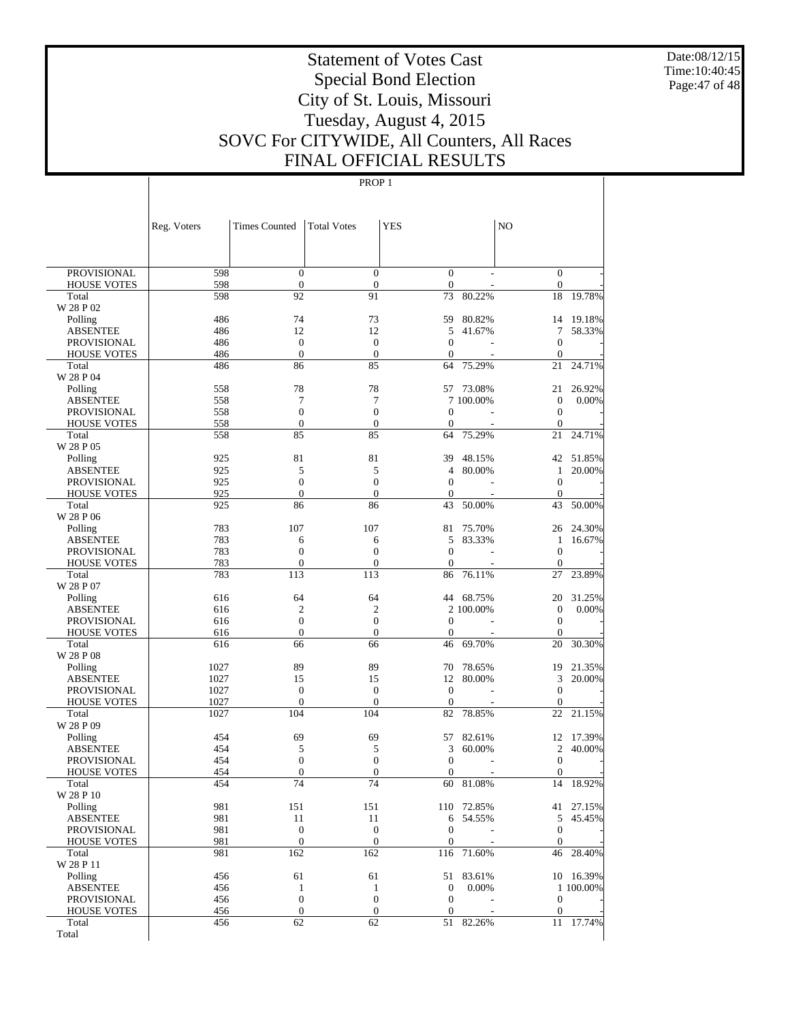Date:08/12/15 Time:10:40:45 Page:47 of 48

# Statement of Votes Cast Special Bond Election City of St. Louis, Missouri Tuesday, August 4, 2015 SOVC For CITYWIDE, All Counters, All Races FINAL OFFICIAL RESULTS

|                                          | Reg. Voters | <b>Times Counted</b>   | <b>Total Votes</b>               | <b>YES</b>           |                  | N <sub>O</sub>           |                        |
|------------------------------------------|-------------|------------------------|----------------------------------|----------------------|------------------|--------------------------|------------------------|
|                                          |             |                        |                                  |                      |                  |                          |                        |
| <b>PROVISIONAL</b>                       | 598         | $\mathbf{0}$           | $\theta$                         | $\theta$             |                  | $\theta$                 |                        |
| <b>HOUSE VOTES</b>                       | 598         | $\boldsymbol{0}$       | $\boldsymbol{0}$                 | $\mathbf{0}$         |                  | $\boldsymbol{0}$         |                        |
| Total                                    | 598         | 92                     | 91                               | 73                   | 80.22%           | 18                       | 19.78%                 |
| W 28 P 02                                |             |                        |                                  |                      |                  |                          |                        |
| Polling<br><b>ABSENTEE</b>               | 486<br>486  | 74<br>12               | 73<br>12                         | 59<br>5              | 80.82%<br>41.67% | 14<br>7                  | 19.18%<br>58.33%       |
| <b>PROVISIONAL</b>                       | 486         | $\boldsymbol{0}$       | $\mathbf{0}$                     | $\theta$             |                  | $\theta$                 |                        |
| <b>HOUSE VOTES</b>                       | 486         | $\boldsymbol{0}$       | $\boldsymbol{0}$                 | $\theta$             |                  | $\mathbf{0}$             |                        |
| Total                                    | 486         | 86                     | 85                               | 64                   | 75.29%           | 21                       | 24.71%                 |
| W 28 P 04                                |             |                        |                                  |                      |                  |                          |                        |
| Polling                                  | 558         | 78                     | 78                               | 57                   | 73.08%           | 21                       | 26.92%                 |
| <b>ABSENTEE</b>                          | 558         | 7                      | 7                                |                      | 7 100,00%        | $\boldsymbol{0}$         | $0.00\%$               |
| <b>PROVISIONAL</b>                       | 558         | $\mathbf{0}$           | $\overline{0}$                   | $\theta$             |                  | $\boldsymbol{0}$         |                        |
| <b>HOUSE VOTES</b><br>Total              | 558         | $\boldsymbol{0}$<br>85 | $\mathbf{0}$<br>85               | $\theta$<br>64       | 75.29%           | $\boldsymbol{0}$         | 24.71%                 |
| W 28 P 05                                | 558         |                        |                                  |                      |                  | 21                       |                        |
| Polling                                  | 925         | 81                     | 81                               | 39                   | 48.15%           | 42                       | 51.85%                 |
| <b>ABSENTEE</b>                          | 925         | 5                      | 5                                | 4                    | 80.00%           | $\mathbf{1}$             | 20.00%                 |
| <b>PROVISIONAL</b>                       | 925         | $\mathbf{0}$           | $\overline{0}$                   | $\theta$             |                  | $\theta$                 |                        |
| <b>HOUSE VOTES</b>                       | 925         | $\boldsymbol{0}$       | $\mathbf{0}$                     | $\theta$             |                  | $\mathbf{0}$             |                        |
| Total                                    | 925         | 86                     | 86                               | 43                   | 50.00%           | 43                       | 50.00%                 |
| W 28 P 06                                |             |                        |                                  |                      |                  |                          |                        |
| Polling                                  | 783         | 107                    | 107                              | 81                   | 75.70%           | 26                       | 24.30%                 |
| <b>ABSENTEE</b>                          | 783         | 6                      | 6                                | 5                    | 83.33%           | 1                        | 16.67%                 |
| <b>PROVISIONAL</b><br><b>HOUSE VOTES</b> | 783<br>783  | $\mathbf{0}$<br>0      | $\mathbf{0}$<br>$\boldsymbol{0}$ | $\theta$<br>$\theta$ |                  | $\mathbf{0}$<br>$\theta$ |                        |
| Total                                    | 783         | 113                    | 113                              | 86                   | 76.11%           | 27                       | 23.89%                 |
| W 28 P 07                                |             |                        |                                  |                      |                  |                          |                        |
| Polling                                  | 616         | 64                     | 64                               | 44                   | 68.75%           | 20                       | 31.25%                 |
| <b>ABSENTEE</b>                          | 616         | $\overline{c}$         | $\overline{2}$                   |                      | 2 100,00%        | $\boldsymbol{0}$         | 0.00%                  |
| <b>PROVISIONAL</b>                       | 616         | $\boldsymbol{0}$       | $\mathbf{0}$                     | $\theta$             |                  | $\theta$                 |                        |
| <b>HOUSE VOTES</b>                       | 616         | $\boldsymbol{0}$       | $\boldsymbol{0}$                 | $\theta$             |                  | $\theta$                 |                        |
| Total                                    | 616         | 66                     | 66                               | 46                   | 69.70%           | 20                       | 30.30%                 |
| W 28 P 08                                | 1027        | 89                     | 89                               | 70                   | 78.65%           | 19                       | 21.35%                 |
| Polling<br><b>ABSENTEE</b>               | 1027        | 15                     | 15                               | 12                   | 80.00%           | 3                        | 20.00%                 |
| <b>PROVISIONAL</b>                       | 1027        | $\boldsymbol{0}$       | $\boldsymbol{0}$                 | $\theta$             |                  | $\boldsymbol{0}$         |                        |
| <b>HOUSE VOTES</b>                       | 1027        | 0                      | $\overline{0}$                   | $\theta$             |                  | $\mathbf{0}$             |                        |
| Total                                    | 1027        | 104                    | 104                              | 82                   | 78.85%           | 22                       | 21.15%                 |
| W 28 P 09                                |             |                        |                                  |                      |                  |                          |                        |
| Polling                                  | 454         | 69                     | 69                               | 57                   | 82.61%           | 12                       | 17.39%                 |
| <b>ABSENTEE</b>                          | 454         | 5                      | 5                                | 3                    | 60.00%           | $\overline{c}$           | 40.00%                 |
| <b>PROVISIONAL</b>                       | 454         | $\boldsymbol{0}$       | $\boldsymbol{0}$                 | $\theta$             |                  | $\theta$                 |                        |
| <b>HOUSE VOTES</b><br>Total              | 454<br>454  | 0<br>74                | $\mathbf{0}$<br>74               | $\theta$<br>60       | 81.08%           | $\boldsymbol{0}$<br>14   | 18.92%                 |
| W 28 P 10                                |             |                        |                                  |                      |                  |                          |                        |
| Polling                                  | 981         | 151                    | 151                              |                      | 110 72.85%       |                          | 41 27.15%              |
| <b>ABSENTEE</b>                          | 981         | 11                     | 11                               | 6                    | 54.55%           | 5                        | 45.45%                 |
| <b>PROVISIONAL</b>                       | 981         | $\boldsymbol{0}$       | $\mathbf{0}$                     | $\theta$             |                  | $\boldsymbol{0}$         |                        |
| <b>HOUSE VOTES</b>                       | 981         | $\boldsymbol{0}$       | $\boldsymbol{0}$                 | $\boldsymbol{0}$     |                  | $\mathbf{0}$             |                        |
| Total                                    | 981         | 162                    | 162                              | 116                  | 71.60%           | 46                       | 28.40%                 |
| W 28 P 11                                |             |                        |                                  |                      |                  |                          |                        |
| Polling<br><b>ABSENTEE</b>               | 456<br>456  | 61<br>$\mathbf{1}$     | 61                               | 51<br>$\mathbf{0}$   | 83.61%<br>0.00%  |                          | 10 16.39%<br>1 100.00% |
| PROVISIONAL                              | 456         | $\boldsymbol{0}$       | $\mathbf{1}$<br>$\boldsymbol{0}$ | $\mathbf{0}$         |                  | $\boldsymbol{0}$         |                        |
| <b>HOUSE VOTES</b>                       | 456         | $\boldsymbol{0}$       | $\boldsymbol{0}$                 | $\mathbf{0}$         |                  | $\boldsymbol{0}$         |                        |
| Total                                    | 456         | 62                     | 62                               |                      | 51 82.26%        | 11                       | 17.74%                 |
| Total                                    |             |                        |                                  |                      |                  |                          |                        |